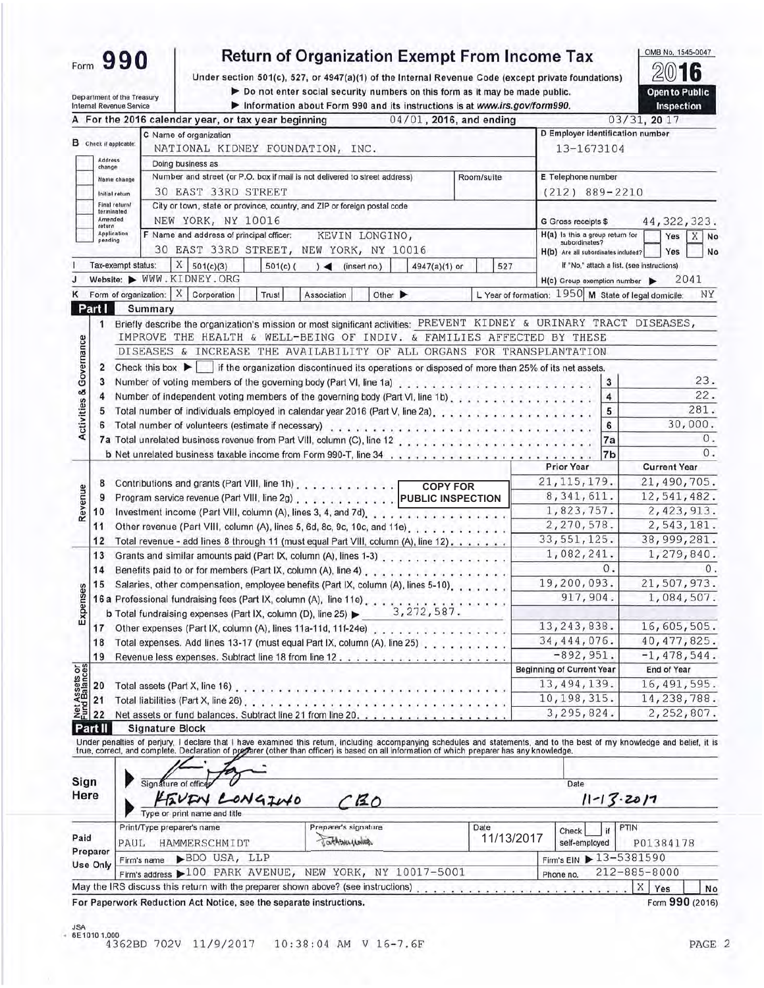Form 990

# Return of Organization Exempt From Income Tax

Under section 501(c), 527, or 4947(a)(1) of the Internal Revenue Code (except private foundations)

Do not enter social security numbers on this form as it may be made public. 1990.

Department of the Treasury<br>Internal Revenue Service

|  |  |  |  |  |  |  | po not enter obeini oceanity numbers on this form as it may be made pu |
|--|--|--|--|--|--|--|------------------------------------------------------------------------|
|  |  |  |  |  |  |  | Information about Form 990 and its instructions is at www.irs.gov/form |



OMB No. 1545-0047

| C Name of organization                                     |                                                                                                                                                                                                             |                                                                                                                                                                                                                                                 |                                                                                                                                                                                                                                                                                                                                                                         |                                                                                                                                                                                                                                                                                                                                                                                                                                                                                                                                                                                                                                                                                                                                                                                                                                                                                                                                                          |                                  |                                                                                                                                                                                                                                                                        | 03/31, 2017                                                                                                                                                                                                                                                                                                                                                                                                                                                                                                                                                                                                                                                                                                                                                                                                                                                                                                                                                                                                                                                                                                                                                                                                                      |
|------------------------------------------------------------|-------------------------------------------------------------------------------------------------------------------------------------------------------------------------------------------------------------|-------------------------------------------------------------------------------------------------------------------------------------------------------------------------------------------------------------------------------------------------|-------------------------------------------------------------------------------------------------------------------------------------------------------------------------------------------------------------------------------------------------------------------------------------------------------------------------------------------------------------------------|----------------------------------------------------------------------------------------------------------------------------------------------------------------------------------------------------------------------------------------------------------------------------------------------------------------------------------------------------------------------------------------------------------------------------------------------------------------------------------------------------------------------------------------------------------------------------------------------------------------------------------------------------------------------------------------------------------------------------------------------------------------------------------------------------------------------------------------------------------------------------------------------------------------------------------------------------------|----------------------------------|------------------------------------------------------------------------------------------------------------------------------------------------------------------------------------------------------------------------------------------------------------------------|----------------------------------------------------------------------------------------------------------------------------------------------------------------------------------------------------------------------------------------------------------------------------------------------------------------------------------------------------------------------------------------------------------------------------------------------------------------------------------------------------------------------------------------------------------------------------------------------------------------------------------------------------------------------------------------------------------------------------------------------------------------------------------------------------------------------------------------------------------------------------------------------------------------------------------------------------------------------------------------------------------------------------------------------------------------------------------------------------------------------------------------------------------------------------------------------------------------------------------|
|                                                            |                                                                                                                                                                                                             |                                                                                                                                                                                                                                                 |                                                                                                                                                                                                                                                                                                                                                                         |                                                                                                                                                                                                                                                                                                                                                                                                                                                                                                                                                                                                                                                                                                                                                                                                                                                                                                                                                          | D Employer identification number |                                                                                                                                                                                                                                                                        |                                                                                                                                                                                                                                                                                                                                                                                                                                                                                                                                                                                                                                                                                                                                                                                                                                                                                                                                                                                                                                                                                                                                                                                                                                  |
| B Check if applicable:<br>NATIONAL KIDNEY FOUNDATION, INC. |                                                                                                                                                                                                             |                                                                                                                                                                                                                                                 |                                                                                                                                                                                                                                                                                                                                                                         |                                                                                                                                                                                                                                                                                                                                                                                                                                                                                                                                                                                                                                                                                                                                                                                                                                                                                                                                                          | 13-1673104                       |                                                                                                                                                                                                                                                                        |                                                                                                                                                                                                                                                                                                                                                                                                                                                                                                                                                                                                                                                                                                                                                                                                                                                                                                                                                                                                                                                                                                                                                                                                                                  |
| Doing business as                                          |                                                                                                                                                                                                             |                                                                                                                                                                                                                                                 |                                                                                                                                                                                                                                                                                                                                                                         |                                                                                                                                                                                                                                                                                                                                                                                                                                                                                                                                                                                                                                                                                                                                                                                                                                                                                                                                                          |                                  |                                                                                                                                                                                                                                                                        |                                                                                                                                                                                                                                                                                                                                                                                                                                                                                                                                                                                                                                                                                                                                                                                                                                                                                                                                                                                                                                                                                                                                                                                                                                  |
| Name change                                                |                                                                                                                                                                                                             |                                                                                                                                                                                                                                                 | Room/suite                                                                                                                                                                                                                                                                                                                                                              |                                                                                                                                                                                                                                                                                                                                                                                                                                                                                                                                                                                                                                                                                                                                                                                                                                                                                                                                                          |                                  |                                                                                                                                                                                                                                                                        |                                                                                                                                                                                                                                                                                                                                                                                                                                                                                                                                                                                                                                                                                                                                                                                                                                                                                                                                                                                                                                                                                                                                                                                                                                  |
|                                                            |                                                                                                                                                                                                             |                                                                                                                                                                                                                                                 |                                                                                                                                                                                                                                                                                                                                                                         |                                                                                                                                                                                                                                                                                                                                                                                                                                                                                                                                                                                                                                                                                                                                                                                                                                                                                                                                                          |                                  |                                                                                                                                                                                                                                                                        |                                                                                                                                                                                                                                                                                                                                                                                                                                                                                                                                                                                                                                                                                                                                                                                                                                                                                                                                                                                                                                                                                                                                                                                                                                  |
|                                                            |                                                                                                                                                                                                             |                                                                                                                                                                                                                                                 |                                                                                                                                                                                                                                                                                                                                                                         |                                                                                                                                                                                                                                                                                                                                                                                                                                                                                                                                                                                                                                                                                                                                                                                                                                                                                                                                                          |                                  |                                                                                                                                                                                                                                                                        |                                                                                                                                                                                                                                                                                                                                                                                                                                                                                                                                                                                                                                                                                                                                                                                                                                                                                                                                                                                                                                                                                                                                                                                                                                  |
|                                                            |                                                                                                                                                                                                             |                                                                                                                                                                                                                                                 |                                                                                                                                                                                                                                                                                                                                                                         |                                                                                                                                                                                                                                                                                                                                                                                                                                                                                                                                                                                                                                                                                                                                                                                                                                                                                                                                                          |                                  |                                                                                                                                                                                                                                                                        | 44, 322, 323.                                                                                                                                                                                                                                                                                                                                                                                                                                                                                                                                                                                                                                                                                                                                                                                                                                                                                                                                                                                                                                                                                                                                                                                                                    |
|                                                            |                                                                                                                                                                                                             |                                                                                                                                                                                                                                                 |                                                                                                                                                                                                                                                                                                                                                                         |                                                                                                                                                                                                                                                                                                                                                                                                                                                                                                                                                                                                                                                                                                                                                                                                                                                                                                                                                          |                                  |                                                                                                                                                                                                                                                                        | Yes X No                                                                                                                                                                                                                                                                                                                                                                                                                                                                                                                                                                                                                                                                                                                                                                                                                                                                                                                                                                                                                                                                                                                                                                                                                         |
|                                                            |                                                                                                                                                                                                             |                                                                                                                                                                                                                                                 |                                                                                                                                                                                                                                                                                                                                                                         |                                                                                                                                                                                                                                                                                                                                                                                                                                                                                                                                                                                                                                                                                                                                                                                                                                                                                                                                                          |                                  |                                                                                                                                                                                                                                                                        | Yes<br>No                                                                                                                                                                                                                                                                                                                                                                                                                                                                                                                                                                                                                                                                                                                                                                                                                                                                                                                                                                                                                                                                                                                                                                                                                        |
|                                                            |                                                                                                                                                                                                             |                                                                                                                                                                                                                                                 |                                                                                                                                                                                                                                                                                                                                                                         |                                                                                                                                                                                                                                                                                                                                                                                                                                                                                                                                                                                                                                                                                                                                                                                                                                                                                                                                                          |                                  |                                                                                                                                                                                                                                                                        |                                                                                                                                                                                                                                                                                                                                                                                                                                                                                                                                                                                                                                                                                                                                                                                                                                                                                                                                                                                                                                                                                                                                                                                                                                  |
|                                                            |                                                                                                                                                                                                             |                                                                                                                                                                                                                                                 |                                                                                                                                                                                                                                                                                                                                                                         |                                                                                                                                                                                                                                                                                                                                                                                                                                                                                                                                                                                                                                                                                                                                                                                                                                                                                                                                                          |                                  |                                                                                                                                                                                                                                                                        | 2041                                                                                                                                                                                                                                                                                                                                                                                                                                                                                                                                                                                                                                                                                                                                                                                                                                                                                                                                                                                                                                                                                                                                                                                                                             |
|                                                            |                                                                                                                                                                                                             |                                                                                                                                                                                                                                                 |                                                                                                                                                                                                                                                                                                                                                                         |                                                                                                                                                                                                                                                                                                                                                                                                                                                                                                                                                                                                                                                                                                                                                                                                                                                                                                                                                          |                                  |                                                                                                                                                                                                                                                                        | NY                                                                                                                                                                                                                                                                                                                                                                                                                                                                                                                                                                                                                                                                                                                                                                                                                                                                                                                                                                                                                                                                                                                                                                                                                               |
|                                                            |                                                                                                                                                                                                             |                                                                                                                                                                                                                                                 |                                                                                                                                                                                                                                                                                                                                                                         |                                                                                                                                                                                                                                                                                                                                                                                                                                                                                                                                                                                                                                                                                                                                                                                                                                                                                                                                                          |                                  |                                                                                                                                                                                                                                                                        |                                                                                                                                                                                                                                                                                                                                                                                                                                                                                                                                                                                                                                                                                                                                                                                                                                                                                                                                                                                                                                                                                                                                                                                                                                  |
|                                                            |                                                                                                                                                                                                             |                                                                                                                                                                                                                                                 |                                                                                                                                                                                                                                                                                                                                                                         |                                                                                                                                                                                                                                                                                                                                                                                                                                                                                                                                                                                                                                                                                                                                                                                                                                                                                                                                                          |                                  |                                                                                                                                                                                                                                                                        |                                                                                                                                                                                                                                                                                                                                                                                                                                                                                                                                                                                                                                                                                                                                                                                                                                                                                                                                                                                                                                                                                                                                                                                                                                  |
|                                                            |                                                                                                                                                                                                             |                                                                                                                                                                                                                                                 |                                                                                                                                                                                                                                                                                                                                                                         |                                                                                                                                                                                                                                                                                                                                                                                                                                                                                                                                                                                                                                                                                                                                                                                                                                                                                                                                                          |                                  |                                                                                                                                                                                                                                                                        |                                                                                                                                                                                                                                                                                                                                                                                                                                                                                                                                                                                                                                                                                                                                                                                                                                                                                                                                                                                                                                                                                                                                                                                                                                  |
|                                                            |                                                                                                                                                                                                             |                                                                                                                                                                                                                                                 |                                                                                                                                                                                                                                                                                                                                                                         |                                                                                                                                                                                                                                                                                                                                                                                                                                                                                                                                                                                                                                                                                                                                                                                                                                                                                                                                                          |                                  |                                                                                                                                                                                                                                                                        |                                                                                                                                                                                                                                                                                                                                                                                                                                                                                                                                                                                                                                                                                                                                                                                                                                                                                                                                                                                                                                                                                                                                                                                                                                  |
|                                                            |                                                                                                                                                                                                             |                                                                                                                                                                                                                                                 |                                                                                                                                                                                                                                                                                                                                                                         |                                                                                                                                                                                                                                                                                                                                                                                                                                                                                                                                                                                                                                                                                                                                                                                                                                                                                                                                                          |                                  |                                                                                                                                                                                                                                                                        | 23.                                                                                                                                                                                                                                                                                                                                                                                                                                                                                                                                                                                                                                                                                                                                                                                                                                                                                                                                                                                                                                                                                                                                                                                                                              |
|                                                            |                                                                                                                                                                                                             |                                                                                                                                                                                                                                                 |                                                                                                                                                                                                                                                                                                                                                                         |                                                                                                                                                                                                                                                                                                                                                                                                                                                                                                                                                                                                                                                                                                                                                                                                                                                                                                                                                          |                                  |                                                                                                                                                                                                                                                                        | 22.                                                                                                                                                                                                                                                                                                                                                                                                                                                                                                                                                                                                                                                                                                                                                                                                                                                                                                                                                                                                                                                                                                                                                                                                                              |
|                                                            |                                                                                                                                                                                                             |                                                                                                                                                                                                                                                 |                                                                                                                                                                                                                                                                                                                                                                         |                                                                                                                                                                                                                                                                                                                                                                                                                                                                                                                                                                                                                                                                                                                                                                                                                                                                                                                                                          |                                  |                                                                                                                                                                                                                                                                        | 281.                                                                                                                                                                                                                                                                                                                                                                                                                                                                                                                                                                                                                                                                                                                                                                                                                                                                                                                                                                                                                                                                                                                                                                                                                             |
|                                                            |                                                                                                                                                                                                             |                                                                                                                                                                                                                                                 |                                                                                                                                                                                                                                                                                                                                                                         |                                                                                                                                                                                                                                                                                                                                                                                                                                                                                                                                                                                                                                                                                                                                                                                                                                                                                                                                                          |                                  |                                                                                                                                                                                                                                                                        | 30,000.                                                                                                                                                                                                                                                                                                                                                                                                                                                                                                                                                                                                                                                                                                                                                                                                                                                                                                                                                                                                                                                                                                                                                                                                                          |
|                                                            |                                                                                                                                                                                                             |                                                                                                                                                                                                                                                 |                                                                                                                                                                                                                                                                                                                                                                         |                                                                                                                                                                                                                                                                                                                                                                                                                                                                                                                                                                                                                                                                                                                                                                                                                                                                                                                                                          |                                  |                                                                                                                                                                                                                                                                        | 0.                                                                                                                                                                                                                                                                                                                                                                                                                                                                                                                                                                                                                                                                                                                                                                                                                                                                                                                                                                                                                                                                                                                                                                                                                               |
|                                                            |                                                                                                                                                                                                             |                                                                                                                                                                                                                                                 |                                                                                                                                                                                                                                                                                                                                                                         |                                                                                                                                                                                                                                                                                                                                                                                                                                                                                                                                                                                                                                                                                                                                                                                                                                                                                                                                                          |                                  |                                                                                                                                                                                                                                                                        | 0.                                                                                                                                                                                                                                                                                                                                                                                                                                                                                                                                                                                                                                                                                                                                                                                                                                                                                                                                                                                                                                                                                                                                                                                                                               |
|                                                            |                                                                                                                                                                                                             |                                                                                                                                                                                                                                                 |                                                                                                                                                                                                                                                                                                                                                                         |                                                                                                                                                                                                                                                                                                                                                                                                                                                                                                                                                                                                                                                                                                                                                                                                                                                                                                                                                          |                                  |                                                                                                                                                                                                                                                                        | <b>Current Year</b>                                                                                                                                                                                                                                                                                                                                                                                                                                                                                                                                                                                                                                                                                                                                                                                                                                                                                                                                                                                                                                                                                                                                                                                                              |
|                                                            |                                                                                                                                                                                                             |                                                                                                                                                                                                                                                 |                                                                                                                                                                                                                                                                                                                                                                         |                                                                                                                                                                                                                                                                                                                                                                                                                                                                                                                                                                                                                                                                                                                                                                                                                                                                                                                                                          |                                  |                                                                                                                                                                                                                                                                        | 21,490,705.                                                                                                                                                                                                                                                                                                                                                                                                                                                                                                                                                                                                                                                                                                                                                                                                                                                                                                                                                                                                                                                                                                                                                                                                                      |
|                                                            |                                                                                                                                                                                                             |                                                                                                                                                                                                                                                 |                                                                                                                                                                                                                                                                                                                                                                         |                                                                                                                                                                                                                                                                                                                                                                                                                                                                                                                                                                                                                                                                                                                                                                                                                                                                                                                                                          |                                  |                                                                                                                                                                                                                                                                        | 12,541,482.                                                                                                                                                                                                                                                                                                                                                                                                                                                                                                                                                                                                                                                                                                                                                                                                                                                                                                                                                                                                                                                                                                                                                                                                                      |
|                                                            |                                                                                                                                                                                                             |                                                                                                                                                                                                                                                 |                                                                                                                                                                                                                                                                                                                                                                         |                                                                                                                                                                                                                                                                                                                                                                                                                                                                                                                                                                                                                                                                                                                                                                                                                                                                                                                                                          |                                  |                                                                                                                                                                                                                                                                        | 2, 423, 913.                                                                                                                                                                                                                                                                                                                                                                                                                                                                                                                                                                                                                                                                                                                                                                                                                                                                                                                                                                                                                                                                                                                                                                                                                     |
|                                                            |                                                                                                                                                                                                             |                                                                                                                                                                                                                                                 |                                                                                                                                                                                                                                                                                                                                                                         |                                                                                                                                                                                                                                                                                                                                                                                                                                                                                                                                                                                                                                                                                                                                                                                                                                                                                                                                                          |                                  |                                                                                                                                                                                                                                                                        | 2,543,181.                                                                                                                                                                                                                                                                                                                                                                                                                                                                                                                                                                                                                                                                                                                                                                                                                                                                                                                                                                                                                                                                                                                                                                                                                       |
|                                                            |                                                                                                                                                                                                             |                                                                                                                                                                                                                                                 |                                                                                                                                                                                                                                                                                                                                                                         |                                                                                                                                                                                                                                                                                                                                                                                                                                                                                                                                                                                                                                                                                                                                                                                                                                                                                                                                                          |                                  |                                                                                                                                                                                                                                                                        | 38, 999, 281.                                                                                                                                                                                                                                                                                                                                                                                                                                                                                                                                                                                                                                                                                                                                                                                                                                                                                                                                                                                                                                                                                                                                                                                                                    |
|                                                            |                                                                                                                                                                                                             |                                                                                                                                                                                                                                                 |                                                                                                                                                                                                                                                                                                                                                                         |                                                                                                                                                                                                                                                                                                                                                                                                                                                                                                                                                                                                                                                                                                                                                                                                                                                                                                                                                          |                                  |                                                                                                                                                                                                                                                                        | 1,279,840.                                                                                                                                                                                                                                                                                                                                                                                                                                                                                                                                                                                                                                                                                                                                                                                                                                                                                                                                                                                                                                                                                                                                                                                                                       |
|                                                            |                                                                                                                                                                                                             |                                                                                                                                                                                                                                                 |                                                                                                                                                                                                                                                                                                                                                                         | 0.<br>19,200,093.<br>917, 904.                                                                                                                                                                                                                                                                                                                                                                                                                                                                                                                                                                                                                                                                                                                                                                                                                                                                                                                           |                                  | $\Omega$ .                                                                                                                                                                                                                                                             |                                                                                                                                                                                                                                                                                                                                                                                                                                                                                                                                                                                                                                                                                                                                                                                                                                                                                                                                                                                                                                                                                                                                                                                                                                  |
|                                                            |                                                                                                                                                                                                             |                                                                                                                                                                                                                                                 |                                                                                                                                                                                                                                                                                                                                                                         |                                                                                                                                                                                                                                                                                                                                                                                                                                                                                                                                                                                                                                                                                                                                                                                                                                                                                                                                                          |                                  | 21,507,973.                                                                                                                                                                                                                                                            |                                                                                                                                                                                                                                                                                                                                                                                                                                                                                                                                                                                                                                                                                                                                                                                                                                                                                                                                                                                                                                                                                                                                                                                                                                  |
|                                                            |                                                                                                                                                                                                             |                                                                                                                                                                                                                                                 |                                                                                                                                                                                                                                                                                                                                                                         |                                                                                                                                                                                                                                                                                                                                                                                                                                                                                                                                                                                                                                                                                                                                                                                                                                                                                                                                                          |                                  | 1,084,507.                                                                                                                                                                                                                                                             |                                                                                                                                                                                                                                                                                                                                                                                                                                                                                                                                                                                                                                                                                                                                                                                                                                                                                                                                                                                                                                                                                                                                                                                                                                  |
|                                                            |                                                                                                                                                                                                             |                                                                                                                                                                                                                                                 |                                                                                                                                                                                                                                                                                                                                                                         |                                                                                                                                                                                                                                                                                                                                                                                                                                                                                                                                                                                                                                                                                                                                                                                                                                                                                                                                                          |                                  |                                                                                                                                                                                                                                                                        |                                                                                                                                                                                                                                                                                                                                                                                                                                                                                                                                                                                                                                                                                                                                                                                                                                                                                                                                                                                                                                                                                                                                                                                                                                  |
|                                                            |                                                                                                                                                                                                             |                                                                                                                                                                                                                                                 |                                                                                                                                                                                                                                                                                                                                                                         |                                                                                                                                                                                                                                                                                                                                                                                                                                                                                                                                                                                                                                                                                                                                                                                                                                                                                                                                                          |                                  |                                                                                                                                                                                                                                                                        | 16,605,505.                                                                                                                                                                                                                                                                                                                                                                                                                                                                                                                                                                                                                                                                                                                                                                                                                                                                                                                                                                                                                                                                                                                                                                                                                      |
|                                                            |                                                                                                                                                                                                             |                                                                                                                                                                                                                                                 |                                                                                                                                                                                                                                                                                                                                                                         |                                                                                                                                                                                                                                                                                                                                                                                                                                                                                                                                                                                                                                                                                                                                                                                                                                                                                                                                                          |                                  |                                                                                                                                                                                                                                                                        | 40, 477, 825.                                                                                                                                                                                                                                                                                                                                                                                                                                                                                                                                                                                                                                                                                                                                                                                                                                                                                                                                                                                                                                                                                                                                                                                                                    |
|                                                            |                                                                                                                                                                                                             |                                                                                                                                                                                                                                                 |                                                                                                                                                                                                                                                                                                                                                                         |                                                                                                                                                                                                                                                                                                                                                                                                                                                                                                                                                                                                                                                                                                                                                                                                                                                                                                                                                          |                                  |                                                                                                                                                                                                                                                                        | $-1,478,544.$                                                                                                                                                                                                                                                                                                                                                                                                                                                                                                                                                                                                                                                                                                                                                                                                                                                                                                                                                                                                                                                                                                                                                                                                                    |
|                                                            |                                                                                                                                                                                                             |                                                                                                                                                                                                                                                 |                                                                                                                                                                                                                                                                                                                                                                         |                                                                                                                                                                                                                                                                                                                                                                                                                                                                                                                                                                                                                                                                                                                                                                                                                                                                                                                                                          |                                  |                                                                                                                                                                                                                                                                        | End of Year                                                                                                                                                                                                                                                                                                                                                                                                                                                                                                                                                                                                                                                                                                                                                                                                                                                                                                                                                                                                                                                                                                                                                                                                                      |
|                                                            |                                                                                                                                                                                                             |                                                                                                                                                                                                                                                 |                                                                                                                                                                                                                                                                                                                                                                         |                                                                                                                                                                                                                                                                                                                                                                                                                                                                                                                                                                                                                                                                                                                                                                                                                                                                                                                                                          |                                  |                                                                                                                                                                                                                                                                        | 16, 491, 595.                                                                                                                                                                                                                                                                                                                                                                                                                                                                                                                                                                                                                                                                                                                                                                                                                                                                                                                                                                                                                                                                                                                                                                                                                    |
|                                                            |                                                                                                                                                                                                             |                                                                                                                                                                                                                                                 |                                                                                                                                                                                                                                                                                                                                                                         |                                                                                                                                                                                                                                                                                                                                                                                                                                                                                                                                                                                                                                                                                                                                                                                                                                                                                                                                                          |                                  |                                                                                                                                                                                                                                                                        | 14, 238, 788.                                                                                                                                                                                                                                                                                                                                                                                                                                                                                                                                                                                                                                                                                                                                                                                                                                                                                                                                                                                                                                                                                                                                                                                                                    |
|                                                            |                                                                                                                                                                                                             |                                                                                                                                                                                                                                                 |                                                                                                                                                                                                                                                                                                                                                                         |                                                                                                                                                                                                                                                                                                                                                                                                                                                                                                                                                                                                                                                                                                                                                                                                                                                                                                                                                          |                                  |                                                                                                                                                                                                                                                                        | 2,252,807.                                                                                                                                                                                                                                                                                                                                                                                                                                                                                                                                                                                                                                                                                                                                                                                                                                                                                                                                                                                                                                                                                                                                                                                                                       |
|                                                            |                                                                                                                                                                                                             |                                                                                                                                                                                                                                                 |                                                                                                                                                                                                                                                                                                                                                                         |                                                                                                                                                                                                                                                                                                                                                                                                                                                                                                                                                                                                                                                                                                                                                                                                                                                                                                                                                          |                                  |                                                                                                                                                                                                                                                                        |                                                                                                                                                                                                                                                                                                                                                                                                                                                                                                                                                                                                                                                                                                                                                                                                                                                                                                                                                                                                                                                                                                                                                                                                                                  |
|                                                            |                                                                                                                                                                                                             |                                                                                                                                                                                                                                                 |                                                                                                                                                                                                                                                                                                                                                                         |                                                                                                                                                                                                                                                                                                                                                                                                                                                                                                                                                                                                                                                                                                                                                                                                                                                                                                                                                          |                                  |                                                                                                                                                                                                                                                                        |                                                                                                                                                                                                                                                                                                                                                                                                                                                                                                                                                                                                                                                                                                                                                                                                                                                                                                                                                                                                                                                                                                                                                                                                                                  |
|                                                            |                                                                                                                                                                                                             |                                                                                                                                                                                                                                                 |                                                                                                                                                                                                                                                                                                                                                                         |                                                                                                                                                                                                                                                                                                                                                                                                                                                                                                                                                                                                                                                                                                                                                                                                                                                                                                                                                          |                                  |                                                                                                                                                                                                                                                                        |                                                                                                                                                                                                                                                                                                                                                                                                                                                                                                                                                                                                                                                                                                                                                                                                                                                                                                                                                                                                                                                                                                                                                                                                                                  |
|                                                            |                                                                                                                                                                                                             |                                                                                                                                                                                                                                                 |                                                                                                                                                                                                                                                                                                                                                                         |                                                                                                                                                                                                                                                                                                                                                                                                                                                                                                                                                                                                                                                                                                                                                                                                                                                                                                                                                          |                                  |                                                                                                                                                                                                                                                                        |                                                                                                                                                                                                                                                                                                                                                                                                                                                                                                                                                                                                                                                                                                                                                                                                                                                                                                                                                                                                                                                                                                                                                                                                                                  |
| Type or print name and title                               |                                                                                                                                                                                                             |                                                                                                                                                                                                                                                 |                                                                                                                                                                                                                                                                                                                                                                         |                                                                                                                                                                                                                                                                                                                                                                                                                                                                                                                                                                                                                                                                                                                                                                                                                                                                                                                                                          |                                  |                                                                                                                                                                                                                                                                        |                                                                                                                                                                                                                                                                                                                                                                                                                                                                                                                                                                                                                                                                                                                                                                                                                                                                                                                                                                                                                                                                                                                                                                                                                                  |
|                                                            |                                                                                                                                                                                                             |                                                                                                                                                                                                                                                 | Date                                                                                                                                                                                                                                                                                                                                                                    |                                                                                                                                                                                                                                                                                                                                                                                                                                                                                                                                                                                                                                                                                                                                                                                                                                                                                                                                                          | Check                            |                                                                                                                                                                                                                                                                        | PTIN                                                                                                                                                                                                                                                                                                                                                                                                                                                                                                                                                                                                                                                                                                                                                                                                                                                                                                                                                                                                                                                                                                                                                                                                                             |
| PAUL<br>HAMMERSCHMIDT                                      |                                                                                                                                                                                                             |                                                                                                                                                                                                                                                 |                                                                                                                                                                                                                                                                                                                                                                         |                                                                                                                                                                                                                                                                                                                                                                                                                                                                                                                                                                                                                                                                                                                                                                                                                                                                                                                                                          |                                  |                                                                                                                                                                                                                                                                        | P01384178                                                                                                                                                                                                                                                                                                                                                                                                                                                                                                                                                                                                                                                                                                                                                                                                                                                                                                                                                                                                                                                                                                                                                                                                                        |
| BDO USA, LLP<br>Firm's name                                |                                                                                                                                                                                                             |                                                                                                                                                                                                                                                 |                                                                                                                                                                                                                                                                                                                                                                         |                                                                                                                                                                                                                                                                                                                                                                                                                                                                                                                                                                                                                                                                                                                                                                                                                                                                                                                                                          |                                  |                                                                                                                                                                                                                                                                        |                                                                                                                                                                                                                                                                                                                                                                                                                                                                                                                                                                                                                                                                                                                                                                                                                                                                                                                                                                                                                                                                                                                                                                                                                                  |
|                                                            |                                                                                                                                                                                                             |                                                                                                                                                                                                                                                 |                                                                                                                                                                                                                                                                                                                                                                         |                                                                                                                                                                                                                                                                                                                                                                                                                                                                                                                                                                                                                                                                                                                                                                                                                                                                                                                                                          |                                  |                                                                                                                                                                                                                                                                        | 212-885-8000                                                                                                                                                                                                                                                                                                                                                                                                                                                                                                                                                                                                                                                                                                                                                                                                                                                                                                                                                                                                                                                                                                                                                                                                                     |
|                                                            | For Paperwork Reduction Act Notice, see the separate instructions.                                                                                                                                          |                                                                                                                                                                                                                                                 |                                                                                                                                                                                                                                                                                                                                                                         |                                                                                                                                                                                                                                                                                                                                                                                                                                                                                                                                                                                                                                                                                                                                                                                                                                                                                                                                                          |                                  |                                                                                                                                                                                                                                                                        | X<br>Yes<br>No<br>Form 990 (2016)                                                                                                                                                                                                                                                                                                                                                                                                                                                                                                                                                                                                                                                                                                                                                                                                                                                                                                                                                                                                                                                                                                                                                                                                |
|                                                            | NEW YORK, NY 10016<br>X   501(c)(3)<br>Tax-exempt status:<br>Website: WWW.KIDNEY.ORG<br>Form of organization:   X   Corporation<br>Trust<br>Summary<br><b>Signature Block</b><br>Print/Type preparer's name | 30 EAST 33RD STREET<br>F Name and address of principal officer:<br>$501(c)$ (<br>Association<br>Total assets (Part X, line 16)<br>Total liabilities (Part X, line 26)<br>Net assets or fund balances. Subtract line 21 from line 20.<br>LONGIWO | Number and street (or P.O. box if mail is not delivered to street address)<br>City or town, state or province, country, and ZIP or foreign postal code<br>KEVIN LONGINO,<br>30 EAST 33RD STREET, NEW YORK, NY 10016<br>$)$ (insert no.)<br>Other $\blacktriangleright$<br>Contributions and grants (Part VIII, line 1h)<br>CBO<br>Preparer's signature<br>Jackton works | 4947(a)(1) or<br>527<br><b>COPY FOR</b><br>Program service revenue (Part VIII, line 2g) PUBLIC INSPECTION<br>Investment income (Part VIII, column (A), lines 3, 4, and 7d).<br>Other revenue (Part VIII, column (A), lines 5, 6d, 8c, 9c, 10c, and 11e),<br>Total revenue - add lines 8 through 11 (must equal Part VIII, column (A), line 12).<br>Grants and similar amounts paid (Part IX, column (A), lines 1-3)<br>Benefits paid to or for members (Part IX, column (A), line 4)<br>Salaries, other compensation, employee benefits (Part IX, column (A), lines 5-10).<br>16 a Professional fundraising fees (Part IX, column (A), line 11e)<br>b Total fundraising expenses (Part IX, column (D), line 25) $\triangleright$ 3, 272, 587.<br>17 Other expenses (Part IX, column (A), lines 11a-11d, 11f-24e)<br>Total expenses. Add lines 13-17 (must equal Part IX, column (A), line 25)<br>Firm's address 100 PARK AVENUE, NEW YORK, NY 10017-5001 | 11/13/2017                       | Number of independent voting members of the governing body (Part VI, line 1b).<br><b>Prior Year</b><br>true, correct, and complete. Declaration of preparer (other than officer) is based on all information of which preparer has any knowledge.<br>Date<br>Phone no. | E Telephone number<br>$(212)$ 889-2210<br>G Gross receipts \$<br>H(a) Is this a group return for<br>subordinates?<br>H(b) Are all subordinates included?<br>If "No," attach a list. (see instructions)<br>$H(c)$ Group exemption number<br>L Year of formation: 1950 M State of legal domicile:<br>Briefly describe the organization's mission or most significant activities: PREVENT KIDNEY & URINARY TRACT DISEASES,<br>IMPROVE THE HEALTH & WELL-BEING OF INDIV. & FAMILIES AFFECTED BY THESE<br>DISEASES & INCREASE THE AVAILABILITY OF ALL ORGANS FOR TRANSPLANTATION<br>Check this box $\blacktriangleright$ if the organization discontinued its operations or disposed of more than 25% of its net assets.<br>3<br>4<br>5<br>6<br>7a<br>7b<br>21, 115, 179.<br>8, 341, 611.<br>1,823,757.<br>2,270,578.<br>33, 551, 125.<br>1,082,241.<br>13, 243, 838.<br>34, 444, 076.<br>$-892,951.$<br><b>Beginning of Current Year</b><br>13, 494, 139.<br>10, 198, 315.<br>3, 295, 824.<br>Under penalties of perjury, I declare that I have examined this return, including accompanying schedules and statements, and to the best of my knowledge and belief, it is<br>$11 - 13.2017$<br>self-employed<br>Firm's EIN 13-5381590 |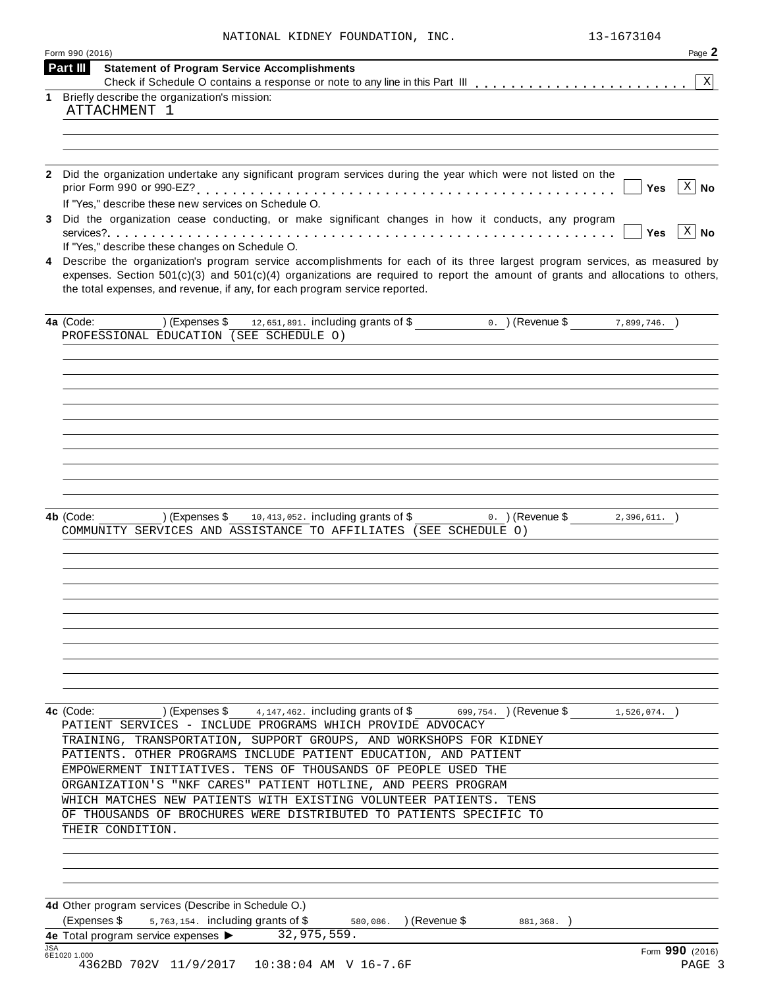|  |  | NATIONAL KIDNEY FOUNDATION, INC |  |
|--|--|---------------------------------|--|
|--|--|---------------------------------|--|

|                                                                     |                                                     | NATIONAL KIDNEY FOUNDATION, INC.                                                                                                 |                                                                                                                                                                                                                                                                  | 13-1673104 |                   |
|---------------------------------------------------------------------|-----------------------------------------------------|----------------------------------------------------------------------------------------------------------------------------------|------------------------------------------------------------------------------------------------------------------------------------------------------------------------------------------------------------------------------------------------------------------|------------|-------------------|
| Form 990 (2016)<br>Part III                                         | <b>Statement of Program Service Accomplishments</b> |                                                                                                                                  |                                                                                                                                                                                                                                                                  |            | Page 2            |
|                                                                     |                                                     |                                                                                                                                  | Check if Schedule O contains a response or note to any line in this Part III                                                                                                                                                                                     |            | $\mathbf X$       |
| Briefly describe the organization's mission:<br>$1 \quad$           |                                                     |                                                                                                                                  |                                                                                                                                                                                                                                                                  |            |                   |
| ATTACHMENT 1                                                        |                                                     |                                                                                                                                  |                                                                                                                                                                                                                                                                  |            |                   |
|                                                                     |                                                     |                                                                                                                                  |                                                                                                                                                                                                                                                                  |            |                   |
| If "Yes," describe these new services on Schedule O.                |                                                     |                                                                                                                                  | 2 Did the organization undertake any significant program services during the year which were not listed on the                                                                                                                                                   | <b>Yes</b> | $\overline{X}$ No |
|                                                                     |                                                     |                                                                                                                                  | Did the organization cease conducting, or make significant changes in how it conducts, any program                                                                                                                                                               | Yes        | $X \mid No$       |
| If "Yes," describe these changes on Schedule O.                     |                                                     |                                                                                                                                  |                                                                                                                                                                                                                                                                  |            |                   |
|                                                                     |                                                     | the total expenses, and revenue, if any, for each program service reported.                                                      | Describe the organization's program service accomplishments for each of its three largest program services, as measured by<br>expenses. Section $501(c)(3)$ and $501(c)(4)$ organizations are required to report the amount of grants and allocations to others, |            |                   |
| 4a (Code:<br>PROFESSIONAL EDUCATION (SEE SCHEDULE O)                |                                                     |                                                                                                                                  | (Expenses \$ 12,651,891. including grants of \$ 0. ) (Revenue \$ 7,899,746. )                                                                                                                                                                                    |            |                   |
|                                                                     |                                                     |                                                                                                                                  |                                                                                                                                                                                                                                                                  |            |                   |
|                                                                     |                                                     |                                                                                                                                  |                                                                                                                                                                                                                                                                  |            |                   |
|                                                                     |                                                     |                                                                                                                                  |                                                                                                                                                                                                                                                                  |            |                   |
|                                                                     |                                                     |                                                                                                                                  |                                                                                                                                                                                                                                                                  |            |                   |
|                                                                     |                                                     |                                                                                                                                  |                                                                                                                                                                                                                                                                  |            |                   |
|                                                                     |                                                     |                                                                                                                                  |                                                                                                                                                                                                                                                                  |            |                   |
|                                                                     |                                                     |                                                                                                                                  |                                                                                                                                                                                                                                                                  |            |                   |
|                                                                     |                                                     |                                                                                                                                  |                                                                                                                                                                                                                                                                  |            |                   |
| 4b (Code:                                                           |                                                     | COMMUNITY SERVICES AND ASSISTANCE TO AFFILIATES (SEE SCHEDULE                                                                    | (Expenses \$ 10,413,052. including grants of \$ 0. ) (Revenue \$<br>$\circ$ )                                                                                                                                                                                    | 2,396,611. |                   |
|                                                                     |                                                     |                                                                                                                                  |                                                                                                                                                                                                                                                                  |            |                   |
|                                                                     |                                                     |                                                                                                                                  |                                                                                                                                                                                                                                                                  |            |                   |
|                                                                     |                                                     |                                                                                                                                  |                                                                                                                                                                                                                                                                  |            |                   |
|                                                                     |                                                     |                                                                                                                                  |                                                                                                                                                                                                                                                                  |            |                   |
|                                                                     |                                                     |                                                                                                                                  |                                                                                                                                                                                                                                                                  |            |                   |
|                                                                     |                                                     |                                                                                                                                  |                                                                                                                                                                                                                                                                  |            |                   |
|                                                                     |                                                     |                                                                                                                                  |                                                                                                                                                                                                                                                                  |            |                   |
|                                                                     | ) (Expenses \$                                      | 4, 147, 462. including grants of \$                                                                                              | 699, 754. ) (Revenue \$                                                                                                                                                                                                                                          | 1,526,074. |                   |
|                                                                     |                                                     | PATIENT SERVICES - INCLUDE PROGRAMS WHICH PROVIDE ADVOCACY<br>TRAINING, TRANSPORTATION, SUPPORT GROUPS, AND WORKSHOPS FOR KIDNEY |                                                                                                                                                                                                                                                                  |            |                   |
|                                                                     |                                                     | PATIENTS. OTHER PROGRAMS INCLUDE PATIENT EDUCATION, AND PATIENT                                                                  |                                                                                                                                                                                                                                                                  |            |                   |
|                                                                     |                                                     | EMPOWERMENT INITIATIVES. TENS OF THOUSANDS OF PEOPLE USED THE<br>ORGANIZATION'S "NKF CARES" PATIENT HOTLINE, AND PEERS PROGRAM   |                                                                                                                                                                                                                                                                  |            |                   |
|                                                                     |                                                     | WHICH MATCHES NEW PATIENTS WITH EXISTING VOLUNTEER PATIENTS. TENS                                                                |                                                                                                                                                                                                                                                                  |            |                   |
|                                                                     |                                                     | THOUSANDS OF BROCHURES WERE DISTRIBUTED TO PATIENTS SPECIFIC TO                                                                  |                                                                                                                                                                                                                                                                  |            |                   |
| 4c (Code:<br>ΟF<br>THEIR CONDITION.                                 |                                                     |                                                                                                                                  |                                                                                                                                                                                                                                                                  |            |                   |
| 4d Other program services (Describe in Schedule O.)<br>(Expenses \$ | 5, 763, 154. including grants of \$                 |                                                                                                                                  | ) (Revenue \$                                                                                                                                                                                                                                                    |            |                   |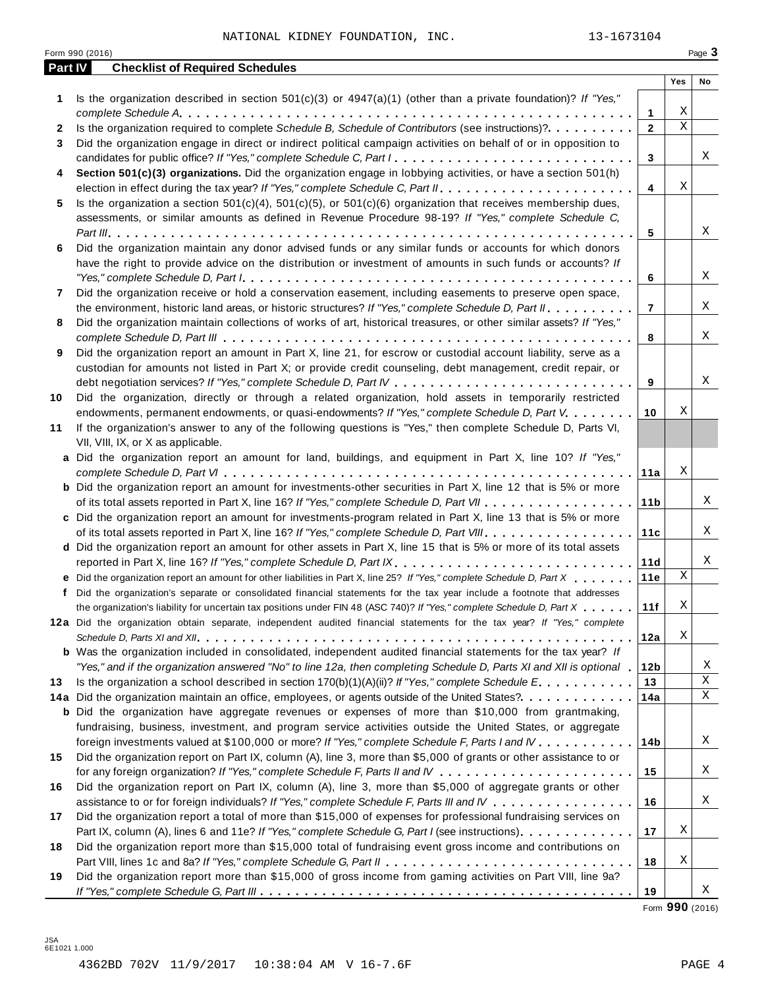|                | 13-1673104<br>NATIONAL KIDNEY FOUNDATION, INC.<br>Form 990 (2016)                                                         |                 |             | Page 3          |
|----------------|---------------------------------------------------------------------------------------------------------------------------|-----------------|-------------|-----------------|
| <b>Part IV</b> | <b>Checklist of Required Schedules</b>                                                                                    |                 |             |                 |
|                |                                                                                                                           |                 | Yes         | No              |
| 1              | Is the organization described in section $501(c)(3)$ or $4947(a)(1)$ (other than a private foundation)? If "Yes,"         |                 |             |                 |
|                |                                                                                                                           | 1               | Χ           |                 |
| 2              | Is the organization required to complete Schedule B, Schedule of Contributors (see instructions)?.                        | $\overline{2}$  | $\mathbf X$ |                 |
| 3              | Did the organization engage in direct or indirect political campaign activities on behalf of or in opposition to          |                 |             |                 |
|                | candidates for public office? If "Yes," complete Schedule C, Part I.                                                      | 3               |             | Χ               |
| 4              | Section 501(c)(3) organizations. Did the organization engage in lobbying activities, or have a section 501(h)             |                 |             |                 |
|                |                                                                                                                           | 4               | Χ           |                 |
| 5              | Is the organization a section $501(c)(4)$ , $501(c)(5)$ , or $501(c)(6)$ organization that receives membership dues,      |                 |             |                 |
|                | assessments, or similar amounts as defined in Revenue Procedure 98-19? If "Yes," complete Schedule C,                     |                 |             |                 |
|                |                                                                                                                           | 5               |             | Χ               |
| 6              | Did the organization maintain any donor advised funds or any similar funds or accounts for which donors                   |                 |             |                 |
|                | have the right to provide advice on the distribution or investment of amounts in such funds or accounts? If               |                 |             |                 |
|                |                                                                                                                           | 6               |             | Χ               |
| 7              | Did the organization receive or hold a conservation easement, including easements to preserve open space,                 |                 |             |                 |
|                | the environment, historic land areas, or historic structures? If "Yes," complete Schedule D, Part II.                     | $\overline{7}$  |             | Χ               |
| 8              | Did the organization maintain collections of works of art, historical treasures, or other similar assets? If "Yes,"       |                 |             |                 |
|                |                                                                                                                           | 8               |             | Χ               |
| 9              | Did the organization report an amount in Part X, line 21, for escrow or custodial account liability, serve as a           |                 |             |                 |
|                | custodian for amounts not listed in Part X; or provide credit counseling, debt management, credit repair, or              |                 |             |                 |
|                |                                                                                                                           | 9               |             | Χ               |
| 10             | Did the organization, directly or through a related organization, hold assets in temporarily restricted                   |                 |             |                 |
|                | endowments, permanent endowments, or quasi-endowments? If "Yes," complete Schedule D, Part V.                             | 10              | Χ           |                 |
| 11             | If the organization's answer to any of the following questions is "Yes," then complete Schedule D, Parts VI,              |                 |             |                 |
|                | VII, VIII, IX, or X as applicable.                                                                                        |                 |             |                 |
|                | a Did the organization report an amount for land, buildings, and equipment in Part X, line 10? If "Yes,"                  |                 |             |                 |
|                |                                                                                                                           | 11a             | Χ           |                 |
|                | <b>b</b> Did the organization report an amount for investments-other securities in Part X, line 12 that is 5% or more     |                 |             |                 |
|                |                                                                                                                           | 11 <sub>b</sub> |             | Χ               |
|                | c Did the organization report an amount for investments-program related in Part X, line 13 that is 5% or more             |                 |             |                 |
|                |                                                                                                                           | 11c             |             | Χ               |
|                | d Did the organization report an amount for other assets in Part X, line 15 that is 5% or more of its total assets        |                 |             |                 |
|                | reported in Part X, line 16? If "Yes," complete Schedule D, Part IX.                                                      | 11d             |             | X               |
|                | e Did the organization report an amount for other liabilities in Part X, line 25? If "Yes," complete Schedule D, Part X   | 11e             | $\mathbf X$ |                 |
|                | f Did the organization's separate or consolidated financial statements for the tax year include a footnote that addresses |                 |             |                 |
|                | the organization's liability for uncertain tax positions under FIN 48 (ASC 740)? If "Yes," complete Schedule D, Part X    | 11f             | Χ           |                 |
|                | 12a Did the organization obtain separate, independent audited financial statements for the tax year? If "Yes," complete   |                 |             |                 |
|                |                                                                                                                           | 12a             | Χ           |                 |
|                | <b>b</b> Was the organization included in consolidated, independent audited financial statements for the tax year? If     |                 |             |                 |
|                | "Yes," and if the organization answered "No" to line 12a, then completing Schedule D, Parts XI and XII is optional        | 12b             |             | X               |
| 13             | Is the organization a school described in section $170(b)(1)(A)(ii)?$ If "Yes," complete Schedule E.                      | 13              |             | Χ               |
|                | 14a Did the organization maintain an office, employees, or agents outside of the United States?                           | 14a             |             | Χ               |
|                | <b>b</b> Did the organization have aggregate revenues or expenses of more than \$10,000 from grantmaking,                 |                 |             |                 |
|                | fundraising, business, investment, and program service activities outside the United States, or aggregate                 |                 |             |                 |
|                | foreign investments valued at \$100,000 or more? If "Yes," complete Schedule F, Parts I and IV                            | 14b             |             | Χ               |
| 15             | Did the organization report on Part IX, column (A), line 3, more than \$5,000 of grants or other assistance to or         |                 |             |                 |
|                |                                                                                                                           | 15              |             | Χ               |
| 16             | Did the organization report on Part IX, column (A), line 3, more than \$5,000 of aggregate grants or other                |                 |             |                 |
|                | assistance to or for foreign individuals? If "Yes," complete Schedule F, Parts III and IV                                 | 16              |             | Χ               |
| 17             | Did the organization report a total of more than \$15,000 of expenses for professional fundraising services on            |                 |             |                 |
|                | Part IX, column (A), lines 6 and 11e? If "Yes," complete Schedule G, Part I (see instructions)                            | 17              | Χ           |                 |
| 18             | Did the organization report more than \$15,000 total of fundraising event gross income and contributions on               |                 |             |                 |
|                |                                                                                                                           | 18              | Χ           |                 |
| 19             | Did the organization report more than \$15,000 of gross income from gaming activities on Part VIII, line 9a?              |                 |             | Χ               |
|                |                                                                                                                           | 19              |             | Form 990 (2016) |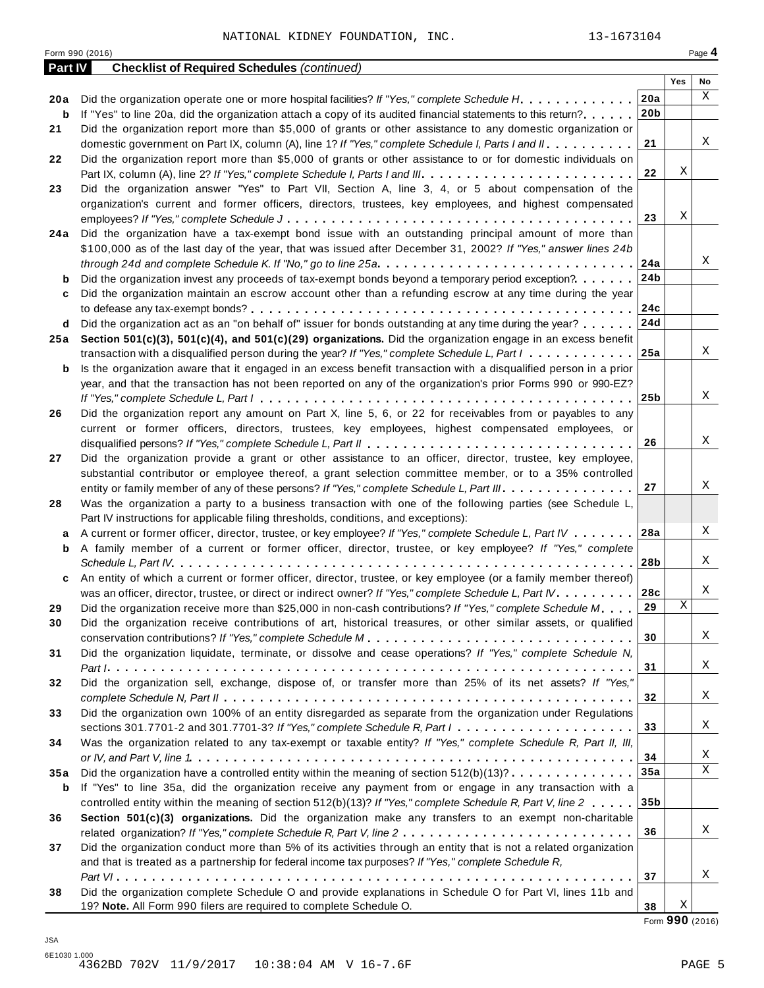|                | NATIONAL KIDNEY FOUNDATION, INC.<br>13-1673104                                                                                       |                 |             |        |
|----------------|--------------------------------------------------------------------------------------------------------------------------------------|-----------------|-------------|--------|
| <b>Part IV</b> | Form 990 (2016)<br><b>Checklist of Required Schedules (continued)</b>                                                                |                 |             | Page 4 |
|                |                                                                                                                                      |                 | Yes         | No     |
| 20a            | Did the organization operate one or more hospital facilities? If "Yes," complete Schedule H.                                         | 20a             |             | X      |
| b              | If "Yes" to line 20a, did the organization attach a copy of its audited financial statements to this return?                         | 20 <sub>b</sub> |             |        |
| 21             | Did the organization report more than \$5,000 of grants or other assistance to any domestic organization or                          |                 |             |        |
|                | domestic government on Part IX, column (A), line 1? If "Yes," complete Schedule I, Parts I and II.                                   | 21              |             | Χ      |
| 22             | Did the organization report more than \$5,000 of grants or other assistance to or for domestic individuals on                        |                 |             |        |
|                |                                                                                                                                      | 22              | Χ           |        |
| 23             | Did the organization answer "Yes" to Part VII, Section A, line 3, 4, or 5 about compensation of the                                  |                 |             |        |
|                | organization's current and former officers, directors, trustees, key employees, and highest compensated                              |                 |             |        |
|                |                                                                                                                                      | 23              | Χ           |        |
| 24 a           | Did the organization have a tax-exempt bond issue with an outstanding principal amount of more than                                  |                 |             |        |
|                | \$100,000 as of the last day of the year, that was issued after December 31, 2002? If "Yes," answer lines 24b                        |                 |             |        |
|                | through 24d and complete Schedule K. If "No," go to line 25a $\ldots \ldots \ldots \ldots \ldots \ldots \ldots \ldots \ldots \ldots$ | 24a             |             | Χ      |
| b              | Did the organization invest any proceeds of tax-exempt bonds beyond a temporary period exception?                                    | 24b             |             |        |
| c              | Did the organization maintain an escrow account other than a refunding escrow at any time during the year                            |                 |             |        |
|                |                                                                                                                                      | 24c             |             |        |
| d              | Did the organization act as an "on behalf of" issuer for bonds outstanding at any time during the year?                              | 24d             |             |        |
| 25 a           | Section 501(c)(3), 501(c)(4), and 501(c)(29) organizations. Did the organization engage in an excess benefit                         |                 |             | X      |
|                | transaction with a disqualified person during the year? If "Yes," complete Schedule L, Part I                                        | 25a             |             |        |
| b              | Is the organization aware that it engaged in an excess benefit transaction with a disqualified person in a prior                     |                 |             |        |
|                | year, and that the transaction has not been reported on any of the organization's prior Forms 990 or 990-EZ?                         | 25 <sub>b</sub> |             | X      |
| 26             | Did the organization report any amount on Part X, line 5, 6, or 22 for receivables from or payables to any                           |                 |             |        |
|                | current or former officers, directors, trustees, key employees, highest compensated employees, or                                    |                 |             |        |
|                |                                                                                                                                      | 26              |             | Χ      |
| 27             | Did the organization provide a grant or other assistance to an officer, director, trustee, key employee,                             |                 |             |        |
|                | substantial contributor or employee thereof, a grant selection committee member, or to a 35% controlled                              |                 |             |        |
|                | entity or family member of any of these persons? If "Yes," complete Schedule L, Part III.                                            | 27              |             | Χ      |
| 28             | Was the organization a party to a business transaction with one of the following parties (see Schedule L,                            |                 |             |        |
|                | Part IV instructions for applicable filing thresholds, conditions, and exceptions):                                                  |                 |             |        |
| a              | A current or former officer, director, trustee, or key employee? If "Yes," complete Schedule L, Part IV                              | 28a             |             | Χ      |
| b              | A family member of a current or former officer, director, trustee, or key employee? If "Yes," complete                               |                 |             |        |
|                |                                                                                                                                      | 28b             |             | Χ      |
| c              | An entity of which a current or former officer, director, trustee, or key employee (or a family member thereof)                      |                 |             |        |
|                | was an officer, director, trustee, or direct or indirect owner? If "Yes," complete Schedule L, Part IV.                              | 28c             |             | Χ      |
| 29             | Did the organization receive more than \$25,000 in non-cash contributions? If "Yes," complete Schedule M.                            | 29              | $\mathbf X$ |        |
| 30             | Did the organization receive contributions of art, historical treasures, or other similar assets, or qualified                       |                 |             |        |
|                |                                                                                                                                      | 30              |             | Χ      |
| 31             | Did the organization liquidate, terminate, or dissolve and cease operations? If "Yes," complete Schedule N,                          | 31              |             | Χ      |
| 32             | Did the organization sell, exchange, dispose of, or transfer more than 25% of its net assets? If "Yes,"                              |                 |             |        |
|                |                                                                                                                                      | 32              |             | X      |
| 33             | Did the organization own 100% of an entity disregarded as separate from the organization under Regulations                           |                 |             |        |
|                |                                                                                                                                      | 33              |             | Χ      |
| 34             | Was the organization related to any tax-exempt or taxable entity? If "Yes," complete Schedule R, Part II, III,                       |                 |             |        |
|                |                                                                                                                                      | 34              |             | Χ      |
| 35a            | Did the organization have a controlled entity within the meaning of section $512(b)(13)? \ldots \ldots \ldots \ldots$                | 35a             |             | X      |
| b              | If "Yes" to line 35a, did the organization receive any payment from or engage in any transaction with a                              |                 |             |        |
|                | controlled entity within the meaning of section 512(b)(13)? If "Yes," complete Schedule R, Part V, line 2                            | 35 <sub>b</sub> |             |        |
| 36             | Section 501(c)(3) organizations. Did the organization make any transfers to an exempt non-charitable                                 |                 |             |        |
|                |                                                                                                                                      | 36              |             | X      |
| 37             | Did the organization conduct more than 5% of its activities through an entity that is not a related organization                     |                 |             |        |
|                | and that is treated as a partnership for federal income tax purposes? If "Yes," complete Schedule R,                                 |                 |             |        |
|                |                                                                                                                                      | 37              |             | X      |
| 38             | Did the organization complete Schedule O and provide explanations in Schedule O for Part VI, lines 11b and                           |                 | Χ           |        |
|                | 19? Note. All Form 990 filers are required to complete Schedule O.                                                                   | 38              |             |        |

Form **990** (2016)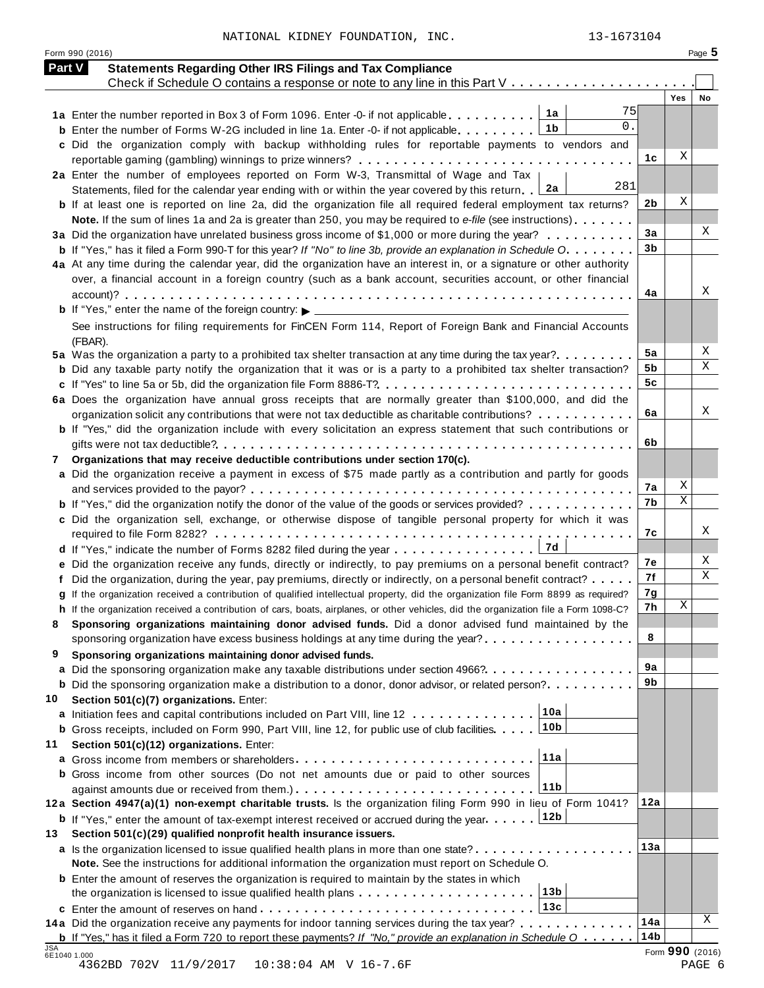|               | NATIONAL KIDNEY FOUNDATION, INC.<br>13-1673104                                                                                                                                                                                                       |                 |     |                 |
|---------------|------------------------------------------------------------------------------------------------------------------------------------------------------------------------------------------------------------------------------------------------------|-----------------|-----|-----------------|
|               | Form 990 (2016)                                                                                                                                                                                                                                      |                 |     | Page $5$        |
| <b>Part V</b> | <b>Statements Regarding Other IRS Filings and Tax Compliance</b>                                                                                                                                                                                     |                 |     |                 |
|               |                                                                                                                                                                                                                                                      |                 | Yes | No              |
|               | 75<br>1a<br>1a Enter the number reported in Box 3 of Form 1096. Enter -0- if not applicable                                                                                                                                                          |                 |     |                 |
|               | 0.<br>1b<br><b>b</b> Enter the number of Forms W-2G included in line 1a. Enter -0- if not applicable.                                                                                                                                                |                 |     |                 |
|               | c Did the organization comply with backup withholding rules for reportable payments to vendors and                                                                                                                                                   |                 |     |                 |
|               |                                                                                                                                                                                                                                                      | 1c              | Χ   |                 |
|               | 2a Enter the number of employees reported on Form W-3, Transmittal of Wage and Tax  <br>281<br>Statements, filed for the calendar year ending with or within the year covered by this return $\Box$ 2a                                               |                 |     |                 |
|               | <b>b</b> If at least one is reported on line 2a, did the organization file all required federal employment tax returns?                                                                                                                              | 2b              | Χ   |                 |
|               | Note. If the sum of lines 1a and 2a is greater than 250, you may be required to e-file (see instructions)                                                                                                                                            |                 |     |                 |
|               | 3a Did the organization have unrelated business gross income of \$1,000 or more during the year?                                                                                                                                                     | 3a              |     | Χ               |
|               | <b>b</b> If "Yes," has it filed a Form 990-T for this year? If "No" to line 3b, provide an explanation in Schedule $0, \ldots, \ldots$                                                                                                               | 3 <sub>b</sub>  |     |                 |
|               | 4a At any time during the calendar year, did the organization have an interest in, or a signature or other authority                                                                                                                                 |                 |     |                 |
|               | over, a financial account in a foreign country (such as a bank account, securities account, or other financial                                                                                                                                       | 4a              |     | X               |
|               |                                                                                                                                                                                                                                                      |                 |     |                 |
|               | See instructions for filing requirements for FinCEN Form 114, Report of Foreign Bank and Financial Accounts                                                                                                                                          |                 |     |                 |
|               | (FBAR).                                                                                                                                                                                                                                              |                 |     |                 |
|               | 5a Was the organization a party to a prohibited tax shelter transaction at any time during the tax year?                                                                                                                                             | 5a              |     | Х<br>X          |
|               | <b>b</b> Did any taxable party notify the organization that it was or is a party to a prohibited tax shelter transaction?                                                                                                                            | 5b<br>5c        |     |                 |
|               | 6a Does the organization have annual gross receipts that are normally greater than \$100,000, and did the                                                                                                                                            |                 |     |                 |
|               | organization solicit any contributions that were not tax deductible as charitable contributions?                                                                                                                                                     | 6a              |     | X               |
|               | <b>b</b> If "Yes," did the organization include with every solicitation an express statement that such contributions or                                                                                                                              |                 |     |                 |
|               |                                                                                                                                                                                                                                                      | 6b              |     |                 |
| $7^{\circ}$   | Organizations that may receive deductible contributions under section 170(c).                                                                                                                                                                        |                 |     |                 |
|               | a Did the organization receive a payment in excess of \$75 made partly as a contribution and partly for goods                                                                                                                                        | 7a              | Χ   |                 |
|               | <b>b</b> If "Yes," did the organization notify the donor of the value of the goods or services provided?                                                                                                                                             | 7b              | X   |                 |
|               | c Did the organization sell, exchange, or otherwise dispose of tangible personal property for which it was                                                                                                                                           |                 |     |                 |
|               |                                                                                                                                                                                                                                                      | 7c              |     | Χ               |
|               | 7d<br>d If "Yes," indicate the number of Forms 8282 filed during the year                                                                                                                                                                            |                 |     |                 |
|               | e Did the organization receive any funds, directly or indirectly, to pay premiums on a personal benefit contract?                                                                                                                                    | 7е<br>7f        |     | Χ<br>Χ          |
|               | f Did the organization, during the year, pay premiums, directly or indirectly, on a personal benefit contract?<br>g If the organization received a contribution of qualified intellectual property, did the organization file Form 8899 as required? | 7g              |     |                 |
|               | h If the organization received a contribution of cars, boats, airplanes, or other vehicles, did the organization file a Form 1098-C?                                                                                                                 | 7h              | Χ   |                 |
| 8             | Sponsoring organizations maintaining donor advised funds. Did a donor advised fund maintained by the                                                                                                                                                 |                 |     |                 |
|               | sponsoring organization have excess business holdings at any time during the year?                                                                                                                                                                   | 8               |     |                 |
| 9             | Sponsoring organizations maintaining donor advised funds.                                                                                                                                                                                            |                 |     |                 |
|               | a Did the sponsoring organization make any taxable distributions under section 4966?                                                                                                                                                                 | 9a<br>9b        |     |                 |
| 10            | <b>b</b> Did the sponsoring organization make a distribution to a donor, donor advisor, or related person?<br>Section 501(c)(7) organizations. Enter:                                                                                                |                 |     |                 |
|               | 10a<br>a Initiation fees and capital contributions included on Part VIII, line 12                                                                                                                                                                    |                 |     |                 |
|               | 10 <sub>b</sub><br><b>b</b> Gross receipts, included on Form 990, Part VIII, line 12, for public use of club facilities.                                                                                                                             |                 |     |                 |
| 11            | Section 501(c)(12) organizations. Enter:                                                                                                                                                                                                             |                 |     |                 |
|               | 11a<br>a Gross income from members or shareholders                                                                                                                                                                                                   |                 |     |                 |
|               | <b>b</b> Gross income from other sources (Do not net amounts due or paid to other sources<br>11b                                                                                                                                                     |                 |     |                 |
|               | 12a Section 4947(a)(1) non-exempt charitable trusts. Is the organization filing Form 990 in lieu of Form 1041?                                                                                                                                       | 12a             |     |                 |
|               | <b>b</b> If "Yes," enter the amount of tax-exempt interest received or accrued during the year $\boxed{12b}$                                                                                                                                         |                 |     |                 |
| 13            | Section 501(c)(29) qualified nonprofit health insurance issuers.                                                                                                                                                                                     |                 |     |                 |
|               | a Is the organization licensed to issue qualified health plans in more than one state?                                                                                                                                                               | 13a             |     |                 |
|               | Note. See the instructions for additional information the organization must report on Schedule O.<br><b>b</b> Enter the amount of reserves the organization is required to maintain by the states in which                                           |                 |     |                 |
|               | 13 <sub>b</sub>                                                                                                                                                                                                                                      |                 |     |                 |
|               | 13c                                                                                                                                                                                                                                                  |                 |     |                 |
|               | 14a Did the organization receive any payments for indoor tanning services during the tax year?                                                                                                                                                       | 14a             |     | Χ               |
| <b>JSA</b>    | <b>b</b> If "Yes," has it filed a Form 720 to report these payments? If "No," provide an explanation in Schedule O                                                                                                                                   | 14 <sub>b</sub> |     | Form 990 (2016) |
|               | 6E1040 1.000<br>10:38:04 AM V 16-7.6F<br>4362BD 702V 11/9/2017                                                                                                                                                                                       |                 |     | PAGE 6          |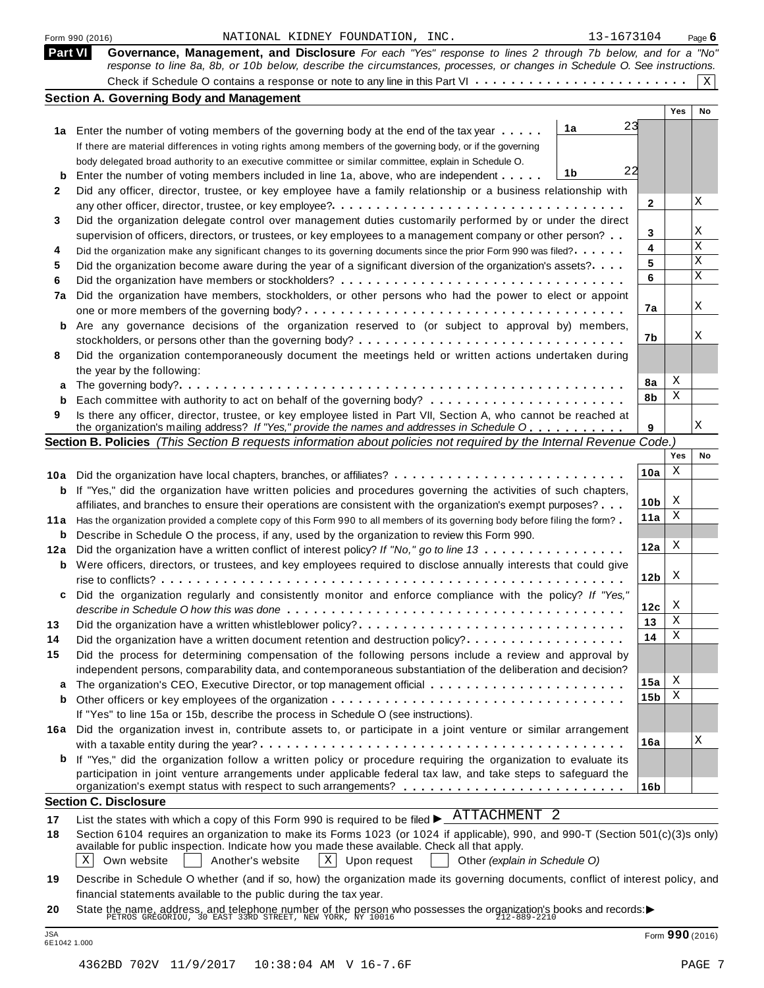| <b>Part VI</b> | Governance, Management, and Disclosure For each "Yes" response to lines 2 through 7b below, and for a "No"                |                         |                     |   |
|----------------|---------------------------------------------------------------------------------------------------------------------------|-------------------------|---------------------|---|
|                | response to line 8a, 8b, or 10b below, describe the circumstances, processes, or changes in Schedule O. See instructions. |                         |                     |   |
|                |                                                                                                                           |                         |                     |   |
|                | <b>Section A. Governing Body and Management</b>                                                                           |                         |                     |   |
|                |                                                                                                                           |                         | Yes                 |   |
|                | 23<br>1a<br>1a Enter the number of voting members of the governing body at the end of the tax year                        |                         |                     |   |
|                | If there are material differences in voting rights among members of the governing body, or if the governing               |                         |                     |   |
|                | body delegated broad authority to an executive committee or similar committee, explain in Schedule O.                     |                         |                     |   |
| b              | 22<br>1 <sub>b</sub><br>Enter the number of voting members included in line 1a, above, who are independent                |                         |                     |   |
| $\mathbf{2}$   | Did any officer, director, trustee, or key employee have a family relationship or a business relationship with            |                         |                     |   |
|                |                                                                                                                           | $\mathbf{2}$            |                     | Χ |
| 3              | Did the organization delegate control over management duties customarily performed by or under the direct                 |                         |                     |   |
|                | supervision of officers, directors, or trustees, or key employees to a management company or other person?                | 3                       |                     | X |
| 4              | Did the organization make any significant changes to its governing documents since the prior Form 990 was filed?          | $\overline{\mathbf{4}}$ |                     | X |
| 5              | Did the organization become aware during the year of a significant diversion of the organization's assets?                | 5                       |                     | Χ |
| 6              |                                                                                                                           | 6                       |                     | X |
| 7a             | Did the organization have members, stockholders, or other persons who had the power to elect or appoint                   |                         |                     |   |
|                |                                                                                                                           | 7a                      |                     | X |
| b              | Are any governance decisions of the organization reserved to (or subject to approval by) members,                         |                         |                     |   |
|                |                                                                                                                           | 7b                      |                     | Χ |
| 8              | Did the organization contemporaneously document the meetings held or written actions undertaken during                    |                         |                     |   |
|                | the year by the following:                                                                                                |                         |                     |   |
|                |                                                                                                                           | 8a                      | X                   |   |
| b              |                                                                                                                           | 8b                      | X                   |   |
| 9              | Is there any officer, director, trustee, or key employee listed in Part VII, Section A, who cannot be reached at          |                         |                     |   |
|                | the organization's mailing address? If "Yes," provide the names and addresses in Schedule O                               | 9                       |                     | X |
|                | Section B. Policies (This Section B requests information about policies not required by the Internal Revenue Code.)       |                         |                     |   |
|                |                                                                                                                           | 10a                     | Yes<br>$\mathbf{x}$ |   |
|                |                                                                                                                           |                         |                     |   |

|          | is there any officer, director, trustee, or key employee listed in Part VII, Section A, who cannot be reached at<br>the organization's mailing address? If "Yes," provide the names and addresses in Schedule O                 | 9               |     | X         |
|----------|---------------------------------------------------------------------------------------------------------------------------------------------------------------------------------------------------------------------------------|-----------------|-----|-----------|
|          | <b>Section B. Policies</b> (This Section B requests information about policies not required by the Internal Revenue Code.)                                                                                                      |                 |     |           |
|          |                                                                                                                                                                                                                                 |                 | Yes | <b>No</b> |
|          |                                                                                                                                                                                                                                 | 10a             | X   |           |
| b        | If "Yes," did the organization have written policies and procedures governing the activities of such chapters,<br>affiliates, and branches to ensure their operations are consistent with the organization's exempt purposes?   | 10 <sub>b</sub> | X   |           |
| 11 a     | Has the organization provided a complete copy of this Form 990 to all members of its governing body before filing the form?                                                                                                     | 11a             | X   |           |
| b<br>12a | Describe in Schedule O the process, if any, used by the organization to review this Form 990.<br>Did the organization have a written conflict of interest policy? If "No," go to line 13                                        | 12a             | X   |           |
| b        | Were officers, directors, or trustees, and key employees required to disclose annually interests that could give                                                                                                                | 12b             | Χ   |           |
| C        | Did the organization regularly and consistently monitor and enforce compliance with the policy? If "Yes,"                                                                                                                       | 12c             | Χ   |           |
| 13       |                                                                                                                                                                                                                                 | 13              | X   |           |
| 14       | Did the organization have a written document retention and destruction policy?                                                                                                                                                  | 14              | X   |           |
| 15       | Did the process for determining compensation of the following persons include a review and approval by<br>independent persons, comparability data, and contemporaneous substantiation of the deliberation and decision?         |                 |     |           |
| a        |                                                                                                                                                                                                                                 | 15a             | X   |           |
| b        |                                                                                                                                                                                                                                 | 15 <sub>b</sub> | X   |           |
|          | If "Yes" to line 15a or 15b, describe the process in Schedule O (see instructions).                                                                                                                                             |                 |     |           |
| 16a      | Did the organization invest in, contribute assets to, or participate in a joint venture or similar arrangement                                                                                                                  |                 |     |           |
|          |                                                                                                                                                                                                                                 | 16a             |     | Χ         |
| b        | If "Yes," did the organization follow a written policy or procedure requiring the organization to evaluate its<br>participation in joint venture arrangements under applicable federal tax law, and take steps to safeguard the | 16 <sub>b</sub> |     |           |
|          | <b>Section C. Disclosure</b>                                                                                                                                                                                                    |                 |     |           |
|          | $\lambda$ mm $\lambda$ $\lambda$ ii $\lambda$ in $\lambda$ im $\lambda$ mm $\lambda$                                                                                                                                            |                 |     |           |

| 18 Section 6104 requires an organization to make its Forms 1023 (or 1024 if applicable), 990, and 990-T (Section 501(c)(3)s only)                                                                                             |
|-------------------------------------------------------------------------------------------------------------------------------------------------------------------------------------------------------------------------------|
| available for public inspection. Indicate how you made these available. Check all that apply.                                                                                                                                 |
| Factor and the following the factor of the contract and a state of the contract of the contract of the contract of the contract of the contract of the contract of the contract of the contract of the contract of the contra |

**X** Upon request **Let Upon Comparent Upon Property** Other *(explain in Schedule O)* | X | Own website | | Another's website

| 19 Describe in Schedule O whether (and if so, how) the organization made its governing documents, conflict of interest policy, and |  |
|------------------------------------------------------------------------------------------------------------------------------------|--|
| financial statements available to the public during the tax year.                                                                  |  |

**20** nnancial statements available to the public during the tax year.<br>State the name, address, and telephone number of the person who possesses the organization's books and records:<br><sup>DETROS GREGORIOU, 30 EAST 33RD STREET, NEW Y</sup>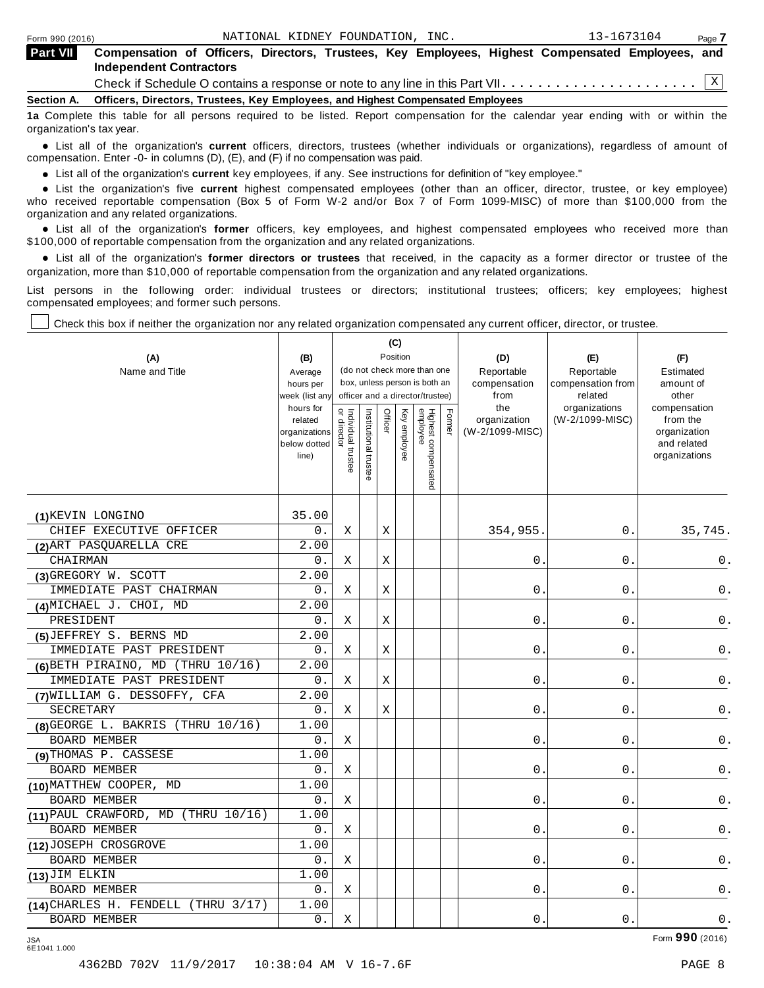| Form 990 (2016)   | NATIONAL KIDNEY FOUNDATION, INC.                                                                                                                                                                                                                                                                                                                                                                                                                             | 13-1673104<br>Page 7 |
|-------------------|--------------------------------------------------------------------------------------------------------------------------------------------------------------------------------------------------------------------------------------------------------------------------------------------------------------------------------------------------------------------------------------------------------------------------------------------------------------|----------------------|
| Part VII          | Compensation of Officers, Directors, Trustees, Key Employees, Highest Compensated Employees, and<br><b>Independent Contractors</b>                                                                                                                                                                                                                                                                                                                           |                      |
|                   |                                                                                                                                                                                                                                                                                                                                                                                                                                                              |                      |
| <b>Section A.</b> | Officers, Directors, Trustees, Key Employees, and Highest Compensated Employees                                                                                                                                                                                                                                                                                                                                                                              |                      |
|                   | $\mathcal{L} = \mathcal{L} = \mathcal{L} = \mathcal{L} = \mathcal{L} = \mathcal{L} = \mathcal{L} = \mathcal{L} = \mathcal{L} = \mathcal{L} = \mathcal{L} = \mathcal{L} = \mathcal{L} = \mathcal{L} = \mathcal{L} = \mathcal{L} = \mathcal{L} = \mathcal{L} = \mathcal{L} = \mathcal{L} = \mathcal{L} = \mathcal{L} = \mathcal{L} = \mathcal{L} = \mathcal{L} = \mathcal{L} = \mathcal{L} = \mathcal{L} = \mathcal{L} = \mathcal{L} = \mathcal{L} = \mathcal$ | $\cdots$             |

**1a** Complete this table for all persons required to be listed. Report compensation for the calendar year ending with or within the organization's tax year.

anization's lax year.<br>● List all of the organization's **current** officers, directors, trustees (whether individuals or organizations), regardless of amount of<br>nnensation Enter -0- in columns (D) (E) and (E) if no compensa compensation. Enter -0- in columns (D), (E), and (F) if no compensation was paid.

**■** List all of the organization's **current** key employees, if any. See instructions for definition of "key employee."<br>■ List the experimentals five expect highest expressed explores (other than an efficer director t

**Example in the organization's current** key employees, if any. See instructions for definition of key employee.<br>• List the organization's five **current** highest compensated employees (other than an officer, director, trust who received reportable compensation (Box 5 of Form W-2 and/or Box 7 of Form 1099-MISC) of more than \$100,000 from the

organization and any related organizations.<br>• List all of the organization's **former** officers, key employees, and highest compensated employees who received more than<br>\$1.00.000 of reportable componention from the erganiza \$100,000 of reportable compensation from the organization and any related organizations.

% List all of the organization's **former directors or trustees** that received, in the capacity as a former director or trustee of the organization, more than \$10,000 of reportable compensation from the organization and any related organizations.

List persons in the following order: individual trustees or directors; institutional trustees; officers; key employees; highest compensated employees; and former such persons.

Check this box if neither the organization nor any related organization compensated any current officer, director, or trustee.

| (A)<br>Name and Title                                 | (B)<br>Average<br>hours per<br>week (list any<br>hours for<br>related<br>organizations<br>below dotted<br>line) | $\breve{a}$<br>Individual trustee<br>directo | Institutional trustee | Officer | (C)<br>Position<br>Key employee | (do not check more than one<br>box, unless person is both an<br>officer and a director/trustee)<br>Highest compensated<br>employee | Former | (D)<br>Reportable<br>compensation<br>from<br>the<br>organization<br>(W-2/1099-MISC) | (E)<br>Reportable<br>compensation from<br>related<br>organizations<br>(W-2/1099-MISC) | (F)<br>Estimated<br>amount of<br>other<br>compensation<br>from the<br>organization<br>and related<br>organizations |
|-------------------------------------------------------|-----------------------------------------------------------------------------------------------------------------|----------------------------------------------|-----------------------|---------|---------------------------------|------------------------------------------------------------------------------------------------------------------------------------|--------|-------------------------------------------------------------------------------------|---------------------------------------------------------------------------------------|--------------------------------------------------------------------------------------------------------------------|
|                                                       |                                                                                                                 |                                              |                       |         |                                 |                                                                                                                                    |        |                                                                                     |                                                                                       |                                                                                                                    |
| (1) KEVIN LONGINO                                     | 35.00                                                                                                           |                                              |                       |         |                                 |                                                                                                                                    |        |                                                                                     |                                                                                       |                                                                                                                    |
| CHIEF EXECUTIVE OFFICER                               | 0.                                                                                                              | X                                            |                       | X       |                                 |                                                                                                                                    |        | 354,955.                                                                            | $0$ .                                                                                 | 35,745.                                                                                                            |
| (2) ART PASQUARELLA CRE                               | 2.00                                                                                                            |                                              |                       |         |                                 |                                                                                                                                    |        |                                                                                     |                                                                                       |                                                                                                                    |
| CHAIRMAN                                              | 0.                                                                                                              | Χ                                            |                       | Χ       |                                 |                                                                                                                                    |        | $\mathsf{O}$ .                                                                      | $\boldsymbol{0}$ .                                                                    | 0.                                                                                                                 |
| (3) GREGORY W. SCOTT                                  | 2.00                                                                                                            |                                              |                       |         |                                 |                                                                                                                                    |        |                                                                                     |                                                                                       |                                                                                                                    |
| IMMEDIATE PAST CHAIRMAN                               | 0.                                                                                                              | Χ                                            |                       | X       |                                 |                                                                                                                                    |        | $0$ .                                                                               | 0.                                                                                    | $\mathsf 0$ .                                                                                                      |
| (4) MICHAEL J. CHOI, MD                               | 2.00                                                                                                            |                                              |                       |         |                                 |                                                                                                                                    |        |                                                                                     |                                                                                       |                                                                                                                    |
| PRESIDENT                                             | 0.                                                                                                              | Χ                                            |                       | X       |                                 |                                                                                                                                    |        | 0.                                                                                  | 0.                                                                                    | 0.                                                                                                                 |
| (5) JEFFREY S. BERNS MD                               | 2.00                                                                                                            |                                              |                       |         |                                 |                                                                                                                                    |        |                                                                                     |                                                                                       |                                                                                                                    |
| IMMEDIATE PAST PRESIDENT                              | 0.                                                                                                              | Χ                                            |                       | X       |                                 |                                                                                                                                    |        | О.                                                                                  | 0.                                                                                    | 0.                                                                                                                 |
| $(6)$ BETH PIRAINO, MD (THRU $10/16$ )                | 2.00                                                                                                            |                                              |                       |         |                                 |                                                                                                                                    |        |                                                                                     |                                                                                       |                                                                                                                    |
| IMMEDIATE PAST PRESIDENT                              | 0.                                                                                                              | Χ                                            |                       | Χ       |                                 |                                                                                                                                    |        | О.                                                                                  | 0.                                                                                    | 0.                                                                                                                 |
| (7) WILLIAM G. DESSOFFY, CFA                          | 2.00                                                                                                            |                                              |                       |         |                                 |                                                                                                                                    |        |                                                                                     |                                                                                       |                                                                                                                    |
| SECRETARY                                             | 0.                                                                                                              | Χ                                            |                       | Χ       |                                 |                                                                                                                                    |        | О.                                                                                  | 0.                                                                                    | 0.                                                                                                                 |
| $(8)$ GEORGE L. BAKRIS (THRU $10/16$ )                | 1.00                                                                                                            |                                              |                       |         |                                 |                                                                                                                                    |        |                                                                                     |                                                                                       |                                                                                                                    |
| <b>BOARD MEMBER</b>                                   | 0.                                                                                                              | Χ                                            |                       |         |                                 |                                                                                                                                    |        | $\mathsf{O}$ .                                                                      | 0.                                                                                    | $0$ .                                                                                                              |
| (9) THOMAS P. CASSESE<br><b>BOARD MEMBER</b>          | 1.00                                                                                                            |                                              |                       |         |                                 |                                                                                                                                    |        |                                                                                     |                                                                                       |                                                                                                                    |
| (10) MATTHEW COOPER, MD                               | 0.<br>1.00                                                                                                      | X                                            |                       |         |                                 |                                                                                                                                    |        | $\mathsf{O}$ .                                                                      | 0.                                                                                    | 0.                                                                                                                 |
| <b>BOARD MEMBER</b>                                   | 0.                                                                                                              | Χ                                            |                       |         |                                 |                                                                                                                                    |        | 0.                                                                                  | 0.                                                                                    | $0$ .                                                                                                              |
| $(11)$ PAUL CRAWFORD, $\overline{MD}$<br>(THRU 10/16) | 1.00                                                                                                            |                                              |                       |         |                                 |                                                                                                                                    |        |                                                                                     |                                                                                       |                                                                                                                    |
| <b>BOARD MEMBER</b>                                   | 0.                                                                                                              | Χ                                            |                       |         |                                 |                                                                                                                                    |        | 0.                                                                                  | 0.                                                                                    | 0.                                                                                                                 |
| (12) JOSEPH CROSGROVE                                 | 1.00                                                                                                            |                                              |                       |         |                                 |                                                                                                                                    |        |                                                                                     |                                                                                       |                                                                                                                    |
| <b>BOARD MEMBER</b>                                   | 0.                                                                                                              | X                                            |                       |         |                                 |                                                                                                                                    |        | 0.                                                                                  | $\mathbf{0}$ .                                                                        | 0.                                                                                                                 |
| $(13)$ JIM ELKIN                                      | 1.00                                                                                                            |                                              |                       |         |                                 |                                                                                                                                    |        |                                                                                     |                                                                                       |                                                                                                                    |
| BOARD MEMBER                                          | 0.                                                                                                              | X                                            |                       |         |                                 |                                                                                                                                    |        | $0$ .                                                                               | 0.                                                                                    | $0$ .                                                                                                              |
| (14) CHARLES H. FENDELL (THRU 3/17)                   | 1.00                                                                                                            |                                              |                       |         |                                 |                                                                                                                                    |        |                                                                                     |                                                                                       |                                                                                                                    |
| <b>BOARD MEMBER</b>                                   | $0$ .                                                                                                           | Χ                                            |                       |         |                                 |                                                                                                                                    |        | 0.                                                                                  | $0$ .                                                                                 | $0$ .                                                                                                              |

JSA Form **990** (2016) 6E1041 1.000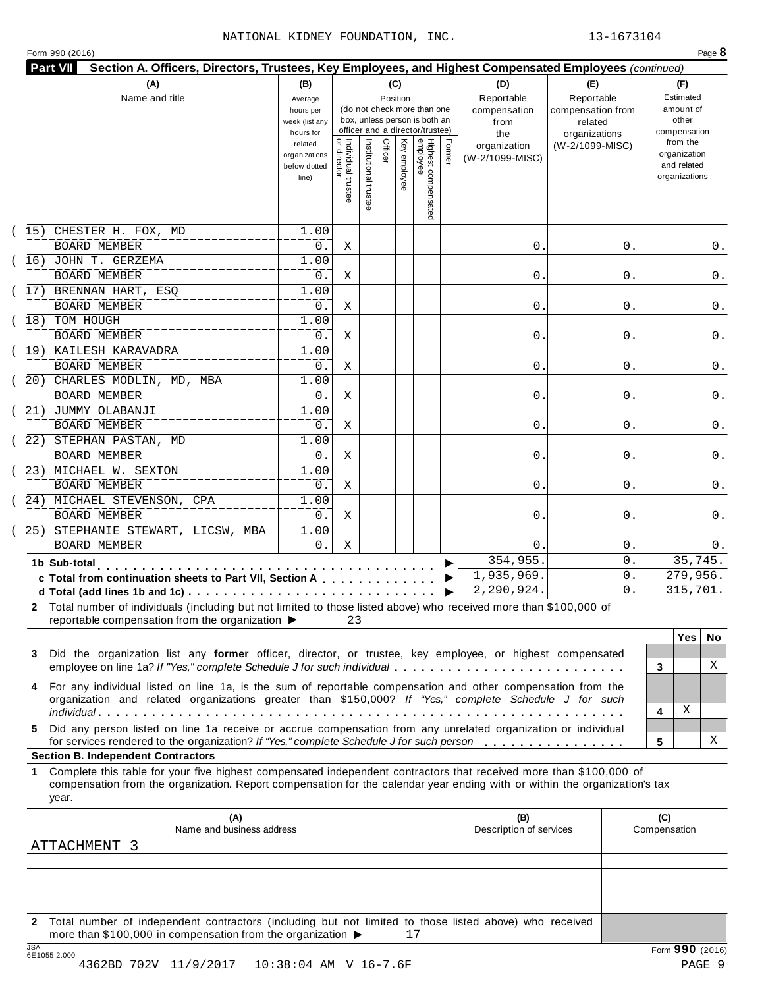### NATIONAL KIDNEY FOUNDATION, INC. 13-1673104

|  | Form 990 (2016) |  |
|--|-----------------|--|
|  |                 |  |

| Name and title                                                                                                                                                                                                                                                                                      | (B)<br>Average<br>hours per<br>week (list any<br>hours for |                                     |                       | (C)<br>Position | (do not check more than one<br>box, unless person is both an<br>officer and a director/trustee) |                                 |        | (D)<br>Reportable<br>compensation<br>from<br>the | (E)<br>Reportable<br>compensation from<br>related<br>organizations | (F)<br>Estimated<br>amount of<br>other<br>compensation   |  |
|-----------------------------------------------------------------------------------------------------------------------------------------------------------------------------------------------------------------------------------------------------------------------------------------------------|------------------------------------------------------------|-------------------------------------|-----------------------|-----------------|-------------------------------------------------------------------------------------------------|---------------------------------|--------|--------------------------------------------------|--------------------------------------------------------------------|----------------------------------------------------------|--|
|                                                                                                                                                                                                                                                                                                     | related<br>organizations<br>below dotted<br>line)          | Individual trustee<br>  or director | Institutional trustee | Officer         | Key employee                                                                                    | Highest compensated<br>employee | Former | organization<br>(W-2/1099-MISC)                  | (W-2/1099-MISC)                                                    | from the<br>organization<br>and related<br>organizations |  |
| (15) CHESTER H. FOX, MD<br><b>BOARD MEMBER</b>                                                                                                                                                                                                                                                      | 1.00<br>0.                                                 | Χ                                   |                       |                 |                                                                                                 |                                 |        | 0.                                               | 0                                                                  | 0.                                                       |  |
| (16) JOHN T. GERZEMA<br><b>BOARD MEMBER</b>                                                                                                                                                                                                                                                         | 1.00<br>0.                                                 | Χ                                   |                       |                 |                                                                                                 |                                 |        | 0.                                               | 0                                                                  | 0.                                                       |  |
| (17) BRENNAN HART, ESQ<br><b>BOARD MEMBER</b>                                                                                                                                                                                                                                                       | 1.00<br>0.                                                 | Χ                                   |                       |                 |                                                                                                 |                                 |        | 0.                                               | 0                                                                  | 0.                                                       |  |
| (18) TOM HOUGH<br><b>BOARD MEMBER</b>                                                                                                                                                                                                                                                               | 1.00<br>$0$ .                                              | Χ                                   |                       |                 |                                                                                                 |                                 |        | $\mathsf{0}$ .                                   | 0                                                                  | 0.                                                       |  |
| (19) KAILESH KARAVADRA<br><b>BOARD MEMBER</b>                                                                                                                                                                                                                                                       | 1.00<br>$0$ .                                              | Χ                                   |                       |                 |                                                                                                 |                                 |        | 0.                                               | 0                                                                  | 0.                                                       |  |
| (20) CHARLES MODLIN, MD, MBA<br><b>BOARD MEMBER</b>                                                                                                                                                                                                                                                 | 1.00<br>0.                                                 | Χ                                   |                       |                 |                                                                                                 |                                 |        | 0.                                               | 0                                                                  | 0.                                                       |  |
| (21) JUMMY OLABANJI<br><b>BOARD MEMBER</b>                                                                                                                                                                                                                                                          | 1.00<br>0.                                                 | Χ                                   |                       |                 |                                                                                                 |                                 |        | 0.                                               | 0                                                                  | 0.                                                       |  |
| (22) STEPHAN PASTAN, MD<br><b>BOARD MEMBER</b>                                                                                                                                                                                                                                                      | 1.00<br>$0$ .                                              | Χ                                   |                       |                 |                                                                                                 |                                 |        | 0.                                               | 0                                                                  | 0.                                                       |  |
| (23) MICHAEL W. SEXTON<br><b>BOARD MEMBER</b>                                                                                                                                                                                                                                                       | 1.00<br>$0$ .                                              | Χ                                   |                       |                 |                                                                                                 |                                 |        | 0.                                               | 0                                                                  | 0.                                                       |  |
| (24) MICHAEL STEVENSON, CPA<br><b>BOARD MEMBER</b><br>25) STEPHANIE STEWART, LICSW, MBA                                                                                                                                                                                                             | 1.00<br>0.<br>1.00                                         | Χ                                   |                       |                 |                                                                                                 |                                 |        | $\mathbf 0$ .                                    | 0                                                                  | 0.                                                       |  |
| <b>BOARD MEMBER</b>                                                                                                                                                                                                                                                                                 | $0$ .                                                      | Χ                                   |                       |                 |                                                                                                 |                                 |        | 0<br>354,955.                                    | 0<br>0                                                             | 0.<br>35,745.                                            |  |
| 1b Sub-total<br>the common contract of the com-<br>c Total from continuation sheets to Part VII, Section A                                                                                                                                                                                          |                                                            |                                     |                       |                 |                                                                                                 |                                 | ▶      | 1,935,969.<br>2,290,924.                         | 0.<br>0                                                            | 279,956.<br>315,701.                                     |  |
| 2 Total number of individuals (including but not limited to those listed above) who received more than \$100,000 of<br>reportable compensation from the organization ▶<br>Did the organization list any former officer, director, or trustee, key employee, or highest compensated<br>3             |                                                            | 23                                  |                       |                 |                                                                                                 |                                 |        |                                                  |                                                                    | <b>Yes</b><br>No.<br>X                                   |  |
| employee on line 1a? If "Yes," complete Schedule J for such individual<br>For any individual listed on line 1a, is the sum of reportable compensation and other compensation from the<br>4<br>organization and related organizations greater than \$150,000? If "Yes," complete Schedule J for such |                                                            |                                     |                       |                 |                                                                                                 |                                 |        |                                                  |                                                                    | 3<br>Χ<br>4                                              |  |
| Did any person listed on line 1a receive or accrue compensation from any unrelated organization or individual<br>5.<br>for services rendered to the organization? If "Yes," complete Schedule J for such person<br><b>Section B. Independent Contractors</b>                                        |                                                            |                                     |                       |                 |                                                                                                 |                                 |        |                                                  |                                                                    | Χ<br>5                                                   |  |
|                                                                                                                                                                                                                                                                                                     |                                                            |                                     |                       |                 |                                                                                                 |                                 |        |                                                  |                                                                    |                                                          |  |
| Complete this table for your five highest compensated independent contractors that received more than \$100,000 of<br>1<br>compensation from the organization. Report compensation for the calendar year ending with or within the organization's tax<br>year.                                      |                                                            |                                     |                       |                 |                                                                                                 |                                 |        |                                                  |                                                                    |                                                          |  |
| (A)<br>Name and business address                                                                                                                                                                                                                                                                    |                                                            |                                     |                       |                 |                                                                                                 |                                 |        | (B)<br>Description of services                   |                                                                    | (C)<br>Compensation                                      |  |
| ATTACHMENT 3                                                                                                                                                                                                                                                                                        |                                                            |                                     |                       |                 |                                                                                                 |                                 |        |                                                  |                                                                    |                                                          |  |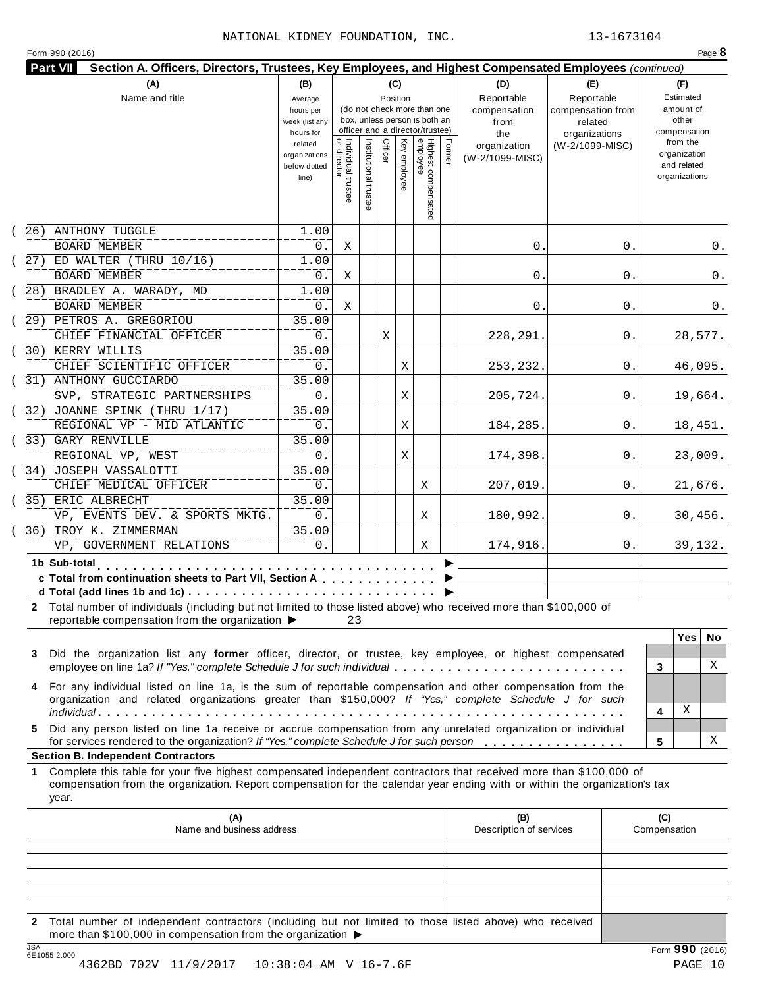|  | Form 990 (2016) |  |
|--|-----------------|--|
|  |                 |  |

| (A)<br>Name and title                                                                                                                                                                                                                                          |                                  | (B)<br>Average<br>hours per<br>week (list any<br>hours for<br>related |                                     |                       | (C)<br>Position | (do not check more than one<br>box, unless person is both an<br>officer and a director/trustee) |                                 |        | (D)<br>Reportable<br>compensation<br>from<br>the | (E)<br>Reportable<br>compensation from<br>related<br>organizations |                     | (F)<br>Estimated<br>amount of<br>other<br>compensation<br>from the |  |
|----------------------------------------------------------------------------------------------------------------------------------------------------------------------------------------------------------------------------------------------------------------|----------------------------------|-----------------------------------------------------------------------|-------------------------------------|-----------------------|-----------------|-------------------------------------------------------------------------------------------------|---------------------------------|--------|--------------------------------------------------|--------------------------------------------------------------------|---------------------|--------------------------------------------------------------------|--|
|                                                                                                                                                                                                                                                                |                                  | organizations<br>below dotted<br>line)                                | Individual trustee<br>  or director | Institutional trustee | Officer         | Key employee                                                                                    | Highest compensated<br>employee | Former | organization<br>(W-2/1099-MISC)                  | (W-2/1099-MISC)                                                    |                     | organization<br>and related<br>organizations                       |  |
| (26) ANTHONY TUGGLE<br><b>BOARD MEMBER</b>                                                                                                                                                                                                                     |                                  | 1.00<br>0.                                                            | Χ                                   |                       |                 |                                                                                                 |                                 |        | $\mathsf{0}$ .                                   | 0.                                                                 |                     | 0.                                                                 |  |
| $(27)$ ED WALTER (THRU $10/16$ )                                                                                                                                                                                                                               |                                  | 1.00                                                                  |                                     |                       |                 |                                                                                                 |                                 |        |                                                  |                                                                    |                     |                                                                    |  |
| <b>BOARD MEMBER</b>                                                                                                                                                                                                                                            |                                  | 0.                                                                    | Χ                                   |                       |                 |                                                                                                 |                                 |        | 0.                                               | 0                                                                  |                     | 0.                                                                 |  |
| (28) BRADLEY A. WARADY, MD                                                                                                                                                                                                                                     |                                  | 1.00                                                                  |                                     |                       |                 |                                                                                                 |                                 |        |                                                  |                                                                    |                     |                                                                    |  |
| <b>BOARD MEMBER</b>                                                                                                                                                                                                                                            |                                  | 0.                                                                    | Χ                                   |                       |                 |                                                                                                 |                                 |        | 0.                                               | 0                                                                  |                     | 0.                                                                 |  |
| (29) PETROS A. GREGORIOU                                                                                                                                                                                                                                       |                                  | 35.00                                                                 |                                     |                       |                 |                                                                                                 |                                 |        |                                                  |                                                                    |                     |                                                                    |  |
| CHIEF FINANCIAL OFFICER                                                                                                                                                                                                                                        |                                  | 0.                                                                    |                                     |                       | Χ               |                                                                                                 |                                 |        | 228,291.                                         | 0.                                                                 |                     | 28,577.                                                            |  |
| (30) KERRY WILLIS                                                                                                                                                                                                                                              |                                  | 35.00                                                                 |                                     |                       |                 |                                                                                                 |                                 |        |                                                  |                                                                    |                     |                                                                    |  |
| CHIEF SCIENTIFIC OFFICER<br>(31) ANTHONY GUCCIARDO                                                                                                                                                                                                             |                                  | 0.<br>35.00                                                           |                                     |                       |                 | Χ                                                                                               |                                 |        | 253,232.                                         | 0.                                                                 |                     | 46,095.                                                            |  |
| SVP, STRATEGIC PARTNERSHIPS                                                                                                                                                                                                                                    |                                  | 0.                                                                    |                                     |                       |                 | Χ                                                                                               |                                 |        | 205,724.                                         | 0.                                                                 |                     | 19,664.                                                            |  |
| (32) JOANNE SPINK (THRU 1/17)                                                                                                                                                                                                                                  |                                  | 35.00                                                                 |                                     |                       |                 |                                                                                                 |                                 |        |                                                  |                                                                    |                     |                                                                    |  |
| REGIONAL VP - MID ATLANTIC                                                                                                                                                                                                                                     |                                  | 0.                                                                    |                                     |                       |                 | Χ                                                                                               |                                 |        | 184,285.                                         | 0.                                                                 |                     | 18,451.                                                            |  |
| (33) GARY RENVILLE                                                                                                                                                                                                                                             |                                  | 35.00                                                                 |                                     |                       |                 |                                                                                                 |                                 |        |                                                  |                                                                    |                     |                                                                    |  |
| REGIONAL VP, WEST                                                                                                                                                                                                                                              |                                  | 0.                                                                    |                                     |                       |                 | Χ                                                                                               |                                 |        | 174,398.                                         | 0.                                                                 |                     | 23,009.                                                            |  |
| (34) JOSEPH VASSALOTTI                                                                                                                                                                                                                                         |                                  | 35.00                                                                 |                                     |                       |                 |                                                                                                 |                                 |        |                                                  |                                                                    |                     |                                                                    |  |
| CHIEF MEDICAL OFFICER                                                                                                                                                                                                                                          |                                  | 0.                                                                    |                                     |                       |                 |                                                                                                 | Χ                               |        | 207,019.                                         | 0.                                                                 |                     | 21,676.                                                            |  |
| (35) ERIC ALBRECHT<br>VP, EVENTS DEV. & SPORTS MKTG.                                                                                                                                                                                                           |                                  | 35.00<br>0.                                                           |                                     |                       |                 |                                                                                                 |                                 |        |                                                  | 0.                                                                 |                     |                                                                    |  |
| (36) TROY K. ZIMMERMAN                                                                                                                                                                                                                                         |                                  | 35.00                                                                 |                                     |                       |                 |                                                                                                 | Χ                               |        | 180,992.                                         |                                                                    |                     | 30,456.                                                            |  |
| VP, GOVERNMENT RELATIONS                                                                                                                                                                                                                                       |                                  | 0.                                                                    |                                     |                       |                 |                                                                                                 | Χ                               |        | 174,916.                                         | 0.                                                                 |                     | 39,132.                                                            |  |
| 1b Sub-total<br>c Total from continuation sheets to Part VII, Section A<br>2 Total number of individuals (including but not limited to those listed above) who received more than \$100,000 of<br>reportable compensation from the organization ▶              |                                  |                                                                       | 23                                  |                       |                 |                                                                                                 |                                 |        |                                                  |                                                                    |                     |                                                                    |  |
| Did the organization list any former officer, director, or trustee, key employee, or highest compensated<br>3<br>employee on line 1a? If "Yes," complete Schedule J for such individual                                                                        |                                  |                                                                       |                                     |                       |                 |                                                                                                 |                                 |        |                                                  |                                                                    | 3                   | <b>Yes</b><br>No.<br>X                                             |  |
| For any individual listed on line 1a, is the sum of reportable compensation and other compensation from the<br>4<br>organization and related organizations greater than \$150,000? If "Yes," complete Schedule J for such                                      |                                  |                                                                       |                                     |                       |                 |                                                                                                 |                                 |        |                                                  |                                                                    | 4                   | Χ                                                                  |  |
| Did any person listed on line 1a receive or accrue compensation from any unrelated organization or individual<br>5.<br>for services rendered to the organization? If "Yes," complete Schedule J for such person                                                |                                  |                                                                       |                                     |                       |                 |                                                                                                 |                                 |        |                                                  |                                                                    | 5                   | Χ                                                                  |  |
| <b>Section B. Independent Contractors</b>                                                                                                                                                                                                                      |                                  |                                                                       |                                     |                       |                 |                                                                                                 |                                 |        |                                                  |                                                                    |                     |                                                                    |  |
| Complete this table for your five highest compensated independent contractors that received more than \$100,000 of<br>1<br>compensation from the organization. Report compensation for the calendar year ending with or within the organization's tax<br>year. |                                  |                                                                       |                                     |                       |                 |                                                                                                 |                                 |        |                                                  |                                                                    |                     |                                                                    |  |
|                                                                                                                                                                                                                                                                | (A)<br>Name and business address |                                                                       |                                     |                       |                 |                                                                                                 |                                 |        | (B)<br>Description of services                   |                                                                    | (C)<br>Compensation |                                                                    |  |
|                                                                                                                                                                                                                                                                |                                  |                                                                       |                                     |                       |                 |                                                                                                 |                                 |        |                                                  |                                                                    |                     |                                                                    |  |
|                                                                                                                                                                                                                                                                |                                  |                                                                       |                                     |                       |                 |                                                                                                 |                                 |        |                                                  |                                                                    |                     |                                                                    |  |

**2** Total number of independent contractors (including but not limited to those listed above) who received more than \$100,000 in compensation from the organization  $\blacktriangleright$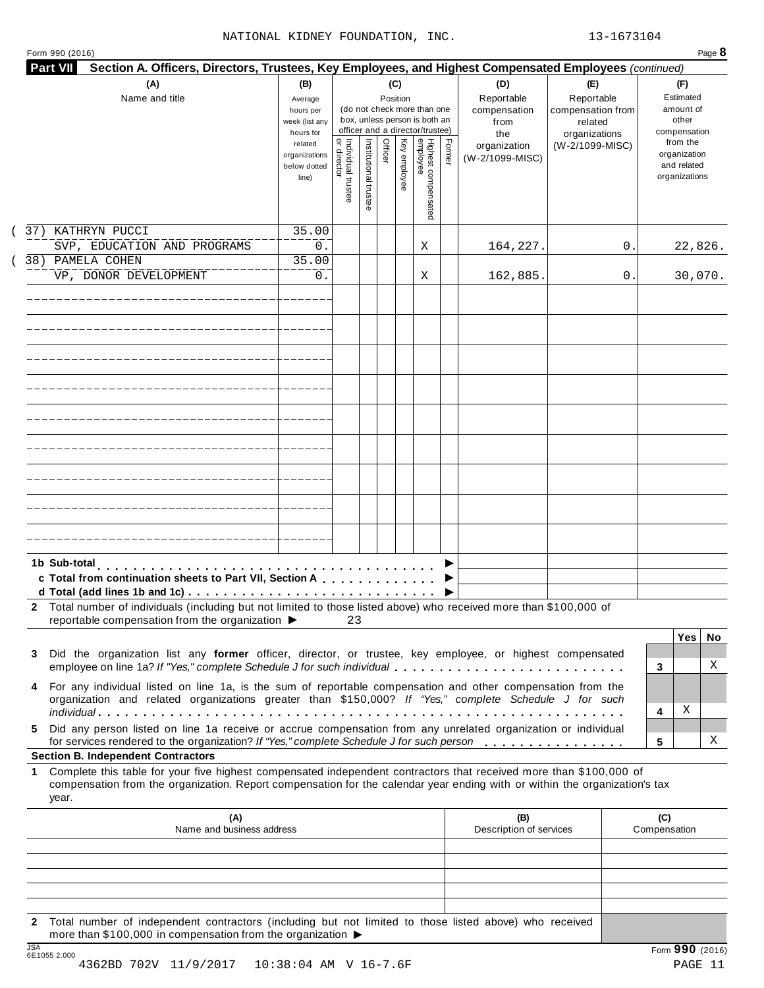| Form 990 (2016)<br>Section A. Officers, Directors, Trustees, Key Employees, and Highest Compensated Employees (continued)<br><b>Part VII</b>                                                                                                                   |                                                                |                                                |                       |         |                 |                                                                    |        |                                           |                                                   |                                                                          |                                        | Page 8  |
|----------------------------------------------------------------------------------------------------------------------------------------------------------------------------------------------------------------------------------------------------------------|----------------------------------------------------------------|------------------------------------------------|-----------------------|---------|-----------------|--------------------------------------------------------------------|--------|-------------------------------------------|---------------------------------------------------|--------------------------------------------------------------------------|----------------------------------------|---------|
| (A)<br>Name and title                                                                                                                                                                                                                                          | (B)<br>Average<br>hours per<br>week (list any                  |                                                |                       |         | (C)<br>Position | (do not check more than one<br>box, unless person is both an       |        | (D)<br>Reportable<br>compensation<br>from | (E)<br>Reportable<br>compensation from<br>related |                                                                          | (F)<br>Estimated<br>amount of<br>other |         |
|                                                                                                                                                                                                                                                                | hours for<br>related<br>organizations<br>below dotted<br>line) | $\mathbf{a}$<br>Individual trustee<br>director | Institutional trustee | Officer | Key employee    | officer and a director/trustee)<br>Highest compensated<br>employee | Former | the<br>organization<br>(W-2/1099-MISC)    | organizations<br>(W-2/1099-MISC)                  | compensation<br>from the<br>organization<br>and related<br>organizations |                                        |         |
| 37) KATHRYN PUCCI<br>SVP, EDUCATION AND PROGRAMS                                                                                                                                                                                                               | 35.00<br>0.                                                    |                                                |                       |         |                 | Χ                                                                  |        | 164,227.                                  | 0                                                 |                                                                          | 22,826.                                |         |
| 38) PAMELA COHEN<br>VP, DONOR DEVELOPMENT                                                                                                                                                                                                                      | 35.00<br>0.                                                    |                                                |                       |         |                 | х                                                                  |        | 162,885.                                  | 0.                                                |                                                                          | 30,070.                                |         |
|                                                                                                                                                                                                                                                                |                                                                |                                                |                       |         |                 |                                                                    |        |                                           |                                                   |                                                                          |                                        |         |
|                                                                                                                                                                                                                                                                |                                                                |                                                |                       |         |                 |                                                                    |        |                                           |                                                   |                                                                          |                                        |         |
|                                                                                                                                                                                                                                                                |                                                                |                                                |                       |         |                 |                                                                    |        |                                           |                                                   |                                                                          |                                        |         |
|                                                                                                                                                                                                                                                                |                                                                |                                                |                       |         |                 |                                                                    |        |                                           |                                                   |                                                                          |                                        |         |
|                                                                                                                                                                                                                                                                |                                                                |                                                |                       |         |                 |                                                                    |        |                                           |                                                   |                                                                          |                                        |         |
|                                                                                                                                                                                                                                                                |                                                                |                                                |                       |         |                 |                                                                    |        |                                           |                                                   |                                                                          |                                        |         |
|                                                                                                                                                                                                                                                                |                                                                |                                                |                       |         |                 |                                                                    |        |                                           |                                                   |                                                                          |                                        |         |
| 1b Sub-total<br>c Total from continuation sheets to Part VII, Section A<br>d Total (add lines 1b and 1c) $\cdots$ $\cdots$ $\cdots$ $\cdots$ $\cdots$ $\cdots$ $\cdots$ $\cdots$ $\cdots$ $\cdots$                                                             |                                                                |                                                |                       |         |                 |                                                                    |        |                                           |                                                   |                                                                          |                                        |         |
| 2<br>Total number of individuals (including but not limited to those listed above) who received more than \$100,000 of<br>reportable compensation from the organization ▶                                                                                      |                                                                | 23                                             |                       |         |                 |                                                                    |        |                                           |                                                   |                                                                          |                                        |         |
| Did the organization list any former officer, director, or trustee, key employee, or highest compensated<br>3<br>employee on line 1a? If "Yes," complete Schedule J for such individual                                                                        |                                                                |                                                |                       |         |                 |                                                                    |        |                                           |                                                   | 3                                                                        | <b>Yes</b>                             | No<br>Χ |
| 4 For any individual listed on line 1a, is the sum of reportable compensation and other compensation from the<br>organization and related organizations greater than \$150,000? If "Yes," complete Schedule J for such                                         |                                                                |                                                |                       |         |                 |                                                                    |        |                                           |                                                   | 4                                                                        | Χ                                      |         |
| Did any person listed on line 1a receive or accrue compensation from any unrelated organization or individual<br>5.<br>for services rendered to the organization? If "Yes," complete Schedule J for such person                                                |                                                                |                                                |                       |         |                 |                                                                    |        |                                           |                                                   | 5                                                                        |                                        | Χ       |
| <b>Section B. Independent Contractors</b>                                                                                                                                                                                                                      |                                                                |                                                |                       |         |                 |                                                                    |        |                                           |                                                   |                                                                          |                                        |         |
| Complete this table for your five highest compensated independent contractors that received more than \$100,000 of<br>1<br>compensation from the organization. Report compensation for the calendar year ending with or within the organization's tax<br>year. |                                                                |                                                |                       |         |                 |                                                                    |        |                                           |                                                   |                                                                          |                                        |         |
| (A)<br>Name and business address                                                                                                                                                                                                                               |                                                                |                                                |                       |         |                 |                                                                    |        | (B)<br>Description of services            |                                                   | (C)<br>Compensation                                                      |                                        |         |
|                                                                                                                                                                                                                                                                |                                                                |                                                |                       |         |                 |                                                                    |        |                                           |                                                   |                                                                          |                                        |         |
|                                                                                                                                                                                                                                                                |                                                                |                                                |                       |         |                 |                                                                    |        |                                           |                                                   |                                                                          |                                        |         |
|                                                                                                                                                                                                                                                                |                                                                |                                                |                       |         |                 |                                                                    |        |                                           |                                                   |                                                                          |                                        |         |

**2** Total number of independent contractors (including but not limited to those listed above) who received more than \$100,000 in compensation from the organization  $\blacktriangleright$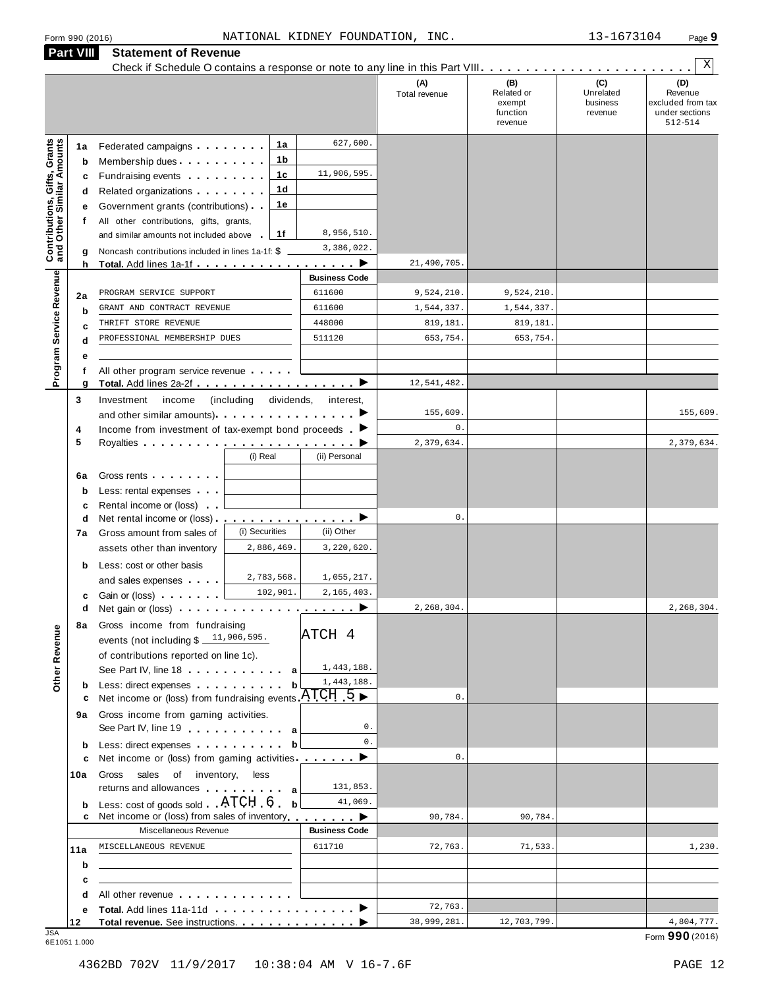| <b>Part VIII</b>                                                       | <b>Statement of Revenue</b>                                                                                                                                                                                                                                                                      |                          |                        |                                                    |                                         |                                                                  |
|------------------------------------------------------------------------|--------------------------------------------------------------------------------------------------------------------------------------------------------------------------------------------------------------------------------------------------------------------------------------------------|--------------------------|------------------------|----------------------------------------------------|-----------------------------------------|------------------------------------------------------------------|
|                                                                        |                                                                                                                                                                                                                                                                                                  |                          |                        |                                                    |                                         | X                                                                |
|                                                                        |                                                                                                                                                                                                                                                                                                  |                          | (A)<br>Total revenue   | (B)<br>Related or<br>exempt<br>function<br>revenue | (C)<br>Unrelated<br>business<br>revenue | (D)<br>Revenue<br>excluded from tax<br>under sections<br>512-514 |
| <b>Contributions, Gifts, Grants</b><br>and Other Similar Amounts<br>1a | 1a<br>Federated campaigns <b>Federated</b>                                                                                                                                                                                                                                                       | 627,600.                 |                        |                                                    |                                         |                                                                  |
|                                                                        | 1b<br>Membership dues<br>b                                                                                                                                                                                                                                                                       |                          |                        |                                                    |                                         |                                                                  |
|                                                                        | 1c<br>Fundraising events <b>Fundraising</b><br>с<br>1d                                                                                                                                                                                                                                           | 11,906,595.              |                        |                                                    |                                         |                                                                  |
|                                                                        | Related organizations <b>and the set of the set of the set of the set of the set of the set of the set of the set of the set of the set of the set of the set of the set of the set of the set of the set of the set of the set </b><br>d<br>1e                                                  |                          |                        |                                                    |                                         |                                                                  |
|                                                                        | Government grants (contributions)<br>е<br>All other contributions, gifts, grants,<br>f                                                                                                                                                                                                           |                          |                        |                                                    |                                         |                                                                  |
|                                                                        | 1f<br>and similar amounts not included above                                                                                                                                                                                                                                                     | 8,956,510.               |                        |                                                    |                                         |                                                                  |
|                                                                        | Noncash contributions included in lines 1a-1f: \$<br>g                                                                                                                                                                                                                                           | 3,386,022.               |                        |                                                    |                                         |                                                                  |
|                                                                        | Total. Add lines 1a-1f ▶<br>h.                                                                                                                                                                                                                                                                   |                          | 21,490,705.            |                                                    |                                         |                                                                  |
|                                                                        |                                                                                                                                                                                                                                                                                                  | <b>Business Code</b>     |                        |                                                    |                                         |                                                                  |
| Program Service Revenue<br>2a                                          | PROGRAM SERVICE SUPPORT                                                                                                                                                                                                                                                                          | 611600                   | 9,524,210.             | 9,524,210.                                         |                                         |                                                                  |
|                                                                        | GRANT AND CONTRACT REVENUE<br>b                                                                                                                                                                                                                                                                  | 611600                   | 1,544,337.             | 1,544,337.                                         |                                         |                                                                  |
|                                                                        | THRIFT STORE REVENUE<br>c                                                                                                                                                                                                                                                                        | 448000                   | 819,181.               | 819,181.                                           |                                         |                                                                  |
|                                                                        | PROFESSIONAL MEMBERSHIP DUES<br>d                                                                                                                                                                                                                                                                | 511120                   | 653,754.               | 653,754.                                           |                                         |                                                                  |
|                                                                        | е                                                                                                                                                                                                                                                                                                |                          |                        |                                                    |                                         |                                                                  |
|                                                                        | All other program service revenue<br>f                                                                                                                                                                                                                                                           |                          | 12,541,482.            |                                                    |                                         |                                                                  |
|                                                                        | Total. Add lines 2a-2f ▶<br>g                                                                                                                                                                                                                                                                    |                          |                        |                                                    |                                         |                                                                  |
| 3                                                                      | income (including dividends, interest,<br>Investment<br>and other similar amounts) $\cdots$ $\cdots$ $\cdots$ $\cdots$                                                                                                                                                                           |                          | 155,609                |                                                    |                                         | 155,609.                                                         |
| 4                                                                      | Income from investment of tax-exempt bond proceeds $\blacksquare$                                                                                                                                                                                                                                |                          | $\mathbf 0$ .          |                                                    |                                         |                                                                  |
| 5                                                                      |                                                                                                                                                                                                                                                                                                  |                          | 2,379,634.             |                                                    |                                         | 2,379,634.                                                       |
| 6a                                                                     | Gross rents <b>Called Called Street Street Street Street Street Street Street Street Street Street Street Street Street Street Street Street Street Street Street Street Street Street Street Street Street Street Street Stre</b><br>Less: rental expenses<br>b<br>Rental income or (loss)<br>c |                          |                        |                                                    |                                         |                                                                  |
| 7a                                                                     | Net rental income or (loss) $\cdots$ $\cdots$ $\cdots$ $\cdots$ $\cdots$<br>d<br>(i) Securities<br>Gross amount from sales of<br>2,886,469.<br>assets other than inventory                                                                                                                       | (ii) Other<br>3,220,620. | $\mathbf 0$ .          |                                                    |                                         |                                                                  |
|                                                                        | Less: cost or other basis<br>b<br>2,783,568.<br>and sales expenses<br>102,901.                                                                                                                                                                                                                   | 1,055,217.<br>2,165,403. |                        |                                                    |                                         |                                                                  |
|                                                                        | Gain or (loss)<br>c<br>Net gain or (loss) $\cdots$ $\cdots$ $\cdots$ $\cdots$ $\cdots$ $\cdots$<br>d                                                                                                                                                                                             |                          | 2,268,304.             |                                                    |                                         | 2,268,304.                                                       |
| 8а<br>Other Revenue                                                    | Gross income from fundraising<br>events (not including $\frac{11,906,595}{1}$<br>of contributions reported on line 1c).<br>See Part IV, line 18 <b>Construction</b><br>a                                                                                                                         | ATCH 4<br>1,443,188.     |                        |                                                    |                                         |                                                                  |
|                                                                        | Less: direct expenses<br>$\mathbf b$<br>b                                                                                                                                                                                                                                                        | 1,443,188.               |                        |                                                    |                                         |                                                                  |
| 9а                                                                     | Net income or (loss) from fundraising events $\text{ATC}\overline{\text{H}}$ 5<br>c<br>Gross income from gaming activities.                                                                                                                                                                      |                          | $\mathbf{0}$ .         |                                                    |                                         |                                                                  |
|                                                                        | See Part IV, line 19<br>Less: direct expenses b<br>b                                                                                                                                                                                                                                             | 0.<br>0.                 |                        |                                                    |                                         |                                                                  |
|                                                                        | Net income or (loss) from gaming activities <u>.</u> ▶<br>c                                                                                                                                                                                                                                      |                          | $\mathbf{0}$ .         |                                                    |                                         |                                                                  |
| 10a                                                                    | sales of inventory, less<br>Gross<br>returns and allowances and allowances                                                                                                                                                                                                                       | 131,853.                 |                        |                                                    |                                         |                                                                  |
|                                                                        | Less: cost of goods sold . ATCH . 6 b<br>b<br>Net income or (loss) from sales of inventory                                                                                                                                                                                                       | 41,069.                  | 90,784.                | 90,784.                                            |                                         |                                                                  |
|                                                                        | Miscellaneous Revenue                                                                                                                                                                                                                                                                            | <b>Business Code</b>     |                        |                                                    |                                         |                                                                  |
| 11a                                                                    | MISCELLANEOUS REVENUE                                                                                                                                                                                                                                                                            | 611710                   | 72,763.                | 71,533.                                            |                                         | 1,230.                                                           |
|                                                                        | b                                                                                                                                                                                                                                                                                                |                          |                        |                                                    |                                         |                                                                  |
|                                                                        | с                                                                                                                                                                                                                                                                                                |                          |                        |                                                    |                                         |                                                                  |
|                                                                        | All other revenue entitled and a series of the series of the series of the series of the series of the series<br>d                                                                                                                                                                               |                          |                        |                                                    |                                         |                                                                  |
|                                                                        | e                                                                                                                                                                                                                                                                                                |                          | 72,763.<br>38,999,281. | 12,703,799.                                        |                                         | 4,804,777.                                                       |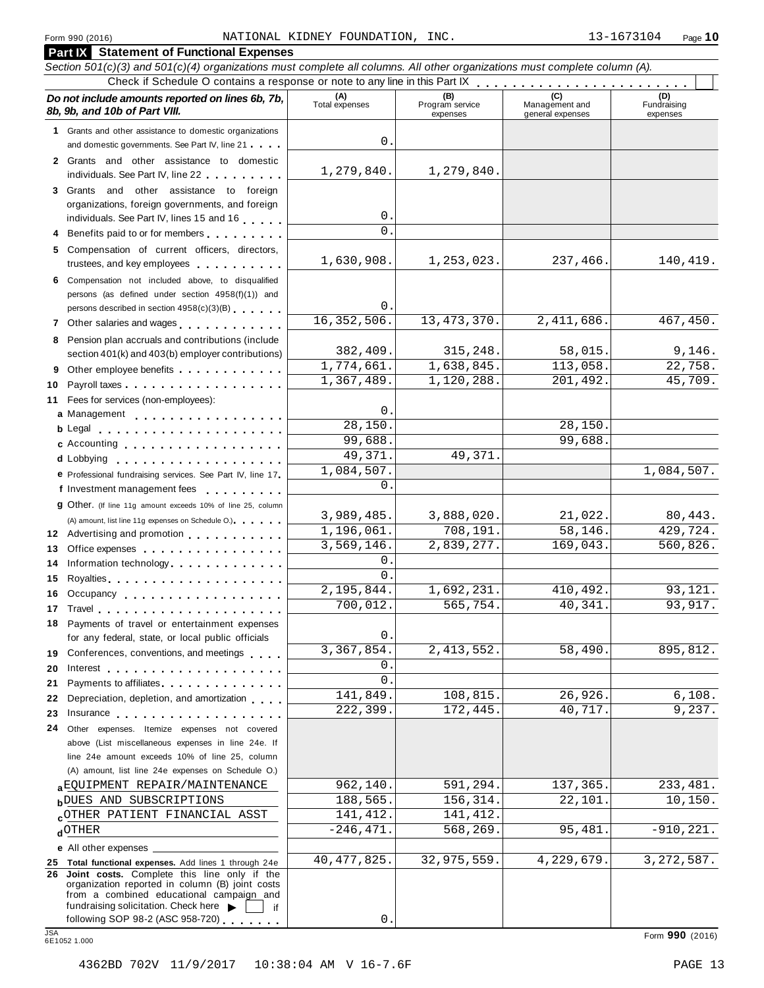**Part IX Statement of Functional Expenses** *Section 501(c)(3) and 501(c)(4) organizations must complete all columns. All other organizations must complete column (A).* Form 990 (2016)<br> **Check if Schedule O contains a response or note to any line in this Part IX<br>
Check if Schedule O contains a response or note to any line in this Part IX<br>
<b>Do not include amounts reported on lines 6b, 7b,** *8b, 9b, and 10b of Part VIII. 8b, 7b,* Total expenses Program service *Bb, 9b, and 10b of Part VIII.* expenses Management and general expenses Fundraising expenses **1** Grants and other assistance to domestic organizations Check if Schedule O contains a response or note to any line in this Part IX<br> **and include amounts reported on lines 6b, 7b,**<br> **and 10b of Part VIII.**<br>
Grants and other assistance to domestic organizations<br>
and domestic gov **2** Grants and other assistance to domestic **Example 21**<br> **idea and the amounts reported on lines 6b, 7b,**<br> **idea and 10b of Part VIII.**<br>
1 Grants and other assistance to domestic<br>
2 Grants and other assistance to domestic<br>
individuals. See Part IV, line 22<br> **3** Gra organizations, foreign governments, and foreign Frants and other assistance to domestic organizations<br>
2 Grants and other assistance to domestic<br>
individuals. See Part IV, line 22<br>
3 Grants and other assistance to foreign<br>
organizations, foreign governments, and foreign 19 Strants and other assistance to foreign organizations, foreign governments, and foreign individuals. See Part IV, lines 15 and 16<br>19 Benefits paid to or for members<br>5 Compensation of current officers, directors, trustee persons (as defined under section 4958(f)(1)) and persons described in section 4958(c)(3)(B) M Benefits paid to or for members<br>
5 Compensation of current officers, directors,<br>
trustees, and key employees<br>
6 Compensation not included above, to disqualified<br>
persons (as defined under section 4958(f)(1)) and<br>
persons section 401(k) and 403(b) employer contributions) **9** Other employee benefits 10 Payroll taxes.................. Fees for services (non-employees): **11** 6 Compensation not included above, to disqualitied<br>persons (as defined under section  $4958(f)(1)$ ) and<br>persons described in section  $4958(c)(3)(B)$ <br>7 Other salaries and wages<br>8 Pension plan accruals and contributions (include<br> m m m m m m m m m m m m m m m m m m **a** Management<br>**b** Legal Pension plan accruals and contributions (include<br>section 401(k) and 403(b) employer contributions)<br>Other employee benefits<br>Payroll taxes<br>Fees for services (non-employees):<br>Management<br>Legal c Accounting . . . . . . . . . . . . . **c** Accounting<br>**d** Lobbying **12** (A) amount, list line 11g expenses on Schedule O.) m m m m m m Advertising and promotion **13** Office expenses **14** Information technology 15 Royalties **1996 1996 1996 1996 1997 1998 1999 1999 1999 1999 1999 1999 1999 1999 1999 1999 1999 1999 1999 1999 1999 1999 1999 1999 1999 1999 1999 1999 1999 1999 16**<br> **16** Other. (If line 11g amount exceeds 10% of line 25, column<br>
(A) amount, list line 11g expenses on Schedule O.)<br> **12** Advertising and promotion<br> **13** Office expenses<br> **14** Information technology<br> **15** Royalties<br> **17** Travel 18 Payments of travel or entertainment expenses **19** Conferences, conventions, and meetings **20** Interest **21 22** Depreciation, depletion, and amortization **23** Payments of travel or entertainment expenses<br>
for any federal, state, or local public officials<br> **23** Interest<br> **24** Payments to affiliates<br> **23** Depreciation, depletion, and amortization<br> **23** Insurance 24 Other expenses. Itemize expenses not covered **e** Professional fundraising services. See Part IV, line 17 f Investment management fees **g** Other. (If line 11q amount exceeds 10% of line 25, column m m m m m m m m m m m m m m m m m m m m m m m m m m m m m m m m m m m m m m m m m m m m m m m m m m m m m m m m m m Professional fundraising services. See Part IV, line 17 <sup>m</sup> Fees for services (non-employees):<br>
Legal<br>
Accounting<br>
Lobbying<br>
Professional fundraising services. See Part IV, line 17<br>
Investment management fees<br>
Other. (If line 11g amount exceeds 10% of line 25, column m m m m m m m m m m m m m m m m m m m m m m m m m m m Protessional tundraising services. See Part IV, line 17.<br>Investment management fees<br>Other. (If line 11g amount exceeds 10% of line 25, column<br>(A) amount, list line 11g expenses on Schedule O.).<br>Advertising and promotion<br>Of May a mount exceeds 10% of line 25, column<br>
in a fly expenses on Schedule O.)<br>
and promotion<br>
es<br>  $\cdots$ <br>  $\cdots$ <br>  $\cdots$ <br>  $\cdots$ <br>  $\cdots$ <br>  $\cdots$ <br>  $\cdots$ <br>  $\cdots$ <br>  $\cdots$ <br>  $\cdots$ <br>  $\cdots$ <br>  $\cdots$ <br>  $\cdots$ <br>  $\cdots$ <br>  $\cdots$ <br>  $\cdots$ (A) amount, list line 11g expenses on Schedule O.)<br>
Advertising and promotion<br>
Office expenses<br>
Information technology<br>
Royalties<br>
Decupancy<br>
Decupancy<br>
Travel<br>
Payments of travel or entertainment expenses<br>
for ony fodoral for any federal, state, or local public officials Payments to affiliates **Exercise 2.1 and 2.1 and 2.1 and 2.1 and 2.1 and 2.1 and 2.1 and 2.1 and 2.1 and 2.1 and 2.1 and 2.1 and 2.1 and 2.1 and 2.1 and 2.1 and 2.1 and 2.1 and 2.1 and 2.1 and 2.1 and 2.1 and 2.1 and 2.1 a** m m m m m m m m m m m m m m m m m m m m m m m m m m m m m m m m m m m m m m m m m m m m m m m m m m m m m m m m m Other expenses. Itemize expenses not covered above (List miscellaneous expenses in line 24e. If line 24e amount exceeds 10% of line 25, column (A) amount, list line 24e expenses on Schedule O.) **a** <u>EQUIFMENT REPAIR/MAINTENANCE</u><br> **b** DUES AND SUBSCRIPTIONS 188,565. 156,314. 22,101. 10,150. **d**<sup>OTHER</sup> **e** All other expenses **25 Total functional expenses.** Add lines 1 through 24e **25 Total functional expenses.** Add lines 1 through 24e<br>**26 Joint costs.** Complete this line only if the<br>corporatization reported in column (B) ioint costs organization reported in column (B) joint costs from a combined educational campaign and fundraising solicitation. Check here  $\triangleright$   $\Box$  if following SOP 98-2 (ASC 958-720) Form 990 (2016)<br>
Form 990 (2016)<br>
SE Total functional expenses. Add lines 1 through 24e<br>
25 Total functional expenses. Add lines 1 through 24e<br>
26 Joint costs. Complete this line only if the<br>
organization reported in colu 0. 1,279,840. 1,279,840. 0. 0. 1,630,908. 1,253,023. 237,466. 140,419. 0. 16,352,506. 13,473,370. 2,411,686. 467,450.  $382,409.$   $315,248.$   $58,015.$  9,146. 1,774,661. 1,638,845. 113,058. 22,758. 1,367,489. 1,120,288. 201,492. 45,709. 0. 28,150. 28,150. 99,688. 99,688. 49,371. 1,084,507. 1,084,507.  $\overline{0}$ 3,989,485. 3,888,020. 21,022. 80,443. 1,196,061. 708,191. 58,146. 429,724. 3,569,146. 2,839,277. 169,043. 560,826. 0.  $\Omega$ . 2,195,844. 1,692,231. 410,492. 93,121. 700,012. 565,754. 40,341. 93,917. 0. 3,367,854. 2,413,552. 58,490. 895,812. 0.  $\overline{0}$ . 141,849. 108,815. 26,926. 6,108. 222,399. 172,445. 40,717. 9,237. EQUIPMENT REPAIR/MAINTENANCE 962,140. 591,294. 137,365. 233,481.  $\text{c}$ OTHER PATIENT FINANCIAL ASST  $\begin{array}{|c|c|c|c|c|c|}\n\hline\n141,412. & \text{141,412.} \end{array}$ OTHER -246,471. 568,269. 95,481. -910,221. 40,477,825. 32,975,559. 4,229,679. 3,272,587.

0.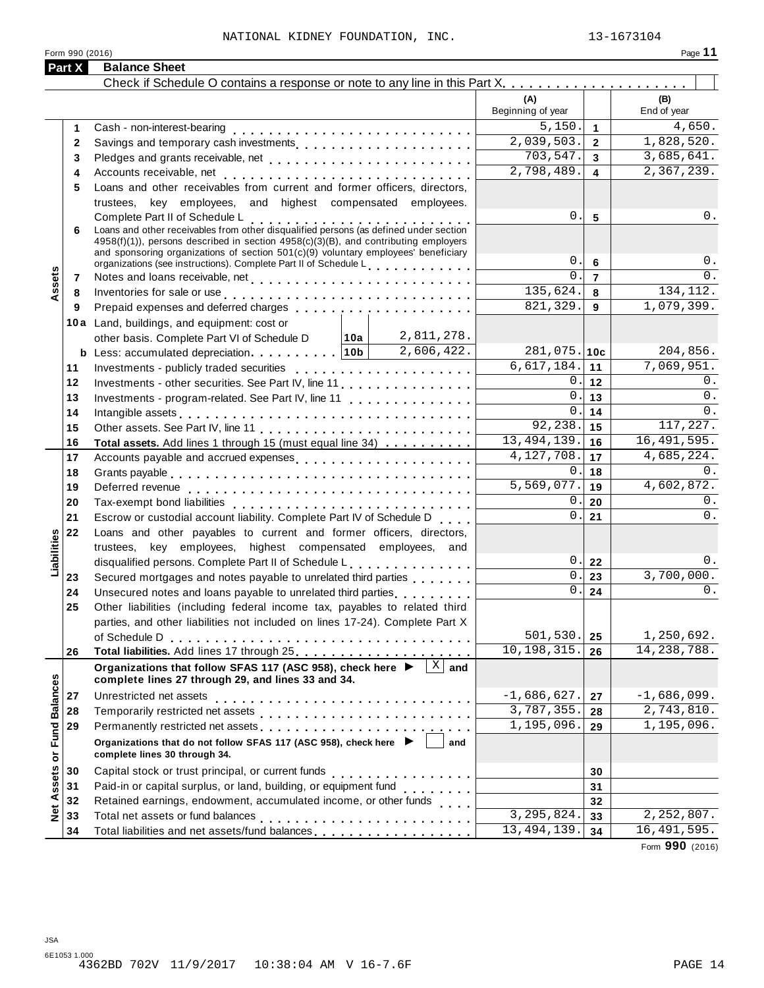#### NATIONAL KIDNEY FOUNDATION, INC. 13-1673104

|--|--|

|                      |                 | NATIONAL KIDNEY FOUNDATION, INC.                                                                                                                                                                                                 |                          |                | 13-1673104             |
|----------------------|-----------------|----------------------------------------------------------------------------------------------------------------------------------------------------------------------------------------------------------------------------------|--------------------------|----------------|------------------------|
|                      | Form 990 (2016) |                                                                                                                                                                                                                                  |                          |                | Page 11                |
|                      | <b>Part X</b>   | <b>Balance Sheet</b>                                                                                                                                                                                                             |                          |                |                        |
|                      |                 | Check if Schedule O contains a response or note to any line in this Part X.                                                                                                                                                      |                          |                |                        |
|                      |                 |                                                                                                                                                                                                                                  | (A)<br>Beginning of year |                | (B)<br>End of year     |
|                      | 1               | Cash - non-interest-bearing                                                                                                                                                                                                      | $\overline{5}$ , 150.    | $\overline{1}$ | 4,650.                 |
|                      | $\mathbf{2}$    |                                                                                                                                                                                                                                  | 2,039,503.               | $\overline{2}$ | 1,828,520.             |
|                      | 3               | Pledges and grants receivable, net entertainment results in the set of the set of the set of the set of the set of the set of the set of the set of the set of the set of the set of the set of the set of the set of the set    | 703, 547.                | $\mathbf{3}$   | 3,685,641.             |
|                      | 4               | Accounts receivable, net enterprise and accounts receivable, net enterprise and accounts received and accounts                                                                                                                   | $\overline{2,798,489}$ . | $\overline{4}$ | 2,367,239.             |
|                      | 5               | Loans and other receivables from current and former officers, directors,                                                                                                                                                         |                          |                |                        |
|                      |                 | trustees, key employees, and highest compensated employees.                                                                                                                                                                      |                          |                |                        |
|                      |                 | Complete Part II of Schedule L<br>Loans and other receivables from other disqualified persons (as defined under section                                                                                                          | 0.                       | 5              | 0.                     |
|                      | 6               | $4958(f)(1)$ , persons described in section $4958(c)(3)(B)$ , and contributing employers                                                                                                                                         |                          |                |                        |
|                      |                 | and sponsoring organizations of section $501(c)(9)$ voluntary employees' beneficiary                                                                                                                                             |                          |                |                        |
|                      |                 | organizations (see instructions). Complete Part II of Schedule Learning and all research                                                                                                                                         | 0.                       | 6              | 0.                     |
| Assets               | 7               |                                                                                                                                                                                                                                  | $\Omega$ .               | $\overline{7}$ | 0.                     |
|                      | 8               | Inventories for sale or use enterprise to contact the contract of the contract of the contract of the contract of the contract of the contract of the contract of the contract of the contract of the contract of the contract   | 135,624.                 | 8              | 134, 112.              |
|                      | 9               |                                                                                                                                                                                                                                  | 821, 329.                | 9              | 1,079,399.             |
|                      |                 | 10a Land, buildings, and equipment: cost or                                                                                                                                                                                      |                          |                |                        |
|                      |                 |                                                                                                                                                                                                                                  |                          |                |                        |
|                      |                 |                                                                                                                                                                                                                                  | $281,075.$ 10c           |                | 204,856.<br>7,069,951. |
|                      | 11              | Investments - publicly traded securities<br>interior and interior and interior and interior and interior and interior and interior and interior and interior                                                                     | 6,617,184.<br>0.1        | 11             |                        |
|                      | 12              | Investments - other securities. See Part IV, line 11                                                                                                                                                                             | 0.                       | 12             | 0.<br>0.               |
|                      | 13              | Investments - program-related. See Part IV, line 11                                                                                                                                                                              | 0.1                      | 13             | 0.                     |
|                      | 14<br>15        |                                                                                                                                                                                                                                  | 92, 238.                 | 14<br>15       | 117,227.               |
|                      | 16              |                                                                                                                                                                                                                                  | 13,494,139.              | 16             | 16, 491, 595.          |
|                      | 17              | Total assets. Add lines 1 through 15 (must equal line 34)<br>Accounts payable and accrued expenses                                                                                                                               | 4, 127, 708.             | 17             | 4,685,224.             |
|                      | 18              |                                                                                                                                                                                                                                  | $0$ .                    | 18             | $0$ .                  |
|                      | 19              |                                                                                                                                                                                                                                  | $\overline{5,569,077.}$  | 19             | 4,602,872.             |
|                      | 20              |                                                                                                                                                                                                                                  | $0$ .                    | 20             | 0.                     |
|                      | 21              | Escrow or custodial account liability. Complete Part IV of Schedule D.                                                                                                                                                           | 0.                       | 21             | 0.                     |
|                      | 22              | Loans and other payables to current and former officers, directors,                                                                                                                                                              |                          |                |                        |
| lities               |                 | trustees, key employees, highest compensated employees, and                                                                                                                                                                      |                          |                |                        |
| Liabil               |                 | disqualified persons. Complete Part II of Schedule L.                                                                                                                                                                            | 0.                       | 22             | 0.                     |
|                      | 23              | Secured mortgages and notes payable to unrelated third parties                                                                                                                                                                   | $0$ .                    | 23             | 3,700,000.             |
|                      | 24              | Unsecured notes and loans payable to unrelated third parties                                                                                                                                                                     | 0.                       | 24             | 0.                     |
|                      | 25              | Other liabilities (including federal income tax, payables to related third                                                                                                                                                       |                          |                |                        |
|                      |                 | parties, and other liabilities not included on lines 17-24). Complete Part X                                                                                                                                                     |                          |                |                        |
|                      |                 |                                                                                                                                                                                                                                  | 501,530.                 | 25             | 1,250,692.             |
|                      | 26              |                                                                                                                                                                                                                                  | 10, 198, 315.            | 26             | 14, 238, 788.          |
|                      |                 | Organizations that follow SFAS 117 (ASC 958), check here ▶<br>$X \mid$ and<br>complete lines 27 through 29, and lines 33 and 34.                                                                                                 |                          |                |                        |
| <b>Fund Balances</b> | 27              | Unrestricted net assets                                                                                                                                                                                                          | $-1,686,627.$            | 27             | $-1,686,099.$          |
|                      | 28              |                                                                                                                                                                                                                                  | 3,787,355.               | 28             | 2,743,810.             |
|                      | 29              | Permanently restricted net assets<br>included: increased: increased: increased: increased: increased: increased: increased: increased: increased: increased: increased: increased: increased: increased: increased: increased: i | 1,195,096.               | 29             | 1,195,096.             |
|                      |                 | Organizations that do not follow SFAS 117 (ASC 958), check here ▶ │<br>and                                                                                                                                                       |                          |                |                        |
|                      |                 | complete lines 30 through 34.                                                                                                                                                                                                    |                          |                |                        |
| Assets or            | 30              |                                                                                                                                                                                                                                  |                          | 30             |                        |
|                      | 31              | Paid-in or capital surplus, or land, building, or equipment fund                                                                                                                                                                 |                          | 31             |                        |
|                      | 32              | Retained earnings, endowment, accumulated income, or other funds                                                                                                                                                                 |                          | 32             |                        |
| Net.                 | 33              |                                                                                                                                                                                                                                  | 3, 295, 824.             | 33             | 2,252,807.             |
|                      | 34              |                                                                                                                                                                                                                                  | 13, 494, 139.            | 34             | 16, 491, 595.          |

JSA 6E1053 1.000 4362BD 702V 11/9/2017 10:38:04 AM V 16-7.6F PAGE 14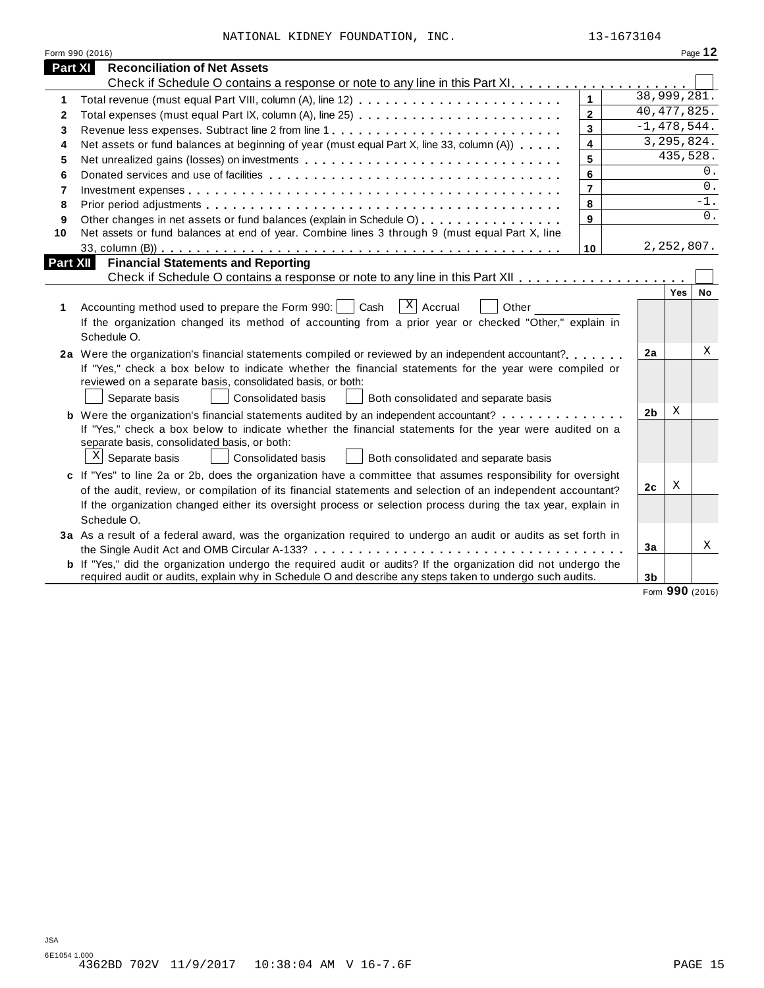|  |  | NATIONAL KIDNEY FOUNDATION, INC |  |
|--|--|---------------------------------|--|
|--|--|---------------------------------|--|

|          | NATIONAL KIDNEY FOUNDATION, INC.                                                                                                                                                                                              | 13-1673104              |                |              |                   |
|----------|-------------------------------------------------------------------------------------------------------------------------------------------------------------------------------------------------------------------------------|-------------------------|----------------|--------------|-------------------|
|          | Form 990 (2016)                                                                                                                                                                                                               |                         |                |              | Page $12$         |
| Part XI  | <b>Reconciliation of Net Assets</b>                                                                                                                                                                                           |                         |                |              |                   |
|          |                                                                                                                                                                                                                               |                         |                |              |                   |
| 1        |                                                                                                                                                                                                                               | $\mathbf{1}$            | 38,999,281.    |              |                   |
| 2        |                                                                                                                                                                                                                               | $\overline{2}$          | 40, 477, 825.  |              |                   |
| 3        |                                                                                                                                                                                                                               | $\overline{\mathbf{3}}$ | $-1,478,544.$  |              |                   |
| 4        | Net assets or fund balances at beginning of year (must equal Part X, line 33, column (A))                                                                                                                                     | $\overline{\mathbf{4}}$ |                | 3, 295, 824. |                   |
| 5        |                                                                                                                                                                                                                               | 5                       |                | 435,528.     |                   |
| 6        |                                                                                                                                                                                                                               | 6                       |                |              | 0.                |
| 7        |                                                                                                                                                                                                                               | $\overline{7}$          |                |              | 0.                |
| 8        |                                                                                                                                                                                                                               | 8                       |                |              | $\overline{-1}$ . |
| 9        | Other changes in net assets or fund balances (explain in Schedule O)                                                                                                                                                          | $\mathbf{Q}$            |                |              | 0.                |
| 10       | Net assets or fund balances at end of year. Combine lines 3 through 9 (must equal Part X, line                                                                                                                                |                         |                |              |                   |
|          |                                                                                                                                                                                                                               | 10                      |                | 2,252,807.   |                   |
| Part XII | <b>Financial Statements and Reporting</b>                                                                                                                                                                                     |                         |                |              |                   |
|          |                                                                                                                                                                                                                               |                         |                | Yes          | No                |
| 1        | $\sqrt{X}$ Accrual<br>Cash<br>Other<br>Accounting method used to prepare the Form 990:  <br>If the organization changed its method of accounting from a prior year or checked "Other," explain in<br>Schedule O.              |                         |                |              |                   |
|          | 2a Were the organization's financial statements compiled or reviewed by an independent accountant?                                                                                                                            |                         | 2a             |              | Χ                 |
|          | If "Yes," check a box below to indicate whether the financial statements for the year were compiled or<br>reviewed on a separate basis, consolidated basis, or both:                                                          |                         |                |              |                   |
|          | Separate basis<br><b>Consolidated basis</b><br>Both consolidated and separate basis                                                                                                                                           |                         |                |              |                   |
|          | <b>b</b> Were the organization's financial statements audited by an independent accountant?                                                                                                                                   |                         | 2 <sub>b</sub> | Χ            |                   |
|          | If "Yes," check a box below to indicate whether the financial statements for the year were audited on a<br>separate basis, consolidated basis, or both:                                                                       |                         |                |              |                   |
|          | $\mathbb{X}$ Separate basis<br><b>Consolidated basis</b><br>Both consolidated and separate basis                                                                                                                              |                         |                |              |                   |
|          | c If "Yes" to line 2a or 2b, does the organization have a committee that assumes responsibility for oversight<br>of the audit, review, or compilation of its financial statements and selection of an independent accountant? |                         | 2 <sub>c</sub> | Χ            |                   |
|          | If the organization changed either its oversight process or selection process during the tax year, explain in<br>Schedule O.                                                                                                  |                         |                |              |                   |
|          | 3a As a result of a federal award, was the organization required to undergo an audit or audits as set forth in                                                                                                                |                         |                |              |                   |
|          |                                                                                                                                                                                                                               |                         | 3a             |              | Χ                 |
|          | <b>b</b> If "Yes," did the organization undergo the required audit or audits? If the organization did not undergo the                                                                                                         |                         |                |              |                   |
|          | required audit or audits, explain why in Schedule O and describe any steps taken to undergo such audits.                                                                                                                      |                         | 3b             |              |                   |

Form **990** (2016)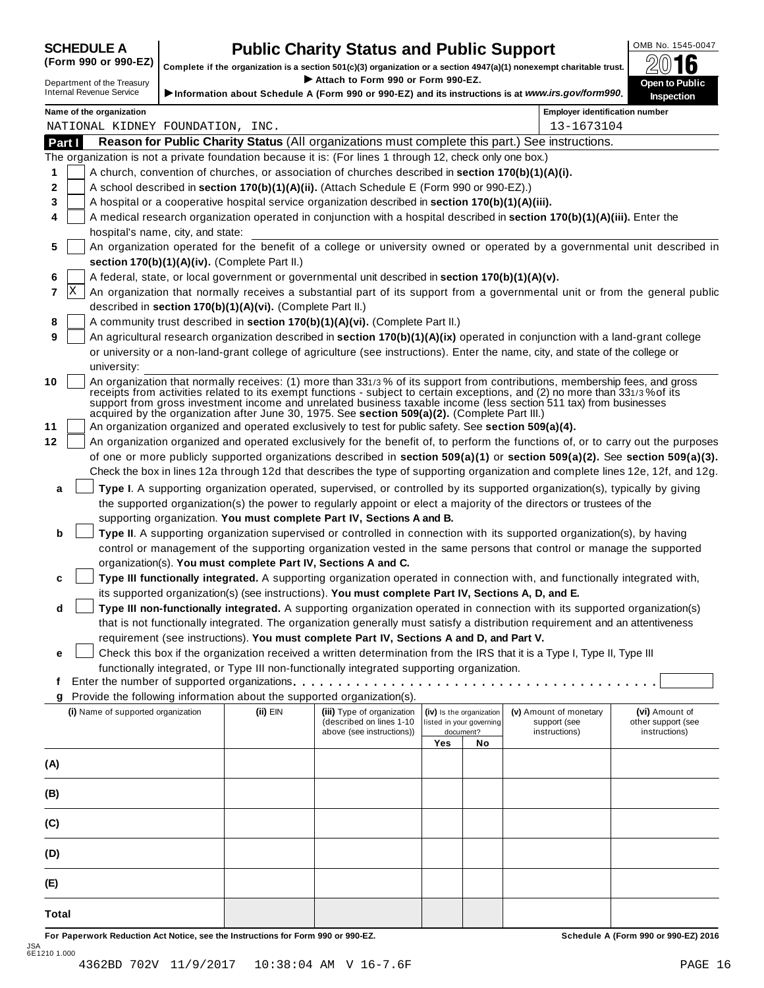# SCHEDULE A **Public Charity Status and Public Support** (Form 990 or 990-EZ)

(Form 990 or 990-EZ)  $\begin{bmatrix} 1 & 0 & 0 \\ 0 & 1 & 0 \end{bmatrix}$  Complete if the organization is a section 501(c)(3) organization or a section 4947(a)(1) nonexempt charitable trust.  $\begin{bmatrix} 2 & 0 \\ 2 & 1 \end{bmatrix}$ Complete if the organization is a section 501(c)(3) organization or a section 4947(a)(1) nonexempt charitable trust.<br>Department of the Treasury<br>Internal Boyonya Serion **Example 1990 or Form 990 or Form 990-EZ.**<br>Internal Revenue Service III information about Schedule A (Form 990 or 990-EZ) and its instructions is at *www.irs.gov/form990*.<br>Inspection

| OMB No. 1545-0047 |
|-------------------|
|                   |
| 2016              |
| Open to Public    |

|       |        | Name of the organization                                                                                                                                                                                                                                                                                                                                                                                                                                                          |          |                                                        |                                                      |           | <b>Employer identification number</b>  |                                      |
|-------|--------|-----------------------------------------------------------------------------------------------------------------------------------------------------------------------------------------------------------------------------------------------------------------------------------------------------------------------------------------------------------------------------------------------------------------------------------------------------------------------------------|----------|--------------------------------------------------------|------------------------------------------------------|-----------|----------------------------------------|--------------------------------------|
|       |        | NATIONAL KIDNEY FOUNDATION, INC.                                                                                                                                                                                                                                                                                                                                                                                                                                                  |          |                                                        |                                                      |           | 13-1673104                             |                                      |
|       | Part I | Reason for Public Charity Status (All organizations must complete this part.) See instructions.                                                                                                                                                                                                                                                                                                                                                                                   |          |                                                        |                                                      |           |                                        |                                      |
|       |        | The organization is not a private foundation because it is: (For lines 1 through 12, check only one box.)                                                                                                                                                                                                                                                                                                                                                                         |          |                                                        |                                                      |           |                                        |                                      |
| 1     |        | A church, convention of churches, or association of churches described in section 170(b)(1)(A)(i).                                                                                                                                                                                                                                                                                                                                                                                |          |                                                        |                                                      |           |                                        |                                      |
| 2     |        | A school described in section 170(b)(1)(A)(ii). (Attach Schedule E (Form 990 or 990-EZ).)                                                                                                                                                                                                                                                                                                                                                                                         |          |                                                        |                                                      |           |                                        |                                      |
| 3     |        | A hospital or a cooperative hospital service organization described in section 170(b)(1)(A)(iii).                                                                                                                                                                                                                                                                                                                                                                                 |          |                                                        |                                                      |           |                                        |                                      |
| 4     |        | A medical research organization operated in conjunction with a hospital described in section 170(b)(1)(A)(iii). Enter the                                                                                                                                                                                                                                                                                                                                                         |          |                                                        |                                                      |           |                                        |                                      |
|       |        | hospital's name, city, and state:                                                                                                                                                                                                                                                                                                                                                                                                                                                 |          |                                                        |                                                      |           |                                        |                                      |
| 5     |        | An organization operated for the benefit of a college or university owned or operated by a governmental unit described in                                                                                                                                                                                                                                                                                                                                                         |          |                                                        |                                                      |           |                                        |                                      |
|       |        | section 170(b)(1)(A)(iv). (Complete Part II.)                                                                                                                                                                                                                                                                                                                                                                                                                                     |          |                                                        |                                                      |           |                                        |                                      |
| 6     |        | A federal, state, or local government or governmental unit described in section 170(b)(1)(A)(v).                                                                                                                                                                                                                                                                                                                                                                                  |          |                                                        |                                                      |           |                                        |                                      |
| 7     | Ιx     | An organization that normally receives a substantial part of its support from a governmental unit or from the general public                                                                                                                                                                                                                                                                                                                                                      |          |                                                        |                                                      |           |                                        |                                      |
|       |        | described in section 170(b)(1)(A)(vi). (Complete Part II.)                                                                                                                                                                                                                                                                                                                                                                                                                        |          |                                                        |                                                      |           |                                        |                                      |
| 8     |        | A community trust described in section 170(b)(1)(A)(vi). (Complete Part II.)                                                                                                                                                                                                                                                                                                                                                                                                      |          |                                                        |                                                      |           |                                        |                                      |
| 9     |        | An agricultural research organization described in section 170(b)(1)(A)(ix) operated in conjunction with a land-grant college                                                                                                                                                                                                                                                                                                                                                     |          |                                                        |                                                      |           |                                        |                                      |
|       |        | or university or a non-land-grant college of agriculture (see instructions). Enter the name, city, and state of the college or                                                                                                                                                                                                                                                                                                                                                    |          |                                                        |                                                      |           |                                        |                                      |
|       |        | university:                                                                                                                                                                                                                                                                                                                                                                                                                                                                       |          |                                                        |                                                      |           |                                        |                                      |
| 10    |        | An organization that normally receives: (1) more than 331/3 % of its support from contributions, membership fees, and gross<br>receipts from activities related to its exempt functions - subject to certain exceptions, and (2) no more than 331/3% of its<br>support from gross investment income and unrelated business taxable income (less section 511 tax) from businesses<br>acquired by the organization after June 30, 1975. See section 509(a)(2). (Complete Part III.) |          |                                                        |                                                      |           |                                        |                                      |
| 11    |        | An organization organized and operated exclusively to test for public safety. See section 509(a)(4).                                                                                                                                                                                                                                                                                                                                                                              |          |                                                        |                                                      |           |                                        |                                      |
| 12    |        | An organization organized and operated exclusively for the benefit of, to perform the functions of, or to carry out the purposes                                                                                                                                                                                                                                                                                                                                                  |          |                                                        |                                                      |           |                                        |                                      |
|       |        | of one or more publicly supported organizations described in section 509(a)(1) or section 509(a)(2). See section 509(a)(3).                                                                                                                                                                                                                                                                                                                                                       |          |                                                        |                                                      |           |                                        |                                      |
|       |        | Check the box in lines 12a through 12d that describes the type of supporting organization and complete lines 12e, 12f, and 12g.                                                                                                                                                                                                                                                                                                                                                   |          |                                                        |                                                      |           |                                        |                                      |
| a     |        | Type I. A supporting organization operated, supervised, or controlled by its supported organization(s), typically by giving                                                                                                                                                                                                                                                                                                                                                       |          |                                                        |                                                      |           |                                        |                                      |
|       |        | the supported organization(s) the power to regularly appoint or elect a majority of the directors or trustees of the                                                                                                                                                                                                                                                                                                                                                              |          |                                                        |                                                      |           |                                        |                                      |
|       |        | supporting organization. You must complete Part IV, Sections A and B.                                                                                                                                                                                                                                                                                                                                                                                                             |          |                                                        |                                                      |           |                                        |                                      |
| b     |        | Type II. A supporting organization supervised or controlled in connection with its supported organization(s), by having                                                                                                                                                                                                                                                                                                                                                           |          |                                                        |                                                      |           |                                        |                                      |
|       |        | control or management of the supporting organization vested in the same persons that control or manage the supported                                                                                                                                                                                                                                                                                                                                                              |          |                                                        |                                                      |           |                                        |                                      |
|       |        | organization(s). You must complete Part IV, Sections A and C.                                                                                                                                                                                                                                                                                                                                                                                                                     |          |                                                        |                                                      |           |                                        |                                      |
| c     |        | Type III functionally integrated. A supporting organization operated in connection with, and functionally integrated with,                                                                                                                                                                                                                                                                                                                                                        |          |                                                        |                                                      |           |                                        |                                      |
|       |        | its supported organization(s) (see instructions). You must complete Part IV, Sections A, D, and E.                                                                                                                                                                                                                                                                                                                                                                                |          |                                                        |                                                      |           |                                        |                                      |
| d     |        | Type III non-functionally integrated. A supporting organization operated in connection with its supported organization(s)                                                                                                                                                                                                                                                                                                                                                         |          |                                                        |                                                      |           |                                        |                                      |
|       |        | that is not functionally integrated. The organization generally must satisfy a distribution requirement and an attentiveness                                                                                                                                                                                                                                                                                                                                                      |          |                                                        |                                                      |           |                                        |                                      |
|       |        | requirement (see instructions). You must complete Part IV, Sections A and D, and Part V.                                                                                                                                                                                                                                                                                                                                                                                          |          |                                                        |                                                      |           |                                        |                                      |
| е     |        | Check this box if the organization received a written determination from the IRS that it is a Type I, Type II, Type III                                                                                                                                                                                                                                                                                                                                                           |          |                                                        |                                                      |           |                                        |                                      |
|       |        | functionally integrated, or Type III non-functionally integrated supporting organization.                                                                                                                                                                                                                                                                                                                                                                                         |          |                                                        |                                                      |           |                                        |                                      |
| f     |        | Enter the number of supported organizations                                                                                                                                                                                                                                                                                                                                                                                                                                       |          |                                                        |                                                      |           |                                        |                                      |
| g     |        | Provide the following information about the supported organization(s).                                                                                                                                                                                                                                                                                                                                                                                                            |          |                                                        |                                                      |           |                                        |                                      |
|       |        | (i) Name of supported organization                                                                                                                                                                                                                                                                                                                                                                                                                                                | (ii) EIN | (iii) Type of organization<br>(described on lines 1-10 | (iv) Is the organization<br>listed in your governing |           | (v) Amount of monetary<br>support (see | (vi) Amount of<br>other support (see |
|       |        |                                                                                                                                                                                                                                                                                                                                                                                                                                                                                   |          | above (see instructions))                              |                                                      | document? | instructions)                          | instructions)                        |
|       |        |                                                                                                                                                                                                                                                                                                                                                                                                                                                                                   |          |                                                        | Yes                                                  | No        |                                        |                                      |
| (A)   |        |                                                                                                                                                                                                                                                                                                                                                                                                                                                                                   |          |                                                        |                                                      |           |                                        |                                      |
|       |        |                                                                                                                                                                                                                                                                                                                                                                                                                                                                                   |          |                                                        |                                                      |           |                                        |                                      |
| (B)   |        |                                                                                                                                                                                                                                                                                                                                                                                                                                                                                   |          |                                                        |                                                      |           |                                        |                                      |
|       |        |                                                                                                                                                                                                                                                                                                                                                                                                                                                                                   |          |                                                        |                                                      |           |                                        |                                      |
| (C)   |        |                                                                                                                                                                                                                                                                                                                                                                                                                                                                                   |          |                                                        |                                                      |           |                                        |                                      |
|       |        |                                                                                                                                                                                                                                                                                                                                                                                                                                                                                   |          |                                                        |                                                      |           |                                        |                                      |
| (D)   |        |                                                                                                                                                                                                                                                                                                                                                                                                                                                                                   |          |                                                        |                                                      |           |                                        |                                      |
|       |        |                                                                                                                                                                                                                                                                                                                                                                                                                                                                                   |          |                                                        |                                                      |           |                                        |                                      |
| (E)   |        |                                                                                                                                                                                                                                                                                                                                                                                                                                                                                   |          |                                                        |                                                      |           |                                        |                                      |
|       |        |                                                                                                                                                                                                                                                                                                                                                                                                                                                                                   |          |                                                        |                                                      |           |                                        |                                      |
| Total |        |                                                                                                                                                                                                                                                                                                                                                                                                                                                                                   |          |                                                        |                                                      |           |                                        |                                      |
|       |        |                                                                                                                                                                                                                                                                                                                                                                                                                                                                                   |          |                                                        |                                                      |           |                                        |                                      |

**For Paperwork Reduction Act Notice, see the Instructions for Form 990 or 990-EZ. Schedule A (Form 990 or 990-EZ) 2016** JSA 6E1210 1.000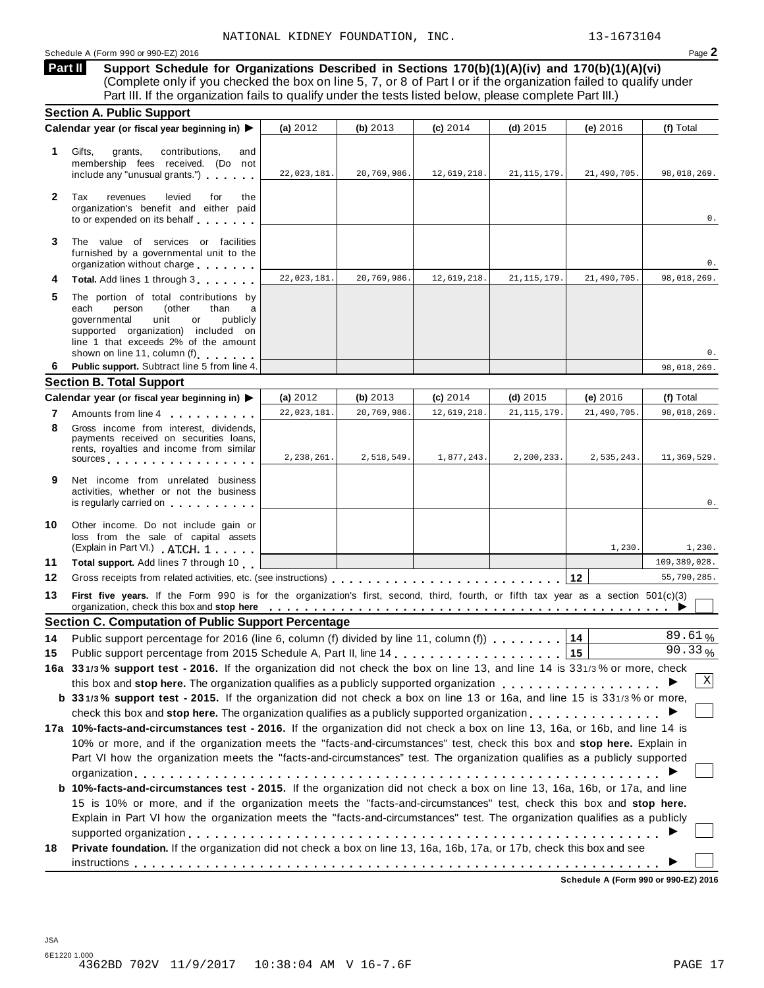### Schedule A (Form 990 or 990-EZ) 2016 **Page 2**

**Support Schedule for Organizations Described in Sections 170(b)(1)(A)(iv) and 170(b)(1)(A)(vi)** (Complete only if you checked the box on line 5, 7, or 8 of Part I or if the organization failed to qualify under **Part II** 

|              | Part III. If the organization fails to qualify under the tests listed below, please complete Part III.)                                                                                                                                                                           |             |             |             |               |               |              |
|--------------|-----------------------------------------------------------------------------------------------------------------------------------------------------------------------------------------------------------------------------------------------------------------------------------|-------------|-------------|-------------|---------------|---------------|--------------|
|              | <b>Section A. Public Support</b>                                                                                                                                                                                                                                                  |             |             |             |               |               |              |
|              | Calendar year (or fiscal year beginning in) $\blacktriangleright$                                                                                                                                                                                                                 | (a) 2012    | (b) 2013    | (c) 2014    | $(d)$ 2015    | (e) 2016      | (f) Total    |
| 1            | Gifts,<br>contributions,<br>grants,<br>and<br>membership fees received. (Do not<br>include any "unusual grants.")                                                                                                                                                                 | 22,023,181. | 20,769,986. | 12,619,218. | 21, 115, 179. | 21,490,705.   | 98,018,269.  |
| $\mathbf{2}$ | Tax<br>revenues<br>levied<br>for<br>the<br>organization's benefit and either paid<br>to or expended on its behalf                                                                                                                                                                 |             |             |             |               |               | 0.           |
| 3            | The value of services or facilities<br>furnished by a governmental unit to the<br>organization without charge                                                                                                                                                                     |             |             |             |               |               | 0.           |
| 4            | Total. Add lines 1 through 3                                                                                                                                                                                                                                                      | 22,023,181. | 20,769,986. | 12,619,218. | 21, 115, 179. | 21,490,705.   | 98,018,269.  |
| 5            | The portion of total contributions by<br>each<br>person<br>(other<br>than<br>a<br>governmental<br>unit<br>publicly<br>or<br>supported organization) included on<br>line 1 that exceeds 2% of the amount<br>shown on line 11, column (f)                                           |             |             |             |               |               | 0.           |
| 6.           | Public support. Subtract line 5 from line 4.                                                                                                                                                                                                                                      |             |             |             |               |               | 98,018,269.  |
|              | <b>Section B. Total Support</b>                                                                                                                                                                                                                                                   |             |             |             |               |               |              |
|              | Calendar year (or fiscal year beginning in)                                                                                                                                                                                                                                       | (a) $2012$  | (b) $2013$  | (c) 2014    | $(d)$ 2015    | (e) 2016      | (f) Total    |
| 7            | Amounts from line 4                                                                                                                                                                                                                                                               | 22,023,181. | 20,769,986. | 12,619,218. | 21, 115, 179. | 21, 490, 705. | 98,018,269.  |
| 8            | Gross income from interest, dividends,<br>payments received on securities loans,<br>rents, royalties and income from similar<br>sources sources                                                                                                                                   | 2,238,261.  | 2,518,549.  | 1,877,243.  | 2,200,233.    | 2,535,243.    | 11,369,529.  |
| 9            | Net income from unrelated business<br>activities, whether or not the business<br>is regularly carried on the control of the control of the control of the control of the control of the control o                                                                                 |             |             |             |               |               | 0.           |
| 10           | Other income. Do not include gain or<br>loss from the sale of capital assets<br>(Explain in Part VI.) ATCH 1                                                                                                                                                                      |             |             |             |               | 1,230.        | 1,230.       |
| 11           | Total support. Add lines 7 through 10                                                                                                                                                                                                                                             |             |             |             |               |               | 109,389,028. |
| 12           |                                                                                                                                                                                                                                                                                   |             |             |             |               | 12            | 55,790,285.  |
| 13           | First five years. If the Form 990 is for the organization's first, second, third, fourth, or fifth tax year as a section 501(c)(3)<br>organization, check this box and stop here entirially respectively respectively and stop here entirely and stop here entirely respectively. |             |             |             |               |               |              |
|              | <b>Section C. Computation of Public Support Percentage</b>                                                                                                                                                                                                                        |             |             |             |               |               |              |
| 14           | Public support percentage for 2016 (line 6, column (f) divided by line 11, column (f)                                                                                                                                                                                             |             |             |             |               | 14            | 89.61%       |
| 15           |                                                                                                                                                                                                                                                                                   |             |             |             |               |               | 90.33%       |
|              | 16a 331/3% support test - 2016. If the organization did not check the box on line 13, and line 14 is 331/3% or more, check                                                                                                                                                        |             |             |             |               |               | $\, {\rm X}$ |
|              | this box and stop here. The organization qualifies as a publicly supported organization                                                                                                                                                                                           |             |             |             |               |               |              |
|              | <b>b</b> 331/3% support test - 2015. If the organization did not check a box on line 13 or 16a, and line 15 is 331/3% or more,                                                                                                                                                    |             |             |             |               |               |              |
|              | check this box and stop here. The organization qualifies as a publicly supported organization                                                                                                                                                                                     |             |             |             |               |               |              |
|              | 17a 10%-facts-and-circumstances test - 2016. If the organization did not check a box on line 13, 16a, or 16b, and line 14 is<br>10% or more, and if the organization meets the "facts-and-circumstances" test, check this box and stop here. Explain in                           |             |             |             |               |               |              |
|              | Part VI how the organization meets the "facts-and-circumstances" test. The organization qualifies as a publicly supported                                                                                                                                                         |             |             |             |               |               |              |
|              | <b>b</b> 10%-facts-and-circumstances test - 2015. If the organization did not check a box on line 13, 16a, 16b, or 17a, and line                                                                                                                                                  |             |             |             |               |               |              |
|              |                                                                                                                                                                                                                                                                                   |             |             |             |               |               |              |
|              | 15 is 10% or more, and if the organization meets the "facts-and-circumstances" test, check this box and stop here.                                                                                                                                                                |             |             |             |               |               |              |
|              | Explain in Part VI how the organization meets the "facts-and-circumstances" test. The organization qualifies as a publicly                                                                                                                                                        |             |             |             |               |               |              |
| 18           | Private foundation. If the organization did not check a box on line 13, 16a, 16b, 17a, or 17b, check this box and see                                                                                                                                                             |             |             |             |               |               |              |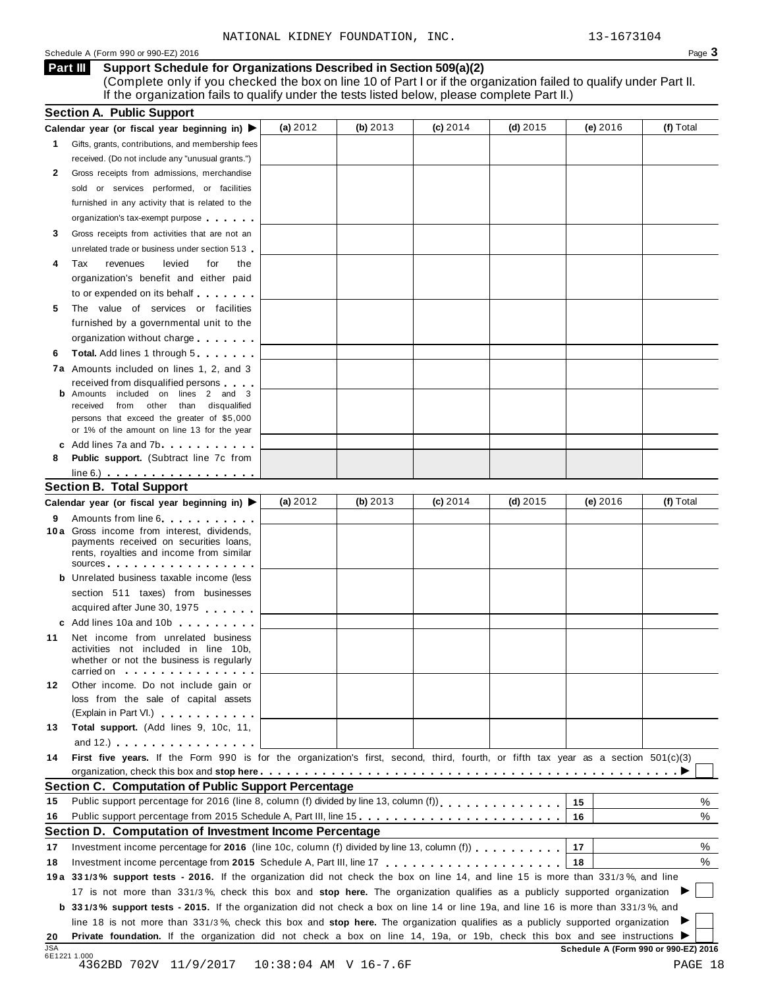#### Schedule A (Form 990 or 990-EZ) 2016 Page **3**

#### **Support Schedule for Organizations Described in Section 509(a)(2) Part III**

(Complete only if you checked the box on line 10 of Part I or if the organization failed to qualify under Part II. If the organization fails to qualify under the tests listed below, please complete Part II.)

|            | <b>Section A. Public Support</b>                                                                                                                                                                                                         |                           |          |            |            |                                      |           |
|------------|------------------------------------------------------------------------------------------------------------------------------------------------------------------------------------------------------------------------------------------|---------------------------|----------|------------|------------|--------------------------------------|-----------|
|            | Calendar year (or fiscal year beginning in) $\blacktriangleright$                                                                                                                                                                        | (a) 2012                  | (b) 2013 | $(c)$ 2014 | $(d)$ 2015 | $(e)$ 2016                           | (f) Total |
| 1.         | Gifts, grants, contributions, and membership fees                                                                                                                                                                                        |                           |          |            |            |                                      |           |
|            | received. (Do not include any "unusual grants.")                                                                                                                                                                                         |                           |          |            |            |                                      |           |
| 2          | Gross receipts from admissions, merchandise                                                                                                                                                                                              |                           |          |            |            |                                      |           |
|            | or services performed, or facilities<br>sold                                                                                                                                                                                             |                           |          |            |            |                                      |           |
|            | furnished in any activity that is related to the                                                                                                                                                                                         |                           |          |            |            |                                      |           |
|            | organization's tax-exempt purpose                                                                                                                                                                                                        |                           |          |            |            |                                      |           |
| 3          | Gross receipts from activities that are not an                                                                                                                                                                                           |                           |          |            |            |                                      |           |
|            | unrelated trade or business under section 513                                                                                                                                                                                            |                           |          |            |            |                                      |           |
| 4          | Tax<br>revenues<br>levied<br>for<br>the                                                                                                                                                                                                  |                           |          |            |            |                                      |           |
|            | organization's benefit and either paid                                                                                                                                                                                                   |                           |          |            |            |                                      |           |
|            | to or expended on its behalf                                                                                                                                                                                                             |                           |          |            |            |                                      |           |
| 5          | The value of services or facilities                                                                                                                                                                                                      |                           |          |            |            |                                      |           |
|            |                                                                                                                                                                                                                                          |                           |          |            |            |                                      |           |
|            | furnished by a governmental unit to the                                                                                                                                                                                                  |                           |          |            |            |                                      |           |
|            | organization without charge                                                                                                                                                                                                              |                           |          |            |            |                                      |           |
| 6          | <b>Total.</b> Add lines 1 through 5                                                                                                                                                                                                      |                           |          |            |            |                                      |           |
|            | <b>7a</b> Amounts included on lines 1, 2, and 3                                                                                                                                                                                          |                           |          |            |            |                                      |           |
|            | received from disqualified persons<br><b>b</b> Amounts included on lines 2 and 3                                                                                                                                                         |                           |          |            |            |                                      |           |
|            | received from other than disqualified                                                                                                                                                                                                    |                           |          |            |            |                                      |           |
|            | persons that exceed the greater of \$5,000                                                                                                                                                                                               |                           |          |            |            |                                      |           |
|            | or 1% of the amount on line 13 for the year                                                                                                                                                                                              |                           |          |            |            |                                      |           |
|            | c Add lines 7a and 7b                                                                                                                                                                                                                    |                           |          |            |            |                                      |           |
| 8          | Public support. (Subtract line 7c from                                                                                                                                                                                                   |                           |          |            |            |                                      |           |
|            | $line 6.)$ $\ldots$ $\ldots$ $\ldots$ $\ldots$ $\ldots$ $\ldots$ $\ldots$                                                                                                                                                                |                           |          |            |            |                                      |           |
|            | <b>Section B. Total Support</b>                                                                                                                                                                                                          |                           |          |            |            |                                      |           |
|            | Calendar year (or fiscal year beginning in) ▶                                                                                                                                                                                            | (a) $2012$                | (b) 2013 | $(c)$ 2014 | $(d)$ 2015 | (e) 2016                             | (f) Total |
| 9          | Amounts from line 6.                                                                                                                                                                                                                     |                           |          |            |            |                                      |           |
|            | 10a Gross income from interest, dividends,<br>payments received on securities loans,<br>rents, royalties and income from similar                                                                                                         |                           |          |            |            |                                      |           |
|            | sources experiences and the set of the set of the set of the set of the set of the set of the set of the set of the set of the set of the set of the set of the set of the set of the set of the set of the set of the set of            |                           |          |            |            |                                      |           |
|            | <b>b</b> Unrelated business taxable income (less                                                                                                                                                                                         |                           |          |            |            |                                      |           |
|            | section 511 taxes) from businesses                                                                                                                                                                                                       |                           |          |            |            |                                      |           |
|            | acquired after June 30, 1975                                                                                                                                                                                                             |                           |          |            |            |                                      |           |
|            | c Add lines 10a and 10b                                                                                                                                                                                                                  |                           |          |            |            |                                      |           |
| 11         | Net income from unrelated business<br>activities not included in line 10b,<br>whether or not the business is regularly<br>carried on the contract of the contract of the contract of the contract of the contract of the contract of the |                           |          |            |            |                                      |           |
| 12         | Other income. Do not include gain or                                                                                                                                                                                                     |                           |          |            |            |                                      |           |
|            | loss from the sale of capital assets                                                                                                                                                                                                     |                           |          |            |            |                                      |           |
|            | (Explain in Part VI.) <b>All Accords</b>                                                                                                                                                                                                 |                           |          |            |            |                                      |           |
| 13         | Total support. (Add lines 9, 10c, 11,                                                                                                                                                                                                    |                           |          |            |            |                                      |           |
|            | and 12.) $\cdots$ $\cdots$ $\cdots$ $\cdots$                                                                                                                                                                                             |                           |          |            |            |                                      |           |
| 14         | First five years. If the Form 990 is for the organization's first, second, third, fourth, or fifth tax year as a section 501(c)(3)                                                                                                       |                           |          |            |            |                                      |           |
|            |                                                                                                                                                                                                                                          |                           |          |            |            |                                      |           |
|            | <b>Section C. Computation of Public Support Percentage</b>                                                                                                                                                                               |                           |          |            |            |                                      |           |
| 15         | Public support percentage for 2016 (line 8, column (f) divided by line 13, column (f)).                                                                                                                                                  |                           |          |            |            | 15                                   | %         |
| 16         | Public support percentage from 2015 Schedule A, Part III, line 15.                                                                                                                                                                       |                           |          |            |            | 16                                   | %         |
|            | Section D. Computation of Investment Income Percentage                                                                                                                                                                                   |                           |          |            |            |                                      |           |
|            |                                                                                                                                                                                                                                          |                           |          |            |            |                                      |           |
| 17         | Investment income percentage for 2016 (line 10c, column (f) divided by line 13, column (f) $\ldots$ ,,,,,,,,                                                                                                                             |                           |          |            |            | 17                                   | %         |
| 18         |                                                                                                                                                                                                                                          |                           |          |            |            | 18                                   | %         |
|            | 19a 331/3% support tests - 2016. If the organization did not check the box on line 14, and line 15 is more than 331/3%, and line                                                                                                         |                           |          |            |            |                                      |           |
|            | 17 is not more than 331/3%, check this box and stop here. The organization qualifies as a publicly supported organization                                                                                                                |                           |          |            |            |                                      |           |
|            | <b>b</b> 331/3% support tests - 2015. If the organization did not check a box on line 14 or line 19a, and line 16 is more than 331/3%, and                                                                                               |                           |          |            |            |                                      |           |
|            | line 18 is not more than 331/3%, check this box and stop here. The organization qualifies as a publicly supported organization                                                                                                           |                           |          |            |            |                                      |           |
| 20         | Private foundation. If the organization did not check a box on line 14, 19a, or 19b, check this box and see instructions ▶                                                                                                               |                           |          |            |            |                                      |           |
| <b>JSA</b> |                                                                                                                                                                                                                                          |                           |          |            |            | Schedule A (Form 990 or 990-EZ) 2016 |           |
|            | 6E1221 1.000<br>4362BD 702V 11/9/2017                                                                                                                                                                                                    | $10:38:04$ AM V $16-7.6F$ |          |            |            |                                      | PAGE 18   |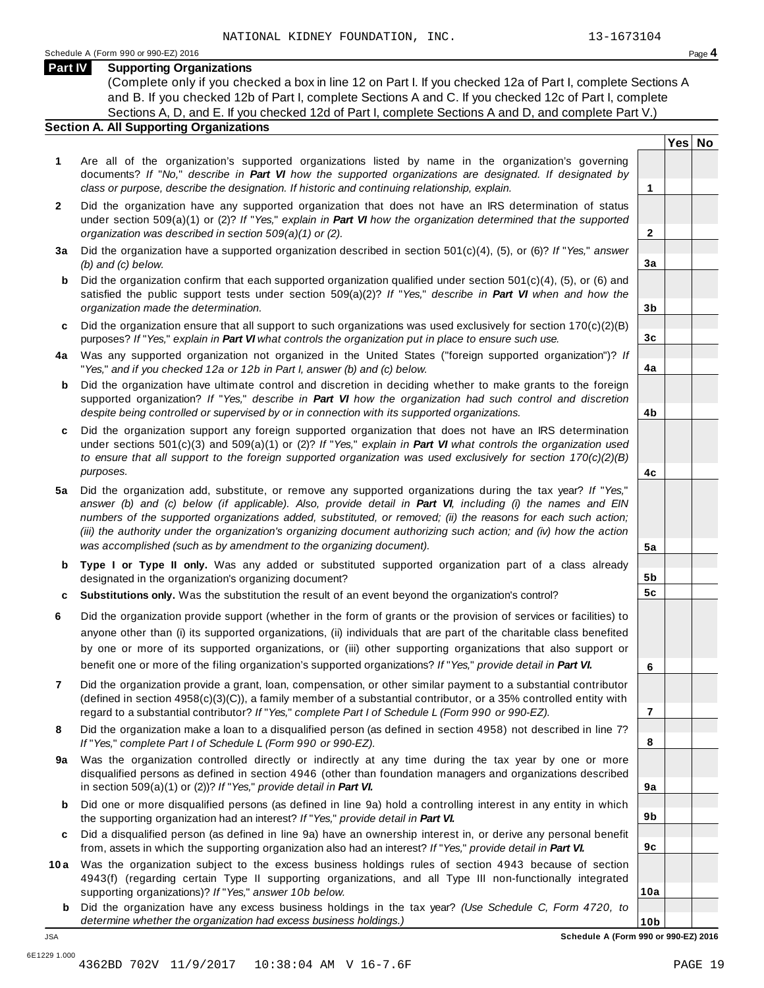**Yes No**

**2**

**3a**

**3b**

**3c**

**4a**

**4b**

**4c**

**5a**

**5b 5c**

**6**

**7**

**8**

**9a**

**9b**

**9c**

**10a**

#### **Part IV Supporting Organizations**

(Complete only if you checked a box in line 12 on Part I. If you checked 12a of Part I, complete Sections A and B. If you checked 12b of Part I, complete Sections A and C. If you checked 12c of Part I, complete Sections A, D, and E. If you checked 12d of Part I, complete Sections A and D, and complete Part V.)

#### **Section A. All Supporting Organizations**

- **1** Are all of the organization's supported organizations listed by name in the organization's governing documents? *If* "*No,*" *describe in Part VI how the supported organizations are designated. If designated by class or purpose, describe the designation. If historic and continuing relationship, explain.* **1**
- **2** Did the organization have any supported organization that does not have an IRS determination of status under section 509(a)(1) or (2)? *If* "*Yes,*" *explain in Part VI how the organization determined that the supported organization was described in section 509(a)(1) or (2).*
- **3 a** Did the organization have a supported organization described in section 501(c)(4), (5), or (6)? *If* "*Yes,*" *answer (b) and (c) below.*
- **b** Did the organization confirm that each supported organization qualified under section 501(c)(4), (5), or (6) and | satisfied the public support tests under section 509(a)(2)? *If* "*Yes,*" *describe in Part VI when and how the organization made the determination.*
- **c** Did the organization ensure that all support to such organizations was used exclusively for section 170(c)(2)(B) purposes? *If* "*Yes,*" *explain in Part VI what controls the organization put in place to ensure such use.*
- **4 a** Was any supported organization not organized in the United States ("foreign supported organization")? *If* "*Yes,*" *and if you checked 12a or 12b in Part I, answer (b) and (c) below.*
- **b** Did the organization have ultimate control and discretion in deciding whether to make grants to the foreign | supported organization? *If* "*Yes,*" *describe in Part VI how the organization had such control and discretion despite being controlled or supervised by or in connection with its supported organizations.*
- **c** Did the organization support any foreign supported organization that does not have an IRS determination | under sections 501(c)(3) and 509(a)(1) or (2)? *If* "*Yes,*" *explain in Part VI what controls the organization used to ensure that all support to the foreign supported organization was used exclusively for section 170(c)(2)(B) purposes.*
- **5 a** Did the organization add, substitute, or remove any supported organizations during the tax year? *If* "*Yes,*" *answer (b) and (c) below (if applicable). Also, provide detail in Part VI, including (i) the names and EIN numbers of the supported organizations added, substituted, or removed; (ii) the reasons for each such action; (iii) the authority under the organization's organizing document authorizing such action; and (iv) how the action was accomplished (such as by amendment to the organizing document).*
- **b** Type I or Type II only. Was any added or substituted supported organization part of a class already | designated in the organization's organizing document?
- **c Substitutions only.** Was the substitution the result of an event beyond the organization's control?
- **6** Did the organization provide support (whether in the form of grants or the provision of services or facilities) to anyone other than (i) its supported organizations, (ii) individuals that are part of the charitable class benefited by one or more of its supported organizations, or (iii) other supporting organizations that also support or benefit one or more of the filing organization's supported organizations? *If* "*Yes,*" *provide detail in Part VI.*
- **7** Did the organization provide a grant, loan, compensation, or other similar payment to a substantial contributor (defined in section 4958(c)(3)(C)), a family member of a substantial contributor, or a 35% controlled entity with regard to a substantial contributor? *If* "*Yes,*" *complete Part I of Schedule L (Form 990 or 990-EZ).*
- **8** Did the organization make a loan to a disqualified person (as defined in section 4958) not described in line 7? *If* "*Yes,*" *complete Part I of Schedule L (Form 990 or 990-EZ).*
- **a** Was the organization controlled directly or indirectly at any time during the tax year by one or more | **9** disqualified persons as defined in section 4946 (other than foundation managers and organizations described in section 509(a)(1) or (2))? *If* "*Yes,*" *provide detail in Part VI.*
- **b** Did one or more disqualified persons (as defined in line 9a) hold a controlling interest in any entity in which | the supporting organization had an interest? *If* "*Yes,*" *provide detail in Part VI.*
- **c** Did a disqualified person (as defined in line 9a) have an ownership interest in, or derive any personal benefit from, assets in which the supporting organization also had an interest? *If* "*Yes,*" *provide detail in Part VI.*
- **10a** Was the organization subject to the excess business holdings rules of section 4943 because of section | 4943(f) (regarding certain Type II supporting organizations, and all Type III non-functionally integrated supporting organizations)? *If* "*Yes,*" *answer 10b below.*
	- **b** Did the organization have any excess business holdings in the tax year? *(Use Schedule C, Form 4720, to determine whether the organization had excess business holdings.)*

**10b** JSA **Schedule A (Form 990 or 990-EZ) 2016**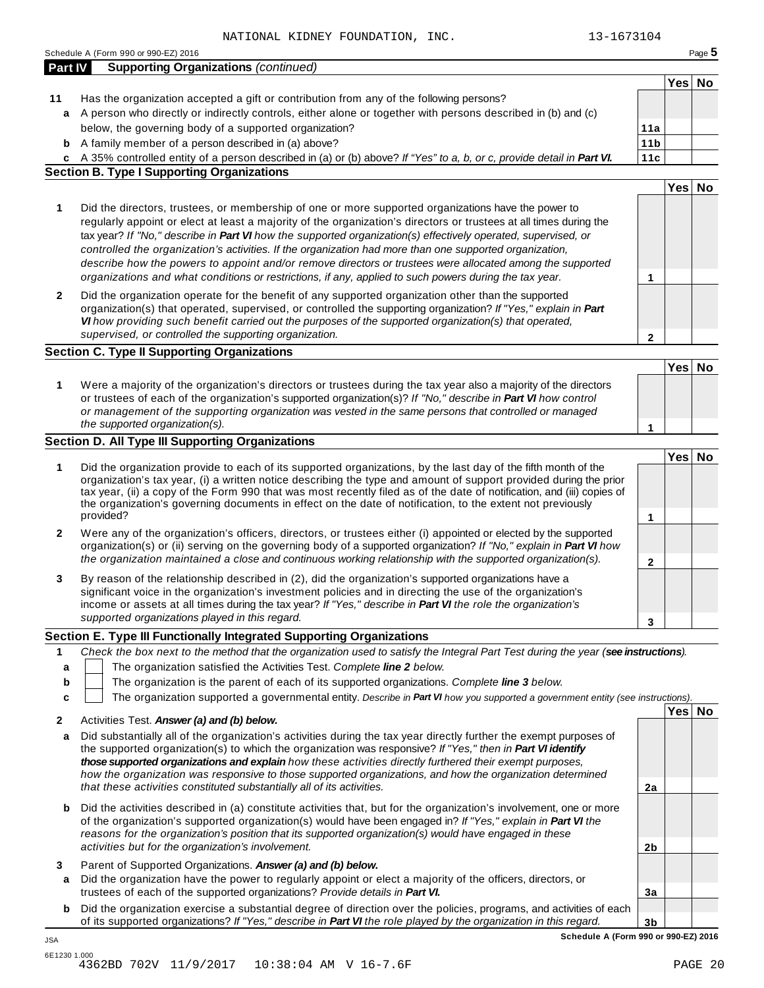|              | Schedule A (Form 990 or 990-EZ) 2016                                                                                                                                                                                                                                                                                                                                                                                                                                                                                                                                                                                                                                         |                 |        | Page 5 |
|--------------|------------------------------------------------------------------------------------------------------------------------------------------------------------------------------------------------------------------------------------------------------------------------------------------------------------------------------------------------------------------------------------------------------------------------------------------------------------------------------------------------------------------------------------------------------------------------------------------------------------------------------------------------------------------------------|-----------------|--------|--------|
| Part IV      | <b>Supporting Organizations (continued)</b>                                                                                                                                                                                                                                                                                                                                                                                                                                                                                                                                                                                                                                  |                 |        |        |
|              |                                                                                                                                                                                                                                                                                                                                                                                                                                                                                                                                                                                                                                                                              |                 | Yes No |        |
| 11           | Has the organization accepted a gift or contribution from any of the following persons?                                                                                                                                                                                                                                                                                                                                                                                                                                                                                                                                                                                      |                 |        |        |
| a            | A person who directly or indirectly controls, either alone or together with persons described in (b) and (c)                                                                                                                                                                                                                                                                                                                                                                                                                                                                                                                                                                 |                 |        |        |
|              | below, the governing body of a supported organization?                                                                                                                                                                                                                                                                                                                                                                                                                                                                                                                                                                                                                       | 11a             |        |        |
| b            | A family member of a person described in (a) above?                                                                                                                                                                                                                                                                                                                                                                                                                                                                                                                                                                                                                          | 11 <sub>b</sub> |        |        |
|              | c A 35% controlled entity of a person described in (a) or (b) above? If "Yes" to a, b, or c, provide detail in Part VI.                                                                                                                                                                                                                                                                                                                                                                                                                                                                                                                                                      | 11c             |        |        |
|              | <b>Section B. Type I Supporting Organizations</b>                                                                                                                                                                                                                                                                                                                                                                                                                                                                                                                                                                                                                            |                 |        |        |
|              |                                                                                                                                                                                                                                                                                                                                                                                                                                                                                                                                                                                                                                                                              |                 | Yes No |        |
| 1            | Did the directors, trustees, or membership of one or more supported organizations have the power to<br>regularly appoint or elect at least a majority of the organization's directors or trustees at all times during the<br>tax year? If "No," describe in Part VI how the supported organization(s) effectively operated, supervised, or<br>controlled the organization's activities. If the organization had more than one supported organization,<br>describe how the powers to appoint and/or remove directors or trustees were allocated among the supported<br>organizations and what conditions or restrictions, if any, applied to such powers during the tax year. | 1               |        |        |
| $\mathbf{2}$ | Did the organization operate for the benefit of any supported organization other than the supported<br>organization(s) that operated, supervised, or controlled the supporting organization? If "Yes," explain in Part<br>VI how providing such benefit carried out the purposes of the supported organization(s) that operated,<br>supervised, or controlled the supporting organization.                                                                                                                                                                                                                                                                                   | $\mathbf{2}$    |        |        |
|              | <b>Section C. Type II Supporting Organizations</b>                                                                                                                                                                                                                                                                                                                                                                                                                                                                                                                                                                                                                           |                 |        |        |
|              |                                                                                                                                                                                                                                                                                                                                                                                                                                                                                                                                                                                                                                                                              |                 | Yes No |        |
| 1            | Were a majority of the organization's directors or trustees during the tax year also a majority of the directors                                                                                                                                                                                                                                                                                                                                                                                                                                                                                                                                                             |                 |        |        |
|              | or trustees of each of the organization's supported organization(s)? If "No," describe in Part VI how control                                                                                                                                                                                                                                                                                                                                                                                                                                                                                                                                                                |                 |        |        |
|              | or management of the supporting organization was vested in the same persons that controlled or managed                                                                                                                                                                                                                                                                                                                                                                                                                                                                                                                                                                       |                 |        |        |
|              | the supported organization(s).                                                                                                                                                                                                                                                                                                                                                                                                                                                                                                                                                                                                                                               | 1               |        |        |
|              | Section D. All Type III Supporting Organizations                                                                                                                                                                                                                                                                                                                                                                                                                                                                                                                                                                                                                             |                 |        |        |
|              |                                                                                                                                                                                                                                                                                                                                                                                                                                                                                                                                                                                                                                                                              |                 | Yes No |        |
| 1            | Did the organization provide to each of its supported organizations, by the last day of the fifth month of the<br>organization's tax year, (i) a written notice describing the type and amount of support provided during the prior<br>tax year, (ii) a copy of the Form 990 that was most recently filed as of the date of notification, and (iii) copies of<br>the organization's governing documents in effect on the date of notification, to the extent not previously<br>provided?                                                                                                                                                                                     |                 |        |        |
|              |                                                                                                                                                                                                                                                                                                                                                                                                                                                                                                                                                                                                                                                                              | $\mathbf{1}$    |        |        |
| $\mathbf{2}$ | Were any of the organization's officers, directors, or trustees either (i) appointed or elected by the supported<br>organization(s) or (ii) serving on the governing body of a supported organization? If "No," explain in Part VI how<br>the organization maintained a close and continuous working relationship with the supported organization(s).                                                                                                                                                                                                                                                                                                                        | $\mathbf{2}$    |        |        |
| 3            | By reason of the relationship described in (2), did the organization's supported organizations have a<br>significant voice in the organization's investment policies and in directing the use of the organization's<br>income or assets at all times during the tax year? If "Yes," describe in Part VI the role the organization's<br>supported organizations played in this regard.                                                                                                                                                                                                                                                                                        | 3               |        |        |
|              | Section E. Type III Functionally Integrated Supporting Organizations                                                                                                                                                                                                                                                                                                                                                                                                                                                                                                                                                                                                         |                 |        |        |
| 1            | Check the box next to the method that the organization used to satisfy the Integral Part Test during the year (see instructions).                                                                                                                                                                                                                                                                                                                                                                                                                                                                                                                                            |                 |        |        |
| a            | The organization satisfied the Activities Test. Complete line 2 below.                                                                                                                                                                                                                                                                                                                                                                                                                                                                                                                                                                                                       |                 |        |        |
| b            | The organization is the parent of each of its supported organizations. Complete line 3 below.                                                                                                                                                                                                                                                                                                                                                                                                                                                                                                                                                                                |                 |        |        |
| C            | The organization supported a governmental entity. Describe in Part VI how you supported a government entity (see instructions).                                                                                                                                                                                                                                                                                                                                                                                                                                                                                                                                              |                 |        |        |
|              |                                                                                                                                                                                                                                                                                                                                                                                                                                                                                                                                                                                                                                                                              |                 | Yes No |        |
| $\mathbf{2}$ | Activities Test. Answer (a) and (b) below.                                                                                                                                                                                                                                                                                                                                                                                                                                                                                                                                                                                                                                   |                 |        |        |
| a            | Did substantially all of the organization's activities during the tax year directly further the exempt purposes of<br>the supported organization(s) to which the organization was responsive? If "Yes," then in Part VI identify<br>those supported organizations and explain how these activities directly furthered their exempt purposes,                                                                                                                                                                                                                                                                                                                                 |                 |        |        |
|              | how the organization was responsive to those supported organizations, and how the organization determined<br>that these activities constituted substantially all of its activities.                                                                                                                                                                                                                                                                                                                                                                                                                                                                                          | 2a              |        |        |
| b            | Did the activities described in (a) constitute activities that, but for the organization's involvement, one or more<br>of the organization's supported organization(s) would have been engaged in? If "Yes," explain in Part VI the<br>reasons for the organization's position that its supported organization(s) would have engaged in these                                                                                                                                                                                                                                                                                                                                |                 |        |        |
|              | activities but for the organization's involvement.                                                                                                                                                                                                                                                                                                                                                                                                                                                                                                                                                                                                                           | 2 <sub>b</sub>  |        |        |
| 3<br>a       | Parent of Supported Organizations. Answer (a) and (b) below.<br>Did the organization have the power to regularly appoint or elect a majority of the officers, directors, or<br>trustees of each of the supported organizations? Provide details in Part VI.                                                                                                                                                                                                                                                                                                                                                                                                                  | 3a              |        |        |
|              |                                                                                                                                                                                                                                                                                                                                                                                                                                                                                                                                                                                                                                                                              |                 |        |        |
| b            | Did the organization exercise a substantial degree of direction over the policies, programs, and activities of each<br>of its supported organizations? If "Yes," describe in Part VI the role played by the organization in this regard.                                                                                                                                                                                                                                                                                                                                                                                                                                     | 3 <sub>b</sub>  |        |        |

**Schedule A (Form 990 or 990-EZ) 2016**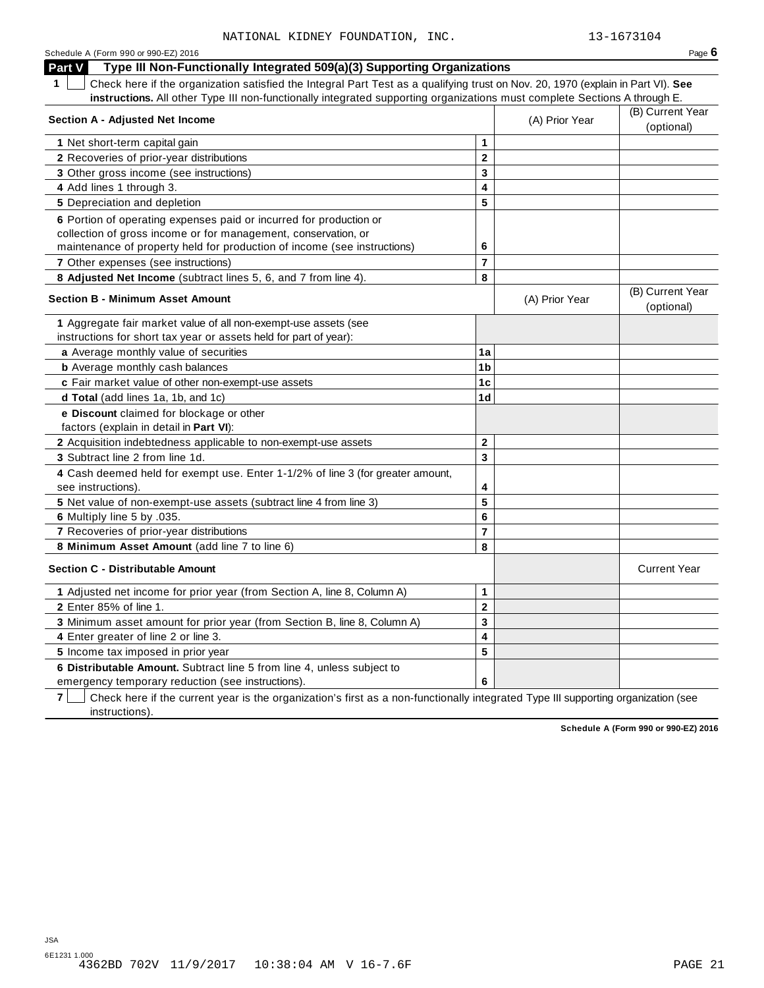| Schedule A (Form 990 or 990-EZ) 2016                                                                                                  |                |                | Page $6$                       |
|---------------------------------------------------------------------------------------------------------------------------------------|----------------|----------------|--------------------------------|
| Type III Non-Functionally Integrated 509(a)(3) Supporting Organizations<br>Part V                                                     |                |                |                                |
| 1<br>Check here if the organization satisfied the Integral Part Test as a qualifying trust on Nov. 20, 1970 (explain in Part VI). See |                |                |                                |
| instructions. All other Type III non-functionally integrated supporting organizations must complete Sections A through E.             |                |                |                                |
| <b>Section A - Adjusted Net Income</b>                                                                                                |                |                | (B) Current Year               |
|                                                                                                                                       |                | (A) Prior Year | (optional)                     |
| 1 Net short-term capital gain                                                                                                         | 1              |                |                                |
| 2 Recoveries of prior-year distributions                                                                                              | $\overline{2}$ |                |                                |
| 3 Other gross income (see instructions)                                                                                               | 3              |                |                                |
| 4 Add lines 1 through 3.                                                                                                              | 4              |                |                                |
| 5 Depreciation and depletion                                                                                                          | 5              |                |                                |
| 6 Portion of operating expenses paid or incurred for production or                                                                    |                |                |                                |
| collection of gross income or for management, conservation, or                                                                        |                |                |                                |
| maintenance of property held for production of income (see instructions)                                                              | 6              |                |                                |
| 7 Other expenses (see instructions)                                                                                                   | $\overline{7}$ |                |                                |
| 8 Adjusted Net Income (subtract lines 5, 6, and 7 from line 4).                                                                       | 8              |                |                                |
| <b>Section B - Minimum Asset Amount</b>                                                                                               |                | (A) Prior Year | (B) Current Year<br>(optional) |
| 1 Aggregate fair market value of all non-exempt-use assets (see                                                                       |                |                |                                |
| instructions for short tax year or assets held for part of year):                                                                     |                |                |                                |
| a Average monthly value of securities                                                                                                 | 1a             |                |                                |
| <b>b</b> Average monthly cash balances                                                                                                | 1 <sub>b</sub> |                |                                |
| c Fair market value of other non-exempt-use assets                                                                                    | 1c             |                |                                |
| d Total (add lines 1a, 1b, and 1c)                                                                                                    | 1 <sub>d</sub> |                |                                |
| e Discount claimed for blockage or other                                                                                              |                |                |                                |
| factors (explain in detail in Part VI):                                                                                               |                |                |                                |
| 2 Acquisition indebtedness applicable to non-exempt-use assets                                                                        | $\mathbf{2}$   |                |                                |
| 3 Subtract line 2 from line 1d.                                                                                                       | 3              |                |                                |
| 4 Cash deemed held for exempt use. Enter 1-1/2% of line 3 (for greater amount,                                                        |                |                |                                |
| see instructions).                                                                                                                    | 4              |                |                                |
| 5 Net value of non-exempt-use assets (subtract line 4 from line 3)                                                                    | 5              |                |                                |
| 6 Multiply line 5 by .035.                                                                                                            | 6              |                |                                |
| 7 Recoveries of prior-year distributions                                                                                              | $\overline{7}$ |                |                                |
| 8 Minimum Asset Amount (add line 7 to line 6)                                                                                         | 8              |                |                                |
| <b>Section C - Distributable Amount</b>                                                                                               |                |                | <b>Current Year</b>            |
| 1 Adjusted net income for prior year (from Section A, line 8, Column A)                                                               | 1              |                |                                |
| 2 Enter 85% of line 1.                                                                                                                | $\overline{2}$ |                |                                |
| 3 Minimum asset amount for prior year (from Section B, line 8, Column A)                                                              | 3              |                |                                |
| 4 Enter greater of line 2 or line 3.                                                                                                  | 4              |                |                                |
| 5 Income tax imposed in prior year                                                                                                    | 5              |                |                                |
| 6 Distributable Amount. Subtract line 5 from line 4, unless subject to                                                                |                |                |                                |
| emergency temporary reduction (see instructions).                                                                                     | 6              |                |                                |

**7** | Check here if the current year is the organization's first as a non-functionally integrated Type III supporting organization (see instructions).

**Schedule A (Form 990 or 990-EZ) 2016**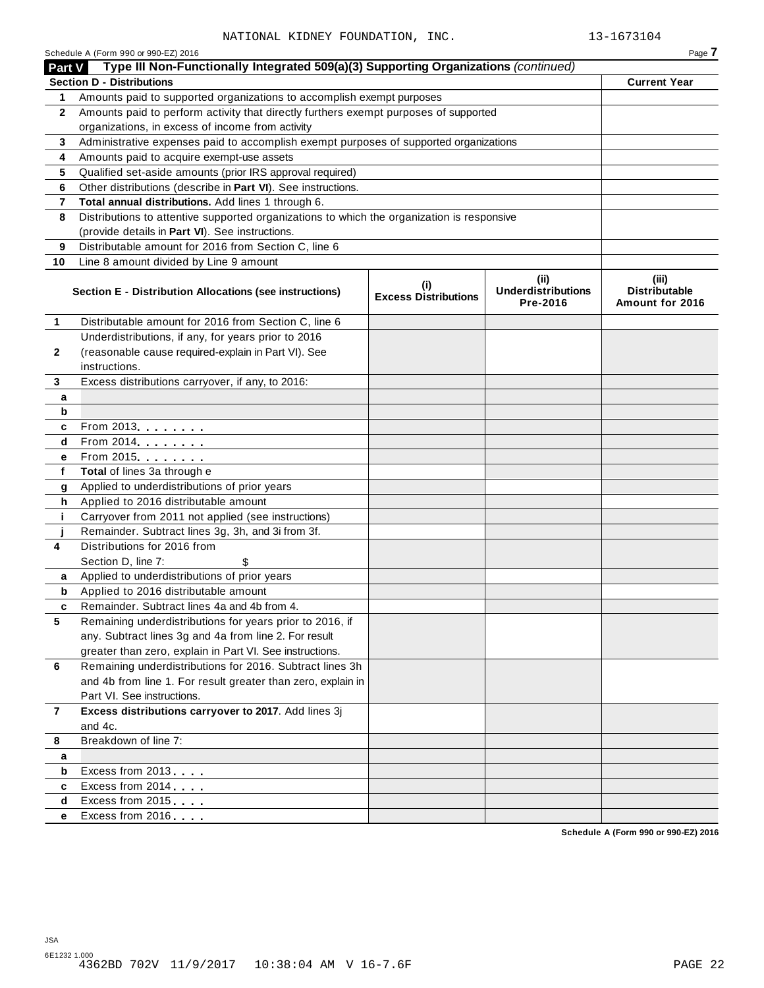|              | NATIONAL KIDNEY FOUNDATION, INC.                                                           |                                    |                                               | 13-1673104                                       |
|--------------|--------------------------------------------------------------------------------------------|------------------------------------|-----------------------------------------------|--------------------------------------------------|
|              | Schedule A (Form 990 or 990-EZ) 2016                                                       |                                    |                                               | Page 7                                           |
| Part V       | Type III Non-Functionally Integrated 509(a)(3) Supporting Organizations (continued)        |                                    |                                               |                                                  |
|              | <b>Section D - Distributions</b>                                                           |                                    |                                               | <b>Current Year</b>                              |
| 1.           | Amounts paid to supported organizations to accomplish exempt purposes                      |                                    |                                               |                                                  |
| $\mathbf{2}$ | Amounts paid to perform activity that directly furthers exempt purposes of supported       |                                    |                                               |                                                  |
|              | organizations, in excess of income from activity                                           |                                    |                                               |                                                  |
| 3            | Administrative expenses paid to accomplish exempt purposes of supported organizations      |                                    |                                               |                                                  |
| 4            | Amounts paid to acquire exempt-use assets                                                  |                                    |                                               |                                                  |
| 5            | Qualified set-aside amounts (prior IRS approval required)                                  |                                    |                                               |                                                  |
| 6            | Other distributions (describe in Part VI). See instructions.                               |                                    |                                               |                                                  |
| 7            | Total annual distributions. Add lines 1 through 6.                                         |                                    |                                               |                                                  |
| 8            | Distributions to attentive supported organizations to which the organization is responsive |                                    |                                               |                                                  |
|              | (provide details in Part VI). See instructions.                                            |                                    |                                               |                                                  |
| 9            | Distributable amount for 2016 from Section C, line 6                                       |                                    |                                               |                                                  |
| 10           | Line 8 amount divided by Line 9 amount                                                     |                                    |                                               |                                                  |
|              | Section E - Distribution Allocations (see instructions)                                    | (i)<br><b>Excess Distributions</b> | (ii)<br><b>Underdistributions</b><br>Pre-2016 | (iii)<br><b>Distributable</b><br>Amount for 2016 |
| 1            | Distributable amount for 2016 from Section C, line 6                                       |                                    |                                               |                                                  |
|              | Underdistributions, if any, for years prior to 2016                                        |                                    |                                               |                                                  |
| $\mathbf{2}$ | (reasonable cause required-explain in Part VI). See                                        |                                    |                                               |                                                  |
|              | instructions.                                                                              |                                    |                                               |                                                  |
| 3            | Excess distributions carryover, if any, to 2016:                                           |                                    |                                               |                                                  |
| а            |                                                                                            |                                    |                                               |                                                  |
| b            |                                                                                            |                                    |                                               |                                                  |
| c            | From 2013 <b>Algebra</b>                                                                   |                                    |                                               |                                                  |
| d            | From 2014                                                                                  |                                    |                                               |                                                  |
| е            | From 2015                                                                                  |                                    |                                               |                                                  |
| f            | Total of lines 3a through e                                                                |                                    |                                               |                                                  |
| g            | Applied to underdistributions of prior years                                               |                                    |                                               |                                                  |
| h            | Applied to 2016 distributable amount                                                       |                                    |                                               |                                                  |
| j.           | Carryover from 2011 not applied (see instructions)                                         |                                    |                                               |                                                  |
|              | Remainder. Subtract lines 3g, 3h, and 3i from 3f.                                          |                                    |                                               |                                                  |
| 4            | Distributions for 2016 from                                                                |                                    |                                               |                                                  |
|              |                                                                                            |                                    |                                               |                                                  |
|              | Section D, line 7:<br>Applied to underdistributions of prior years                         |                                    |                                               |                                                  |
| a            |                                                                                            |                                    |                                               |                                                  |
| b            | Applied to 2016 distributable amount                                                       |                                    |                                               |                                                  |
| c            | Remainder. Subtract lines 4a and 4b from 4.                                                |                                    |                                               |                                                  |
| 5            | Remaining underdistributions for years prior to 2016, if                                   |                                    |                                               |                                                  |
|              | any. Subtract lines 3g and 4a from line 2. For result                                      |                                    |                                               |                                                  |
|              | greater than zero, explain in Part VI. See instructions.                                   |                                    |                                               |                                                  |
| 6            | Remaining underdistributions for 2016. Subtract lines 3h                                   |                                    |                                               |                                                  |
|              | and 4b from line 1. For result greater than zero, explain in                               |                                    |                                               |                                                  |
|              | Part VI. See instructions.                                                                 |                                    |                                               |                                                  |
| 7            | Excess distributions carryover to 2017. Add lines 3j                                       |                                    |                                               |                                                  |
|              | and 4c.                                                                                    |                                    |                                               |                                                  |
| 8            | Breakdown of line 7:                                                                       |                                    |                                               |                                                  |
| a            |                                                                                            |                                    |                                               |                                                  |
| b            | Excess from 2013                                                                           |                                    |                                               |                                                  |
| c            | Excess from 2014                                                                           |                                    |                                               |                                                  |
|              | Excess from 2015                                                                           |                                    |                                               |                                                  |
| d            |                                                                                            |                                    |                                               |                                                  |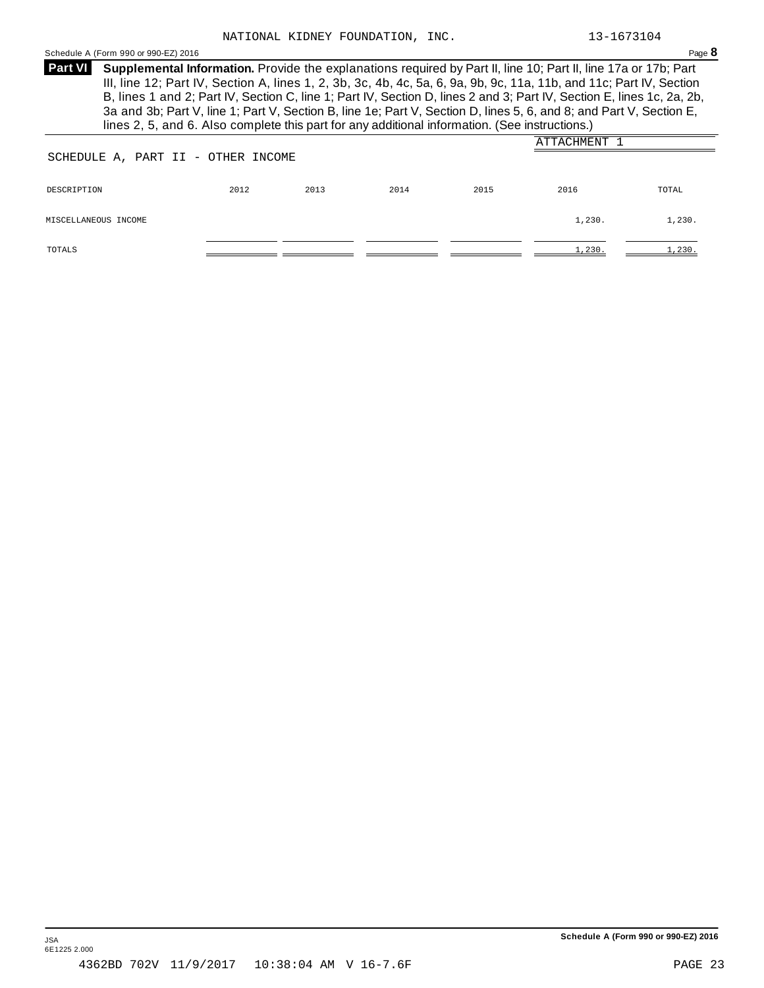Schedule A (Form 990 or 990-EZ) 2016 Page **8**

**Supplemental Information.** Provide the explanations required by Part II, line 10; Part II, line 17a or 17b; Part **Part VI**  III, line 12; Part IV, Section A, lines 1, 2, 3b, 3c, 4b, 4c, 5a, 6, 9a, 9b, 9c, 11a, 11b, and 11c; Part IV, Section B, lines 1 and 2; Part IV, Section C, line 1; Part IV, Section D, lines 2 and 3; Part IV, Section E, lines 1c, 2a, 2b, 3a and 3b; Part V, line 1; Part V, Section B, line 1e; Part V, Section D, lines 5, 6, and 8; and Part V, Section E, lines 2, 5, and 6. Also complete this part for any additional information. (See instructions.)

|                                    |      |      |      |      | ATTACHMENT |        |
|------------------------------------|------|------|------|------|------------|--------|
| SCHEDULE A, PART II - OTHER INCOME |      |      |      |      |            |        |
|                                    |      |      |      |      |            |        |
| DESCRIPTION                        | 2012 | 2013 | 2014 | 2015 | 2016       | TOTAL  |
|                                    |      |      |      |      |            |        |
| MISCELLANEOUS INCOME               |      |      |      |      | 1,230.     | 1,230. |
|                                    |      |      |      |      |            |        |
| TOTALS                             |      |      |      |      | 1,230.     | 1,230. |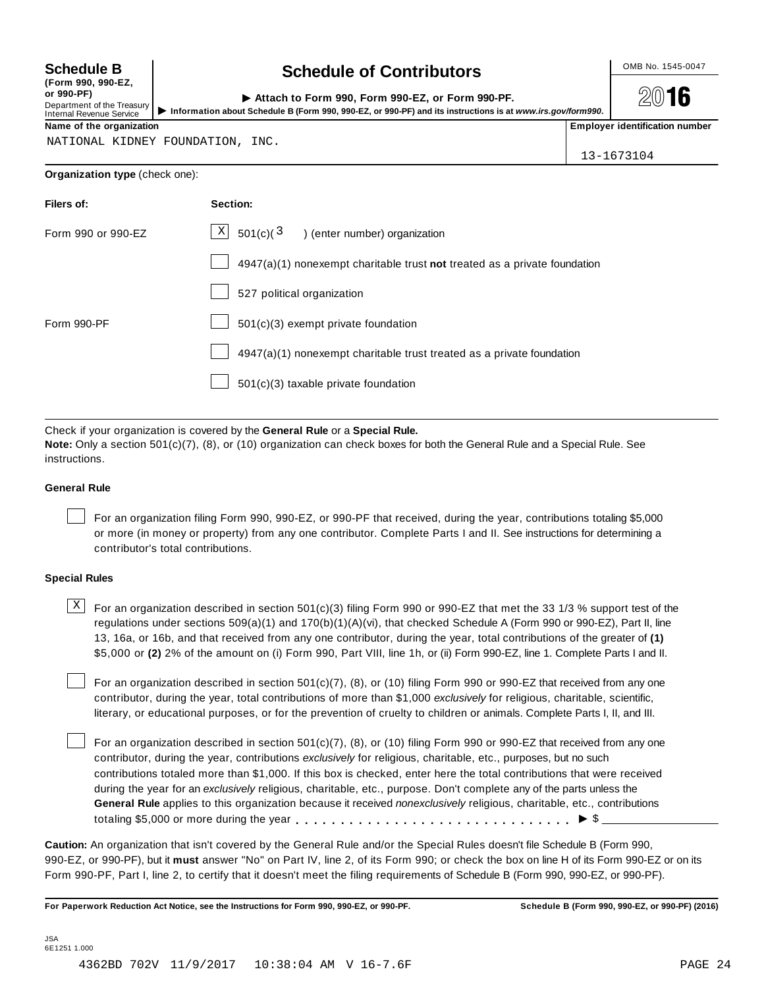| <b>Schedule B</b> |  |
|-------------------|--|
|-------------------|--|

**(Form 990, 990-EZ, or 990-PF)** Department of the Treasury Internal Revenue Service

## Schedule B Contributors **Contribution**

| ( FUI III  990, 990 EL,<br>or 990-PF).<br>Department of the Treasury  <br>Internal Revenue Service | Attach to Form 990. Form 990-EZ, or Form 990-PF.<br>$\cdot$ Information about Schedule B (Form 990, 990-EZ, or 990-PF) and its instructions is at www.irs.gov/form990, |  | 2016 |
|----------------------------------------------------------------------------------------------------|------------------------------------------------------------------------------------------------------------------------------------------------------------------------|--|------|
| Name of the organization                                                                           | l Emplover identification number                                                                                                                                       |  |      |

**2016** 

NATIONAL KIDNEY FOUNDATION, INC.

13-1673104

#### **Organization type** (check one):

| Section:                                                                    |
|-----------------------------------------------------------------------------|
| $\boxed{\text{X}}$ 501(c)( $^3$ ) (enter number) organization               |
| $4947(a)(1)$ nonexempt charitable trust not treated as a private foundation |
| 527 political organization                                                  |
| 501(c)(3) exempt private foundation                                         |
| 4947(a)(1) nonexempt charitable trust treated as a private foundation       |
| 501(c)(3) taxable private foundation                                        |
|                                                                             |

Check if your organization is covered by the **General Rule** or a **Special Rule.**

**Note:** Only a section 501(c)(7), (8), or (10) organization can check boxes for both the General Rule and a Special Rule. See instructions.

#### **General Rule**

For an organization filing Form 990, 990-EZ, or 990-PF that received, during the year, contributions totaling \$5,000 or more (in money or property) from any one contributor. Complete Parts I and II. See instructions for determining a contributor's total contributions.

#### **Special Rules**

 $\text{X}$  For an organization described in section 501(c)(3) filing Form 990 or 990-EZ that met the 33 1/3 % support test of the regulations under sections 509(a)(1) and 170(b)(1)(A)(vi), that checked Schedule A (Form 990 or 990-EZ), Part II, line 13, 16a, or 16b, and that received from any one contributor, during the year, total contributions of the greater of **(1)** \$5,000 or **(2)** 2% of the amount on (i) Form 990, Part VIII, line 1h, or (ii) Form 990-EZ, line 1. Complete Parts I and II.

For an organization described in section 501(c)(7), (8), or (10) filing Form 990 or 990-EZ that received from any one contributor, during the year, total contributions of more than \$1,000 *exclusively* for religious, charitable, scientific, literary, or educational purposes, or for the prevention of cruelty to children or animals. Complete Parts I, II, and III.

For an organization described in section 501(c)(7), (8), or (10) filing Form 990 or 990-EZ that received from any one contributor, during the year, contributions *exclusively* for religious, charitable, etc., purposes, but no such contributions totaled more than \$1,000. If this box is checked, enter here the total contributions that were received during the year for an *exclusively* religious, charitable, etc., purpose. Don't complete any of the parts unless the **General Rule** applies to this organization because it received *nonexclusively* religious, charitable, etc., contributions totaling \$5,000 or more during the year  $\ldots \ldots \ldots \ldots \ldots \ldots \ldots \ldots \ldots \vdots \bullet$   $\mathcal{S}$ 

**Caution:** An organization that isn't covered by the General Rule and/or the Special Rules doesn't file Schedule B (Form 990, 990-EZ, or 990-PF), but it **must** answer "No" on Part IV, line 2, of its Form 990; or check the box on line H of its Form 990-EZ or on its Form 990-PF, Part I, line 2, to certify that it doesn't meet the filing requirements of Schedule B (Form 990, 990-EZ, or 990-PF).

**For Paperwork Reduction Act Notice, see the Instructions for Form 990, 990-EZ, or 990-PF. Schedule B (Form 990, 990-EZ, or 990-PF) (2016)**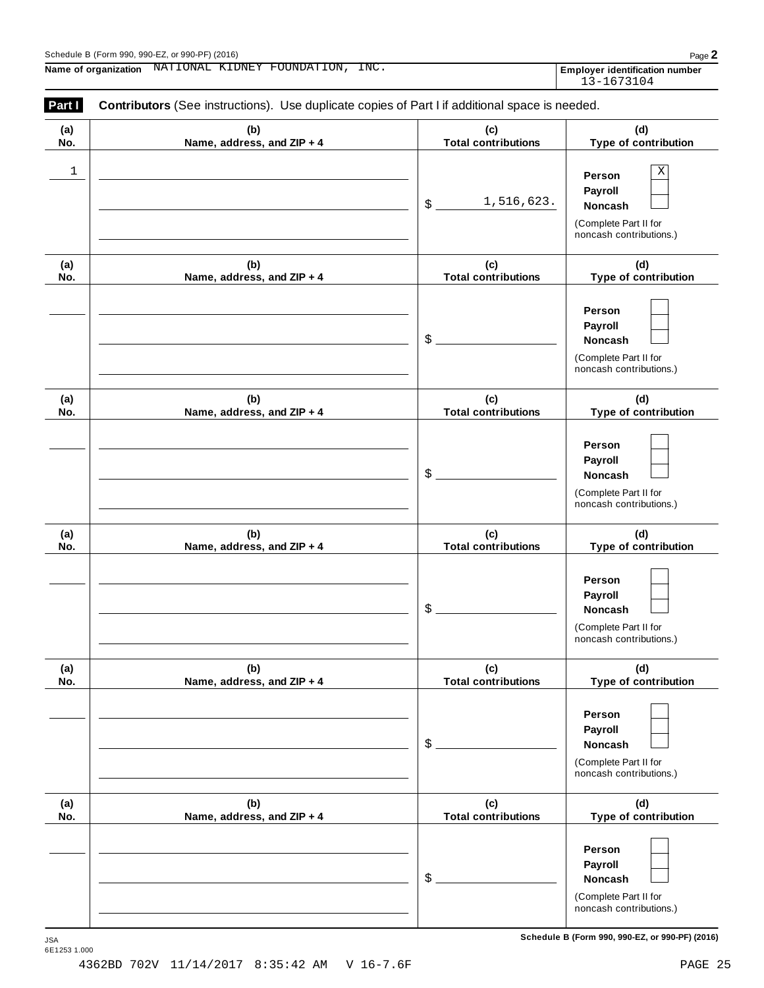6E1253 1.000

Schedule B (Form 990, 990-EZ, or 990-PF) (2016)

(Complete Part II for noncash contributions.)

| No.         | Name, address, and ZIP + 4        | <b>Total contributions</b>        | Type of contribution                                                                  |
|-------------|-----------------------------------|-----------------------------------|---------------------------------------------------------------------------------------|
| $\mathbf 1$ |                                   | 1,516,623.<br>$\mathfrak{S}$      | Х<br>Person<br>Payroll<br>Noncash<br>(Complete Part II for<br>noncash contributions.) |
| (a)<br>No.  | (b)<br>Name, address, and ZIP + 4 | (c)<br><b>Total contributions</b> | (d)<br>Type of contribution                                                           |
|             |                                   | \$                                | Person<br>Payroll<br>Noncash<br>(Complete Part II for<br>noncash contributions.)      |
| (a)<br>No.  | (b)<br>Name, address, and ZIP + 4 | (c)<br><b>Total contributions</b> | (d)<br>Type of contribution                                                           |
|             |                                   | \$                                | Person<br>Payroll<br>Noncash<br>(Complete Part II for<br>noncash contributions.)      |
| (a)<br>No.  | (b)<br>Name, address, and ZIP + 4 | (c)<br><b>Total contributions</b> | (d)<br>Type of contribution                                                           |
|             |                                   | \$                                | Person<br>Payroll<br>Noncash<br>(Complete Part II for<br>noncash contributions.)      |
| (a)<br>No.  | (b)<br>Name, address, and ZIP + 4 | (c)<br><b>Total contributions</b> | (d)<br>Type of contribution                                                           |
|             |                                   | \$                                | Person<br>Payroll<br>Noncash<br>(Complete Part II for<br>noncash contributions.)      |
| (a)<br>No.  | (b)<br>Name, address, and ZIP + 4 | (c)<br><b>Total contributions</b> | (d)<br>Type of contribution                                                           |
|             |                                   | \$                                | Person<br>Payroll<br>Noncash<br>Complete Part II for                                  |

**Part I** Contributors (See instructions). Use duplicate copies of Part I if additional space is needed.

**(b)**

**(a)**

 $\overline{\phantom{a}}$ 

**(d)**

**(c)**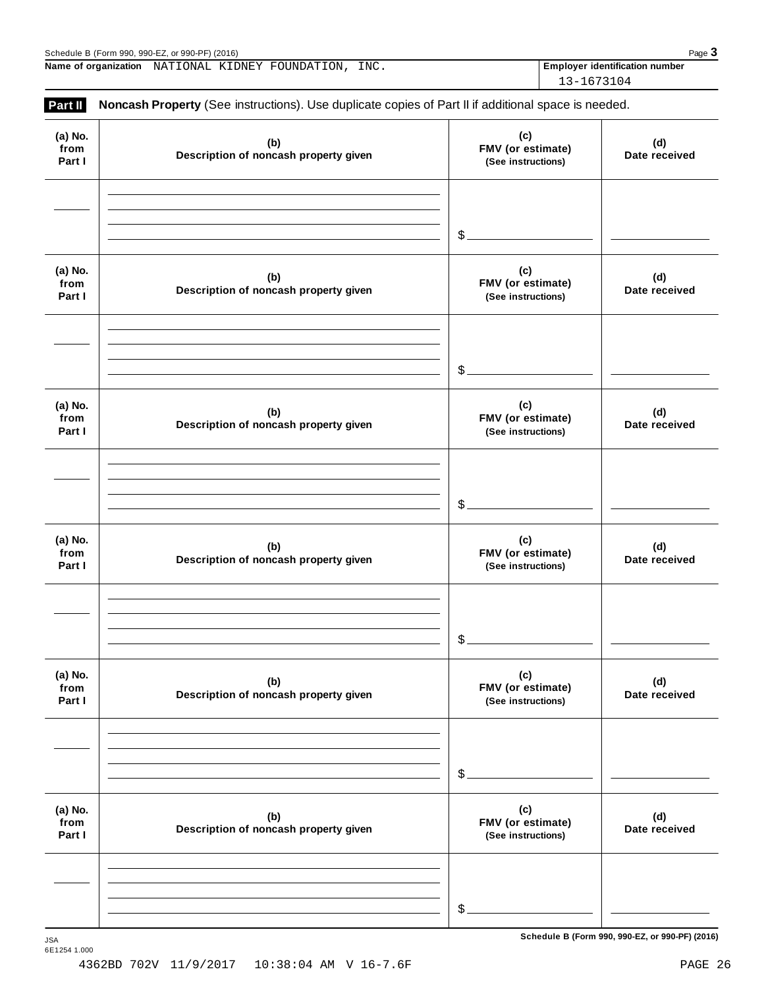| --<br>Schedule<br>(2016)<br>. aar<br>$990 -$<br>990<br>(Form<br>.<br>-7511 | Pac<br>u |
|----------------------------------------------------------------------------|----------|
|----------------------------------------------------------------------------|----------|

**Name of organization** NATIONAL KIDNEY FOUNDATION, INC**. Employer identification number** 

13-1673104

| Part II                   | Noncash Property (See instructions). Use duplicate copies of Part II if additional space is needed. |                                                |                      |
|---------------------------|-----------------------------------------------------------------------------------------------------|------------------------------------------------|----------------------|
| (a) No.<br>from<br>Part I | (b)<br>Description of noncash property given                                                        | (c)<br>FMV (or estimate)<br>(See instructions) | (d)<br>Date received |
|                           |                                                                                                     | $\frac{2}{2}$                                  |                      |
| (a) No.<br>from<br>Part I | (b)<br>Description of noncash property given                                                        | (c)<br>FMV (or estimate)<br>(See instructions) | (d)<br>Date received |
|                           |                                                                                                     | $\frac{2}{2}$                                  |                      |
| (a) No.<br>from<br>Part I | (b)<br>Description of noncash property given                                                        | (c)<br>FMV (or estimate)<br>(See instructions) | (d)<br>Date received |
|                           |                                                                                                     | $\frac{2}{2}$                                  |                      |
| (a) No.<br>from<br>Part I | (b)<br>Description of noncash property given                                                        | (c)<br>FMV (or estimate)<br>(See instructions) | (d)<br>Date received |
|                           |                                                                                                     | \$.                                            |                      |
| (a) No.<br>from<br>Part I | (b)<br>Description of noncash property given                                                        | (c)<br>FMV (or estimate)<br>(See instructions) | (d)<br>Date received |
|                           |                                                                                                     | \$.                                            |                      |
| (a) No.<br>from<br>Part I | (b)<br>Description of noncash property given                                                        | (c)<br>FMV (or estimate)<br>(See instructions) | (d)<br>Date received |
|                           |                                                                                                     | $\frac{1}{2}$                                  |                      |

Schedule B (Form 990, 990-EZ, or 990-PF) (2016)

6E1254 1.000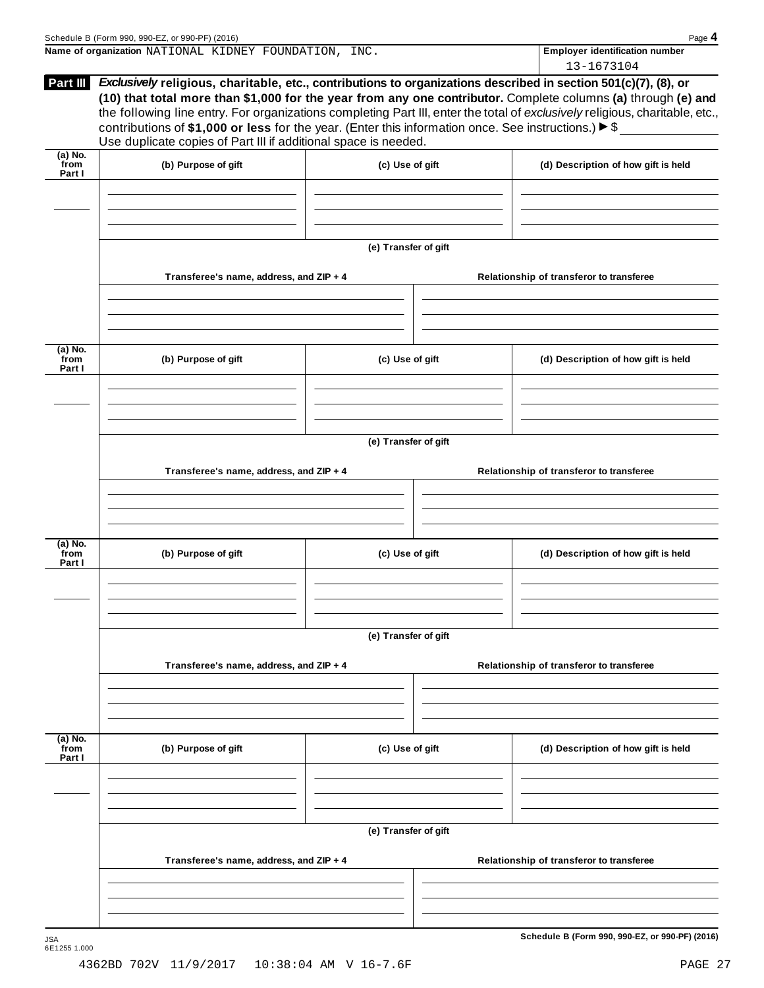|                           | Name of organization NATIONAL KIDNEY FOUNDATION, INC.                                                                                                                                       |                      | <b>Employer identification number</b><br>13-1673104                                                                                                                                                                                                                                                                                                              |
|---------------------------|---------------------------------------------------------------------------------------------------------------------------------------------------------------------------------------------|----------------------|------------------------------------------------------------------------------------------------------------------------------------------------------------------------------------------------------------------------------------------------------------------------------------------------------------------------------------------------------------------|
| Part III                  | contributions of \$1,000 or less for the year. (Enter this information once. See instructions.) $\blacktriangleright$ \$<br>Use duplicate copies of Part III if additional space is needed. |                      | Exclusively religious, charitable, etc., contributions to organizations described in section 501(c)(7), (8), or<br>(10) that total more than \$1,000 for the year from any one contributor. Complete columns (a) through (e) and<br>the following line entry. For organizations completing Part III, enter the total of exclusively religious, charitable, etc., |
| (a) No.<br>from<br>Part I | (b) Purpose of gift                                                                                                                                                                         | (c) Use of gift      | (d) Description of how gift is held                                                                                                                                                                                                                                                                                                                              |
|                           |                                                                                                                                                                                             |                      |                                                                                                                                                                                                                                                                                                                                                                  |
|                           |                                                                                                                                                                                             | (e) Transfer of gift |                                                                                                                                                                                                                                                                                                                                                                  |
|                           | Transferee's name, address, and ZIP + 4                                                                                                                                                     |                      | Relationship of transferor to transferee                                                                                                                                                                                                                                                                                                                         |
|                           |                                                                                                                                                                                             |                      |                                                                                                                                                                                                                                                                                                                                                                  |
| (a) No.<br>from<br>Part I | (b) Purpose of gift                                                                                                                                                                         | (c) Use of gift      | (d) Description of how gift is held                                                                                                                                                                                                                                                                                                                              |
|                           | Transferee's name, address, and ZIP + 4                                                                                                                                                     | (e) Transfer of gift | Relationship of transferor to transferee                                                                                                                                                                                                                                                                                                                         |
| (a) No.                   |                                                                                                                                                                                             |                      |                                                                                                                                                                                                                                                                                                                                                                  |
| from<br>Part I            | (b) Purpose of gift                                                                                                                                                                         | (c) Use of gift      | (d) Description of how gift is held                                                                                                                                                                                                                                                                                                                              |
|                           |                                                                                                                                                                                             |                      |                                                                                                                                                                                                                                                                                                                                                                  |
|                           |                                                                                                                                                                                             | (e) Transfer of gift |                                                                                                                                                                                                                                                                                                                                                                  |
|                           | Transferee's name, address, and ZIP + 4                                                                                                                                                     |                      | Relationship of transferor to transferee                                                                                                                                                                                                                                                                                                                         |
| $(a)$ No.<br>`from        | (b) Purpose of gift                                                                                                                                                                         | (c) Use of gift      | (d) Description of how gift is held                                                                                                                                                                                                                                                                                                                              |
| Part I                    |                                                                                                                                                                                             |                      |                                                                                                                                                                                                                                                                                                                                                                  |

**(e) Transfer of gift**

**Transferee's name, address, and ZIP + 4 Relationship of transferor to transferee** Schedule B (Form 990, 990-EZ, or 990-PF) (2016)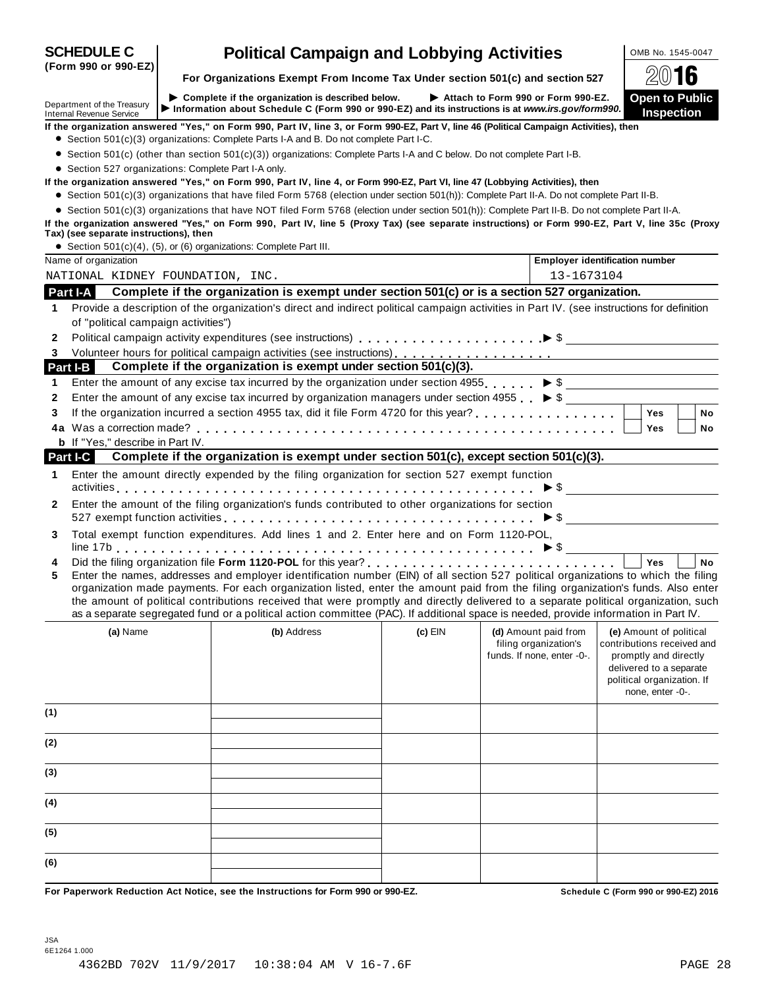| <b>SCHEDULE C</b>                                             | <b>Political Campaign and Lobbying Activities</b>                                                                                                                                                                                                                                                                                                                                                                                                                                                                                                    |           |                                                                             | OMB No. 1545-0047                                                                                                                                           |
|---------------------------------------------------------------|------------------------------------------------------------------------------------------------------------------------------------------------------------------------------------------------------------------------------------------------------------------------------------------------------------------------------------------------------------------------------------------------------------------------------------------------------------------------------------------------------------------------------------------------------|-----------|-----------------------------------------------------------------------------|-------------------------------------------------------------------------------------------------------------------------------------------------------------|
| (Form 990 or 990-EZ)                                          | For Organizations Exempt From Income Tax Under section 501(c) and section 527                                                                                                                                                                                                                                                                                                                                                                                                                                                                        |           |                                                                             | 2016                                                                                                                                                        |
| Department of the Treasury<br><b>Internal Revenue Service</b> | Complete if the organization is described below.<br>Information about Schedule C (Form 990 or 990-EZ) and its instructions is at www.irs.gov/form990.                                                                                                                                                                                                                                                                                                                                                                                                |           | Attach to Form 990 or Form 990-EZ.                                          | <b>Open to Public</b><br>Inspection                                                                                                                         |
|                                                               | If the organization answered "Yes," on Form 990, Part IV, line 3, or Form 990-EZ, Part V, line 46 (Political Campaign Activities), then<br>• Section 501(c)(3) organizations: Complete Parts I-A and B. Do not complete Part I-C.                                                                                                                                                                                                                                                                                                                    |           |                                                                             |                                                                                                                                                             |
|                                                               | • Section 501(c) (other than section 501(c)(3)) organizations: Complete Parts I-A and C below. Do not complete Part I-B.                                                                                                                                                                                                                                                                                                                                                                                                                             |           |                                                                             |                                                                                                                                                             |
|                                                               | • Section 527 organizations: Complete Part I-A only.                                                                                                                                                                                                                                                                                                                                                                                                                                                                                                 |           |                                                                             |                                                                                                                                                             |
|                                                               | If the organization answered "Yes," on Form 990, Part IV, line 4, or Form 990-EZ, Part VI, line 47 (Lobbying Activities), then                                                                                                                                                                                                                                                                                                                                                                                                                       |           |                                                                             |                                                                                                                                                             |
|                                                               | • Section 501(c)(3) organizations that have filed Form 5768 (election under section 501(h)): Complete Part II-A. Do not complete Part II-B.                                                                                                                                                                                                                                                                                                                                                                                                          |           |                                                                             |                                                                                                                                                             |
| Tax) (see separate instructions), then                        | • Section 501(c)(3) organizations that have NOT filed Form 5768 (election under section 501(h)): Complete Part II-B. Do not complete Part II-A.<br>If the organization answered "Yes," on Form 990, Part IV, line 5 (Proxy Tax) (see separate instructions) or Form 990-EZ, Part V, line 35c (Proxy                                                                                                                                                                                                                                                  |           |                                                                             |                                                                                                                                                             |
|                                                               | • Section 501(c)(4), (5), or (6) organizations: Complete Part III.                                                                                                                                                                                                                                                                                                                                                                                                                                                                                   |           |                                                                             |                                                                                                                                                             |
| Name of organization                                          |                                                                                                                                                                                                                                                                                                                                                                                                                                                                                                                                                      |           | <b>Employer identification number</b>                                       |                                                                                                                                                             |
|                                                               | NATIONAL KIDNEY FOUNDATION, INC.                                                                                                                                                                                                                                                                                                                                                                                                                                                                                                                     |           | 13-1673104                                                                  |                                                                                                                                                             |
| Part I-A                                                      | Complete if the organization is exempt under section 501(c) or is a section 527 organization.                                                                                                                                                                                                                                                                                                                                                                                                                                                        |           |                                                                             |                                                                                                                                                             |
| 1                                                             | Provide a description of the organization's direct and indirect political campaign activities in Part IV. (see instructions for definition                                                                                                                                                                                                                                                                                                                                                                                                           |           |                                                                             |                                                                                                                                                             |
| of "political campaign activities")                           |                                                                                                                                                                                                                                                                                                                                                                                                                                                                                                                                                      |           |                                                                             |                                                                                                                                                             |
| 2                                                             |                                                                                                                                                                                                                                                                                                                                                                                                                                                                                                                                                      |           |                                                                             |                                                                                                                                                             |
| 3                                                             |                                                                                                                                                                                                                                                                                                                                                                                                                                                                                                                                                      |           |                                                                             |                                                                                                                                                             |
| <b>Part I-B</b>                                               | Complete if the organization is exempt under section 501(c)(3).                                                                                                                                                                                                                                                                                                                                                                                                                                                                                      |           |                                                                             |                                                                                                                                                             |
| 1.                                                            | Enter the amount of any excise tax incurred by the organization under section 4955. $\triangleright$ \$                                                                                                                                                                                                                                                                                                                                                                                                                                              |           |                                                                             |                                                                                                                                                             |
| 2                                                             | Enter the amount of any excise tax incurred by organization managers under section 4955 $\triangleright$ \$                                                                                                                                                                                                                                                                                                                                                                                                                                          |           |                                                                             |                                                                                                                                                             |
| 3                                                             |                                                                                                                                                                                                                                                                                                                                                                                                                                                                                                                                                      |           |                                                                             | Yes<br><b>No</b>                                                                                                                                            |
|                                                               |                                                                                                                                                                                                                                                                                                                                                                                                                                                                                                                                                      |           |                                                                             | Yes<br><b>No</b>                                                                                                                                            |
| <b>b</b> If "Yes," describe in Part IV.                       |                                                                                                                                                                                                                                                                                                                                                                                                                                                                                                                                                      |           |                                                                             |                                                                                                                                                             |
| <b>Part I-C</b>                                               | Complete if the organization is exempt under section 501(c), except section 501(c)(3).                                                                                                                                                                                                                                                                                                                                                                                                                                                               |           |                                                                             |                                                                                                                                                             |
| 1                                                             | Enter the amount directly expended by the filing organization for section 527 exempt function                                                                                                                                                                                                                                                                                                                                                                                                                                                        |           |                                                                             |                                                                                                                                                             |
| $\mathbf{2}$                                                  | Enter the amount of the filing organization's funds contributed to other organizations for section                                                                                                                                                                                                                                                                                                                                                                                                                                                   |           |                                                                             |                                                                                                                                                             |
|                                                               | 527 exempt function activities $\ldots \ldots \ldots \ldots \ldots \ldots \ldots \ldots \ldots \ldots \ldots \blacktriangleright$ \$ __________________________                                                                                                                                                                                                                                                                                                                                                                                      |           |                                                                             |                                                                                                                                                             |
| 3                                                             | Total exempt function expenditures. Add lines 1 and 2. Enter here and on Form 1120-POL,                                                                                                                                                                                                                                                                                                                                                                                                                                                              |           |                                                                             |                                                                                                                                                             |
| 4<br>5                                                        | Enter the names, addresses and employer identification number (EIN) of all section 527 political organizations to which the filing<br>organization made payments. For each organization listed, enter the amount paid from the filing organization's funds. Also enter<br>the amount of political contributions received that were promptly and directly delivered to a separate political organization, such<br>as a separate segregated fund or a political action committee (PAC). If additional space is needed, provide information in Part IV. |           |                                                                             | Yes<br><b>No</b>                                                                                                                                            |
| (a) Name                                                      | (b) Address                                                                                                                                                                                                                                                                                                                                                                                                                                                                                                                                          | $(c)$ EIN | (d) Amount paid from<br>filing organization's<br>funds. If none, enter -0-. | (e) Amount of political<br>contributions received and<br>promptly and directly<br>delivered to a separate<br>political organization. If<br>none, enter -0-. |
| (1)                                                           |                                                                                                                                                                                                                                                                                                                                                                                                                                                                                                                                                      |           |                                                                             |                                                                                                                                                             |
| (2)                                                           |                                                                                                                                                                                                                                                                                                                                                                                                                                                                                                                                                      |           |                                                                             |                                                                                                                                                             |
| (3)                                                           |                                                                                                                                                                                                                                                                                                                                                                                                                                                                                                                                                      |           |                                                                             |                                                                                                                                                             |
| (4)                                                           |                                                                                                                                                                                                                                                                                                                                                                                                                                                                                                                                                      |           |                                                                             |                                                                                                                                                             |
| (5)                                                           |                                                                                                                                                                                                                                                                                                                                                                                                                                                                                                                                                      |           |                                                                             |                                                                                                                                                             |
| (6)                                                           |                                                                                                                                                                                                                                                                                                                                                                                                                                                                                                                                                      |           |                                                                             |                                                                                                                                                             |
|                                                               | For Paperwork Reduction Act Notice, see the Instructions for Form 990 or 990-EZ.                                                                                                                                                                                                                                                                                                                                                                                                                                                                     |           |                                                                             | Schedule C (Form 990 or 990-EZ) 2016                                                                                                                        |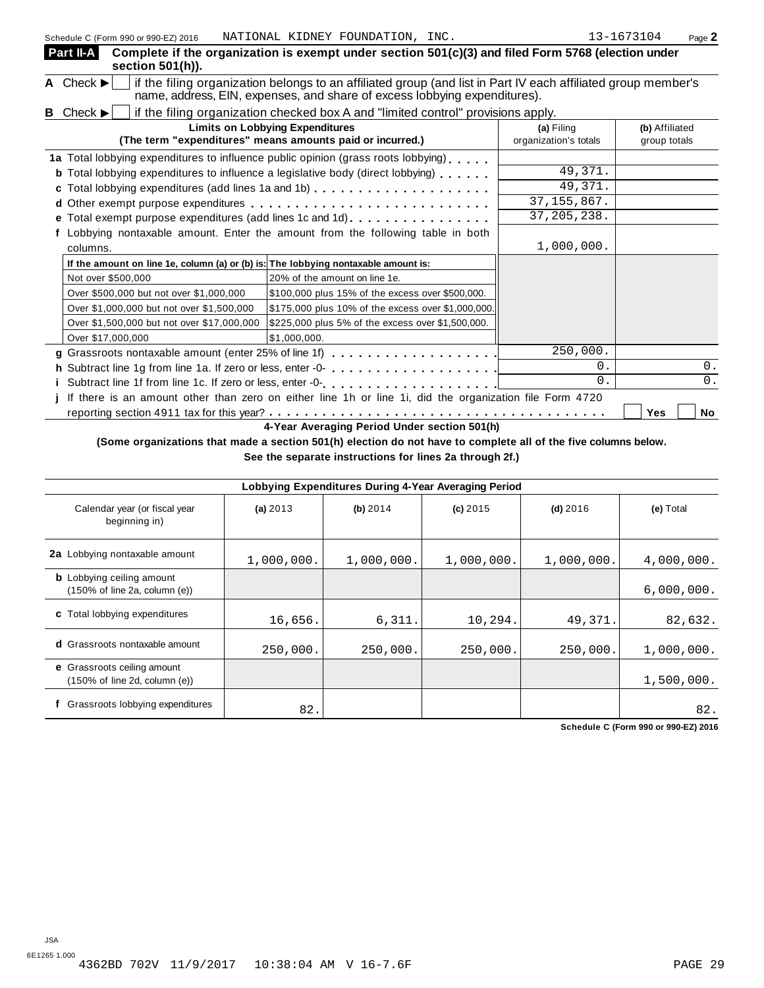| section 501(h)).                                                                                                                                                                                                            |                          | Complete if the organization is exempt under section 501(c)(3) and filed Form 5768 (election under |
|-----------------------------------------------------------------------------------------------------------------------------------------------------------------------------------------------------------------------------|--------------------------|----------------------------------------------------------------------------------------------------|
| if the filing organization belongs to an affiliated group (and list in Part IV each affiliated group member's<br>A Check $\blacktriangleright$<br>name, address, EIN, expenses, and share of excess lobbying expenditures). |                          |                                                                                                    |
| <b>B</b> Check $\blacktriangleright$<br>if the filing organization checked box A and "limited control" provisions apply.                                                                                                    |                          |                                                                                                    |
| <b>Limits on Lobbying Expenditures</b>                                                                                                                                                                                      | (a) Filing               | (b) Affiliated                                                                                     |
| (The term "expenditures" means amounts paid or incurred.)                                                                                                                                                                   | organization's totals    | group totals                                                                                       |
| 1a Total lobbying expenditures to influence public opinion (grass roots lobbying)                                                                                                                                           |                          |                                                                                                    |
| <b>b</b> Total lobbying expenditures to influence a legislative body (direct lobbying)                                                                                                                                      | 49,371.                  |                                                                                                    |
| c Total lobbying expenditures (add lines 1a and 1b)                                                                                                                                                                         | 49,371.                  |                                                                                                    |
|                                                                                                                                                                                                                             | $\overline{37,}155,867.$ |                                                                                                    |
| e Total exempt purpose expenditures (add lines 1c and 1d)                                                                                                                                                                   | 37, 205, 238.            |                                                                                                    |
| f Lobbying nontaxable amount. Enter the amount from the following table in both                                                                                                                                             |                          |                                                                                                    |
| columns.                                                                                                                                                                                                                    | 1,000,000.               |                                                                                                    |
| If the amount on line 1e, column (a) or (b) is: The lobbying nontaxable amount is:                                                                                                                                          |                          |                                                                                                    |
| Not over \$500,000<br>20% of the amount on line 1e.                                                                                                                                                                         |                          |                                                                                                    |
| \$100,000 plus 15% of the excess over \$500,000.<br>Over \$500,000 but not over \$1,000,000                                                                                                                                 |                          |                                                                                                    |
| Over \$1,000,000 but not over \$1,500,000<br>\$175,000 plus 10% of the excess over \$1,000,000.                                                                                                                             |                          |                                                                                                    |
| Over \$1,500,000 but not over \$17,000,000<br>\$225,000 plus 5% of the excess over \$1,500,000.                                                                                                                             |                          |                                                                                                    |
| Over \$17,000,000<br>\$1,000,000.                                                                                                                                                                                           |                          |                                                                                                    |
| g Grassroots nontaxable amount (enter 25% of line 1f)                                                                                                                                                                       | 250,000.                 |                                                                                                    |
|                                                                                                                                                                                                                             | 0.                       | $0$ .                                                                                              |
| i Subtract line 1f from line 1c. If zero or less, enter -0-                                                                                                                                                                 | $\overline{0}$ .         | 0.                                                                                                 |
| If there is an amount other than zero on either line 1h or line 1i, did the organization file Form 4720                                                                                                                     |                          |                                                                                                    |
|                                                                                                                                                                                                                             |                          | No<br>Yes                                                                                          |
| 4-Year Averaging Period Under section 501(h)                                                                                                                                                                                |                          |                                                                                                    |

**(Some organizations that made a section 501(h) election do not have to complete all of the five columns below.**

**See the separate instructions for lines 2a through 2f.)**

| Lobbying Expenditures During 4-Year Averaging Period                                     |            |            |            |            |            |  |  |  |
|------------------------------------------------------------------------------------------|------------|------------|------------|------------|------------|--|--|--|
| Calendar year (or fiscal year<br>beginning in)                                           | (a) $2013$ | (b) 2014   | $(c)$ 2015 | $(d)$ 2016 | (e) Total  |  |  |  |
| 2a Lobbying nontaxable amount                                                            | 1,000,000. | 1,000,000. | 1,000,000. | 1,000,000. | 4,000,000. |  |  |  |
| <b>b</b> Lobbying ceiling amount<br>$(150\% \text{ of line } 2a, \text{ column } (e))$   |            |            |            |            | 6,000,000. |  |  |  |
| c Total lobbying expenditures                                                            | 16,656.    | 6,311.     | 10,294.    | 49,371.    | 82,632.    |  |  |  |
| <b>d</b> Grassroots nontaxable amount                                                    | 250,000.   | 250,000.   | 250,000.   | 250,000.   | 1,000,000. |  |  |  |
| <b>e</b> Grassroots ceiling amount<br>$(150\% \text{ of line } 2d, \text{ column } (e))$ |            |            |            |            | 1,500,000. |  |  |  |
| Grassroots lobbying expenditures                                                         | 82.        |            |            |            | 82.        |  |  |  |

**Schedule C (Form 990 or 990-EZ) 2016**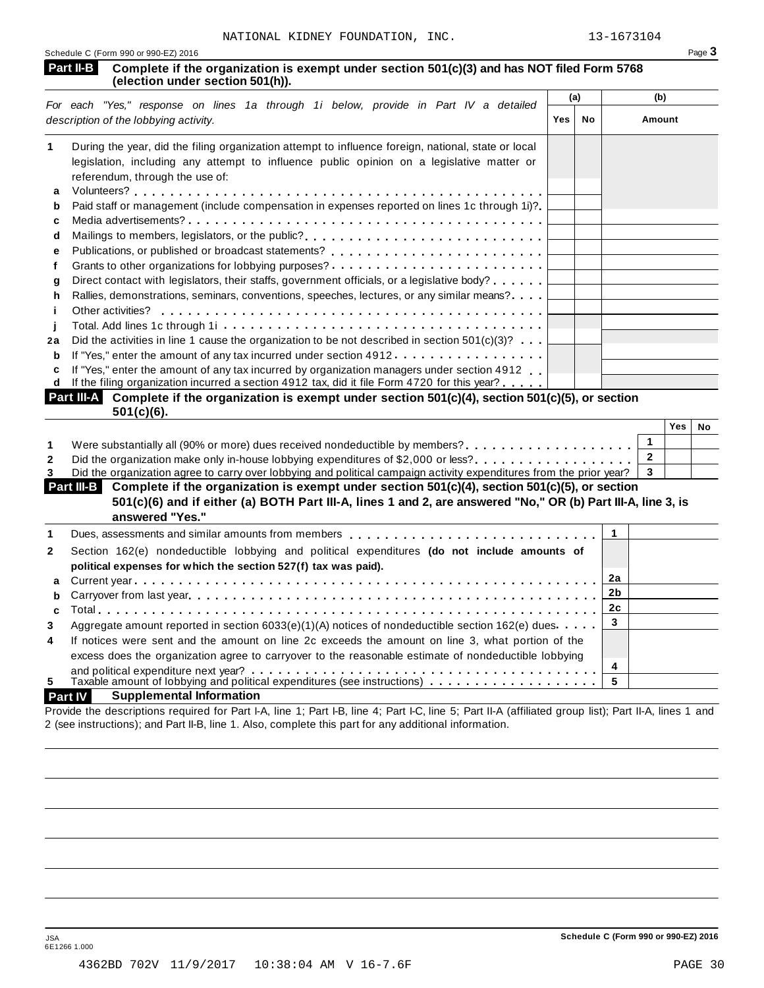|           | Schedule C (Form 990 or 990-EZ) 2016                                                                                           |     |     | Page $3$ |  |  |  |  |
|-----------|--------------------------------------------------------------------------------------------------------------------------------|-----|-----|----------|--|--|--|--|
| Part II-B | Complete if the organization is exempt under section 501(c)(3) and has NOT filed Form 5768<br>(election under section 501(h)). |     |     |          |  |  |  |  |
|           |                                                                                                                                |     | (a) | (b)      |  |  |  |  |
|           | For each "Yes," response on lines 1a through 1i below, provide in Part IV a detailed<br>description of the lobbying activity.  | Yes | No  | Amount   |  |  |  |  |

|    | For each "Yes," response on lines 1a through 1i below, provide in Part IV a detailed<br>description of the lobbying activity.  | Yes | <b>No</b> | Amount |
|----|--------------------------------------------------------------------------------------------------------------------------------|-----|-----------|--------|
| 1  | During the year, did the filing organization attempt to influence foreign, national, state or local                            |     |           |        |
|    | legislation, including any attempt to influence public opinion on a legislative matter or                                      |     |           |        |
|    | referendum, through the use of:                                                                                                |     |           |        |
| a  |                                                                                                                                |     |           |        |
| b  | Paid staff or management (include compensation in expenses reported on lines 1c through 1i)?                                   |     |           |        |
| c  |                                                                                                                                |     |           |        |
| d  | Mailings to members, legislators, or the public?                                                                               |     |           |        |
| e  |                                                                                                                                |     |           |        |
|    | Grants to other organizations for lobbying purposes?                                                                           |     |           |        |
| g  | Direct contact with legislators, their staffs, government officials, or a legislative body?                                    |     |           |        |
| h. | Rallies, demonstrations, seminars, conventions, speeches, lectures, or any similar means?                                      |     |           |        |
|    | Other activities?                                                                                                              |     |           |        |
|    | Total. Add lines 1c through 1i $\dots\dots\dots\dots\dots\dots\dots\dots\dots\dots\dots\dots\dots\dots\dots\dots\dots$         |     |           |        |
| 2a | Did the activities in line 1 cause the organization to be not described in section $501(c)(3)$ ?                               |     |           |        |
| b  | If "Yes," enter the amount of any tax incurred under section 4912                                                              |     |           |        |
| c  | If "Yes," enter the amount of any tax incurred by organization managers under section 4912                                     |     |           |        |
|    | d If the filing organization incurred a section 4912 tax, did it file Form 4720 for this year?                                 |     |           |        |
|    | Part III-A I<br>Complete if the organization is exempt under section 501(c)(4), section 501(c)(5), or section<br>$501(c)(6)$ . |     |           |        |

|              | $\bf{D}$ if the contract the annount of any tax incurred under section 49.12 $\cdots$ . The contract of $\bf{D}$         |             |     |    |
|--------------|--------------------------------------------------------------------------------------------------------------------------|-------------|-----|----|
|              | c If "Yes," enter the amount of any tax incurred by organization managers under section 4912                             |             |     |    |
|              | d If the filing organization incurred a section 4912 tax, did it file Form 4720 for this year?                           |             |     |    |
|              | Part III-A<br>Complete if the organization is exempt under section $501(c)(4)$ , section $501(c)(5)$ , or section        |             |     |    |
|              | $501(c)(6)$ .                                                                                                            |             |     |    |
|              |                                                                                                                          |             | Yes | No |
|              | Were substantially all (90% or more) dues received nondeductible by members? $\ldots \ldots \ldots \ldots \ldots$        |             |     |    |
| $\mathbf{2}$ |                                                                                                                          | $\mathbf 2$ |     |    |
|              | Did the organization agree to carry over lobbying and political campaign activity expenditures from the prior year?      | -3          |     |    |
|              | <b>Part III.</b> Complete if the examization is exampt under section $E(1/\sqrt{1})$ section $E(1/\sqrt{15})$ or section |             |     |    |

|                                                                                                              | The substantially all (90% of more) questieceived nondequatible by members? $\ldots$ , $\ldots$ , $\ldots$ , $\ldots$ , $\ldots$ |                                                                                                                                                                                                                                                                                                                               |  |  |  |  |
|--------------------------------------------------------------------------------------------------------------|----------------------------------------------------------------------------------------------------------------------------------|-------------------------------------------------------------------------------------------------------------------------------------------------------------------------------------------------------------------------------------------------------------------------------------------------------------------------------|--|--|--|--|
| $\mathbf{2}$                                                                                                 |                                                                                                                                  |                                                                                                                                                                                                                                                                                                                               |  |  |  |  |
| 3                                                                                                            | Did the organization agree to carry over lobbying and political campaign activity expenditures from the prior year? 3            |                                                                                                                                                                                                                                                                                                                               |  |  |  |  |
|                                                                                                              | <b>Part III-B</b> Complete if the organization is exempt under section $501(c)(4)$ , section $501(c)(5)$ , or section            |                                                                                                                                                                                                                                                                                                                               |  |  |  |  |
| 501(c)(6) and if either (a) BOTH Part III-A, lines 1 and 2, are answered "No," OR (b) Part III-A, line 3, is |                                                                                                                                  |                                                                                                                                                                                                                                                                                                                               |  |  |  |  |
|                                                                                                              |                                                                                                                                  |                                                                                                                                                                                                                                                                                                                               |  |  |  |  |
|                                                                                                              |                                                                                                                                  | answered "Yes."                                                                                                                                                                                                                                                                                                               |  |  |  |  |
|                                                                                                              |                                                                                                                                  |                                                                                                                                                                                                                                                                                                                               |  |  |  |  |
| $2^{\circ}$                                                                                                  |                                                                                                                                  | Dues, assessments and similar amounts from members entitled values of the set of the system of the system of the system of the system of the system of the system of the system of the system of the system of the system of t<br>Section 162(e) nondeductible lobbying and political expenditures (do not include amounts of |  |  |  |  |

|              | <u>aanibiasa il siid al'ilanimatichi ia availibe anaal aaasian aa ifalfili aastian aa ifalfalf al-aastian</u><br>501(c)(6) and if either (a) BOTH Part III-A, lines 1 and 2, are answered "No," OR (b) Part III-A, line 3, is<br>answered "Yes." |    |
|--------------|--------------------------------------------------------------------------------------------------------------------------------------------------------------------------------------------------------------------------------------------------|----|
|              | Dues, assessments and similar amounts from members $\ldots \ldots \ldots \ldots \ldots \ldots \ldots \ldots \ldots \perp 1$                                                                                                                      |    |
| $\mathbf{2}$ | Section 162(e) nondeductible lobbying and political expenditures (do not include amounts of<br>political expenses for which the section 527(f) tax was paid).                                                                                    |    |
|              |                                                                                                                                                                                                                                                  | 2a |
|              |                                                                                                                                                                                                                                                  | 2b |
|              |                                                                                                                                                                                                                                                  | 2c |
| 3            | Aggregate amount reported in section 6033(e)(1)(A) notices of nondeductible section 162(e) dues.                                                                                                                                                 |    |
| 4            | If notices were sent and the amount on line 2c exceeds the amount on line 3, what portion of the<br>excess does the organization agree to carryover to the reasonable estimate of nondeductible lobbying                                         |    |
|              |                                                                                                                                                                                                                                                  | 4  |
| 5            |                                                                                                                                                                                                                                                  | -5 |
|              | <b>Supplemental Information</b><br><b>Part IV</b>                                                                                                                                                                                                |    |
|              | ta telepastroniae animalinae anderse harranger en de la de la de                                                                                                                                                                                 |    |

6E1266 1.000

Provide the descriptions required for Part I-A, line 1; Part I-B, line 4; Part I-C, line 5; Part II-A (affiliated group list); Part II-A, lines 1 and 2 (see instructions); and Part II-B, line 1. Also, complete this part for any additional information.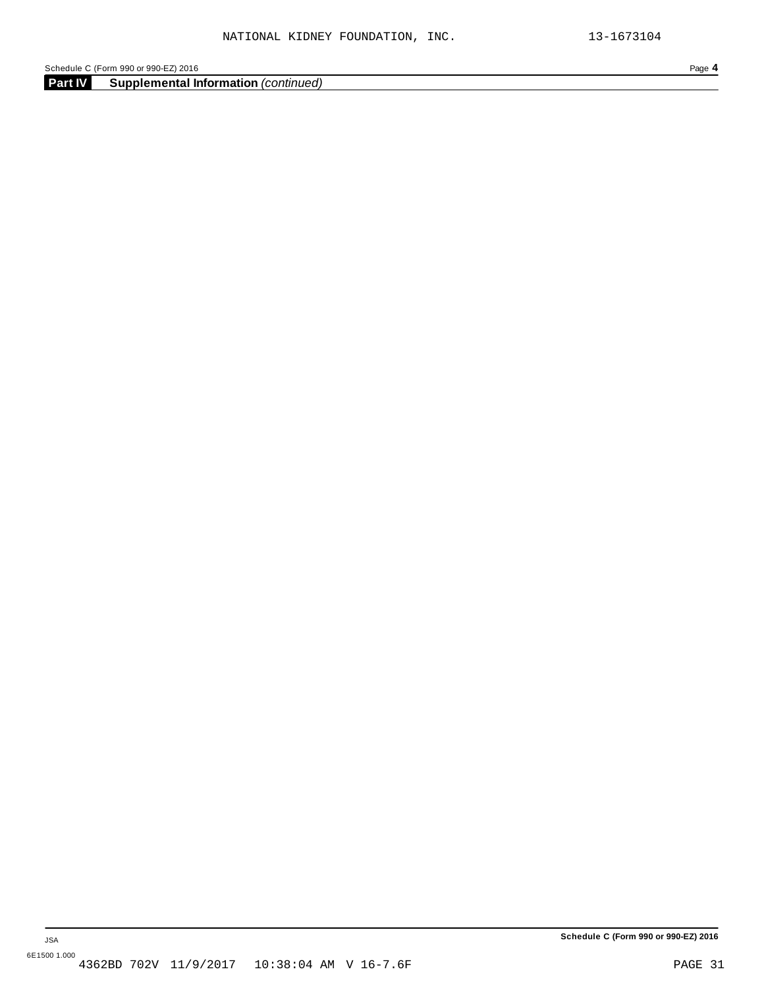**Part IV Supplemental Information** *(continued)*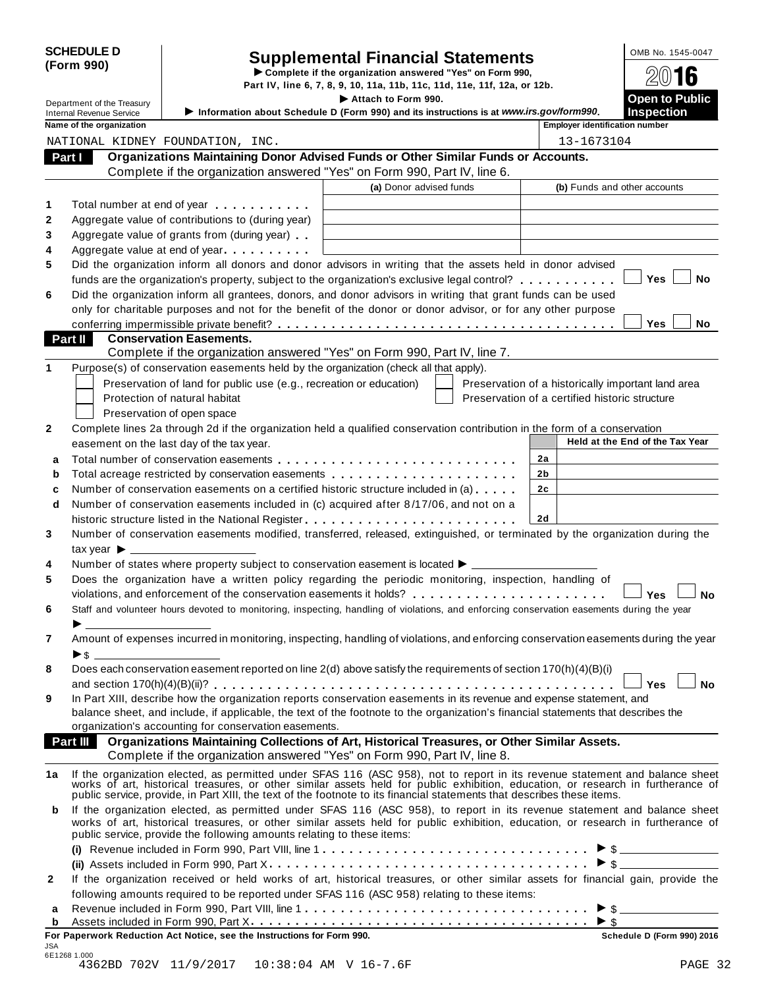| <b>SCHEDULE D</b> |  |
|-------------------|--|
| (Form 990)        |  |

 **Part I** 

**6**

**4 5**

**6**

**7**

**8**

**9**

# **Supplemental Financial Statements** <br> **Examplete if the organization answered "Yes" on Form 990,**  $\frac{\text{OMB No. 1545-0047}}{\text{OM}}$

Part IV, line 6, 7, 8, 9, 10, 11a, 11b, 11c, 11d, 11e, 11f, 12a, or 12b.

Department of the Treasury<br>Department of the Treasury<br>Department of the Treasury **Department of the Treasury of Attach to Form 900, and its instructions is at www.irs acy form 000, and its instructions is at www.irs acy fo** Internal Revenue Service I**Information about Schedule D (Form 990) and its instructions is at** *www.irs.gov/form990***. Inspection Name of the organization Organizations Maintaining Donor Advised Funds or Other Similar Funds or Accounts.** Complete if the organization answered "Yes" on Form 990, Part IV, line 6. **(a)** Donor advised funds **(b)** Funds and other accounts Total number at end of year Aggregate value of contributions to (during year) Aggregate value of grants from (during year) Aggregate value at end of year m<br>
ION, INC.<br> **Intaining Donor Adamization answere**<br> **CONSECTE:**<br> **CONSECTE:** Adere<br>ere<br>ar) Complete if the organization answered "Yes" on Form 990, Part IV, line 6.<br>
Total number at end of year<br>
Aggregate value of contributions to (during year)<br>
Aggregate value of grants from (during year)<br>
Did the organization Fotal number at end of year.<br>Aggregate value of contributions to (during year)<br>Aggregate value of grants from (during year)<br>Did the organization inform all donors and donor advisors in writing that the assets held in donor Did the organization inform all grantees, donors, and donor advisors in writing that grant funds can be used only for charitable purposes and not for the benefit of the donor or donor advisor, or for any other purpose Aggregate value of grants from (during year)<br>
Did the organization inform all donors and donor advisors in writing that the assets held in donor advised<br>
funds are the organization's property, subject to the organization's **Conservation Easements.** Complete if the organization answered "Yes" on Form 990, Part IV, line 7.  **Part II 1** Purpose(s) of conservation easements held by the organization (check all that apply). Preservation of land for public use (e.g., recreation or education) Protection of natural habitat Preservation of open space Preservation of a historically important land area Preservation of a certified historic structure **2** Complete lines 2a through 2d if the organization held a qualified conservation contribution in the form of a conservation easement on the last day of the tax year. **Held at the End of the Tax Year Held at the End of the Tax Year 2a 2b 2c 2d a** Total number of conservation easements **b** Total acreage restricted by conservation easements **c** Number of conservation easements on a certified historic structure included in (a) **d** Number of conservation easements included in (c) acquired after 8/17/06, and not on a (e.g., recreation or education)<br>  $\begin{array}{|c|c|c|c|c|}\n\hline\n\end{array}$  Preservatio<br>
Expreservation<br>
Expreservation media a qualified conservation contribution m m m m m m m m m m m m m m m m m m m m m m m m m m Number of conservation easements included in (c) acquired after 8 /17/06, and not on a Following the structure list day of the tax year.<br> **a** Total number of conservation easements<br> **b** Total acreage restricted by conservation easements<br> **c** Number of conservation easements on a certified historic structure Number of conservation easements modified, transferred, released, extinguished, or terminated by the organization during the tax year  $\blacktriangleright$ Number of states where property subject to conservation easement is located  $\blacktriangleright$ . Does the organization have a written policy regarding the periodic monitoring, inspection, handling of Number of conservation easements included in (c) acquired after 8/17/06, and not on a<br>historic structure listed in the National Register<br>Number of conservation easements modified, transferred, released, extinguished, or te Staff and volunteer hours devoted to monitoring, inspecting, handling of violations, and enforcing conservation easements during the year<br>
<br> **A** Amount of expenses incurred in monitoring, inspecting, handling of violations, and enforcing conservation easements during the year I \$ Does each conservation easement reported on line 2(d) above satisfy the requirements of section 170(h)(4)(B)(i) and section 170(h)(4)(B)(ii)?<br>
and section 170(h)(4)(B)(ii)?<br>
and section 170(h)(4)(B)(iii)?<br>
and section 170(h)(4)(B)(iii)?<br>
and section 170(h)(4)(B)(iii)?<br>
and section 170(h)(4)(B)(iii)?<br>
and section 170(h)(4)(B)(iii)?<br> In Part XIII, describe how the organization reports conservation easements in its revenue and expense statement, and balance sheet, and include, if applicable, the text of the footnote to the organization's financial statements that describes the organization's accounting for conservation easements. **Organizations Maintaining Collections of Art, Historical Treasures, or Other Similar Assets.** Complete if the organization answered "Yes" on Form 990, Part IV, line 8.  **Part III**  1a If the organization elected, as permitted under SFAS 116 (ASC 958), not to report in its revenue statement and balance sheet<br>works of art, historical treasures, or other similar assets held for public exhibition, educat public service, provide, in Part XIII, the text of the footnote to its financial statements that describes these items. **b** If the organization elected, as permitted under SFAS 116 (ASC 958), to report in its revenue statement and balance sheet works of art, historical treasures, or other similar assets held for public exhibition, education, or research in furtherance of The statement are set and for public exhibition, education, or research in the set and for public exhibition, education, or research in other to its financial statements that describes these items.<br>SFAS 116 (ASC 958), to m m m m m m m m m m m m m m m m m m m m m m m m m m m m m m m m m m m m <sup>I</sup> \$ NATIONAL KIDNEY FOUNDATION, INC. 13-1673104

|              | works of art, historical treasures, or other similar assets held for public exhibition, education, or research in furtherance of<br>public service, provide the following amounts relating to these items: |                            |
|--------------|------------------------------------------------------------------------------------------------------------------------------------------------------------------------------------------------------------|----------------------------|
|              | (i) Revenue included in Form 990, Part VIII, line 1 $\dots \dots \dots \dots \dots \dots \dots \dots \dots \dots \dots \bullet \$                                                                          |                            |
|              |                                                                                                                                                                                                            |                            |
| $\mathbf{2}$ | If the organization received or held works of art, historical treasures, or other similar assets for financial gain, provide the                                                                           |                            |
|              | following amounts required to be reported under SFAS 116 (ASC 958) relating to these items:                                                                                                                |                            |
|              |                                                                                                                                                                                                            |                            |
|              | <b>b</b> Assets included in Form 990, Part X $\ldots$ $\ldots$ $\ldots$ $\ldots$ $\ldots$ $\ldots$ $\ldots$ $\ldots$ $\ldots$ $\ldots$ . $\blacktriangleright$ \$                                          |                            |
|              | For Paperwork Reduction Act Notice, see the Instructions for Form 990.                                                                                                                                     | Schedule D (Form 990) 2016 |
| JSA          |                                                                                                                                                                                                            |                            |
|              | 6E1268 1.000                                                                                                                                                                                               |                            |

| .uuu |                                             |         |
|------|---------------------------------------------|---------|
|      | 4362BD 702V 11/9/2017 10:38:04 AM V 16-7.6F | PAGE 32 |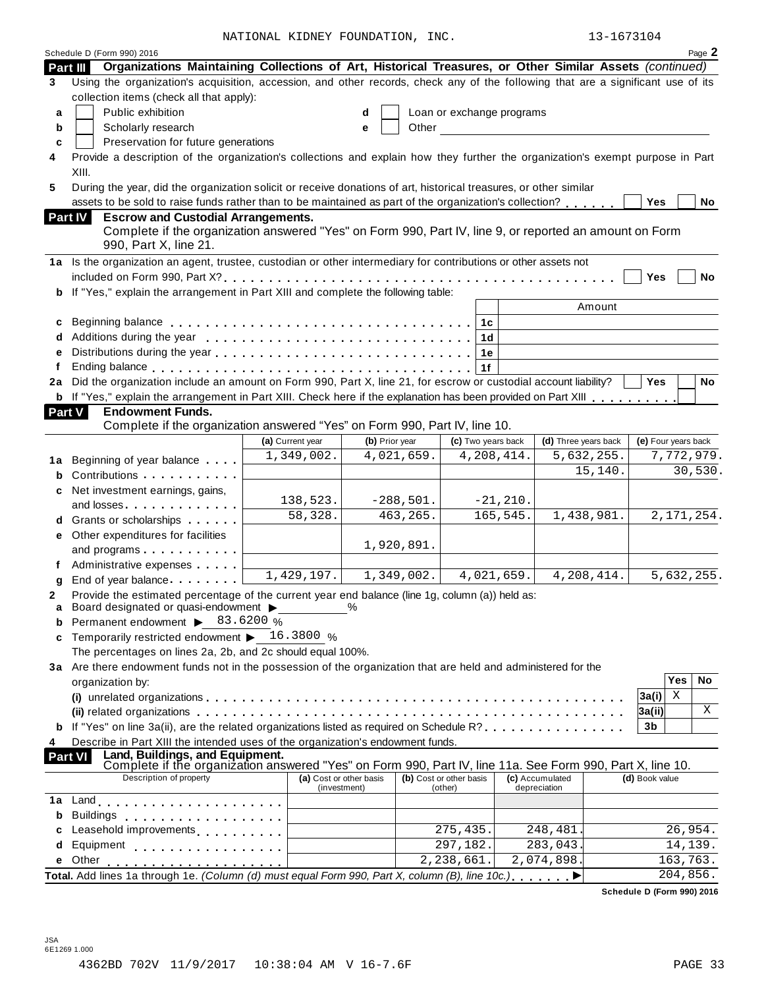NATIONAL KIDNEY FOUNDATION, INC. 13-1673104

| 13-1673104 |  |
|------------|--|
|------------|--|

| Part III |                                                                                                                                       |                         |                |                           |                      |                         |
|----------|---------------------------------------------------------------------------------------------------------------------------------------|-------------------------|----------------|---------------------------|----------------------|-------------------------|
|          | Schedule D (Form 990) 2016<br>Organizations Maintaining Collections of Art, Historical Treasures, or Other Similar Assets (continued) |                         |                |                           |                      | Page 2                  |
| 3        | Using the organization's acquisition, accession, and other records, check any of the following that are a significant use of its      |                         |                |                           |                      |                         |
|          | collection items (check all that apply):                                                                                              |                         |                |                           |                      |                         |
| a        | Public exhibition                                                                                                                     |                         | d              | Loan or exchange programs |                      |                         |
| b        | Scholarly research                                                                                                                    |                         | Other<br>е     |                           |                      |                         |
| C        | Preservation for future generations                                                                                                   |                         |                |                           |                      |                         |
| 4        | Provide a description of the organization's collections and explain how they further the organization's exempt purpose in Part        |                         |                |                           |                      |                         |
|          | XIII.                                                                                                                                 |                         |                |                           |                      |                         |
| 5        | During the year, did the organization solicit or receive donations of art, historical treasures, or other similar                     |                         |                |                           |                      |                         |
|          | assets to be sold to raise funds rather than to be maintained as part of the organization's collection?                               |                         |                |                           |                      | <b>Yes</b><br>No        |
|          | <b>Escrow and Custodial Arrangements.</b><br>Part IV                                                                                  |                         |                |                           |                      |                         |
|          | Complete if the organization answered "Yes" on Form 990, Part IV, line 9, or reported an amount on Form                               |                         |                |                           |                      |                         |
|          | 990, Part X, line 21.                                                                                                                 |                         |                |                           |                      |                         |
|          | 1a Is the organization an agent, trustee, custodian or other intermediary for contributions or other assets not                       |                         |                |                           |                      |                         |
|          |                                                                                                                                       |                         |                |                           |                      |                         |
|          |                                                                                                                                       |                         |                |                           |                      | Yes<br><b>No</b>        |
|          | If "Yes," explain the arrangement in Part XIII and complete the following table:                                                      |                         |                |                           |                      |                         |
|          |                                                                                                                                       |                         |                |                           | Amount               |                         |
| c        |                                                                                                                                       |                         |                |                           |                      |                         |
| d        |                                                                                                                                       |                         |                | 1d                        |                      |                         |
| e        |                                                                                                                                       |                         |                | 1e                        |                      |                         |
| f        |                                                                                                                                       |                         |                | 1f                        |                      |                         |
| 2a       | Did the organization include an amount on Form 990, Part X, line 21, for escrow or custodial account liability?                       |                         |                |                           |                      | <b>No</b><br><b>Yes</b> |
| b        | If "Yes," explain the arrangement in Part XIII. Check here if the explanation has been provided on Part XIII                          |                         |                |                           |                      |                         |
| Part V   | <b>Endowment Funds.</b>                                                                                                               |                         |                |                           |                      |                         |
|          | Complete if the organization answered "Yes" on Form 990, Part IV, line 10.                                                            |                         |                |                           |                      |                         |
|          |                                                                                                                                       | (a) Current year        | (b) Prior year | (c) Two years back        | (d) Three years back | (e) Four years back     |
|          | 1a Beginning of year balance                                                                                                          | 1,349,002.              | 4,021,659.     | 4,208,414.                | 5,632,255.           | 7,772,979.              |
| b        | Contributions                                                                                                                         |                         |                |                           | 15,140.              | 30,530.                 |
|          |                                                                                                                                       |                         |                |                           |                      |                         |
|          |                                                                                                                                       |                         |                |                           |                      |                         |
| c        | Net investment earnings, gains,                                                                                                       | 138,523.                | $-288,501.$    | $-21, 210.$               |                      |                         |
|          | and losses                                                                                                                            | 58,328.                 | 463, 265.      | 165,545.                  | 1,438,981.           | 2, 171, 254.            |
|          | d Grants or scholarships                                                                                                              |                         |                |                           |                      |                         |
| е        | Other expenditures for facilities                                                                                                     |                         |                |                           |                      |                         |
|          | and programs                                                                                                                          |                         | 1,920,891.     |                           |                      |                         |
| f        | Administrative expenses                                                                                                               |                         |                |                           |                      |                         |
| q        | End of year balance expansion of year balance                                                                                         | 1,429,197.              | 1,349,002.     | 4,021,659.                | 4,208,414.           | 5,632,255.              |
|          | Provide the estimated percentage of the current year end balance (line 1g, column (a)) held as:                                       |                         |                |                           |                      |                         |
|          | Board designated or quasi-endowment ▶                                                                                                 |                         | $\%$           |                           |                      |                         |
| b        | Permanent endowment > 83.6200 %                                                                                                       |                         |                |                           |                      |                         |
| c        | Temporarily restricted endowment $\blacktriangleright$ 16.3800 %                                                                      |                         |                |                           |                      |                         |
|          | The percentages on lines 2a, 2b, and 2c should equal 100%.                                                                            |                         |                |                           |                      |                         |
|          | 3a Are there endowment funds not in the possession of the organization that are held and administered for the                         |                         |                |                           |                      |                         |
|          | organization by:                                                                                                                      |                         |                |                           |                      | <b>Yes</b><br>No        |
|          |                                                                                                                                       |                         |                |                           |                      | Χ<br>3a(i)              |
|          |                                                                                                                                       |                         |                |                           |                      | X<br> 3a(ii)            |
|          | If "Yes" on line 3a(ii), are the related organizations listed as required on Schedule R?                                              |                         |                |                           |                      | 3b                      |
| 4        | Describe in Part XIII the intended uses of the organization's endowment funds.                                                        |                         |                |                           |                      |                         |
|          | Land, Buildings, and Equipment.<br><b>Part VI</b>                                                                                     |                         |                |                           |                      |                         |
|          | Complete if the organization answered "Yes" on Form 990, Part IV, line 11a. See Form 990, Part X, line 10.<br>Description of property | (a) Cost or other basis |                | (b) Cost or other basis   | (c) Accumulated      | (d) Book value          |
|          |                                                                                                                                       | (investment)            |                | (other)                   | depreciation         |                         |
| 1a       |                                                                                                                                       |                         |                |                           |                      |                         |
| b        | Buildings                                                                                                                             |                         |                |                           |                      |                         |
| c        | Leasehold improvements <b>Leasehold</b> improvements                                                                                  |                         |                | 275,435.                  | 248,481.             | 26,954.                 |
| d        | Equipment experience and a series and a series of the series of the series of the series of the series of the                         |                         |                | 297,182.                  | 283,043.             | 14,139.                 |
| е        | Other                                                                                                                                 |                         |                | 2,238,661.                | 2,074,898.           | 163,763.                |
|          | Total. Add lines 1a through 1e. (Column (d) must equal Form 990, Part X, column (B), line 10c.)                                       |                         |                |                           |                      | 204,856.                |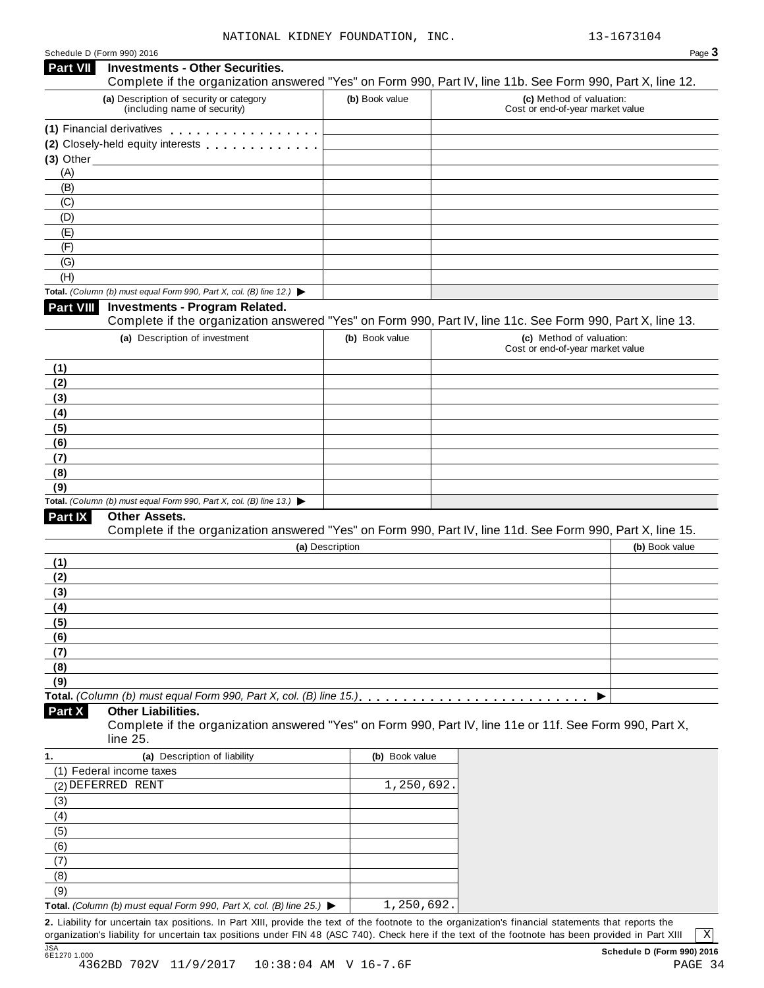| Schedule D (Form 990) 2016 |  |  |
|----------------------------|--|--|

| <b>Part VII</b>          | Schedule D (Form 990) 2016<br><b>Investments - Other Securities.</b>                                                                                                                                                                                        |                          | Page 3                                                                                                                                                                     |
|--------------------------|-------------------------------------------------------------------------------------------------------------------------------------------------------------------------------------------------------------------------------------------------------------|--------------------------|----------------------------------------------------------------------------------------------------------------------------------------------------------------------------|
|                          | (a) Description of security or category<br>(including name of security)                                                                                                                                                                                     | (b) Book value           | Complete if the organization answered "Yes" on Form 990, Part IV, line 11b. See Form 990, Part X, line 12.<br>(c) Method of valuation:<br>Cost or end-of-year market value |
|                          |                                                                                                                                                                                                                                                             |                          |                                                                                                                                                                            |
|                          | (1) Financial derivatives<br>(2) Closely-held equity interests entitled as a set of the control of the control of the control of the control of the control of the control of the control of the control of the control of the control of the control of th |                          |                                                                                                                                                                            |
| $(3)$ Other              |                                                                                                                                                                                                                                                             |                          |                                                                                                                                                                            |
| (A)                      |                                                                                                                                                                                                                                                             |                          |                                                                                                                                                                            |
| (B)                      |                                                                                                                                                                                                                                                             |                          |                                                                                                                                                                            |
| (C)                      |                                                                                                                                                                                                                                                             |                          |                                                                                                                                                                            |
| (D)                      |                                                                                                                                                                                                                                                             |                          |                                                                                                                                                                            |
| (E)                      |                                                                                                                                                                                                                                                             |                          |                                                                                                                                                                            |
| (F)                      |                                                                                                                                                                                                                                                             |                          |                                                                                                                                                                            |
| (G)                      |                                                                                                                                                                                                                                                             |                          |                                                                                                                                                                            |
| (H)                      |                                                                                                                                                                                                                                                             |                          |                                                                                                                                                                            |
|                          | Total. (Column (b) must equal Form 990, Part X, col. (B) line 12.) $\blacktriangleright$                                                                                                                                                                    |                          |                                                                                                                                                                            |
| Part VIII                | <b>Investments - Program Related.</b>                                                                                                                                                                                                                       |                          | Complete if the organization answered "Yes" on Form 990, Part IV, line 11c. See Form 990, Part X, line 13.                                                                 |
|                          |                                                                                                                                                                                                                                                             |                          |                                                                                                                                                                            |
|                          | (a) Description of investment                                                                                                                                                                                                                               | (b) Book value           | (c) Method of valuation:<br>Cost or end-of-year market value                                                                                                               |
|                          |                                                                                                                                                                                                                                                             |                          |                                                                                                                                                                            |
| (1)<br>(2)               |                                                                                                                                                                                                                                                             |                          |                                                                                                                                                                            |
| (3)                      |                                                                                                                                                                                                                                                             |                          |                                                                                                                                                                            |
| (4)                      |                                                                                                                                                                                                                                                             |                          |                                                                                                                                                                            |
| (5)                      |                                                                                                                                                                                                                                                             |                          |                                                                                                                                                                            |
| (6)                      |                                                                                                                                                                                                                                                             |                          |                                                                                                                                                                            |
| (7)                      |                                                                                                                                                                                                                                                             |                          |                                                                                                                                                                            |
| (8)                      |                                                                                                                                                                                                                                                             |                          |                                                                                                                                                                            |
| (9)                      |                                                                                                                                                                                                                                                             |                          |                                                                                                                                                                            |
|                          | Total. (Column (b) must equal Form 990, Part X, col. (B) line 13.) $\blacktriangleright$                                                                                                                                                                    |                          |                                                                                                                                                                            |
| Part IX                  | <b>Other Assets.</b>                                                                                                                                                                                                                                        |                          |                                                                                                                                                                            |
|                          |                                                                                                                                                                                                                                                             |                          | Complete if the organization answered "Yes" on Form 990, Part IV, line 11d. See Form 990, Part X, line 15.                                                                 |
|                          |                                                                                                                                                                                                                                                             | (a) Description          | (b) Book value                                                                                                                                                             |
| (1)                      |                                                                                                                                                                                                                                                             |                          |                                                                                                                                                                            |
| (2)                      |                                                                                                                                                                                                                                                             |                          |                                                                                                                                                                            |
| (3)                      |                                                                                                                                                                                                                                                             |                          |                                                                                                                                                                            |
| (4)                      |                                                                                                                                                                                                                                                             |                          |                                                                                                                                                                            |
| (5)<br>(6)               |                                                                                                                                                                                                                                                             |                          |                                                                                                                                                                            |
| (7)                      |                                                                                                                                                                                                                                                             |                          |                                                                                                                                                                            |
| (8)                      |                                                                                                                                                                                                                                                             |                          |                                                                                                                                                                            |
| (9)                      |                                                                                                                                                                                                                                                             |                          |                                                                                                                                                                            |
|                          |                                                                                                                                                                                                                                                             |                          |                                                                                                                                                                            |
| Part X                   | <b>Other Liabilities.</b><br>line 25.                                                                                                                                                                                                                       |                          | Complete if the organization answered "Yes" on Form 990, Part IV, line 11e or 11f. See Form 990, Part X,                                                                   |
|                          |                                                                                                                                                                                                                                                             |                          |                                                                                                                                                                            |
|                          |                                                                                                                                                                                                                                                             | (b) Book value           |                                                                                                                                                                            |
|                          | (a) Description of liability<br>(1) Federal income taxes                                                                                                                                                                                                    |                          |                                                                                                                                                                            |
|                          | (2) DEFERRED RENT                                                                                                                                                                                                                                           | 1,250,692                |                                                                                                                                                                            |
|                          |                                                                                                                                                                                                                                                             |                          |                                                                                                                                                                            |
|                          |                                                                                                                                                                                                                                                             |                          |                                                                                                                                                                            |
|                          |                                                                                                                                                                                                                                                             |                          |                                                                                                                                                                            |
| (3)<br>(4)<br>(5)<br>(6) |                                                                                                                                                                                                                                                             |                          |                                                                                                                                                                            |
| (7)                      |                                                                                                                                                                                                                                                             |                          |                                                                                                                                                                            |
|                          |                                                                                                                                                                                                                                                             |                          |                                                                                                                                                                            |
| (8)<br>(9)               | Total. (Column (b) must equal Form 990, Part X, col. (B) line 25.) $\blacktriangleright$                                                                                                                                                                    | $1,250,69\overline{2}$ . |                                                                                                                                                                            |

organization's liability for uncertain tax positions under FIN 48 (ASC 740). Check here if the text of the footnote has been provided in Part XIII

X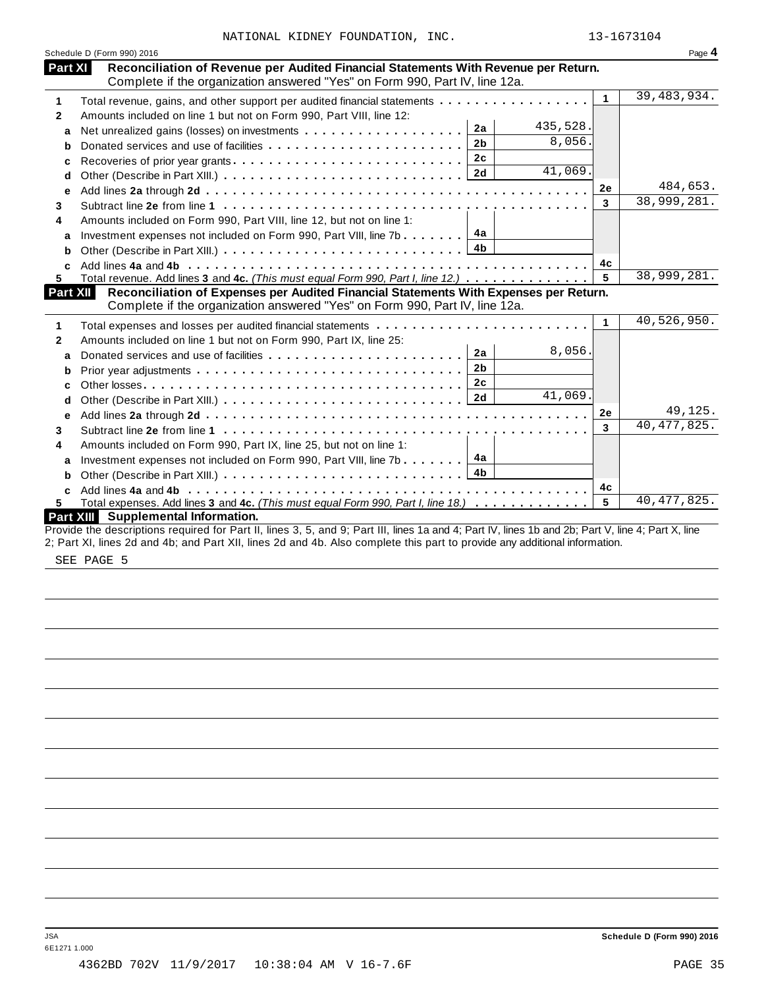|  |  | NATIONAL KIDNEY FOUNDATION, INC |  |
|--|--|---------------------------------|--|
|--|--|---------------------------------|--|

| NATIONAL KIDNEY FOUNDATION, INC.                                                                                                                                                     |              | 13-1673104                                               |
|--------------------------------------------------------------------------------------------------------------------------------------------------------------------------------------|--------------|----------------------------------------------------------|
| Schedule D (Form 990) 2016                                                                                                                                                           |              | Page 4                                                   |
| Reconciliation of Revenue per Audited Financial Statements With Revenue per Return.<br>Part XI<br>Complete if the organization answered "Yes" on Form 990, Part IV, line 12a.        |              |                                                          |
| Total revenue, gains, and other support per audited financial statements                                                                                                             | $\mathbf{1}$ | 39, 483, 934.                                            |
| Amounts included on line 1 but not on Form 990, Part VIII, line 12:                                                                                                                  |              |                                                          |
| 435,528.<br>2a<br>a                                                                                                                                                                  |              |                                                          |
| 8,056.<br>2 <sub>b</sub><br>b                                                                                                                                                        |              |                                                          |
| 2 <sub>c</sub><br>Recoveries of prior year grants<br>c                                                                                                                               |              |                                                          |
| 41,069.<br>d                                                                                                                                                                         |              |                                                          |
| е                                                                                                                                                                                    | 2е           | 484,653.                                                 |
|                                                                                                                                                                                      | 3            | 38,999,281.                                              |
| Amounts included on Form 990, Part VIII, line 12, but not on line 1:                                                                                                                 |              |                                                          |
| 4a<br>Investment expenses not included on Form 990, Part VIII, line 7b<br>a                                                                                                          |              |                                                          |
|                                                                                                                                                                                      |              |                                                          |
| 4b                                                                                                                                                                                   |              |                                                          |
|                                                                                                                                                                                      | 4c           |                                                          |
| b                                                                                                                                                                                    | 5            | 38,999,281.                                              |
| Total revenue. Add lines 3 and 4c. (This must equal Form 990, Part I, line 12.)<br>Reconciliation of Expenses per Audited Financial Statements With Expenses per Return.<br>Part XII |              |                                                          |
| Complete if the organization answered "Yes" on Form 990, Part IV, line 12a.                                                                                                          |              |                                                          |
|                                                                                                                                                                                      | 1            |                                                          |
|                                                                                                                                                                                      |              |                                                          |
| Amounts included on line 1 but not on Form 990, Part IX, line 25:<br>2a                                                                                                              | 8,056.       |                                                          |
| 2 <sub>b</sub>                                                                                                                                                                       |              |                                                          |
| 2c                                                                                                                                                                                   |              |                                                          |
| 41,069.<br>2d                                                                                                                                                                        |              |                                                          |
|                                                                                                                                                                                      | 2е           |                                                          |
|                                                                                                                                                                                      | 3            |                                                          |
|                                                                                                                                                                                      |              |                                                          |
| Amounts included on Form 990, Part IX, line 25, but not on line 1:                                                                                                                   |              |                                                          |
| 4a<br>Investment expenses not included on Form 990, Part VIII, line 7b                                                                                                               |              |                                                          |
| a<br>b<br>C<br>d<br>е<br>$\mathbf{a}$<br>4b<br>b                                                                                                                                     |              |                                                          |
| C.<br>Total expenses. Add lines 3 and 4c. (This must equal Form 990, Part I, line 18.)                                                                                               | 4с<br>5      | 40,526,950.<br>49,125.<br>40, 477, 825.<br>40, 477, 825. |

SEE PAGE 5

6E1271 1.000

JSA **Schedule D (Form 990) 2016**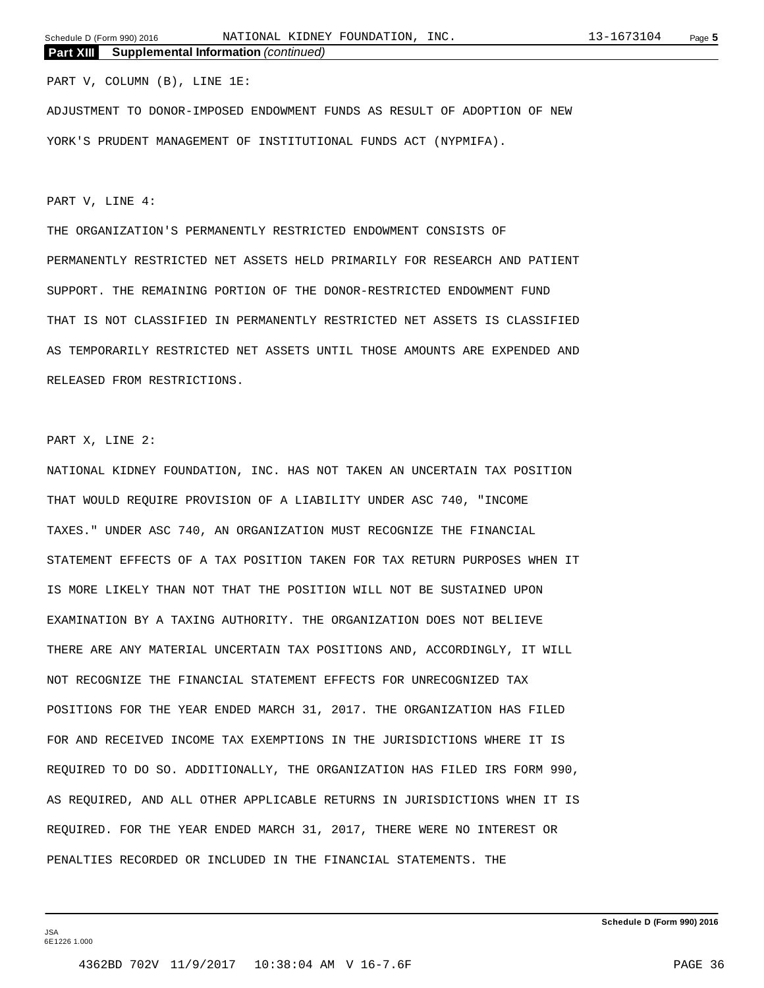**Part XIII Supplemental Information** *(continued)*

PART V, COLUMN (B), LINE 1E:

ADJUSTMENT TO DONOR-IMPOSED ENDOWMENT FUNDS AS RESULT OF ADOPTION OF NEW YORK'S PRUDENT MANAGEMENT OF INSTITUTIONAL FUNDS ACT (NYPMIFA).

PART V, LINE 4:

THE ORGANIZATION'S PERMANENTLY RESTRICTED ENDOWMENT CONSISTS OF PERMANENTLY RESTRICTED NET ASSETS HELD PRIMARILY FOR RESEARCH AND PATIENT SUPPORT. THE REMAINING PORTION OF THE DONOR-RESTRICTED ENDOWMENT FUND THAT IS NOT CLASSIFIED IN PERMANENTLY RESTRICTED NET ASSETS IS CLASSIFIED AS TEMPORARILY RESTRICTED NET ASSETS UNTIL THOSE AMOUNTS ARE EXPENDED AND RELEASED FROM RESTRICTIONS.

PART X, LINE 2:

NATIONAL KIDNEY FOUNDATION, INC. HAS NOT TAKEN AN UNCERTAIN TAX POSITION THAT WOULD REQUIRE PROVISION OF A LIABILITY UNDER ASC 740, "INCOME TAXES." UNDER ASC 740, AN ORGANIZATION MUST RECOGNIZE THE FINANCIAL STATEMENT EFFECTS OF A TAX POSITION TAKEN FOR TAX RETURN PURPOSES WHEN IT IS MORE LIKELY THAN NOT THAT THE POSITION WILL NOT BE SUSTAINED UPON EXAMINATION BY A TAXING AUTHORITY. THE ORGANIZATION DOES NOT BELIEVE THERE ARE ANY MATERIAL UNCERTAIN TAX POSITIONS AND, ACCORDINGLY, IT WILL NOT RECOGNIZE THE FINANCIAL STATEMENT EFFECTS FOR UNRECOGNIZED TAX POSITIONS FOR THE YEAR ENDED MARCH 31, 2017. THE ORGANIZATION HAS FILED FOR AND RECEIVED INCOME TAX EXEMPTIONS IN THE JURISDICTIONS WHERE IT IS REQUIRED TO DO SO. ADDITIONALLY, THE ORGANIZATION HAS FILED IRS FORM 990, AS REQUIRED, AND ALL OTHER APPLICABLE RETURNS IN JURISDICTIONS WHEN IT IS REQUIRED. FOR THE YEAR ENDED MARCH 31, 2017, THERE WERE NO INTEREST OR PENALTIES RECORDED OR INCLUDED IN THE FINANCIAL STATEMENTS. THE

JSA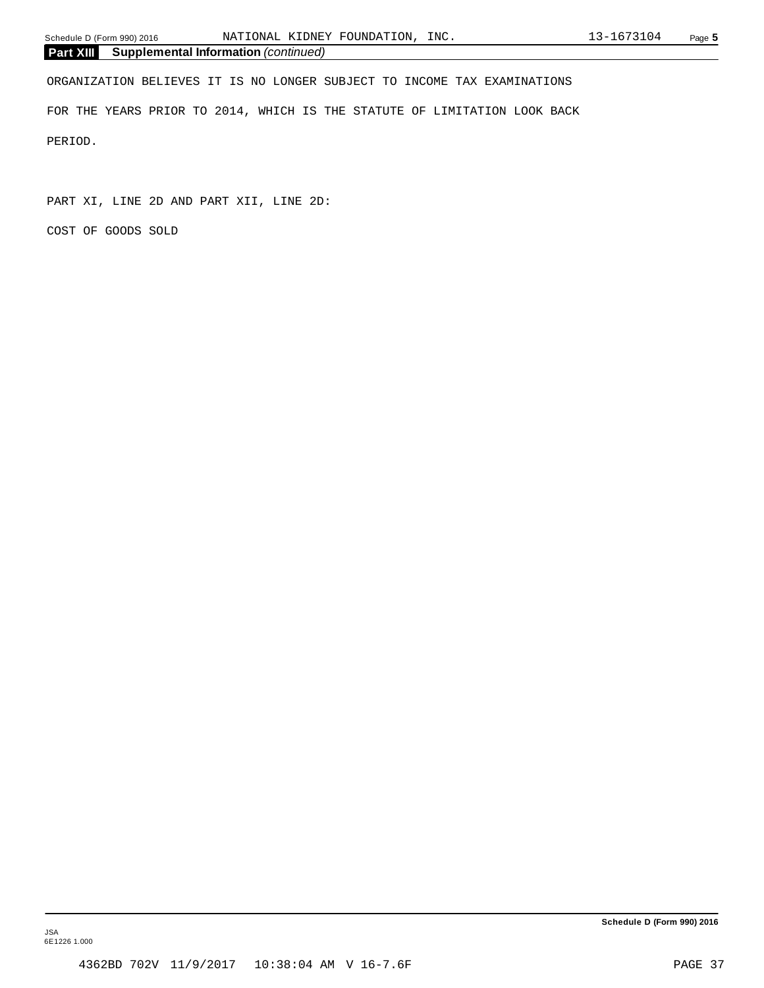ORGANIZATION BELIEVES IT IS NO LONGER SUBJECT TO INCOME TAX EXAMINATIONS FOR THE YEARS PRIOR TO 2014, WHICH IS THE STATUTE OF LIMITATION LOOK BACK PERIOD.

PART XI, LINE 2D AND PART XII, LINE 2D:

COST OF GOODS SOLD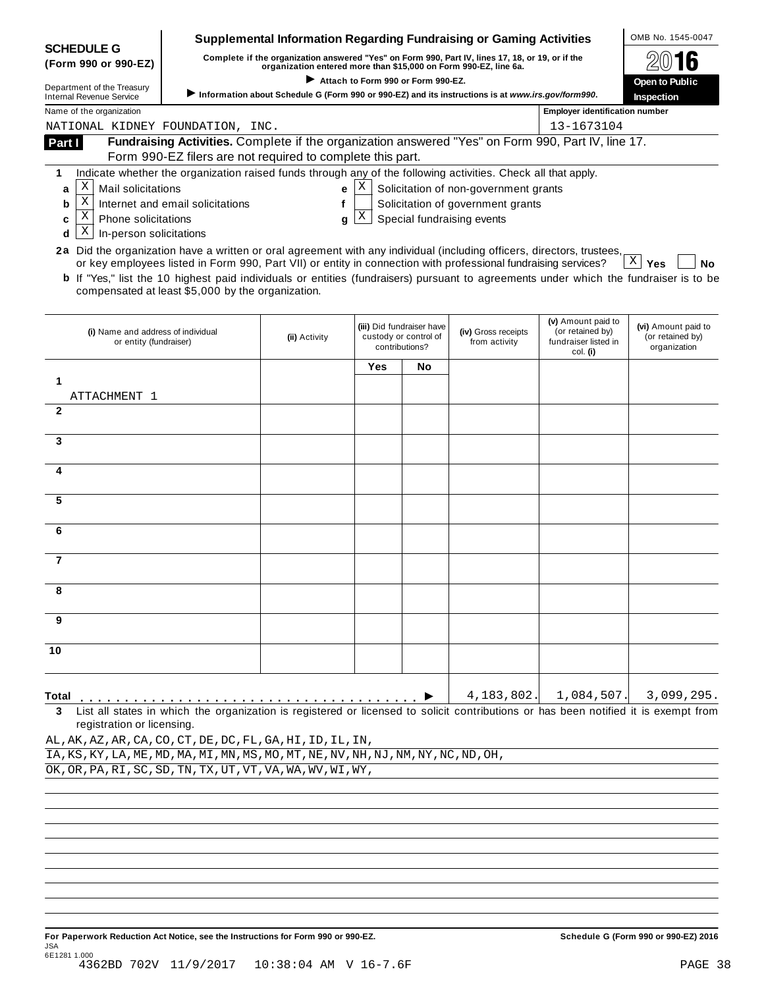|                                                                                                                                              |                                                                                                                                                                      | <b>Supplemental Information Regarding Fundraising or Gaming Activities</b> |                                                                                                                                         |                                                    |                                                                 |                                       | OMB No. 1545-0047                       |
|----------------------------------------------------------------------------------------------------------------------------------------------|----------------------------------------------------------------------------------------------------------------------------------------------------------------------|----------------------------------------------------------------------------|-----------------------------------------------------------------------------------------------------------------------------------------|----------------------------------------------------|-----------------------------------------------------------------|---------------------------------------|-----------------------------------------|
| <b>SCHEDULE G</b><br>(Form 990 or 990-EZ)                                                                                                    | Complete if the organization answered "Yes" on Form 990, Part IV, lines 17, 18, or 19, or if the<br>organization entered more than \$15,000 on Form 990-EZ, line 6a. |                                                                            |                                                                                                                                         |                                                    |                                                                 |                                       | Open to Public                          |
| Department of the Treasury<br><b>Internal Revenue Service</b>                                                                                |                                                                                                                                                                      |                                                                            | Attach to Form 990 or Form 990-EZ.<br>Information about Schedule G (Form 990 or 990-EZ) and its instructions is at www.irs.gov/form990. |                                                    |                                                                 |                                       |                                         |
| Name of the organization                                                                                                                     |                                                                                                                                                                      |                                                                            |                                                                                                                                         |                                                    |                                                                 | <b>Employer identification number</b> | Inspection                              |
| NATIONAL KIDNEY FOUNDATION, INC.                                                                                                             |                                                                                                                                                                      |                                                                            |                                                                                                                                         |                                                    |                                                                 | 13-1673104                            |                                         |
| Part I                                                                                                                                       | Fundraising Activities. Complete if the organization answered "Yes" on Form 990, Part IV, line 17.                                                                   |                                                                            |                                                                                                                                         |                                                    |                                                                 |                                       |                                         |
|                                                                                                                                              | Form 990-EZ filers are not required to complete this part.                                                                                                           |                                                                            |                                                                                                                                         |                                                    |                                                                 |                                       |                                         |
| 1                                                                                                                                            | Indicate whether the organization raised funds through any of the following activities. Check all that apply.                                                        |                                                                            |                                                                                                                                         |                                                    |                                                                 |                                       |                                         |
| Χ<br>Mail solicitations<br>a<br>Χ                                                                                                            |                                                                                                                                                                      | e                                                                          | Χ                                                                                                                                       |                                                    | Solicitation of non-government grants                           |                                       |                                         |
| b<br>X<br><b>Phone solicitations</b>                                                                                                         | Internet and email solicitations                                                                                                                                     | f                                                                          | Χ                                                                                                                                       |                                                    | Solicitation of government grants<br>Special fundraising events |                                       |                                         |
| C<br>Χ<br>In-person solicitations<br>d                                                                                                       |                                                                                                                                                                      | g                                                                          |                                                                                                                                         |                                                    |                                                                 |                                       |                                         |
| 2a Did the organization have a written or oral agreement with any individual (including officers, directors, trustees,                       |                                                                                                                                                                      |                                                                            |                                                                                                                                         |                                                    |                                                                 |                                       |                                         |
|                                                                                                                                              | or key employees listed in Form 990, Part VII) or entity in connection with professional fundraising services?                                                       |                                                                            |                                                                                                                                         |                                                    |                                                                 |                                       | Χ<br>Yes<br>No                          |
| <b>b</b> If "Yes," list the 10 highest paid individuals or entities (fundraisers) pursuant to agreements under which the fundraiser is to be |                                                                                                                                                                      |                                                                            |                                                                                                                                         |                                                    |                                                                 |                                       |                                         |
|                                                                                                                                              | compensated at least \$5,000 by the organization.                                                                                                                    |                                                                            |                                                                                                                                         |                                                    |                                                                 |                                       |                                         |
|                                                                                                                                              |                                                                                                                                                                      |                                                                            |                                                                                                                                         |                                                    |                                                                 | (v) Amount paid to                    |                                         |
| (i) Name and address of individual                                                                                                           |                                                                                                                                                                      | (ii) Activity                                                              |                                                                                                                                         | (iii) Did fundraiser have<br>custody or control of | (iv) Gross receipts                                             | (or retained by)                      | (vi) Amount paid to<br>(or retained by) |
| or entity (fundraiser)                                                                                                                       |                                                                                                                                                                      |                                                                            |                                                                                                                                         | contributions?                                     | from activity                                                   | fundraiser listed in<br>col. (i)      | organization                            |
|                                                                                                                                              |                                                                                                                                                                      |                                                                            | Yes                                                                                                                                     | No                                                 |                                                                 |                                       |                                         |
| 1                                                                                                                                            |                                                                                                                                                                      |                                                                            |                                                                                                                                         |                                                    |                                                                 |                                       |                                         |
| ATTACHMENT 1                                                                                                                                 |                                                                                                                                                                      |                                                                            |                                                                                                                                         |                                                    |                                                                 |                                       |                                         |
| $\mathbf{2}$                                                                                                                                 |                                                                                                                                                                      |                                                                            |                                                                                                                                         |                                                    |                                                                 |                                       |                                         |
| 3                                                                                                                                            |                                                                                                                                                                      |                                                                            |                                                                                                                                         |                                                    |                                                                 |                                       |                                         |
|                                                                                                                                              |                                                                                                                                                                      |                                                                            |                                                                                                                                         |                                                    |                                                                 |                                       |                                         |
| 4                                                                                                                                            |                                                                                                                                                                      |                                                                            |                                                                                                                                         |                                                    |                                                                 |                                       |                                         |
|                                                                                                                                              |                                                                                                                                                                      |                                                                            |                                                                                                                                         |                                                    |                                                                 |                                       |                                         |
| 5                                                                                                                                            |                                                                                                                                                                      |                                                                            |                                                                                                                                         |                                                    |                                                                 |                                       |                                         |
|                                                                                                                                              |                                                                                                                                                                      |                                                                            |                                                                                                                                         |                                                    |                                                                 |                                       |                                         |
| 6                                                                                                                                            |                                                                                                                                                                      |                                                                            |                                                                                                                                         |                                                    |                                                                 |                                       |                                         |
| 7                                                                                                                                            |                                                                                                                                                                      |                                                                            |                                                                                                                                         |                                                    |                                                                 |                                       |                                         |
|                                                                                                                                              |                                                                                                                                                                      |                                                                            |                                                                                                                                         |                                                    |                                                                 |                                       |                                         |
| 8                                                                                                                                            |                                                                                                                                                                      |                                                                            |                                                                                                                                         |                                                    |                                                                 |                                       |                                         |
|                                                                                                                                              |                                                                                                                                                                      |                                                                            |                                                                                                                                         |                                                    |                                                                 |                                       |                                         |
| 9                                                                                                                                            |                                                                                                                                                                      |                                                                            |                                                                                                                                         |                                                    |                                                                 |                                       |                                         |
|                                                                                                                                              |                                                                                                                                                                      |                                                                            |                                                                                                                                         |                                                    |                                                                 |                                       |                                         |
| 10                                                                                                                                           |                                                                                                                                                                      |                                                                            |                                                                                                                                         |                                                    |                                                                 |                                       |                                         |
|                                                                                                                                              |                                                                                                                                                                      |                                                                            |                                                                                                                                         |                                                    |                                                                 |                                       |                                         |
| Total                                                                                                                                        |                                                                                                                                                                      |                                                                            |                                                                                                                                         |                                                    | 4,183,802.                                                      | 1,084,507.                            | 3,099,295.                              |
| 3                                                                                                                                            | List all states in which the organization is registered or licensed to solicit contributions or has been notified it is exempt from                                  |                                                                            |                                                                                                                                         |                                                    |                                                                 |                                       |                                         |
| registration or licensing.                                                                                                                   |                                                                                                                                                                      |                                                                            |                                                                                                                                         |                                                    |                                                                 |                                       |                                         |
| AL, AK, AZ, AR, CA, CO, CT, DE, DC, FL, GA, HI, ID, IL, IN,                                                                                  |                                                                                                                                                                      |                                                                            |                                                                                                                                         |                                                    |                                                                 |                                       |                                         |
| IA, KS, KY, LA, ME, MD, MA, MI, MN, MS, MO, MT, NE, NV, NH, NJ, NM, NY, NC, ND, OH,                                                          |                                                                                                                                                                      |                                                                            |                                                                                                                                         |                                                    |                                                                 |                                       |                                         |
| OK, OR, PA, RI, SC, SD, TN, TX, UT, VT, VA, WA, WV, WI, WY,                                                                                  |                                                                                                                                                                      |                                                                            |                                                                                                                                         |                                                    |                                                                 |                                       |                                         |
|                                                                                                                                              |                                                                                                                                                                      |                                                                            |                                                                                                                                         |                                                    |                                                                 |                                       |                                         |
|                                                                                                                                              |                                                                                                                                                                      |                                                                            |                                                                                                                                         |                                                    |                                                                 |                                       |                                         |
|                                                                                                                                              |                                                                                                                                                                      |                                                                            |                                                                                                                                         |                                                    |                                                                 |                                       |                                         |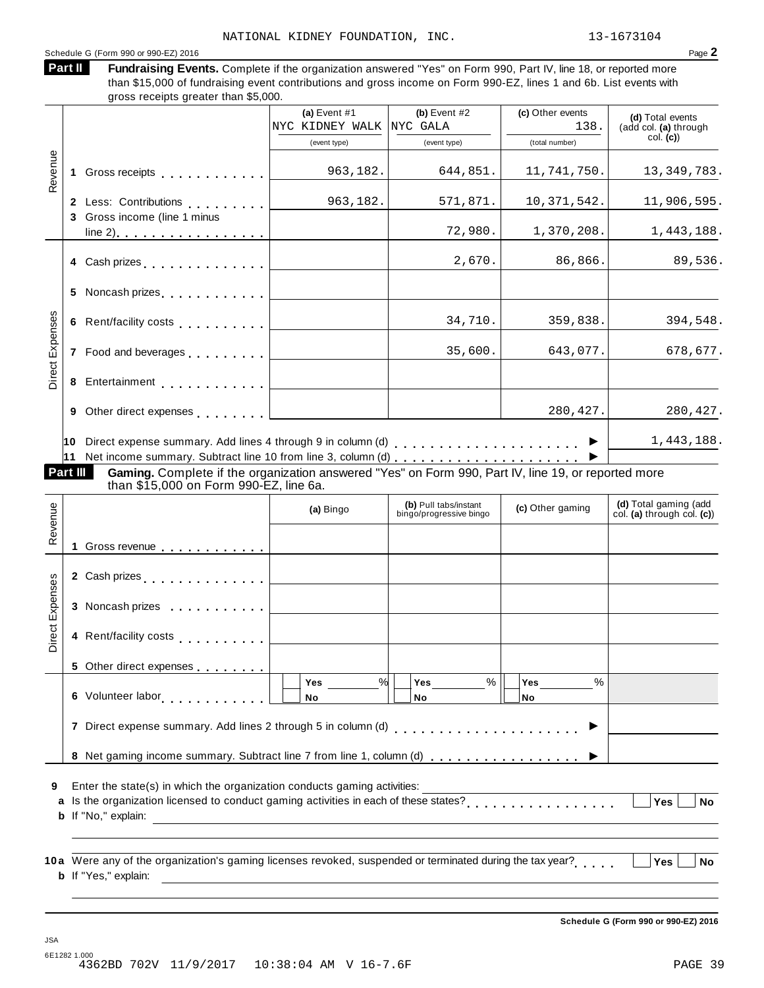#### Schedule G (Form 990 or 990-EZ) 2016 Page **2**

**Fundraising Events.** Complete if the organization answered "Yes" on Form 990, Part IV, line 18, or reported more than \$15,000 of fundraising event contributions and gross income on Form 990-EZ, lines 1 and 6b. List events with gross receipts greater than \$5,000. **Part II** 

|                          |                                                                                                                                                                                                                                            | (a) Event $#1$<br>NYC KIDNEY WALK<br>(event type)           | (b) Event $#2$<br>NYC GALA<br>(event type)       | (c) Other events<br>138.<br>(total number) | (d) Total events<br>(add col. (a) through<br>col. (c) |
|--------------------------|--------------------------------------------------------------------------------------------------------------------------------------------------------------------------------------------------------------------------------------------|-------------------------------------------------------------|--------------------------------------------------|--------------------------------------------|-------------------------------------------------------|
| Revenue                  | 1 Gross receipts [1] Gross receipts                                                                                                                                                                                                        | 963,182.                                                    | 644,851.                                         | 11,741,750.                                | 13, 349, 783.                                         |
|                          | 2 Less: Contributions [1, 1, 1, 1, 1, 1]<br>3 Gross income (line 1 minus                                                                                                                                                                   | 963,182.                                                    | 571,871.                                         | 10, 371, 542.                              | 11,906,595.                                           |
|                          |                                                                                                                                                                                                                                            | the control of the control of the control of                | 72,980.                                          | 1,370,208.                                 | 1,443,188.                                            |
|                          | 4 Cash prizes [19]                                                                                                                                                                                                                         |                                                             | 2,670.                                           | 86,866.                                    | 89,536.                                               |
|                          |                                                                                                                                                                                                                                            | the control of the control of the control of the control of |                                                  |                                            |                                                       |
|                          | 6 Rent/facility costs                                                                                                                                                                                                                      | <u> 1980 - Johann Barn, mars ann an t-</u>                  | 34,710.                                          | 359,838.                                   | 394,548.                                              |
| Direct Expenses          | 7 Food and beverages [1, 1, 1, 1, 1, 1]                                                                                                                                                                                                    | <u> 1980 - Johann Barn, mars ann an t-</u>                  | 35,600.                                          | 643,077.                                   | 678,677.                                              |
|                          |                                                                                                                                                                                                                                            |                                                             |                                                  |                                            |                                                       |
|                          |                                                                                                                                                                                                                                            |                                                             | the control of the control of the control of     | 280, 427.                                  | 280, 427.                                             |
|                          | 10 Direct expense summary. Add lines 4 through 9 in column (d) $\blacksquare$<br>Part III<br>Gaming. Complete if the organization answered "Yes" on Form 990, Part IV, line 19, or reported more<br>than \$15,000 on Form 990-EZ, line 6a. |                                                             |                                                  |                                            |                                                       |
| Revenue                  |                                                                                                                                                                                                                                            | (a) Bingo                                                   | (b) Pull tabs/instant<br>bingo/progressive bingo | (c) Other gaming                           | (d) Total gaming (add<br>col. (a) through col. (c))   |
|                          | 1 Gross revenue                                                                                                                                                                                                                            |                                                             |                                                  |                                            |                                                       |
|                          |                                                                                                                                                                                                                                            |                                                             |                                                  |                                            |                                                       |
|                          |                                                                                                                                                                                                                                            |                                                             |                                                  |                                            |                                                       |
|                          | 3 Noncash prizes <u>  _ _ _ _ _ _ _ _ _ _</u>                                                                                                                                                                                              |                                                             |                                                  |                                            |                                                       |
| Expenses<br>irect l<br>۵ | 4 Rent/facility costs                                                                                                                                                                                                                      |                                                             |                                                  |                                            |                                                       |
|                          | 5 Other direct expenses                                                                                                                                                                                                                    |                                                             |                                                  |                                            |                                                       |
|                          |                                                                                                                                                                                                                                            | %<br>Yes<br>No                                              | %<br>Yes<br>No                                   | $\frac{0}{0}$<br>Yes<br>No                 |                                                       |
|                          | 7 Direct expense summary. Add lines 2 through 5 in column (d)                                                                                                                                                                              |                                                             | .                                                |                                            |                                                       |
|                          | 8 Net gaming income summary. Subtract line 7 from line 1, column (d)                                                                                                                                                                       |                                                             |                                                  |                                            |                                                       |
| 9<br>b                   | Enter the state(s) in which the organization conducts gaming activities:<br>Is the organization licensed to conduct gaming activities in each of these states?<br>If "No," explain:                                                        |                                                             |                                                  |                                            | Yes<br>No                                             |

**Schedule G (Form 990 or 990-EZ) 2016**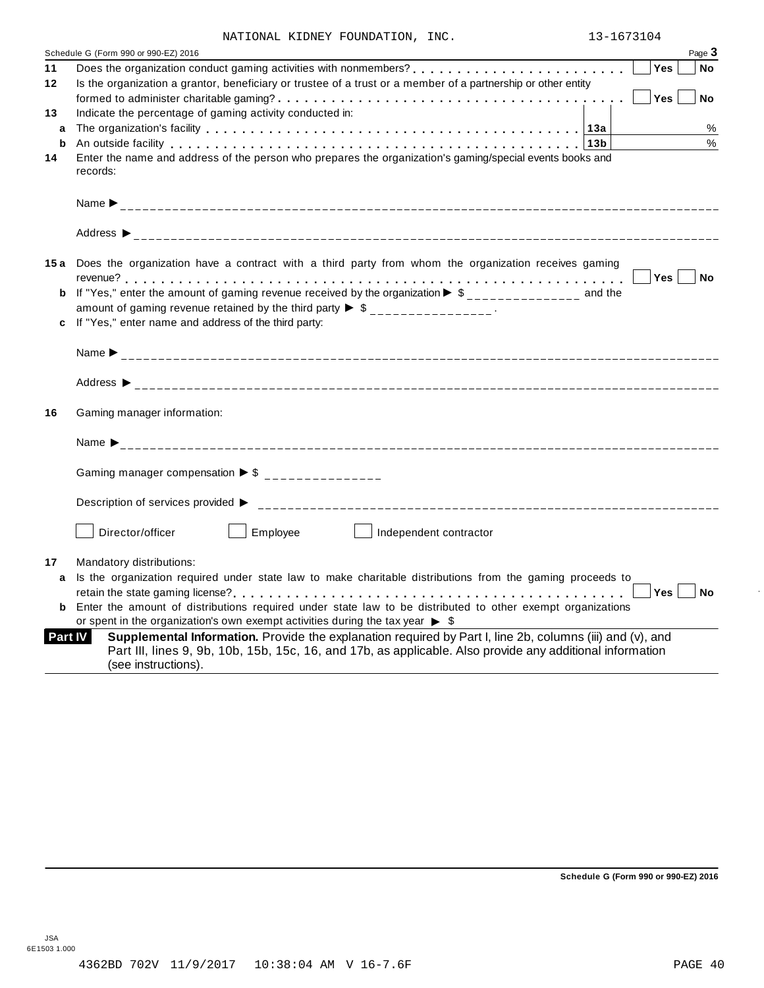| NATIONAL KIDNEY FOUNDATION, |  |  |  | INC. |
|-----------------------------|--|--|--|------|
|-----------------------------|--|--|--|------|

|          | 13-1673104<br>NATIONAL KIDNEY FOUNDATION, INC.                                                                                                                                                                                                          |
|----------|---------------------------------------------------------------------------------------------------------------------------------------------------------------------------------------------------------------------------------------------------------|
|          | Page 3<br>Schedule G (Form 990 or 990-EZ) 2016                                                                                                                                                                                                          |
| 11<br>12 | <b>Yes</b><br>No<br>Is the organization a grantor, beneficiary or trustee of a trust or a member of a partnership or other entity<br>Yes<br><b>No</b>                                                                                                   |
| 13       | Indicate the percentage of gaming activity conducted in:                                                                                                                                                                                                |
| a        | $\%$<br>$\frac{0}{0}$<br>An outside facility enterpreteration of the control of the control of the control of the control of the control of the control of the control of the control of the control of the control of the control of the control of th |
| 14       | Enter the name and address of the person who prepares the organization's gaming/special events books and                                                                                                                                                |
|          | records:                                                                                                                                                                                                                                                |
|          |                                                                                                                                                                                                                                                         |
|          |                                                                                                                                                                                                                                                         |
|          | 15a Does the organization have a contract with a third party from whom the organization receives gaming                                                                                                                                                 |
|          | No No                                                                                                                                                                                                                                                   |
|          | <b>b</b> If "Yes," enter the amount of gaming revenue received by the organization $\triangleright$ \$______________ and the                                                                                                                            |
|          | amount of gaming revenue retained by the third party $\triangleright$ \$ _______________.<br>c If "Yes," enter name and address of the third party:                                                                                                     |
|          |                                                                                                                                                                                                                                                         |
|          |                                                                                                                                                                                                                                                         |
|          |                                                                                                                                                                                                                                                         |
| 16       | Gaming manager information:                                                                                                                                                                                                                             |
|          |                                                                                                                                                                                                                                                         |
|          | Gaming manager compensation $\triangleright$ \$ ________________                                                                                                                                                                                        |
|          |                                                                                                                                                                                                                                                         |
|          | Director/officer<br>Employee<br>Independent contractor                                                                                                                                                                                                  |
| 17       | Mandatory distributions:                                                                                                                                                                                                                                |
| a        | Is the organization required under state law to make charitable distributions from the gaming proceeds to                                                                                                                                               |
|          | <b>Yes</b><br>No                                                                                                                                                                                                                                        |
|          | <b>b</b> Enter the amount of distributions required under state law to be distributed to other exempt organizations                                                                                                                                     |
|          | or spent in the organization's own exempt activities during the tax year $\triangleright$ \$                                                                                                                                                            |

**Schedule G (Form 990 or 990-EZ) 2016**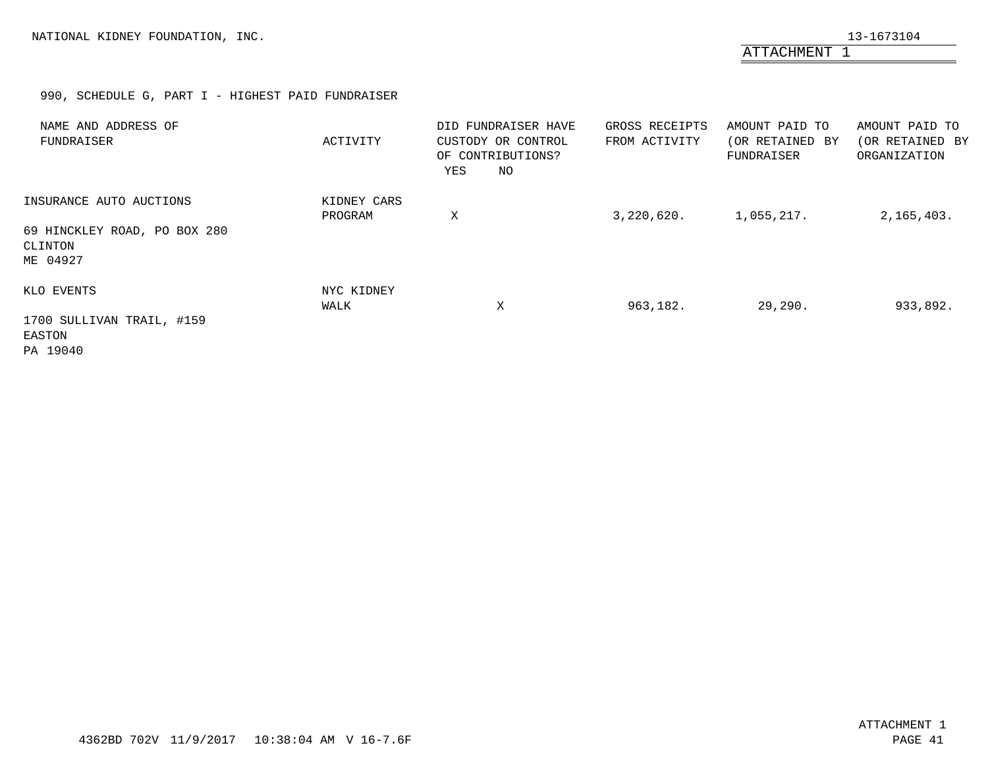ATTACHMENT 1

### 990, SCHEDULE G, PART I - HIGHEST PAID FUNDRAISER

| NAME AND ADDRESS OF<br>FUNDRAISER       | ACTIVITY               | DID FUNDRAISER HAVE<br>CUSTODY OR CONTROL<br>OF CONTRIBUTIONS?<br>NO<br>YES | GROSS RECEIPTS<br>FROM ACTIVITY | AMOUNT PAID TO<br>(OR RETAINED BY<br>FUNDRAISER | AMOUNT PAID TO<br>(OR RETAINED BY<br>ORGANIZATION |
|-----------------------------------------|------------------------|-----------------------------------------------------------------------------|---------------------------------|-------------------------------------------------|---------------------------------------------------|
| INSURANCE AUTO AUCTIONS                 | KIDNEY CARS<br>PROGRAM | Χ                                                                           | 3,220,620.                      | 1,055,217.                                      | 2,165,403.                                        |
| 69 HINCKLEY ROAD, PO BOX 280<br>CLINTON |                        |                                                                             |                                 |                                                 |                                                   |
| ME 04927                                |                        |                                                                             |                                 |                                                 |                                                   |
| KLO EVENTS                              | NYC KIDNEY<br>WALK     | Χ                                                                           | 963,182.                        | 29,290.                                         | 933,892.                                          |
| 1700 SULLIVAN TRAIL, #159               |                        |                                                                             |                                 |                                                 |                                                   |
| EASTON                                  |                        |                                                                             |                                 |                                                 |                                                   |
| PA 19040                                |                        |                                                                             |                                 |                                                 |                                                   |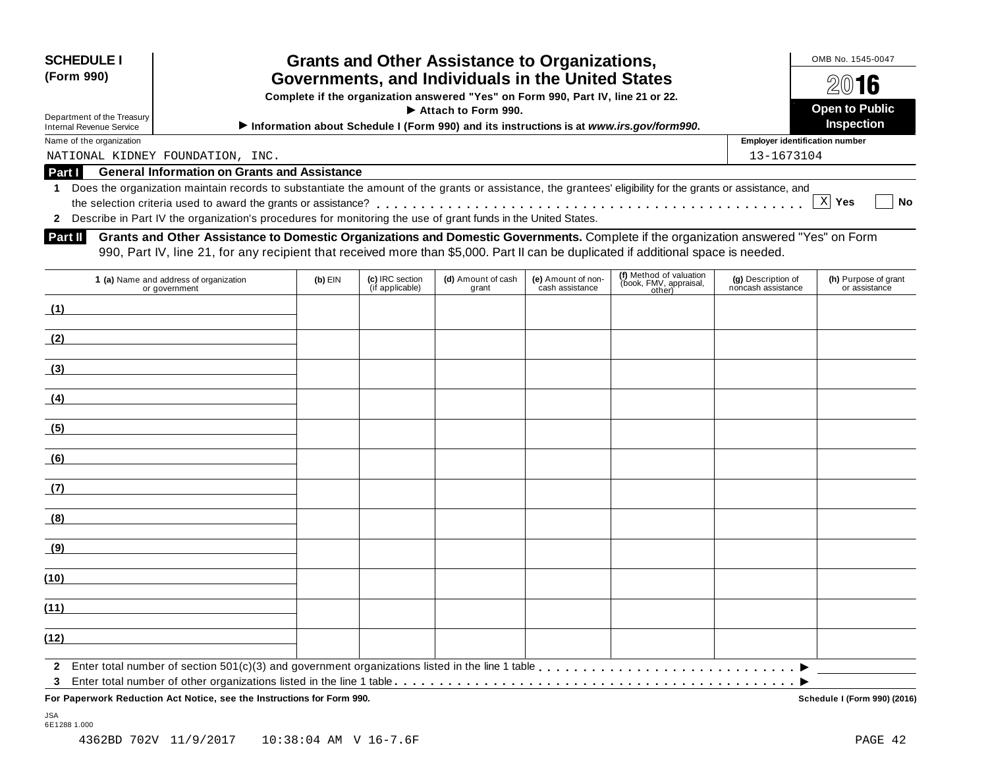| <b>SCHEDULE I</b><br>(Form 990)<br>Department of the Treasury<br><b>Internal Revenue Service</b> |                                                                                                                                                                                                                                                                             | OMB No. 1545-0047<br><b>Open to Public</b><br><b>Inspection</b> |                                    |                             |                                       |                                                             |                                          |                                       |
|--------------------------------------------------------------------------------------------------|-----------------------------------------------------------------------------------------------------------------------------------------------------------------------------------------------------------------------------------------------------------------------------|-----------------------------------------------------------------|------------------------------------|-----------------------------|---------------------------------------|-------------------------------------------------------------|------------------------------------------|---------------------------------------|
| Name of the organization                                                                         |                                                                                                                                                                                                                                                                             |                                                                 |                                    |                             |                                       |                                                             | <b>Employer identification number</b>    |                                       |
|                                                                                                  | NATIONAL KIDNEY FOUNDATION, INC.                                                                                                                                                                                                                                            |                                                                 |                                    |                             |                                       |                                                             | 13-1673104                               |                                       |
| <b>Part I</b>                                                                                    | <b>General Information on Grants and Assistance</b>                                                                                                                                                                                                                         |                                                                 |                                    |                             |                                       |                                                             |                                          |                                       |
|                                                                                                  | Does the organization maintain records to substantiate the amount of the grants or assistance, the grantees' eligibility for the grants or assistance, and<br>Describe in Part IV the organization's procedures for monitoring the use of grant funds in the United States. |                                                                 |                                    |                             |                                       |                                                             |                                          | X∣ Yes<br><b>No</b>                   |
| <b>Part II</b>                                                                                   | Grants and Other Assistance to Domestic Organizations and Domestic Governments. Complete if the organization answered "Yes" on Form<br>990, Part IV, line 21, for any recipient that received more than \$5,000. Part II can be duplicated if additional space is needed.   |                                                                 |                                    |                             |                                       |                                                             |                                          |                                       |
|                                                                                                  | 1 (a) Name and address of organization<br>or government                                                                                                                                                                                                                     | $(b)$ EIN                                                       | (c) IRC section<br>(if applicable) | (d) Amount of cash<br>grant | (e) Amount of non-<br>cash assistance | (f) Method of valuation<br>(book, FMV, appraisal,<br>other) | (g) Description of<br>noncash assistance | (h) Purpose of grant<br>or assistance |
| (1)                                                                                              |                                                                                                                                                                                                                                                                             |                                                                 |                                    |                             |                                       |                                                             |                                          |                                       |
| (2)                                                                                              |                                                                                                                                                                                                                                                                             |                                                                 |                                    |                             |                                       |                                                             |                                          |                                       |

I **2** Enter total number of section 501(c)(3) and government organizations listed in the line 1 table I **3** Enter total number of other organizations listed in the line 1 table

m m m m m m m m m m m m m m m m m m m m m m m m m m m m m m m m m m m m m m m m m m m m m **For Paperwork Reduction Act Notice, see the Instructions for Form 990. Schedule I (Form 990) (2016)**

m m m m m m m m m m m m m m m m m m m m m m m m m m m m m

**(3)**

**(4)**

**(5)**

**(6)**

**(7)**

**(8)**

**(9)**

**(10)**

**(11)**

**(12)**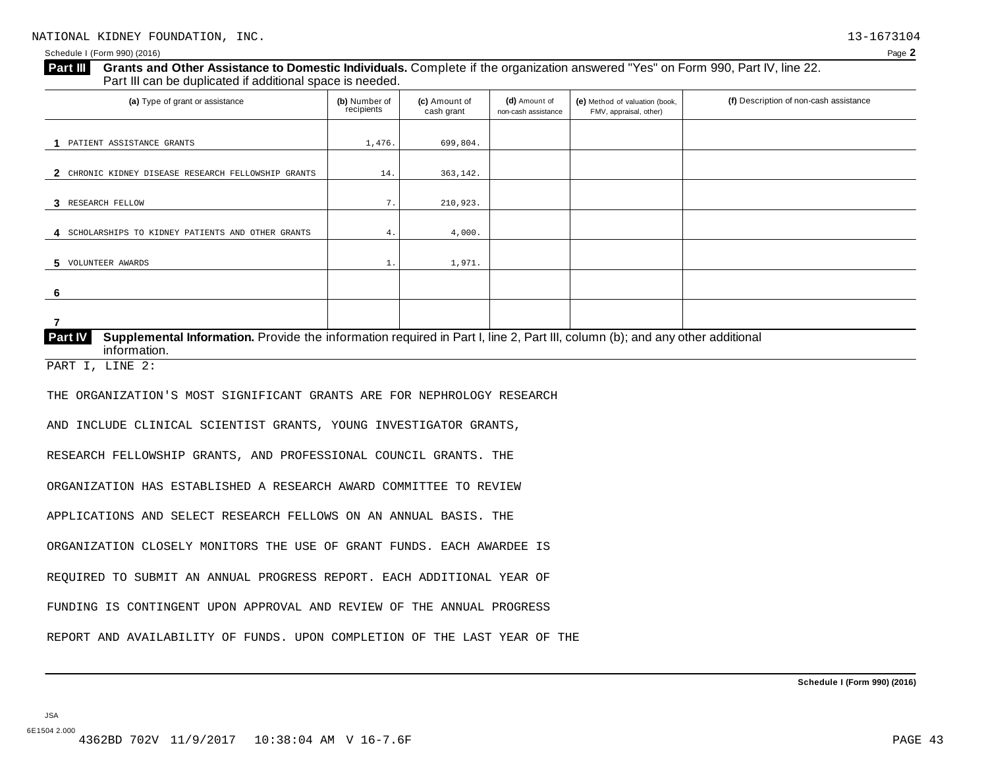#### **Grants and Other Assistance to Domestic Individuals.** Complete if the organization answered "Yes" on Form 990, Part IV, line 22. Part III can be duplicated if additional space is needed. **Part III**

| (a) Type of grant or assistance                                                                                                                         | (b) Number of<br>recipients | (c) Amount of<br>cash grant | (d) Amount of<br>non-cash assistance | (e) Method of valuation (book,<br>FMV, appraisal, other) | (f) Description of non-cash assistance |  |  |  |
|---------------------------------------------------------------------------------------------------------------------------------------------------------|-----------------------------|-----------------------------|--------------------------------------|----------------------------------------------------------|----------------------------------------|--|--|--|
| PATIENT ASSISTANCE GRANTS                                                                                                                               | 1,476.                      | 699,804.                    |                                      |                                                          |                                        |  |  |  |
| 2 CHRONIC KIDNEY DISEASE RESEARCH FELLOWSHIP GRANTS                                                                                                     | 14.                         | 363,142.                    |                                      |                                                          |                                        |  |  |  |
| 3 RESEARCH FELLOW                                                                                                                                       | 7.                          | 210,923.                    |                                      |                                                          |                                        |  |  |  |
| 4 SCHOLARSHIPS TO KIDNEY PATIENTS AND OTHER GRANTS                                                                                                      | 4.                          | 4,000.                      |                                      |                                                          |                                        |  |  |  |
| 5 VOLUNTEER AWARDS                                                                                                                                      |                             | 1,971.                      |                                      |                                                          |                                        |  |  |  |
| 6                                                                                                                                                       |                             |                             |                                      |                                                          |                                        |  |  |  |
|                                                                                                                                                         |                             |                             |                                      |                                                          |                                        |  |  |  |
| Part IV<br>Supplemental Information. Provide the information required in Part I, line 2, Part III, column (b); and any other additional<br>information. |                             |                             |                                      |                                                          |                                        |  |  |  |

PART I, LINE 2:

THE ORGANIZATION'S MOST SIGNIFICANT GRANTS ARE FOR NEPHROLOGY RESEARCH

AND INCLUDE CLINICAL SCIENTIST GRANTS, YOUNG INVESTIGATOR GRANTS,

RESEARCH FELLOWSHIP GRANTS, AND PROFESSIONAL COUNCIL GRANTS. THE

ORGANIZATION HAS ESTABLISHED A RESEARCH AWARD COMMITTEE TO REVIEW

APPLICATIONS AND SELECT RESEARCH FELLOWS ON AN ANNUAL BASIS. THE

ORGANIZATION CLOSELY MONITORS THE USE OF GRANT FUNDS. EACH AWARDEE IS

REQUIRED TO SUBMIT AN ANNUAL PROGRESS REPORT. EACH ADDITIONAL YEAR OF

FUNDING IS CONTINGENT UPON APPROVAL AND REVIEW OF THE ANNUAL PROGRESS

REPORT AND AVAILABILITY OF FUNDS. UPON COMPLETION OF THE LAST YEAR OF THE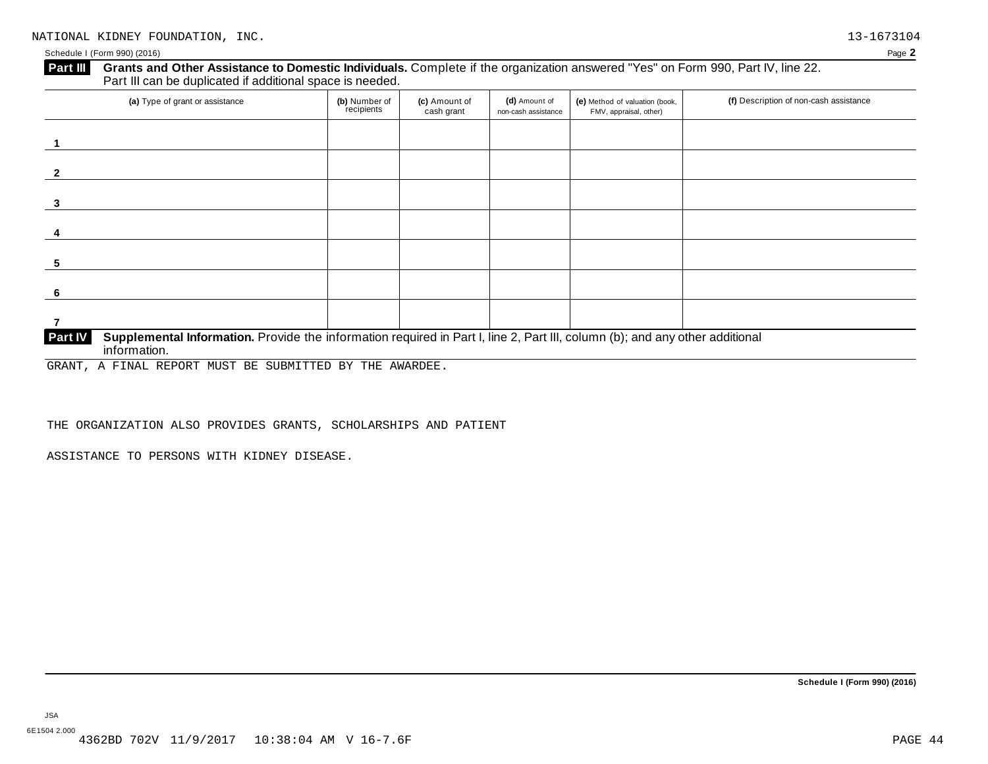#### Schedule I (Form 990) (2016) Page **2**

#### **Grants and Other Assistance to Domestic Individuals.** Complete if the organization answered "Yes" on Form 990, Part IV, line 22. Part III can be duplicated if additional space is needed. **Part III**

| (a) Type of grant or assistance                                                                                                                                | (b) Number of<br>recipients | (c) Amount of<br>cash grant | (d) Amount of<br>non-cash assistance | (e) Method of valuation (book,<br>FMV, appraisal, other) | (f) Description of non-cash assistance |
|----------------------------------------------------------------------------------------------------------------------------------------------------------------|-----------------------------|-----------------------------|--------------------------------------|----------------------------------------------------------|----------------------------------------|
|                                                                                                                                                                |                             |                             |                                      |                                                          |                                        |
|                                                                                                                                                                |                             |                             |                                      |                                                          |                                        |
| 3                                                                                                                                                              |                             |                             |                                      |                                                          |                                        |
|                                                                                                                                                                |                             |                             |                                      |                                                          |                                        |
| 5                                                                                                                                                              |                             |                             |                                      |                                                          |                                        |
| 6                                                                                                                                                              |                             |                             |                                      |                                                          |                                        |
|                                                                                                                                                                |                             |                             |                                      |                                                          |                                        |
| Supplemental Information. Provide the information required in Part I, line 2, Part III, column (b); and any other additional<br><b>Part IV</b><br>information. |                             |                             |                                      |                                                          |                                        |

GRANT, A FINAL REPORT MUST BE SUBMITTED BY THE AWARDEE.

THE ORGANIZATION ALSO PROVIDES GRANTS, SCHOLARSHIPS AND PATIENT

ASSISTANCE TO PERSONS WITH KIDNEY DISEASE.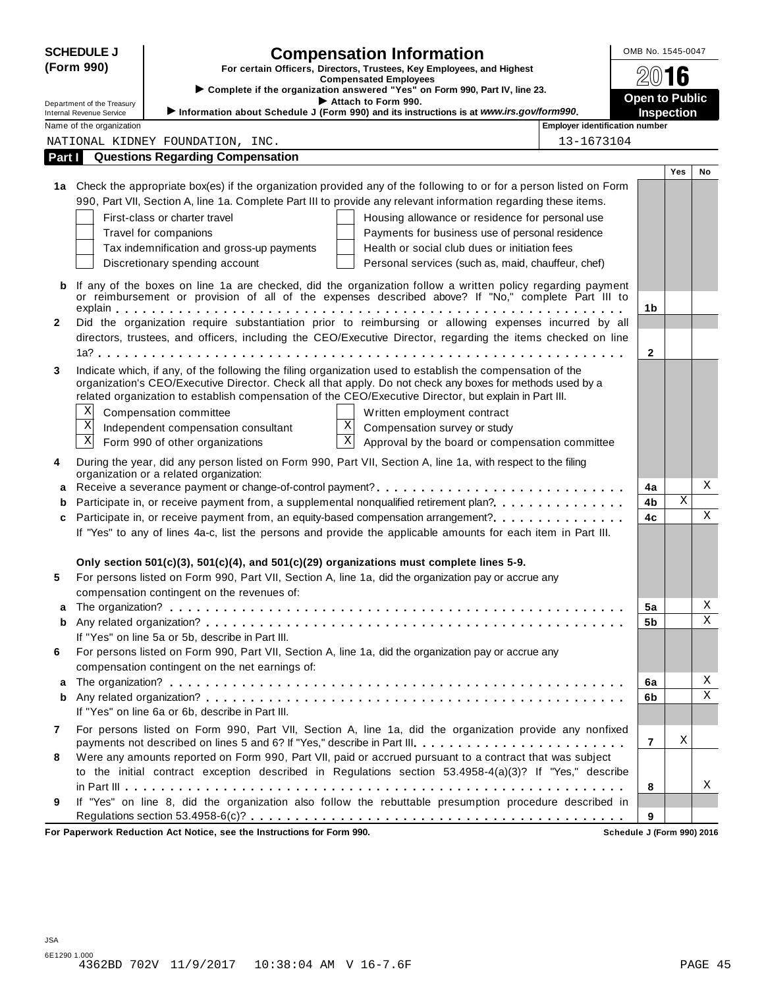| (Form 990)<br>For certain Officers, Directors, Trustees, Key Employees, and Highest<br>2016<br><b>Compensated Employees</b><br>Complete if the organization answered "Yes" on Form 990, Part IV, line 23.<br><b>Open to Public</b><br>Attach to Form 990.<br>Department of the Treasury<br>Information about Schedule J (Form 990) and its instructions is at www.irs.gov/form990.<br><b>Inspection</b><br>Internal Revenue Service<br><b>Employer identification number</b><br>Name of the organization<br>13-1673104<br>NATIONAL KIDNEY FOUNDATION, INC.<br><b>Questions Regarding Compensation</b><br>Part I<br><b>Yes</b><br>1a Check the appropriate box(es) if the organization provided any of the following to or for a person listed on Form<br>990, Part VII, Section A, line 1a. Complete Part III to provide any relevant information regarding these items.<br>First-class or charter travel<br>Housing allowance or residence for personal use<br>Travel for companions<br>Payments for business use of personal residence<br>Health or social club dues or initiation fees<br>Tax indemnification and gross-up payments<br>Discretionary spending account<br>Personal services (such as, maid, chauffeur, chef)<br>If any of the boxes on line 1a are checked, did the organization follow a written policy regarding payment<br>or reimbursement or provision of all of the expenses described above? If "No," complete Part III to<br>1b<br>Did the organization require substantiation prior to reimbursing or allowing expenses incurred by all<br>$\mathbf{2}$<br>directors, trustees, and officers, including the CEO/Executive Director, regarding the items checked on line<br>$\mathbf{2}$<br>Indicate which, if any, of the following the filing organization used to establish the compensation of the<br>3<br>organization's CEO/Executive Director. Check all that apply. Do not check any boxes for methods used by a<br>related organization to establish compensation of the CEO/Executive Director, but explain in Part III.<br>Χ<br>Compensation committee<br>Written employment contract<br>$\mathbf X$<br>Χ<br>Compensation survey or study<br>Independent compensation consultant<br>$\overline{\mathbf{x}}$<br>$\mathbf{x}$<br>Form 990 of other organizations<br>Approval by the board or compensation committee<br>During the year, did any person listed on Form 990, Part VII, Section A, line 1a, with respect to the filing<br>4<br>organization or a related organization:<br>Receive a severance payment or change-of-control payment?<br>4a<br>a<br>X<br>Participate in, or receive payment from, a supplemental nonqualified retirement plan?<br>4b<br>b<br>Participate in, or receive payment from, an equity-based compensation arrangement?<br>4c<br>c<br>If "Yes" to any of lines 4a-c, list the persons and provide the applicable amounts for each item in Part III.<br>Only section $501(c)(3)$ , $501(c)(4)$ , and $501(c)(29)$ organizations must complete lines 5-9.<br>For persons listed on Form 990, Part VII, Section A, line 1a, did the organization pay or accrue any<br>5<br>compensation contingent on the revenues of:<br>5a<br>a<br>5b<br>b<br>If "Yes" on line 5a or 5b, describe in Part III.<br>For persons listed on Form 990, Part VII, Section A, line 1a, did the organization pay or accrue any<br>6<br>compensation contingent on the net earnings of:<br>6а<br>a<br>6b<br>b<br>If "Yes" on line 6a or 6b, describe in Part III.<br>For persons listed on Form 990, Part VII, Section A, line 1a, did the organization provide any nonfixed<br>7 | <b>SCHEDULE J</b> | <b>Compensation Information</b> | OMB No. 1545-0047 |   |    |
|-------------------------------------------------------------------------------------------------------------------------------------------------------------------------------------------------------------------------------------------------------------------------------------------------------------------------------------------------------------------------------------------------------------------------------------------------------------------------------------------------------------------------------------------------------------------------------------------------------------------------------------------------------------------------------------------------------------------------------------------------------------------------------------------------------------------------------------------------------------------------------------------------------------------------------------------------------------------------------------------------------------------------------------------------------------------------------------------------------------------------------------------------------------------------------------------------------------------------------------------------------------------------------------------------------------------------------------------------------------------------------------------------------------------------------------------------------------------------------------------------------------------------------------------------------------------------------------------------------------------------------------------------------------------------------------------------------------------------------------------------------------------------------------------------------------------------------------------------------------------------------------------------------------------------------------------------------------------------------------------------------------------------------------------------------------------------------------------------------------------------------------------------------------------------------------------------------------------------------------------------------------------------------------------------------------------------------------------------------------------------------------------------------------------------------------------------------------------------------------------------------------------------------------------------------------------------------------------------------------------------------------------------------------------------------------------------------------------------------------------------------------------------------------------------------------------------------------------------------------------------------------------------------------------------------------------------------------------------------------------------------------------------------------------------------------------------------------------------------------------------------------------------------------------------------------------------------------------------------------------------------------------------------------------------------------------------------------------------------------------------------------------------------------------------------------------------------------------------------------------------------------------------------------------------------------------------------------------------------------------------------|-------------------|---------------------------------|-------------------|---|----|
|                                                                                                                                                                                                                                                                                                                                                                                                                                                                                                                                                                                                                                                                                                                                                                                                                                                                                                                                                                                                                                                                                                                                                                                                                                                                                                                                                                                                                                                                                                                                                                                                                                                                                                                                                                                                                                                                                                                                                                                                                                                                                                                                                                                                                                                                                                                                                                                                                                                                                                                                                                                                                                                                                                                                                                                                                                                                                                                                                                                                                                                                                                                                                                                                                                                                                                                                                                                                                                                                                                                                                                                                                               |                   |                                 |                   |   |    |
|                                                                                                                                                                                                                                                                                                                                                                                                                                                                                                                                                                                                                                                                                                                                                                                                                                                                                                                                                                                                                                                                                                                                                                                                                                                                                                                                                                                                                                                                                                                                                                                                                                                                                                                                                                                                                                                                                                                                                                                                                                                                                                                                                                                                                                                                                                                                                                                                                                                                                                                                                                                                                                                                                                                                                                                                                                                                                                                                                                                                                                                                                                                                                                                                                                                                                                                                                                                                                                                                                                                                                                                                                               |                   |                                 |                   |   |    |
|                                                                                                                                                                                                                                                                                                                                                                                                                                                                                                                                                                                                                                                                                                                                                                                                                                                                                                                                                                                                                                                                                                                                                                                                                                                                                                                                                                                                                                                                                                                                                                                                                                                                                                                                                                                                                                                                                                                                                                                                                                                                                                                                                                                                                                                                                                                                                                                                                                                                                                                                                                                                                                                                                                                                                                                                                                                                                                                                                                                                                                                                                                                                                                                                                                                                                                                                                                                                                                                                                                                                                                                                                               |                   |                                 |                   |   |    |
|                                                                                                                                                                                                                                                                                                                                                                                                                                                                                                                                                                                                                                                                                                                                                                                                                                                                                                                                                                                                                                                                                                                                                                                                                                                                                                                                                                                                                                                                                                                                                                                                                                                                                                                                                                                                                                                                                                                                                                                                                                                                                                                                                                                                                                                                                                                                                                                                                                                                                                                                                                                                                                                                                                                                                                                                                                                                                                                                                                                                                                                                                                                                                                                                                                                                                                                                                                                                                                                                                                                                                                                                                               |                   |                                 |                   |   |    |
|                                                                                                                                                                                                                                                                                                                                                                                                                                                                                                                                                                                                                                                                                                                                                                                                                                                                                                                                                                                                                                                                                                                                                                                                                                                                                                                                                                                                                                                                                                                                                                                                                                                                                                                                                                                                                                                                                                                                                                                                                                                                                                                                                                                                                                                                                                                                                                                                                                                                                                                                                                                                                                                                                                                                                                                                                                                                                                                                                                                                                                                                                                                                                                                                                                                                                                                                                                                                                                                                                                                                                                                                                               |                   |                                 |                   |   |    |
|                                                                                                                                                                                                                                                                                                                                                                                                                                                                                                                                                                                                                                                                                                                                                                                                                                                                                                                                                                                                                                                                                                                                                                                                                                                                                                                                                                                                                                                                                                                                                                                                                                                                                                                                                                                                                                                                                                                                                                                                                                                                                                                                                                                                                                                                                                                                                                                                                                                                                                                                                                                                                                                                                                                                                                                                                                                                                                                                                                                                                                                                                                                                                                                                                                                                                                                                                                                                                                                                                                                                                                                                                               |                   |                                 |                   |   |    |
|                                                                                                                                                                                                                                                                                                                                                                                                                                                                                                                                                                                                                                                                                                                                                                                                                                                                                                                                                                                                                                                                                                                                                                                                                                                                                                                                                                                                                                                                                                                                                                                                                                                                                                                                                                                                                                                                                                                                                                                                                                                                                                                                                                                                                                                                                                                                                                                                                                                                                                                                                                                                                                                                                                                                                                                                                                                                                                                                                                                                                                                                                                                                                                                                                                                                                                                                                                                                                                                                                                                                                                                                                               |                   |                                 |                   |   | No |
|                                                                                                                                                                                                                                                                                                                                                                                                                                                                                                                                                                                                                                                                                                                                                                                                                                                                                                                                                                                                                                                                                                                                                                                                                                                                                                                                                                                                                                                                                                                                                                                                                                                                                                                                                                                                                                                                                                                                                                                                                                                                                                                                                                                                                                                                                                                                                                                                                                                                                                                                                                                                                                                                                                                                                                                                                                                                                                                                                                                                                                                                                                                                                                                                                                                                                                                                                                                                                                                                                                                                                                                                                               |                   |                                 |                   |   |    |
|                                                                                                                                                                                                                                                                                                                                                                                                                                                                                                                                                                                                                                                                                                                                                                                                                                                                                                                                                                                                                                                                                                                                                                                                                                                                                                                                                                                                                                                                                                                                                                                                                                                                                                                                                                                                                                                                                                                                                                                                                                                                                                                                                                                                                                                                                                                                                                                                                                                                                                                                                                                                                                                                                                                                                                                                                                                                                                                                                                                                                                                                                                                                                                                                                                                                                                                                                                                                                                                                                                                                                                                                                               |                   |                                 |                   |   |    |
|                                                                                                                                                                                                                                                                                                                                                                                                                                                                                                                                                                                                                                                                                                                                                                                                                                                                                                                                                                                                                                                                                                                                                                                                                                                                                                                                                                                                                                                                                                                                                                                                                                                                                                                                                                                                                                                                                                                                                                                                                                                                                                                                                                                                                                                                                                                                                                                                                                                                                                                                                                                                                                                                                                                                                                                                                                                                                                                                                                                                                                                                                                                                                                                                                                                                                                                                                                                                                                                                                                                                                                                                                               |                   |                                 |                   |   |    |
|                                                                                                                                                                                                                                                                                                                                                                                                                                                                                                                                                                                                                                                                                                                                                                                                                                                                                                                                                                                                                                                                                                                                                                                                                                                                                                                                                                                                                                                                                                                                                                                                                                                                                                                                                                                                                                                                                                                                                                                                                                                                                                                                                                                                                                                                                                                                                                                                                                                                                                                                                                                                                                                                                                                                                                                                                                                                                                                                                                                                                                                                                                                                                                                                                                                                                                                                                                                                                                                                                                                                                                                                                               |                   |                                 |                   |   |    |
|                                                                                                                                                                                                                                                                                                                                                                                                                                                                                                                                                                                                                                                                                                                                                                                                                                                                                                                                                                                                                                                                                                                                                                                                                                                                                                                                                                                                                                                                                                                                                                                                                                                                                                                                                                                                                                                                                                                                                                                                                                                                                                                                                                                                                                                                                                                                                                                                                                                                                                                                                                                                                                                                                                                                                                                                                                                                                                                                                                                                                                                                                                                                                                                                                                                                                                                                                                                                                                                                                                                                                                                                                               |                   |                                 |                   |   |    |
|                                                                                                                                                                                                                                                                                                                                                                                                                                                                                                                                                                                                                                                                                                                                                                                                                                                                                                                                                                                                                                                                                                                                                                                                                                                                                                                                                                                                                                                                                                                                                                                                                                                                                                                                                                                                                                                                                                                                                                                                                                                                                                                                                                                                                                                                                                                                                                                                                                                                                                                                                                                                                                                                                                                                                                                                                                                                                                                                                                                                                                                                                                                                                                                                                                                                                                                                                                                                                                                                                                                                                                                                                               |                   |                                 |                   |   |    |
|                                                                                                                                                                                                                                                                                                                                                                                                                                                                                                                                                                                                                                                                                                                                                                                                                                                                                                                                                                                                                                                                                                                                                                                                                                                                                                                                                                                                                                                                                                                                                                                                                                                                                                                                                                                                                                                                                                                                                                                                                                                                                                                                                                                                                                                                                                                                                                                                                                                                                                                                                                                                                                                                                                                                                                                                                                                                                                                                                                                                                                                                                                                                                                                                                                                                                                                                                                                                                                                                                                                                                                                                                               |                   |                                 |                   |   |    |
|                                                                                                                                                                                                                                                                                                                                                                                                                                                                                                                                                                                                                                                                                                                                                                                                                                                                                                                                                                                                                                                                                                                                                                                                                                                                                                                                                                                                                                                                                                                                                                                                                                                                                                                                                                                                                                                                                                                                                                                                                                                                                                                                                                                                                                                                                                                                                                                                                                                                                                                                                                                                                                                                                                                                                                                                                                                                                                                                                                                                                                                                                                                                                                                                                                                                                                                                                                                                                                                                                                                                                                                                                               |                   |                                 |                   |   |    |
|                                                                                                                                                                                                                                                                                                                                                                                                                                                                                                                                                                                                                                                                                                                                                                                                                                                                                                                                                                                                                                                                                                                                                                                                                                                                                                                                                                                                                                                                                                                                                                                                                                                                                                                                                                                                                                                                                                                                                                                                                                                                                                                                                                                                                                                                                                                                                                                                                                                                                                                                                                                                                                                                                                                                                                                                                                                                                                                                                                                                                                                                                                                                                                                                                                                                                                                                                                                                                                                                                                                                                                                                                               |                   |                                 |                   |   |    |
|                                                                                                                                                                                                                                                                                                                                                                                                                                                                                                                                                                                                                                                                                                                                                                                                                                                                                                                                                                                                                                                                                                                                                                                                                                                                                                                                                                                                                                                                                                                                                                                                                                                                                                                                                                                                                                                                                                                                                                                                                                                                                                                                                                                                                                                                                                                                                                                                                                                                                                                                                                                                                                                                                                                                                                                                                                                                                                                                                                                                                                                                                                                                                                                                                                                                                                                                                                                                                                                                                                                                                                                                                               |                   |                                 |                   |   |    |
|                                                                                                                                                                                                                                                                                                                                                                                                                                                                                                                                                                                                                                                                                                                                                                                                                                                                                                                                                                                                                                                                                                                                                                                                                                                                                                                                                                                                                                                                                                                                                                                                                                                                                                                                                                                                                                                                                                                                                                                                                                                                                                                                                                                                                                                                                                                                                                                                                                                                                                                                                                                                                                                                                                                                                                                                                                                                                                                                                                                                                                                                                                                                                                                                                                                                                                                                                                                                                                                                                                                                                                                                                               |                   |                                 |                   |   |    |
|                                                                                                                                                                                                                                                                                                                                                                                                                                                                                                                                                                                                                                                                                                                                                                                                                                                                                                                                                                                                                                                                                                                                                                                                                                                                                                                                                                                                                                                                                                                                                                                                                                                                                                                                                                                                                                                                                                                                                                                                                                                                                                                                                                                                                                                                                                                                                                                                                                                                                                                                                                                                                                                                                                                                                                                                                                                                                                                                                                                                                                                                                                                                                                                                                                                                                                                                                                                                                                                                                                                                                                                                                               |                   |                                 |                   |   |    |
|                                                                                                                                                                                                                                                                                                                                                                                                                                                                                                                                                                                                                                                                                                                                                                                                                                                                                                                                                                                                                                                                                                                                                                                                                                                                                                                                                                                                                                                                                                                                                                                                                                                                                                                                                                                                                                                                                                                                                                                                                                                                                                                                                                                                                                                                                                                                                                                                                                                                                                                                                                                                                                                                                                                                                                                                                                                                                                                                                                                                                                                                                                                                                                                                                                                                                                                                                                                                                                                                                                                                                                                                                               |                   |                                 |                   |   |    |
|                                                                                                                                                                                                                                                                                                                                                                                                                                                                                                                                                                                                                                                                                                                                                                                                                                                                                                                                                                                                                                                                                                                                                                                                                                                                                                                                                                                                                                                                                                                                                                                                                                                                                                                                                                                                                                                                                                                                                                                                                                                                                                                                                                                                                                                                                                                                                                                                                                                                                                                                                                                                                                                                                                                                                                                                                                                                                                                                                                                                                                                                                                                                                                                                                                                                                                                                                                                                                                                                                                                                                                                                                               |                   |                                 |                   |   |    |
|                                                                                                                                                                                                                                                                                                                                                                                                                                                                                                                                                                                                                                                                                                                                                                                                                                                                                                                                                                                                                                                                                                                                                                                                                                                                                                                                                                                                                                                                                                                                                                                                                                                                                                                                                                                                                                                                                                                                                                                                                                                                                                                                                                                                                                                                                                                                                                                                                                                                                                                                                                                                                                                                                                                                                                                                                                                                                                                                                                                                                                                                                                                                                                                                                                                                                                                                                                                                                                                                                                                                                                                                                               |                   |                                 |                   |   |    |
|                                                                                                                                                                                                                                                                                                                                                                                                                                                                                                                                                                                                                                                                                                                                                                                                                                                                                                                                                                                                                                                                                                                                                                                                                                                                                                                                                                                                                                                                                                                                                                                                                                                                                                                                                                                                                                                                                                                                                                                                                                                                                                                                                                                                                                                                                                                                                                                                                                                                                                                                                                                                                                                                                                                                                                                                                                                                                                                                                                                                                                                                                                                                                                                                                                                                                                                                                                                                                                                                                                                                                                                                                               |                   |                                 |                   |   |    |
|                                                                                                                                                                                                                                                                                                                                                                                                                                                                                                                                                                                                                                                                                                                                                                                                                                                                                                                                                                                                                                                                                                                                                                                                                                                                                                                                                                                                                                                                                                                                                                                                                                                                                                                                                                                                                                                                                                                                                                                                                                                                                                                                                                                                                                                                                                                                                                                                                                                                                                                                                                                                                                                                                                                                                                                                                                                                                                                                                                                                                                                                                                                                                                                                                                                                                                                                                                                                                                                                                                                                                                                                                               |                   |                                 |                   |   |    |
|                                                                                                                                                                                                                                                                                                                                                                                                                                                                                                                                                                                                                                                                                                                                                                                                                                                                                                                                                                                                                                                                                                                                                                                                                                                                                                                                                                                                                                                                                                                                                                                                                                                                                                                                                                                                                                                                                                                                                                                                                                                                                                                                                                                                                                                                                                                                                                                                                                                                                                                                                                                                                                                                                                                                                                                                                                                                                                                                                                                                                                                                                                                                                                                                                                                                                                                                                                                                                                                                                                                                                                                                                               |                   |                                 |                   |   |    |
|                                                                                                                                                                                                                                                                                                                                                                                                                                                                                                                                                                                                                                                                                                                                                                                                                                                                                                                                                                                                                                                                                                                                                                                                                                                                                                                                                                                                                                                                                                                                                                                                                                                                                                                                                                                                                                                                                                                                                                                                                                                                                                                                                                                                                                                                                                                                                                                                                                                                                                                                                                                                                                                                                                                                                                                                                                                                                                                                                                                                                                                                                                                                                                                                                                                                                                                                                                                                                                                                                                                                                                                                                               |                   |                                 |                   |   | Χ  |
|                                                                                                                                                                                                                                                                                                                                                                                                                                                                                                                                                                                                                                                                                                                                                                                                                                                                                                                                                                                                                                                                                                                                                                                                                                                                                                                                                                                                                                                                                                                                                                                                                                                                                                                                                                                                                                                                                                                                                                                                                                                                                                                                                                                                                                                                                                                                                                                                                                                                                                                                                                                                                                                                                                                                                                                                                                                                                                                                                                                                                                                                                                                                                                                                                                                                                                                                                                                                                                                                                                                                                                                                                               |                   |                                 |                   |   |    |
|                                                                                                                                                                                                                                                                                                                                                                                                                                                                                                                                                                                                                                                                                                                                                                                                                                                                                                                                                                                                                                                                                                                                                                                                                                                                                                                                                                                                                                                                                                                                                                                                                                                                                                                                                                                                                                                                                                                                                                                                                                                                                                                                                                                                                                                                                                                                                                                                                                                                                                                                                                                                                                                                                                                                                                                                                                                                                                                                                                                                                                                                                                                                                                                                                                                                                                                                                                                                                                                                                                                                                                                                                               |                   |                                 |                   |   | X  |
|                                                                                                                                                                                                                                                                                                                                                                                                                                                                                                                                                                                                                                                                                                                                                                                                                                                                                                                                                                                                                                                                                                                                                                                                                                                                                                                                                                                                                                                                                                                                                                                                                                                                                                                                                                                                                                                                                                                                                                                                                                                                                                                                                                                                                                                                                                                                                                                                                                                                                                                                                                                                                                                                                                                                                                                                                                                                                                                                                                                                                                                                                                                                                                                                                                                                                                                                                                                                                                                                                                                                                                                                                               |                   |                                 |                   |   |    |
|                                                                                                                                                                                                                                                                                                                                                                                                                                                                                                                                                                                                                                                                                                                                                                                                                                                                                                                                                                                                                                                                                                                                                                                                                                                                                                                                                                                                                                                                                                                                                                                                                                                                                                                                                                                                                                                                                                                                                                                                                                                                                                                                                                                                                                                                                                                                                                                                                                                                                                                                                                                                                                                                                                                                                                                                                                                                                                                                                                                                                                                                                                                                                                                                                                                                                                                                                                                                                                                                                                                                                                                                                               |                   |                                 |                   |   |    |
|                                                                                                                                                                                                                                                                                                                                                                                                                                                                                                                                                                                                                                                                                                                                                                                                                                                                                                                                                                                                                                                                                                                                                                                                                                                                                                                                                                                                                                                                                                                                                                                                                                                                                                                                                                                                                                                                                                                                                                                                                                                                                                                                                                                                                                                                                                                                                                                                                                                                                                                                                                                                                                                                                                                                                                                                                                                                                                                                                                                                                                                                                                                                                                                                                                                                                                                                                                                                                                                                                                                                                                                                                               |                   |                                 |                   |   |    |
|                                                                                                                                                                                                                                                                                                                                                                                                                                                                                                                                                                                                                                                                                                                                                                                                                                                                                                                                                                                                                                                                                                                                                                                                                                                                                                                                                                                                                                                                                                                                                                                                                                                                                                                                                                                                                                                                                                                                                                                                                                                                                                                                                                                                                                                                                                                                                                                                                                                                                                                                                                                                                                                                                                                                                                                                                                                                                                                                                                                                                                                                                                                                                                                                                                                                                                                                                                                                                                                                                                                                                                                                                               |                   |                                 |                   |   |    |
|                                                                                                                                                                                                                                                                                                                                                                                                                                                                                                                                                                                                                                                                                                                                                                                                                                                                                                                                                                                                                                                                                                                                                                                                                                                                                                                                                                                                                                                                                                                                                                                                                                                                                                                                                                                                                                                                                                                                                                                                                                                                                                                                                                                                                                                                                                                                                                                                                                                                                                                                                                                                                                                                                                                                                                                                                                                                                                                                                                                                                                                                                                                                                                                                                                                                                                                                                                                                                                                                                                                                                                                                                               |                   |                                 |                   |   | Χ  |
|                                                                                                                                                                                                                                                                                                                                                                                                                                                                                                                                                                                                                                                                                                                                                                                                                                                                                                                                                                                                                                                                                                                                                                                                                                                                                                                                                                                                                                                                                                                                                                                                                                                                                                                                                                                                                                                                                                                                                                                                                                                                                                                                                                                                                                                                                                                                                                                                                                                                                                                                                                                                                                                                                                                                                                                                                                                                                                                                                                                                                                                                                                                                                                                                                                                                                                                                                                                                                                                                                                                                                                                                                               |                   |                                 |                   |   | X  |
|                                                                                                                                                                                                                                                                                                                                                                                                                                                                                                                                                                                                                                                                                                                                                                                                                                                                                                                                                                                                                                                                                                                                                                                                                                                                                                                                                                                                                                                                                                                                                                                                                                                                                                                                                                                                                                                                                                                                                                                                                                                                                                                                                                                                                                                                                                                                                                                                                                                                                                                                                                                                                                                                                                                                                                                                                                                                                                                                                                                                                                                                                                                                                                                                                                                                                                                                                                                                                                                                                                                                                                                                                               |                   |                                 |                   |   |    |
|                                                                                                                                                                                                                                                                                                                                                                                                                                                                                                                                                                                                                                                                                                                                                                                                                                                                                                                                                                                                                                                                                                                                                                                                                                                                                                                                                                                                                                                                                                                                                                                                                                                                                                                                                                                                                                                                                                                                                                                                                                                                                                                                                                                                                                                                                                                                                                                                                                                                                                                                                                                                                                                                                                                                                                                                                                                                                                                                                                                                                                                                                                                                                                                                                                                                                                                                                                                                                                                                                                                                                                                                                               |                   |                                 |                   |   |    |
|                                                                                                                                                                                                                                                                                                                                                                                                                                                                                                                                                                                                                                                                                                                                                                                                                                                                                                                                                                                                                                                                                                                                                                                                                                                                                                                                                                                                                                                                                                                                                                                                                                                                                                                                                                                                                                                                                                                                                                                                                                                                                                                                                                                                                                                                                                                                                                                                                                                                                                                                                                                                                                                                                                                                                                                                                                                                                                                                                                                                                                                                                                                                                                                                                                                                                                                                                                                                                                                                                                                                                                                                                               |                   |                                 |                   |   |    |
|                                                                                                                                                                                                                                                                                                                                                                                                                                                                                                                                                                                                                                                                                                                                                                                                                                                                                                                                                                                                                                                                                                                                                                                                                                                                                                                                                                                                                                                                                                                                                                                                                                                                                                                                                                                                                                                                                                                                                                                                                                                                                                                                                                                                                                                                                                                                                                                                                                                                                                                                                                                                                                                                                                                                                                                                                                                                                                                                                                                                                                                                                                                                                                                                                                                                                                                                                                                                                                                                                                                                                                                                                               |                   |                                 |                   |   | Χ  |
|                                                                                                                                                                                                                                                                                                                                                                                                                                                                                                                                                                                                                                                                                                                                                                                                                                                                                                                                                                                                                                                                                                                                                                                                                                                                                                                                                                                                                                                                                                                                                                                                                                                                                                                                                                                                                                                                                                                                                                                                                                                                                                                                                                                                                                                                                                                                                                                                                                                                                                                                                                                                                                                                                                                                                                                                                                                                                                                                                                                                                                                                                                                                                                                                                                                                                                                                                                                                                                                                                                                                                                                                                               |                   |                                 |                   |   | X  |
|                                                                                                                                                                                                                                                                                                                                                                                                                                                                                                                                                                                                                                                                                                                                                                                                                                                                                                                                                                                                                                                                                                                                                                                                                                                                                                                                                                                                                                                                                                                                                                                                                                                                                                                                                                                                                                                                                                                                                                                                                                                                                                                                                                                                                                                                                                                                                                                                                                                                                                                                                                                                                                                                                                                                                                                                                                                                                                                                                                                                                                                                                                                                                                                                                                                                                                                                                                                                                                                                                                                                                                                                                               |                   |                                 |                   |   |    |
|                                                                                                                                                                                                                                                                                                                                                                                                                                                                                                                                                                                                                                                                                                                                                                                                                                                                                                                                                                                                                                                                                                                                                                                                                                                                                                                                                                                                                                                                                                                                                                                                                                                                                                                                                                                                                                                                                                                                                                                                                                                                                                                                                                                                                                                                                                                                                                                                                                                                                                                                                                                                                                                                                                                                                                                                                                                                                                                                                                                                                                                                                                                                                                                                                                                                                                                                                                                                                                                                                                                                                                                                                               |                   |                                 |                   |   |    |
|                                                                                                                                                                                                                                                                                                                                                                                                                                                                                                                                                                                                                                                                                                                                                                                                                                                                                                                                                                                                                                                                                                                                                                                                                                                                                                                                                                                                                                                                                                                                                                                                                                                                                                                                                                                                                                                                                                                                                                                                                                                                                                                                                                                                                                                                                                                                                                                                                                                                                                                                                                                                                                                                                                                                                                                                                                                                                                                                                                                                                                                                                                                                                                                                                                                                                                                                                                                                                                                                                                                                                                                                                               |                   |                                 | 7                 | Χ |    |
| Were any amounts reported on Form 990, Part VII, paid or accrued pursuant to a contract that was subject<br>8                                                                                                                                                                                                                                                                                                                                                                                                                                                                                                                                                                                                                                                                                                                                                                                                                                                                                                                                                                                                                                                                                                                                                                                                                                                                                                                                                                                                                                                                                                                                                                                                                                                                                                                                                                                                                                                                                                                                                                                                                                                                                                                                                                                                                                                                                                                                                                                                                                                                                                                                                                                                                                                                                                                                                                                                                                                                                                                                                                                                                                                                                                                                                                                                                                                                                                                                                                                                                                                                                                                 |                   |                                 |                   |   |    |
| to the initial contract exception described in Regulations section 53.4958-4(a)(3)? If "Yes," describe                                                                                                                                                                                                                                                                                                                                                                                                                                                                                                                                                                                                                                                                                                                                                                                                                                                                                                                                                                                                                                                                                                                                                                                                                                                                                                                                                                                                                                                                                                                                                                                                                                                                                                                                                                                                                                                                                                                                                                                                                                                                                                                                                                                                                                                                                                                                                                                                                                                                                                                                                                                                                                                                                                                                                                                                                                                                                                                                                                                                                                                                                                                                                                                                                                                                                                                                                                                                                                                                                                                        |                   |                                 |                   |   | Χ  |
| 8<br>If "Yes" on line 8, did the organization also follow the rebuttable presumption procedure described in<br>9                                                                                                                                                                                                                                                                                                                                                                                                                                                                                                                                                                                                                                                                                                                                                                                                                                                                                                                                                                                                                                                                                                                                                                                                                                                                                                                                                                                                                                                                                                                                                                                                                                                                                                                                                                                                                                                                                                                                                                                                                                                                                                                                                                                                                                                                                                                                                                                                                                                                                                                                                                                                                                                                                                                                                                                                                                                                                                                                                                                                                                                                                                                                                                                                                                                                                                                                                                                                                                                                                                              |                   |                                 |                   |   |    |
| 9                                                                                                                                                                                                                                                                                                                                                                                                                                                                                                                                                                                                                                                                                                                                                                                                                                                                                                                                                                                                                                                                                                                                                                                                                                                                                                                                                                                                                                                                                                                                                                                                                                                                                                                                                                                                                                                                                                                                                                                                                                                                                                                                                                                                                                                                                                                                                                                                                                                                                                                                                                                                                                                                                                                                                                                                                                                                                                                                                                                                                                                                                                                                                                                                                                                                                                                                                                                                                                                                                                                                                                                                                             |                   |                                 |                   |   |    |
| For Paperwork Reduction Act Notice, see the Instructions for Form 990.<br>Schedule J (Form 990) 2016                                                                                                                                                                                                                                                                                                                                                                                                                                                                                                                                                                                                                                                                                                                                                                                                                                                                                                                                                                                                                                                                                                                                                                                                                                                                                                                                                                                                                                                                                                                                                                                                                                                                                                                                                                                                                                                                                                                                                                                                                                                                                                                                                                                                                                                                                                                                                                                                                                                                                                                                                                                                                                                                                                                                                                                                                                                                                                                                                                                                                                                                                                                                                                                                                                                                                                                                                                                                                                                                                                                          |                   |                                 |                   |   |    |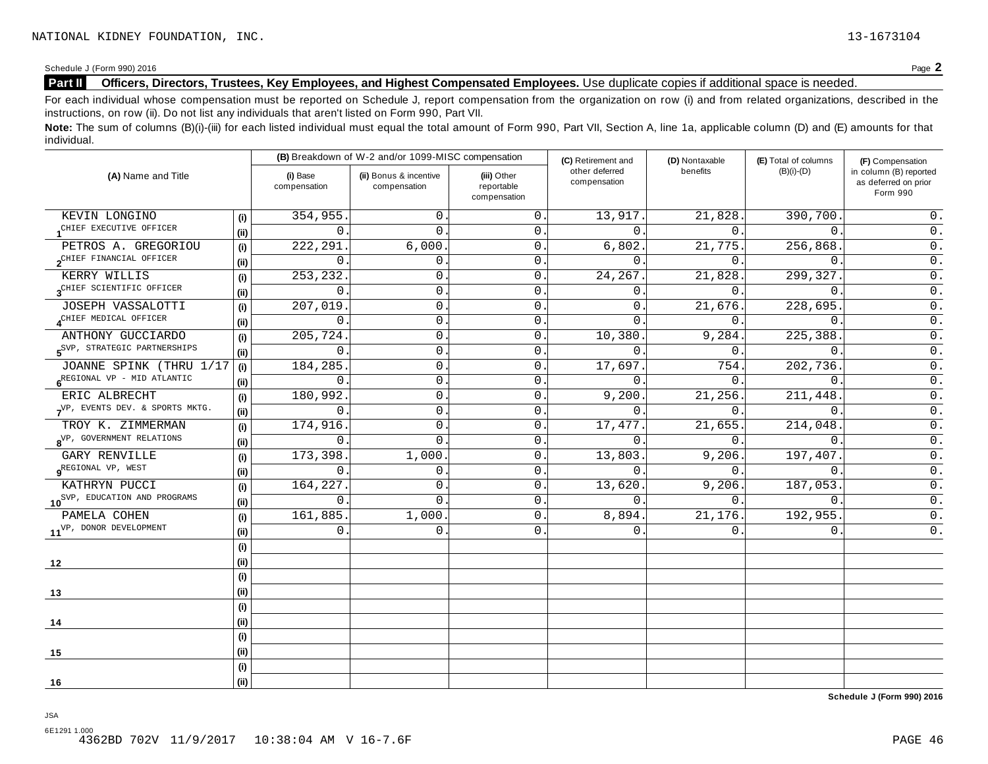Schedule J (Form 990) 2016 Page **2**

## **Part II** Officers, Directors, Trustees, Key Employees, and Highest Compensated Employees. Use duplicate copies if additional space is needed.

For each individual whose compensation must be reported on Schedule J, report compensation from the organization on row (i) and from related organizations, described in the instructions, on row (ii). Do not list any individuals that aren't listed on Form 990, Part VII.

Note: The sum of columns (B)(i)-(iii) for each listed individual must equal the total amount of Form 990, Part VII, Section A, line 1a, applicable column (D) and (E) amounts for that individual.

|                                           |      |                          | (B) Breakdown of W-2 and/or 1099-MISC compensation |                                           | (C) Retirement and             | (D) Nontaxable | (E) Total of columns | (F) Compensation                                           |
|-------------------------------------------|------|--------------------------|----------------------------------------------------|-------------------------------------------|--------------------------------|----------------|----------------------|------------------------------------------------------------|
| (A) Name and Title                        |      | (i) Base<br>compensation | (ii) Bonus & incentive<br>compensation             | (iii) Other<br>reportable<br>compensation | other deferred<br>compensation | benefits       | $(B)(i)-(D)$         | in column (B) reported<br>as deferred on prior<br>Form 990 |
| KEVIN LONGINO                             | (i)  | 354,955                  | $\mathsf{O}$ .                                     | $\mathbf 0$ .                             | 13,917.                        | 21,828.        | 390,700.             | 0.                                                         |
| CHIEF EXECUTIVE OFFICER                   | (i)  | $\mathbf 0$              | $\Omega$ .                                         | $\mathsf{O}$ .                            | $\Omega$ .                     | 0.             | $\mathbf{0}$ .       | $0$ .                                                      |
| PETROS A. GREGORIOU                       | (i)  | 222,291                  | 6,000                                              | 0.                                        | 6,802.                         | 21,775.        | 256,868.             | $0$ .                                                      |
| $2^{\text{CHIEF}}$ FINANCIAL OFFICER      | (i)  | $\Omega$                 | $\mathbf{0}$ .                                     | $\mathbf{0}$ .                            | $\Omega$ .                     | 0.             | $\Omega$             | $0$ .                                                      |
| KERRY WILLIS                              | (i)  | 253,232                  | 0.                                                 | 0.                                        | 24,267                         | 21,828.        | 299,327              | $0$ .                                                      |
| 3 <sup>CHIEF</sup> SCIENTIFIC OFFICER     | (ii) | 0                        | $\mathbf 0$ .                                      | $\mathbf 0$ .                             | 0                              | 0.             | $\mathbf{0}$ .       | $0$ .                                                      |
| JOSEPH VASSALOTTI                         | (i)  | 207,019                  | 0                                                  | $\mathbf 0$ .                             | $\mathbf 0$ .                  | 21,676.        | 228,695              | 0.                                                         |
| 4 <sup>CHIEF</sup> MEDICAL OFFICER        | (ii) | $\mathbf 0$              | $\mathbf{0}$ .                                     | $\mathsf{O}$ .                            | $\mathbf 0$ .                  | 0.             | $\mathbf{0}$ .       | $\overline{0}$ .                                           |
| ANTHONY GUCCIARDO                         | (i)  | 205,724.                 | $\mathsf{O}$ .                                     | $\mathsf{O}$ .                            | 10,380.                        | 9,284.         | 225,388.             | $\overline{0}$ .                                           |
| 5 <sup>SVP, STRATEGIC PARTNERSHIPS</sup>  | (ii) | $\mathbf{0}$             | $\mathbf 0$ .                                      | $\mathbf 0$ .                             | 0.                             | 0.             | $\mathbf 0$ .        | $0$ .                                                      |
| JOANNE SPINK (THRU 1/17                   | (i)  | 184,285                  | $\mathbf{0}$ .                                     | $\mathbf{0}$ .                            | 17,697                         | 754.           | 202,736.             | $\overline{0}$ .                                           |
| 6 <sup>REGIONAL</sup> VP - MID ATLANTIC   | (ii) | 0                        | $\mathbf{0}$ .                                     | $\mathbf{0}$ .                            | $\Omega$ .                     | 0.             | $\mathbf{0}$ .       | $0$ .                                                      |
| ERIC ALBRECHT                             | (i)  | 180,992                  | $\mathbf 0$ .                                      | $\mathbf{0}$ .                            | 9,200.                         | 21,256.        | 211,448.             | $0$ .                                                      |
| VP, EVENTS DEV. & SPORTS MKTG.            | (i)  | 0                        | $\mathbf{0}$ .                                     | $\mathsf{O}$ .                            | $\Omega$ .                     | 0.             | $\mathsf{O}$ .       | $0$ .                                                      |
| TROY K. ZIMMERMAN                         | (i)  | 174,916                  | $\mathbf{0}$ .                                     | 0.                                        | 17, 477.                       | 21,655.        | 214,048              | $\overline{0}$ .                                           |
| $8^{\mathrm{VP}}$ , GOVERNMENT RELATIONS  | (i)  | $\Omega$                 | $\Omega$                                           | 0.                                        | $\Omega$ .                     | 0.             | $\Omega$             | $\overline{0}$ .                                           |
| <b>GARY RENVILLE</b>                      | (i)  | 173,398.                 | 1,000                                              | 0.                                        | 13,803.                        | 9,206.         | 197,407.             | $0$ .                                                      |
| $9^{REGIONAL}$ VP, WEST                   | (i)  | $\Omega$                 | $\mathbf 0$ .                                      | $\mathbf{0}$ .                            | $\Omega$ .                     | 0.             | $\Omega$ .           | $\mathsf 0$ .                                              |
| KATHRYN PUCCI                             | (i)  | 164,227                  | $\mathbf{0}$ .                                     | 0.                                        | 13,620.                        | 9,206.         | 187,053.             | $\mathsf 0$ .                                              |
| 10 <sup>SVP, EDUCATION AND PROGRAMS</sup> | (i)  | 0                        | $\Omega$ .                                         | $\mathbf{0}$ .                            | $\Omega$ .                     | 0.             | $\mathsf{O}$ .       | $0$ .                                                      |
| PAMELA COHEN                              | (i)  | 161,885.                 | 1,000                                              | 0.                                        | 8,894.                         | 21,176.        | 192,955.             | $\mathsf 0$ .                                              |
| 11 <sup>VP, DONOR DEVELOPMENT</sup>       | (i)  | $\mathbf{0}$             | $\mathbf{0}$ .                                     | 0.                                        | $0$ .                          | 0.             | $\mathbf{0}$ .       | 0.                                                         |
|                                           | (i)  |                          |                                                    |                                           |                                |                |                      |                                                            |
| 12                                        | (i)  |                          |                                                    |                                           |                                |                |                      |                                                            |
|                                           | (i)  |                          |                                                    |                                           |                                |                |                      |                                                            |
| 13                                        | (ii) |                          |                                                    |                                           |                                |                |                      |                                                            |
|                                           | (i)  |                          |                                                    |                                           |                                |                |                      |                                                            |
| 14                                        | (ii) |                          |                                                    |                                           |                                |                |                      |                                                            |
|                                           | (i)  |                          |                                                    |                                           |                                |                |                      |                                                            |
| 15                                        | (ii) |                          |                                                    |                                           |                                |                |                      |                                                            |
|                                           | (i)  |                          |                                                    |                                           |                                |                |                      |                                                            |
| 16                                        | (i)  |                          |                                                    |                                           |                                |                |                      |                                                            |

**Schedule J (Form 990) 2016**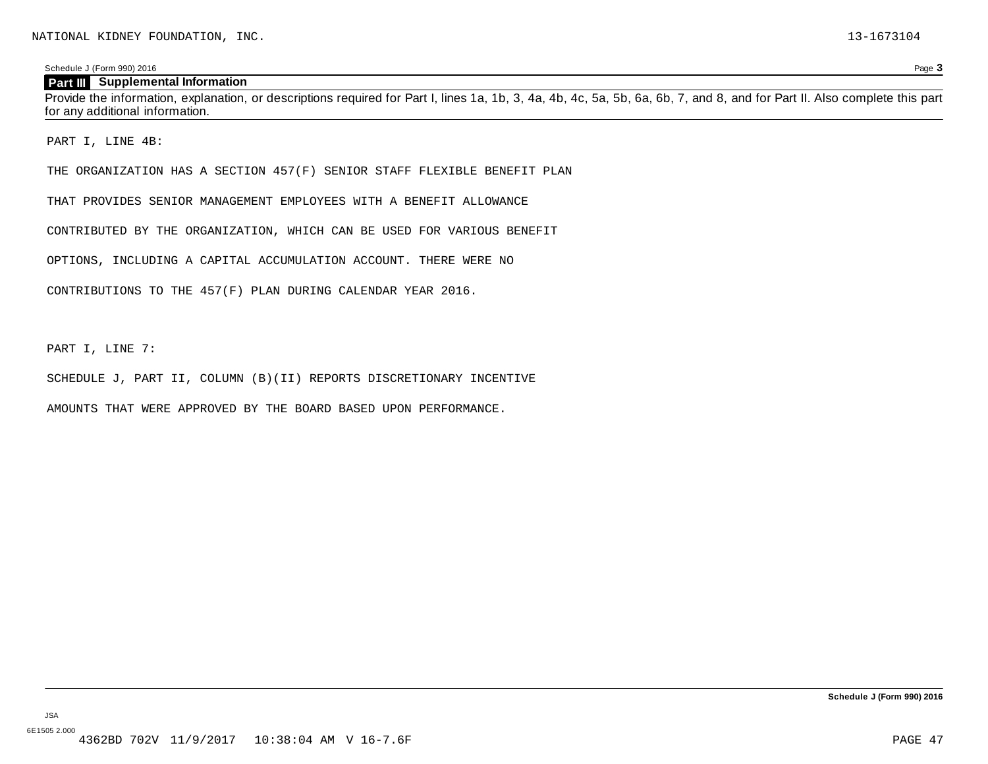Schedule J (Form 990) 2016 Page **3**

#### **Part III** Supplemental Information

Provide the information, explanation, or descriptions required for Part I, lines 1a, 1b, 3, 4a, 4b, 4c, 5a, 5b, 6a, 6b, 7, and 8, and for Part II. Also complete this part for any additional information.

PART I, LINE 4B:

THE ORGANIZATION HAS A SECTION 457(F) SENIOR STAFF FLEXIBLE BENEFIT PLAN

THAT PROVIDES SENIOR MANAGEMENT EMPLOYEES WITH A BENEFIT ALLOWANCE

CONTRIBUTED BY THE ORGANIZATION, WHICH CAN BE USED FOR VARIOUS BENEFIT

OPTIONS, INCLUDING A CAPITAL ACCUMULATION ACCOUNT. THERE WERE NO

CONTRIBUTIONS TO THE 457(F) PLAN DURING CALENDAR YEAR 2016.

PART I, LINE 7:

SCHEDULE J, PART II, COLUMN (B)(II) REPORTS DISCRETIONARY INCENTIVE

AMOUNTS THAT WERE APPROVED BY THE BOARD BASED UPON PERFORMANCE.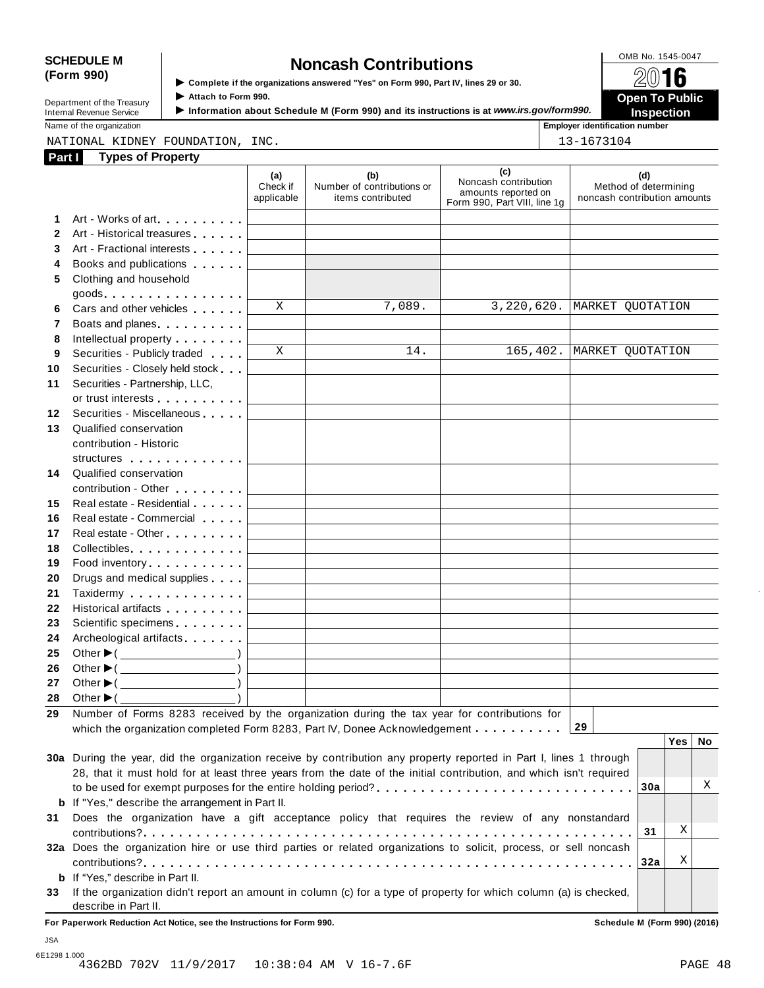SCHEDULE M<br> **SCHEDULE M Source 1990 SCHEDULE M**<br> **Source if the organizations answered "Yes" on Form 990, Part IV, lines 29 or 30.** 20016 **(Form 990) INOTICASH COTTLIBUTION**<br> **INCORD Complete if the organizations answered "Yes" on Form 990, Part IV, lines 29 or 30.**  $20$ 

I **Attach to Form 990. Open To Public** Department of the Treasury

| Name of the organization                                 |                                                            |                               |                                                                                             |                                                                                    | <b>Employer identification number</b>                        |
|----------------------------------------------------------|------------------------------------------------------------|-------------------------------|---------------------------------------------------------------------------------------------|------------------------------------------------------------------------------------|--------------------------------------------------------------|
| NATIONAL KIDNEY FOUNDATION, INC.                         |                                                            |                               |                                                                                             |                                                                                    | 13-1673104                                                   |
| <b>Types of Property</b><br>Part I                       |                                                            |                               |                                                                                             |                                                                                    |                                                              |
|                                                          |                                                            | (a)<br>Check if<br>applicable | (b)<br>Number of contributions or<br>items contributed                                      | (c)<br>Noncash contribution<br>amounts reported on<br>Form 990, Part VIII, line 1g | (d)<br>Method of determining<br>noncash contribution amounts |
| Art - Works of art.<br>1                                 |                                                            |                               |                                                                                             |                                                                                    |                                                              |
| Art - Historical treasures<br>2                          |                                                            |                               |                                                                                             |                                                                                    |                                                              |
| Art - Fractional interests<br>3                          |                                                            |                               |                                                                                             |                                                                                    |                                                              |
| Books and publications entering and<br>4                 |                                                            |                               |                                                                                             |                                                                                    |                                                              |
| Clothing and household<br>5<br>$goods.$                  |                                                            |                               |                                                                                             |                                                                                    |                                                              |
| Cars and other vehicles <b>Cars</b><br>6                 |                                                            | X                             | 7,089.                                                                                      | 3,220,620.                                                                         | MARKET QUOTATION                                             |
| Boats and planes experience and planes<br>7              |                                                            |                               |                                                                                             |                                                                                    |                                                              |
| Intellectual property <b>Algebra</b><br>8                |                                                            |                               |                                                                                             |                                                                                    |                                                              |
| Securities - Publicly traded<br>9                        |                                                            | X                             | 14.                                                                                         | 165,402.                                                                           | MARKET OUOTATION                                             |
| Securities - Closely held stock<br>10                    |                                                            |                               |                                                                                             |                                                                                    |                                                              |
| Securities - Partnership, LLC,<br>11                     |                                                            |                               |                                                                                             |                                                                                    |                                                              |
| or trust interests [19]                                  |                                                            |                               |                                                                                             |                                                                                    |                                                              |
| Securities - Miscellaneous<br>12                         |                                                            |                               |                                                                                             |                                                                                    |                                                              |
| Qualified conservation<br>13                             |                                                            |                               |                                                                                             |                                                                                    |                                                              |
| contribution - Historic                                  |                                                            |                               |                                                                                             |                                                                                    |                                                              |
| structures                                               |                                                            |                               |                                                                                             |                                                                                    |                                                              |
| Qualified conservation<br>14                             |                                                            |                               |                                                                                             |                                                                                    |                                                              |
| contribution - Other [19]                                |                                                            |                               |                                                                                             |                                                                                    |                                                              |
| Real estate - Residential<br>15                          |                                                            |                               |                                                                                             |                                                                                    |                                                              |
| Real estate - Commercial<br>16                           |                                                            |                               |                                                                                             |                                                                                    |                                                              |
| Real estate - Other New York 1997<br>17                  |                                                            |                               |                                                                                             |                                                                                    |                                                              |
| Collectibles<br>18                                       |                                                            |                               |                                                                                             |                                                                                    |                                                              |
| Food inventory<br>19                                     |                                                            |                               |                                                                                             |                                                                                    |                                                              |
| Drugs and medical supplies<br>20                         |                                                            |                               |                                                                                             |                                                                                    |                                                              |
| 21<br>Taxidermy                                          |                                                            |                               |                                                                                             |                                                                                    |                                                              |
| Historical artifacts [19]<br>22                          |                                                            |                               |                                                                                             |                                                                                    |                                                              |
| Scientific specimens [1994]<br>23                        |                                                            |                               |                                                                                             |                                                                                    |                                                              |
| Archeological artifacts<br>24                            |                                                            |                               |                                                                                             |                                                                                    |                                                              |
| Other $\blacktriangleright$ (<br>25                      | <u> 1989 - Johann Barn, mars ann an t-Amhair ann an t-</u> |                               |                                                                                             |                                                                                    |                                                              |
| Other $\blacktriangleright$ ( $\_\_\_\_\_\_\_\_$ )<br>26 |                                                            |                               |                                                                                             |                                                                                    |                                                              |
| Other $\blacktriangleright$ ( $\_\_\_\_\_\_\_\_$ )<br>27 |                                                            |                               |                                                                                             |                                                                                    |                                                              |
| Other $\blacktriangleright$ (<br>28                      |                                                            |                               |                                                                                             |                                                                                    |                                                              |
| 29                                                       |                                                            |                               | Number of Forms 8283 received by the organization during the tax year for contributions for |                                                                                    |                                                              |

| 20  | $U(1)$ $\blacktriangleright$ $($                                                                                   |  |      |     |    |
|-----|--------------------------------------------------------------------------------------------------------------------|--|------|-----|----|
| 29  | Number of Forms 8283 received by the organization during the tax year for contributions for                        |  |      |     |    |
|     | which the organization completed Form 8283, Part IV, Donee Acknowledgement $\ldots \ldots \ldots$                  |  |      |     |    |
|     |                                                                                                                    |  |      | Yes | No |
| 30a | During the year, did the organization receive by contribution any property reported in Part I, lines 1 through     |  |      |     |    |
|     | 28, that it must hold for at least three years from the date of the initial contribution, and which isn't required |  |      |     |    |
|     | to be used for exempt purposes for the entire holding period?30a                                                   |  |      |     | Χ  |
|     | <b>b</b> If "Yes," describe the arrangement in Part II.                                                            |  |      |     |    |
| 31  | Does the organization have a gift acceptance policy that requires the review of any nonstandard                    |  |      |     |    |
|     |                                                                                                                    |  | 31   | Χ   |    |
|     | 32a Does the organization hire or use third parties or related organizations to solicit, process, or sell noncash  |  |      |     |    |
|     |                                                                                                                    |  | ∣32a | X   |    |
|     | <b>b</b> If "Yes," describe in Part II.                                                                            |  |      |     |    |
| 33  | If the organization didn't report an amount in column (c) for a type of property for which column (a) is checked,  |  |      |     |    |
|     | describe in Part II.                                                                                               |  |      |     |    |
|     |                                                                                                                    |  |      |     |    |

**For Paperwork Reduction Act Notice, see the Instructions for Form 990. Schedule M (Form 990) (2016)**

JSA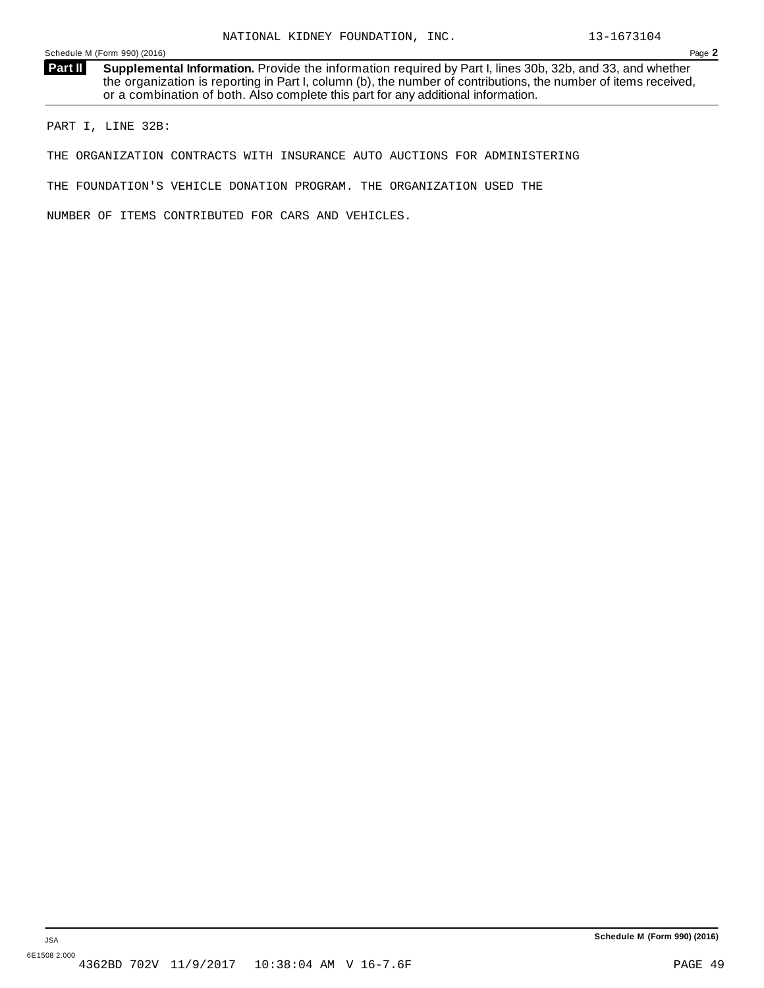Schedule M (Form 990) (2016) Page **2**

**Supplemental Information.** Provide the information required by Part I, lines 30b, 32b, and 33, and whether the organization is reporting in Part I, column (b), the number of contributions, the number of items received, or a combination of both. Also complete this part for any additional information. **Part II** 

PART I, LINE 32B:

THE ORGANIZATION CONTRACTS WITH INSURANCE AUTO AUCTIONS FOR ADMINISTERING

THE FOUNDATION'S VEHICLE DONATION PROGRAM. THE ORGANIZATION USED THE

NUMBER OF ITEMS CONTRIBUTED FOR CARS AND VEHICLES.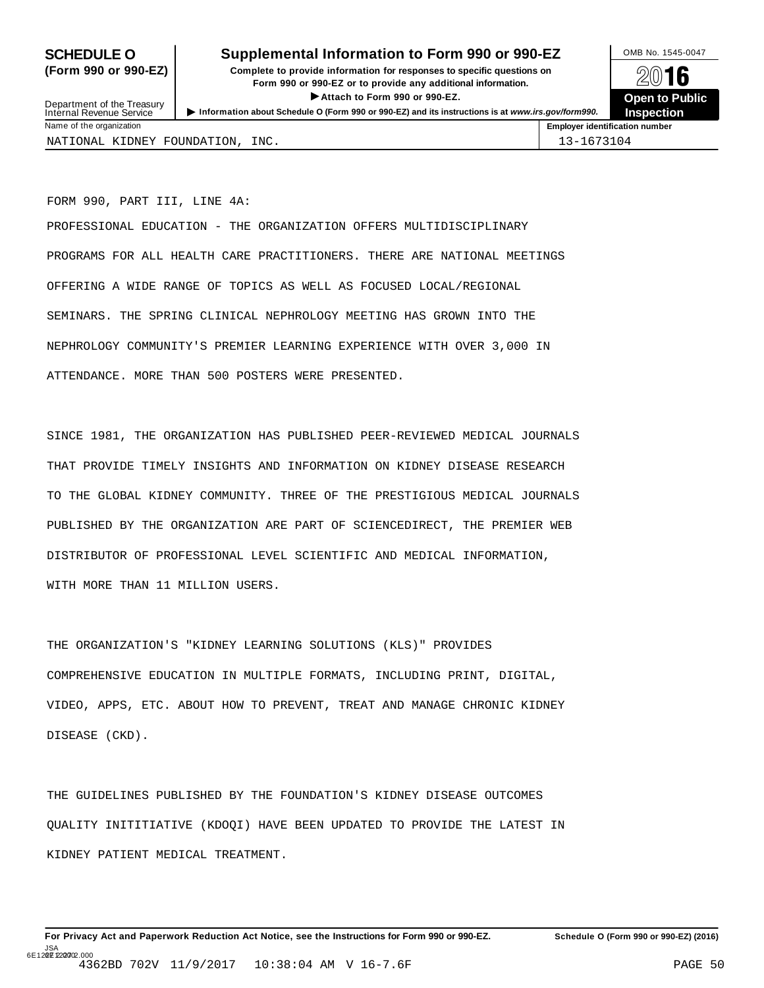### **SCHEDULE O** Supplemental Information to Form 990 or 990-EZ MB No. 1545-0047

**(Form 990 or 990-EZ) Complete to provide information for responses to specific questions on** plete to provide information for responses to specific questions on  $\mathbb{Z} \mathbb{O} \mathbf{1} \mathbf{6}$ **IPO OF Attach to Form 990 or 990-EZ.**<br> **Attach to Form 990 or 990-EZ.**<br> **Open to Public and Contract of Public and Contract of Public and Contract of Public and Contract of Public and Contract of Public and Contract of Pu** 



**Department of the Treasury**<br>Internal Revenue Service ▶ Information about Schedule O (Form 990 or 990-EZ) and its instructions is at *www.irs.gov/form990.*<br>Nome of the excepiration awmber Name of the organization **Employer identification number Employer identification number** NATIONAL KIDNEY FOUNDATION, INC. 13-1673104

FORM 990, PART III, LINE 4A:

PROFESSIONAL EDUCATION - THE ORGANIZATION OFFERS MULTIDISCIPLINARY PROGRAMS FOR ALL HEALTH CARE PRACTITIONERS. THERE ARE NATIONAL MEETINGS OFFERING A WIDE RANGE OF TOPICS AS WELL AS FOCUSED LOCAL/REGIONAL SEMINARS. THE SPRING CLINICAL NEPHROLOGY MEETING HAS GROWN INTO THE NEPHROLOGY COMMUNITY'S PREMIER LEARNING EXPERIENCE WITH OVER 3,000 IN ATTENDANCE. MORE THAN 500 POSTERS WERE PRESENTED.

SINCE 1981, THE ORGANIZATION HAS PUBLISHED PEER-REVIEWED MEDICAL JOURNALS THAT PROVIDE TIMELY INSIGHTS AND INFORMATION ON KIDNEY DISEASE RESEARCH TO THE GLOBAL KIDNEY COMMUNITY. THREE OF THE PRESTIGIOUS MEDICAL JOURNALS PUBLISHED BY THE ORGANIZATION ARE PART OF SCIENCEDIRECT, THE PREMIER WEB DISTRIBUTOR OF PROFESSIONAL LEVEL SCIENTIFIC AND MEDICAL INFORMATION, WITH MORE THAN 11 MILLION USERS.

THE ORGANIZATION'S "KIDNEY LEARNING SOLUTIONS (KLS)" PROVIDES COMPREHENSIVE EDUCATION IN MULTIPLE FORMATS, INCLUDING PRINT, DIGITAL, VIDEO, APPS, ETC. ABOUT HOW TO PREVENT, TREAT AND MANAGE CHRONIC KIDNEY DISEASE (CKD).

THE GUIDELINES PUBLISHED BY THE FOUNDATION'S KIDNEY DISEASE OUTCOMES QUALITY INITITIATIVE (KDOQI) HAVE BEEN UPDATED TO PROVIDE THE LATEST IN KIDNEY PATIENT MEDICAL TREATMENT.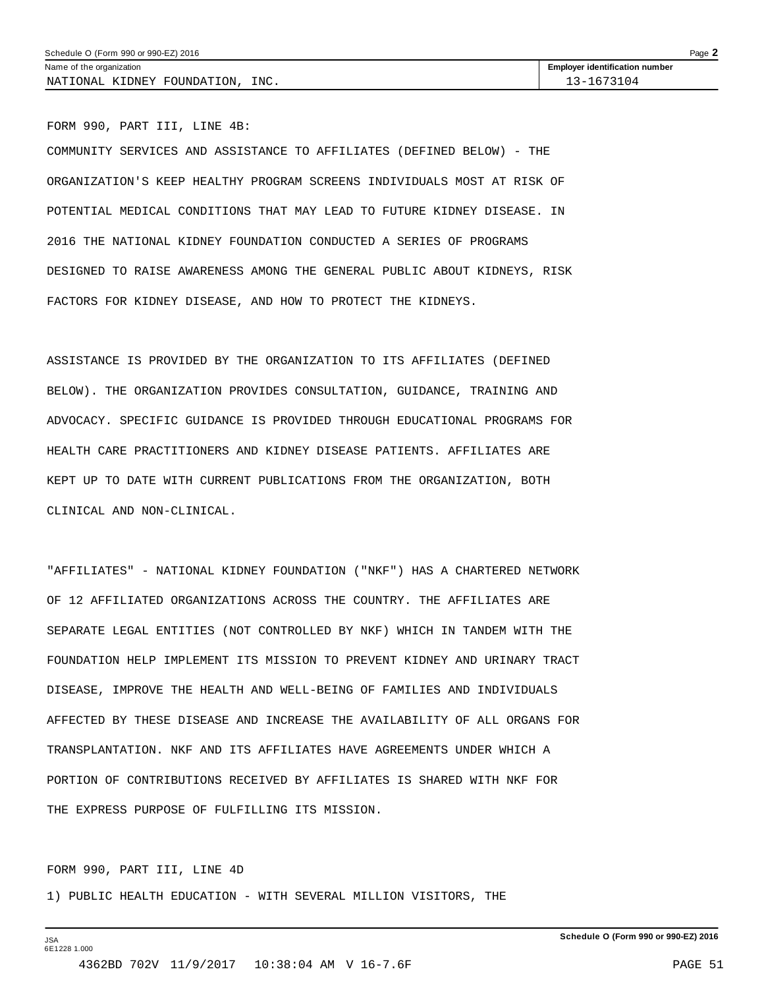FORM 990, PART III, LINE 4B:

COMMUNITY SERVICES AND ASSISTANCE TO AFFILIATES (DEFINED BELOW) - THE ORGANIZATION'S KEEP HEALTHY PROGRAM SCREENS INDIVIDUALS MOST AT RISK OF POTENTIAL MEDICAL CONDITIONS THAT MAY LEAD TO FUTURE KIDNEY DISEASE. IN 2016 THE NATIONAL KIDNEY FOUNDATION CONDUCTED A SERIES OF PROGRAMS DESIGNED TO RAISE AWARENESS AMONG THE GENERAL PUBLIC ABOUT KIDNEYS, RISK FACTORS FOR KIDNEY DISEASE, AND HOW TO PROTECT THE KIDNEYS.

ASSISTANCE IS PROVIDED BY THE ORGANIZATION TO ITS AFFILIATES (DEFINED BELOW). THE ORGANIZATION PROVIDES CONSULTATION, GUIDANCE, TRAINING AND ADVOCACY. SPECIFIC GUIDANCE IS PROVIDED THROUGH EDUCATIONAL PROGRAMS FOR HEALTH CARE PRACTITIONERS AND KIDNEY DISEASE PATIENTS. AFFILIATES ARE KEPT UP TO DATE WITH CURRENT PUBLICATIONS FROM THE ORGANIZATION, BOTH CLINICAL AND NON-CLINICAL.

"AFFILIATES" - NATIONAL KIDNEY FOUNDATION ("NKF") HAS A CHARTERED NETWORK OF 12 AFFILIATED ORGANIZATIONS ACROSS THE COUNTRY. THE AFFILIATES ARE SEPARATE LEGAL ENTITIES (NOT CONTROLLED BY NKF) WHICH IN TANDEM WITH THE FOUNDATION HELP IMPLEMENT ITS MISSION TO PREVENT KIDNEY AND URINARY TRACT DISEASE, IMPROVE THE HEALTH AND WELL-BEING OF FAMILIES AND INDIVIDUALS AFFECTED BY THESE DISEASE AND INCREASE THE AVAILABILITY OF ALL ORGANS FOR TRANSPLANTATION. NKF AND ITS AFFILIATES HAVE AGREEMENTS UNDER WHICH A PORTION OF CONTRIBUTIONS RECEIVED BY AFFILIATES IS SHARED WITH NKF FOR THE EXPRESS PURPOSE OF FULFILLING ITS MISSION.

FORM 990, PART III, LINE 4D

6E1228 1.000

1) PUBLIC HEALTH EDUCATION - WITH SEVERAL MILLION VISITORS, THE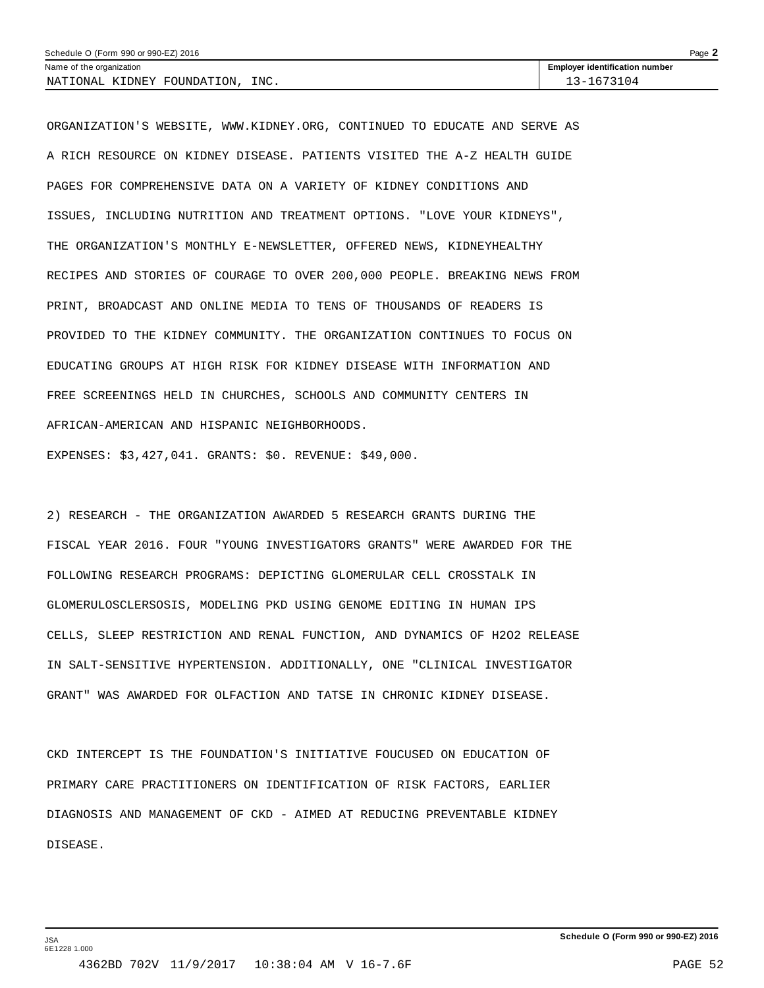| Schedule O (Form 990 or 990-EZ) 2016 |                                       | Page $\blacktriangle$ |
|--------------------------------------|---------------------------------------|-----------------------|
| Name of the organization             | <b>Employer identification number</b> |                       |
| INC.<br>NATIONAL KIDNEY FOUNDATION,  | 13-1673104                            |                       |

ORGANIZATION'S WEBSITE, WWW.KIDNEY.ORG, CONTINUED TO EDUCATE AND SERVE AS A RICH RESOURCE ON KIDNEY DISEASE. PATIENTS VISITED THE A-Z HEALTH GUIDE PAGES FOR COMPREHENSIVE DATA ON A VARIETY OF KIDNEY CONDITIONS AND ISSUES, INCLUDING NUTRITION AND TREATMENT OPTIONS. "LOVE YOUR KIDNEYS", THE ORGANIZATION'S MONTHLY E-NEWSLETTER, OFFERED NEWS, KIDNEYHEALTHY RECIPES AND STORIES OF COURAGE TO OVER 200,000 PEOPLE. BREAKING NEWS FROM PRINT, BROADCAST AND ONLINE MEDIA TO TENS OF THOUSANDS OF READERS IS PROVIDED TO THE KIDNEY COMMUNITY. THE ORGANIZATION CONTINUES TO FOCUS ON EDUCATING GROUPS AT HIGH RISK FOR KIDNEY DISEASE WITH INFORMATION AND FREE SCREENINGS HELD IN CHURCHES, SCHOOLS AND COMMUNITY CENTERS IN AFRICAN-AMERICAN AND HISPANIC NEIGHBORHOODS.

EXPENSES: \$3,427,041. GRANTS: \$0. REVENUE: \$49,000.

2) RESEARCH - THE ORGANIZATION AWARDED 5 RESEARCH GRANTS DURING THE FISCAL YEAR 2016. FOUR "YOUNG INVESTIGATORS GRANTS" WERE AWARDED FOR THE FOLLOWING RESEARCH PROGRAMS: DEPICTING GLOMERULAR CELL CROSSTALK IN GLOMERULOSCLERSOSIS, MODELING PKD USING GENOME EDITING IN HUMAN IPS CELLS, SLEEP RESTRICTION AND RENAL FUNCTION, AND DYNAMICS OF H2O2 RELEASE IN SALT-SENSITIVE HYPERTENSION. ADDITIONALLY, ONE "CLINICAL INVESTIGATOR GRANT" WAS AWARDED FOR OLFACTION AND TATSE IN CHRONIC KIDNEY DISEASE.

CKD INTERCEPT IS THE FOUNDATION'S INITIATIVE FOUCUSED ON EDUCATION OF PRIMARY CARE PRACTITIONERS ON IDENTIFICATION OF RISK FACTORS, EARLIER DIAGNOSIS AND MANAGEMENT OF CKD - AIMED AT REDUCING PREVENTABLE KIDNEY DISEASE.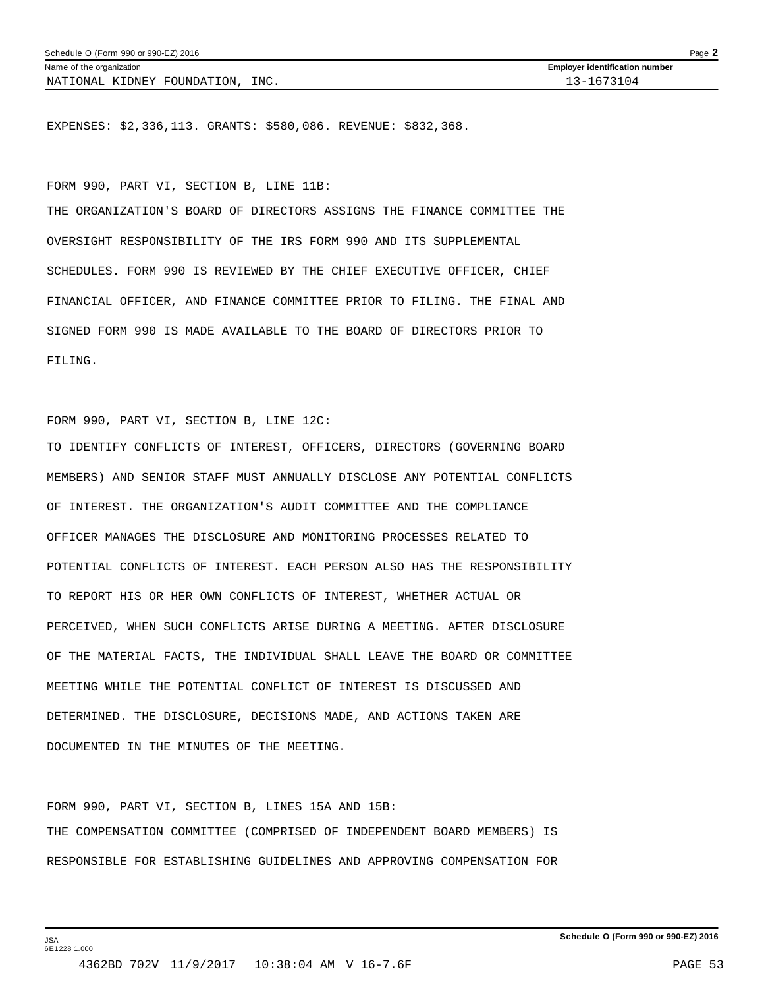EXPENSES: \$2,336,113. GRANTS: \$580,086. REVENUE: \$832,368.

FORM 990, PART VI, SECTION B, LINE 11B:

THE ORGANIZATION'S BOARD OF DIRECTORS ASSIGNS THE FINANCE COMMITTEE THE OVERSIGHT RESPONSIBILITY OF THE IRS FORM 990 AND ITS SUPPLEMENTAL SCHEDULES. FORM 990 IS REVIEWED BY THE CHIEF EXECUTIVE OFFICER, CHIEF FINANCIAL OFFICER, AND FINANCE COMMITTEE PRIOR TO FILING. THE FINAL AND SIGNED FORM 990 IS MADE AVAILABLE TO THE BOARD OF DIRECTORS PRIOR TO FILING.

```
FORM 990, PART VI, SECTION B, LINE 12C:
```
TO IDENTIFY CONFLICTS OF INTEREST, OFFICERS, DIRECTORS (GOVERNING BOARD MEMBERS) AND SENIOR STAFF MUST ANNUALLY DISCLOSE ANY POTENTIAL CONFLICTS OF INTEREST. THE ORGANIZATION'S AUDIT COMMITTEE AND THE COMPLIANCE OFFICER MANAGES THE DISCLOSURE AND MONITORING PROCESSES RELATED TO POTENTIAL CONFLICTS OF INTEREST. EACH PERSON ALSO HAS THE RESPONSIBILITY TO REPORT HIS OR HER OWN CONFLICTS OF INTEREST, WHETHER ACTUAL OR PERCEIVED, WHEN SUCH CONFLICTS ARISE DURING A MEETING. AFTER DISCLOSURE OF THE MATERIAL FACTS, THE INDIVIDUAL SHALL LEAVE THE BOARD OR COMMITTEE MEETING WHILE THE POTENTIAL CONFLICT OF INTEREST IS DISCUSSED AND DETERMINED. THE DISCLOSURE, DECISIONS MADE, AND ACTIONS TAKEN ARE DOCUMENTED IN THE MINUTES OF THE MEETING.

FORM 990, PART VI, SECTION B, LINES 15A AND 15B: THE COMPENSATION COMMITTEE (COMPRISED OF INDEPENDENT BOARD MEMBERS) IS RESPONSIBLE FOR ESTABLISHING GUIDELINES AND APPROVING COMPENSATION FOR

6E1228 1.000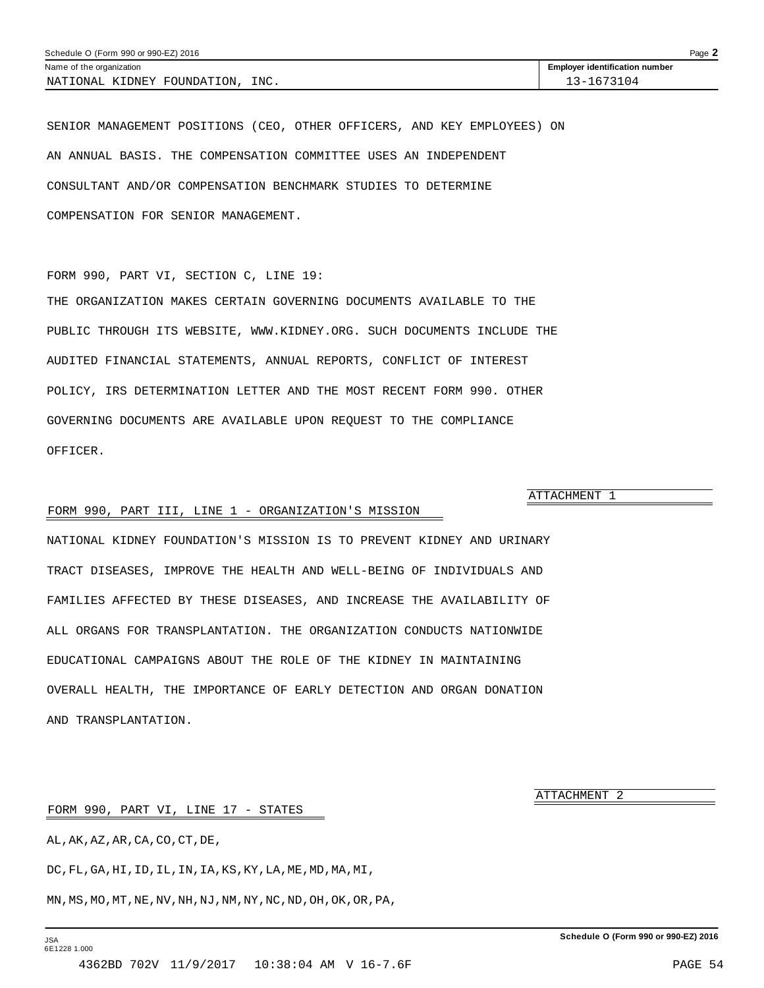SENIOR MANAGEMENT POSITIONS (CEO, OTHER OFFICERS, AND KEY EMPLOYEES) ON AN ANNUAL BASIS. THE COMPENSATION COMMITTEE USES AN INDEPENDENT CONSULTANT AND/OR COMPENSATION BENCHMARK STUDIES TO DETERMINE COMPENSATION FOR SENIOR MANAGEMENT.

FORM 990, PART VI, SECTION C, LINE 19: THE ORGANIZATION MAKES CERTAIN GOVERNING DOCUMENTS AVAILABLE TO THE PUBLIC THROUGH ITS WEBSITE, WWW.KIDNEY.ORG. SUCH DOCUMENTS INCLUDE THE AUDITED FINANCIAL STATEMENTS, ANNUAL REPORTS, CONFLICT OF INTEREST POLICY, IRS DETERMINATION LETTER AND THE MOST RECENT FORM 990. OTHER GOVERNING DOCUMENTS ARE AVAILABLE UPON REQUEST TO THE COMPLIANCE OFFICER.

#### FORM 990, PART III, LINE 1 - ORGANIZATION'S MISSION

NATIONAL KIDNEY FOUNDATION'S MISSION IS TO PREVENT KIDNEY AND URINARY TRACT DISEASES, IMPROVE THE HEALTH AND WELL-BEING OF INDIVIDUALS AND FAMILIES AFFECTED BY THESE DISEASES, AND INCREASE THE AVAILABILITY OF ALL ORGANS FOR TRANSPLANTATION. THE ORGANIZATION CONDUCTS NATIONWIDE EDUCATIONAL CAMPAIGNS ABOUT THE ROLE OF THE KIDNEY IN MAINTAINING OVERALL HEALTH, THE IMPORTANCE OF EARLY DETECTION AND ORGAN DONATION AND TRANSPLANTATION.

FORM 990, PART VI, LINE 17 - STATES AL,AK,AZ,AR,CA,CO,CT,DE, DC,FL,GA,HI,ID,IL,IN,IA,KS,KY,LA,ME,MD,MA,MI, MN,MS,MO,MT,NE,NV,NH,NJ,NM,NY,NC,ND,OH,OK,OR,PA,

**Schedule O (Form 990 or 990-EZ) 2016** JSA

ATTACHMENT 1

ATTACHMENT 2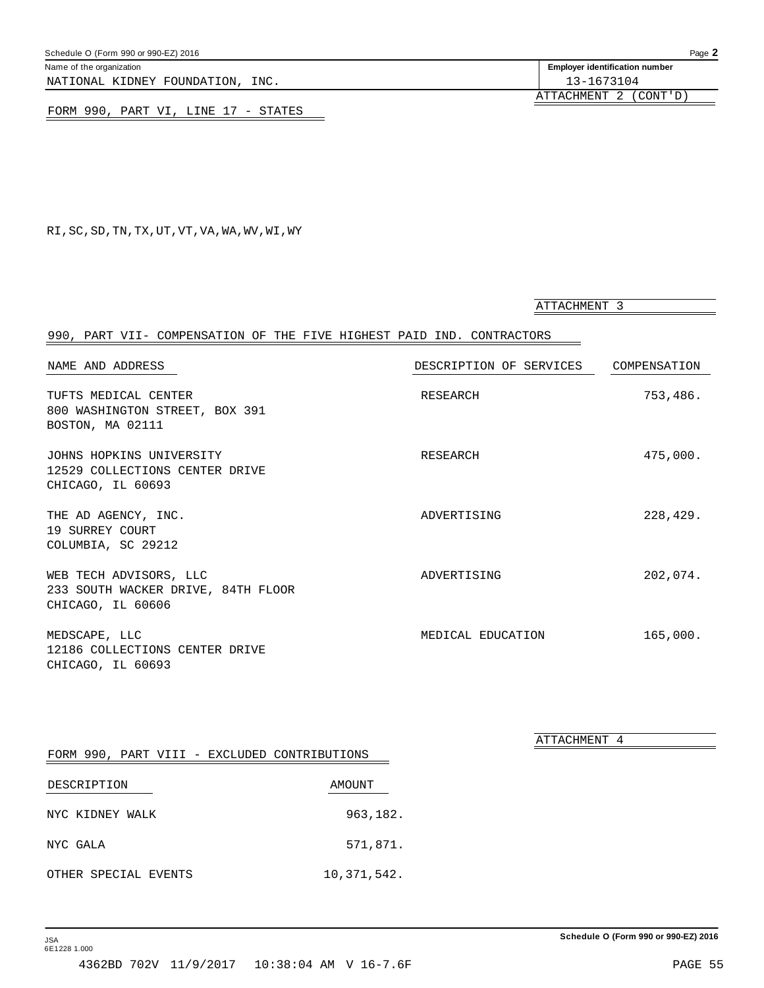Schedule O (Form 990 or 990-EZ) 2016 Page **2** Name of the organization **Employer identification number Employer identification number** 

NATIONAL KIDNEY FOUNDATION, INC. 13-1673104

FORM 990, PART VI, LINE 17 - STATES

RI,SC,SD,TN,TX,UT,VT,VA,WA,WV,WI,WY

| 990, PART VII- COMPENSATION OF THE FIVE HIGHEST PAID IND. CONTRACTORS             |                         |              |
|-----------------------------------------------------------------------------------|-------------------------|--------------|
| NAME AND ADDRESS                                                                  | DESCRIPTION OF SERVICES | COMPENSATION |
| TUFTS MEDICAL CENTER<br>800 WASHINGTON STREET, BOX 391<br>BOSTON, MA 02111        | RESEARCH                | 753,486.     |
| JOHNS HOPKINS UNIVERSITY<br>12529 COLLECTIONS CENTER DRIVE<br>CHICAGO, IL 60693   | RESEARCH                | 475,000.     |
| THE AD AGENCY, INC.<br>19 SURREY COURT<br>COLUMBIA, SC 29212                      | ADVERTISING             | 228,429.     |
| WEB TECH ADVISORS, LLC<br>233 SOUTH WACKER DRIVE, 84TH FLOOR<br>CHICAGO, IL 60606 | ADVERTISING             | 202,074.     |
| MEDSCAPE, LLC<br>12186 COLLECTIONS CENTER DRIVE                                   | MEDICAL EDUCATION       | 165,000.     |

CHICAGO, IL 60693

| FORM 990, PART VIII - EXCLUDED CONTRIBUTIONS |             |
|----------------------------------------------|-------------|
| DESCRIPTION                                  | AMOUNT      |
| NYC KIDNEY WALK                              | 963,182.    |
| NYC GALA                                     | 571,871.    |
| OTHER SPECIAL EVENTS                         | 10,371,542. |

ATTACHMENT 2 (CONT'D)

ATTACHMENT 4

ATTACHMENT 3